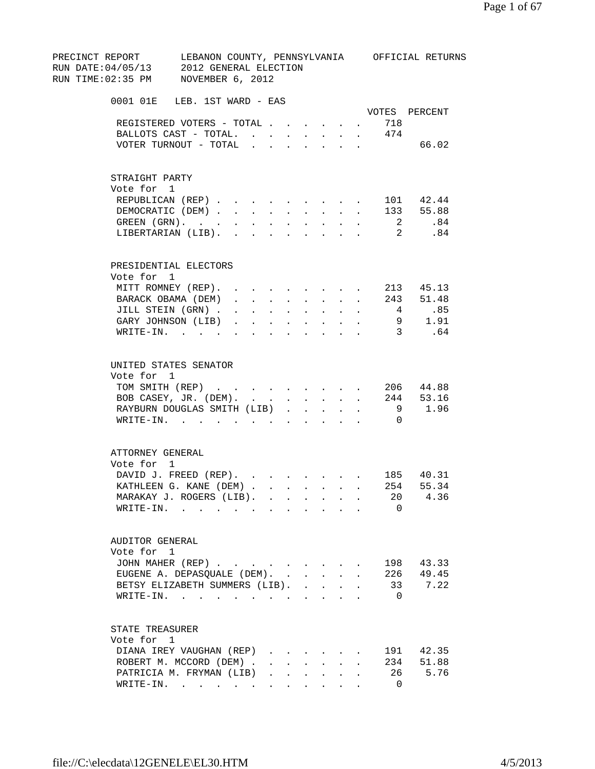| PRECINCT REPORT LEBANON COUNTY, PENNSYLVANIA OFFICIAL RETURNS                                                                                                                 |       |
|-------------------------------------------------------------------------------------------------------------------------------------------------------------------------------|-------|
| RUN DATE:04/05/13 2012 GENERAL ELECTION                                                                                                                                       |       |
| RUN TIME:02:35 PM NOVEMBER 6, 2012                                                                                                                                            |       |
|                                                                                                                                                                               |       |
| 0001 O1E LEB. 1ST WARD - EAS                                                                                                                                                  |       |
| VOTES PERCENT<br>REGISTERED VOTERS - TOTAL<br>718                                                                                                                             |       |
|                                                                                                                                                                               |       |
| BALLOTS CAST - TOTAL. 474<br>VOTER TURNOUT - TOTAL                                                                                                                            | 66.02 |
|                                                                                                                                                                               |       |
| STRAIGHT PARTY                                                                                                                                                                |       |
| Vote for 1                                                                                                                                                                    |       |
| 101 42.44<br>REPUBLICAN (REP)                                                                                                                                                 |       |
| DEMOCRATIC (DEM)<br>133 55.88                                                                                                                                                 |       |
| 2 .84<br>GREEN $(GRN)$ .                                                                                                                                                      |       |
| $\overline{\mathbf{c}}$<br>LIBERTARIAN (LIB).                                                                                                                                 | .84   |
| PRESIDENTIAL ELECTORS                                                                                                                                                         |       |
| Vote for 1                                                                                                                                                                    |       |
| MITT ROMNEY (REP). 213 45.13                                                                                                                                                  |       |
| BARACK OBAMA (DEM) 243 51.48                                                                                                                                                  |       |
| JILL STEIN (GRN)<br>4.85                                                                                                                                                      |       |
| 9 1.91<br>GARY JOHNSON (LIB).<br>$\mathbf{r} = \mathbf{r} \cdot \mathbf{r}$ , and $\mathbf{r} = \mathbf{r} \cdot \mathbf{r}$ , and $\mathbf{r} = \mathbf{r} \cdot \mathbf{r}$ |       |
| 3 .64<br>WRITE-IN.                                                                                                                                                            |       |
|                                                                                                                                                                               |       |
| UNITED STATES SENATOR                                                                                                                                                         |       |
| Vote for 1                                                                                                                                                                    |       |
| TOM SMITH (REP) 206 44.88                                                                                                                                                     |       |
| BOB CASEY, JR. (DEM). 244 53.16                                                                                                                                               |       |
| RAYBURN DOUGLAS SMITH (LIB)<br>9 1.96                                                                                                                                         |       |
| WRITE-IN.<br>$\overline{0}$                                                                                                                                                   |       |
| ATTORNEY GENERAL                                                                                                                                                              |       |
| Vote for 1                                                                                                                                                                    |       |
| DAVID J. FREED (REP). 185 40.31                                                                                                                                               |       |
| 254<br>KATHLEEN G. KANE (DEM)                                                                                                                                                 | 55.34 |
| MARAKAY J. ROGERS (LIB).<br>20                                                                                                                                                | 4.36  |
| WRITE-IN.<br>$\overline{0}$                                                                                                                                                   |       |
|                                                                                                                                                                               |       |
| AUDITOR GENERAL                                                                                                                                                               |       |
| Vote for 1                                                                                                                                                                    |       |
| JOHN MAHER (REP)<br>198                                                                                                                                                       | 43.33 |
| 226 49.45<br>EUGENE A. DEPASQUALE (DEM).<br>$\mathbf{r}$                                                                                                                      |       |
| BETSY ELIZABETH SUMMERS (LIB).<br>33 7.22<br>$\ddot{\phantom{a}}$                                                                                                             |       |
| WRITE-IN.<br>$\overline{0}$                                                                                                                                                   |       |
| STATE TREASURER                                                                                                                                                               |       |
| Vote for 1                                                                                                                                                                    |       |
| 191<br>DIANA IREY VAUGHAN (REP)                                                                                                                                               | 42.35 |
| 234<br>$\mathbf{L} = \mathbf{L}$<br>ROBERT M. MCCORD (DEM)<br>$\mathbf{L}$<br>$\mathbf{L}^{\text{max}}$<br>$\mathbf{r}$                                                       | 51.88 |
| 26 5.76<br>PATRICIA M. FRYMAN (LIB)                                                                                                                                           |       |
| WRITE-IN.<br>$\overline{0}$                                                                                                                                                   |       |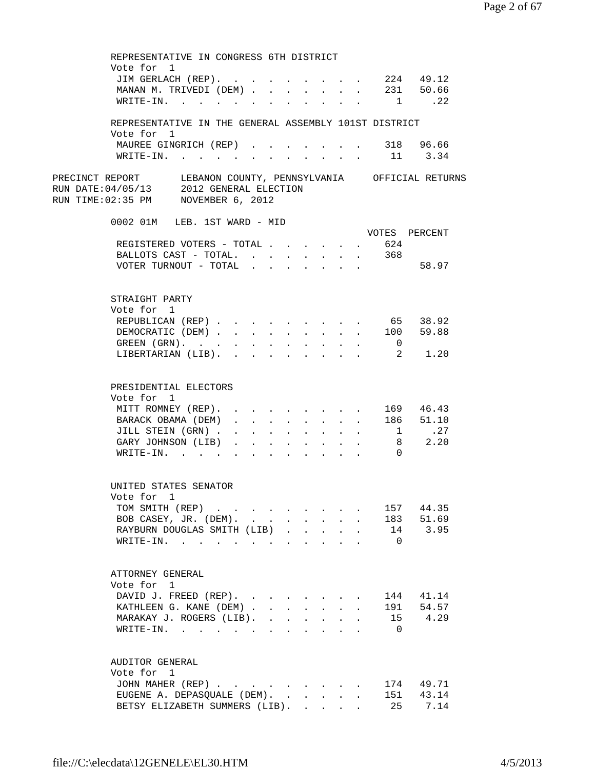|                                                                                                              | REPRESENTATIVE IN CONGRESS 6TH DISTRICT                             |              |        |                                   |                      |                           |                                                                                           |                                          |                                      |                |               |  |
|--------------------------------------------------------------------------------------------------------------|---------------------------------------------------------------------|--------------|--------|-----------------------------------|----------------------|---------------------------|-------------------------------------------------------------------------------------------|------------------------------------------|--------------------------------------|----------------|---------------|--|
|                                                                                                              | Vote for 1                                                          |              |        |                                   |                      |                           |                                                                                           |                                          |                                      |                |               |  |
|                                                                                                              | JIM GERLACH (REP). 224 49.12                                        |              |        |                                   |                      |                           |                                                                                           |                                          |                                      |                |               |  |
|                                                                                                              | MANAN M. TRIVEDI (DEM) 231 50.66                                    |              |        |                                   |                      |                           |                                                                                           |                                          |                                      |                |               |  |
|                                                                                                              | WRITE-IN. 1                                                         |              |        |                                   |                      |                           |                                                                                           |                                          |                                      |                | .22           |  |
|                                                                                                              | REPRESENTATIVE IN THE GENERAL ASSEMBLY 101ST DISTRICT<br>Vote for 1 |              |        |                                   |                      |                           |                                                                                           |                                          |                                      |                |               |  |
|                                                                                                              | MAUREE GINGRICH (REP) 318 96.66                                     |              |        |                                   |                      |                           |                                                                                           |                                          |                                      |                |               |  |
|                                                                                                              | WRITE-IN.                                                           |              |        |                                   |                      |                           |                                                                                           |                                          |                                      |                | 11 3.34       |  |
| PRECINCT REPORT   LEBANON COUNTY, PENNSYLVANIA   OFFICIAL RETURNS<br>RUN DATE:04/05/13 2012 GENERAL ELECTION |                                                                     |              |        |                                   |                      |                           |                                                                                           |                                          |                                      |                |               |  |
| RUN TIME:02:35 PM MOVEMBER 6, 2012                                                                           |                                                                     |              |        |                                   |                      |                           |                                                                                           |                                          |                                      |                |               |  |
|                                                                                                              | 0002 01M LEB. 1ST WARD - MID                                        |              |        |                                   |                      |                           |                                                                                           |                                          |                                      |                | VOTES PERCENT |  |
|                                                                                                              | REGISTERED VOTERS - TOTAL                                           |              |        |                                   |                      |                           |                                                                                           |                                          | $\mathbf{L}$                         | 624            |               |  |
|                                                                                                              | BALLOTS CAST - TOTAL. 368                                           |              |        |                                   |                      |                           |                                                                                           |                                          |                                      |                |               |  |
|                                                                                                              | VOTER TURNOUT - TOTAL                                               |              |        |                                   |                      |                           |                                                                                           |                                          |                                      |                | 58.97         |  |
|                                                                                                              |                                                                     |              |        |                                   |                      |                           |                                                                                           |                                          |                                      |                |               |  |
|                                                                                                              | STRAIGHT PARTY                                                      |              |        |                                   |                      |                           |                                                                                           |                                          |                                      |                |               |  |
|                                                                                                              | Vote for 1                                                          |              |        |                                   |                      |                           |                                                                                           |                                          |                                      |                |               |  |
|                                                                                                              | REPUBLICAN (REP).                                                   |              |        |                                   |                      |                           |                                                                                           |                                          |                                      | 65             | 38.92         |  |
|                                                                                                              | DEMOCRATIC (DEM)                                                    |              |        | $\sim 10^{-11}$                   | $\sim$               | $\sim$                    | $\sim$                                                                                    |                                          | $\mathbf{L} = \mathbf{L} \mathbf{L}$ |                | 100 59.88     |  |
|                                                                                                              | GREEN (GRN).                                                        |              | $\sim$ | $\sim$                            | $\ddot{\phantom{0}}$ | $\ddot{\phantom{0}}$      | $\sim$                                                                                    | $\sim$                                   |                                      | $\overline{0}$ |               |  |
|                                                                                                              | LIBERTARIAN (LIB).                                                  |              |        |                                   |                      |                           |                                                                                           |                                          |                                      |                | 2 1.20        |  |
|                                                                                                              | PRESIDENTIAL ELECTORS                                               |              |        |                                   |                      |                           |                                                                                           |                                          |                                      |                |               |  |
|                                                                                                              | Vote for 1                                                          |              |        |                                   |                      |                           |                                                                                           |                                          |                                      |                |               |  |
|                                                                                                              | MITT ROMNEY (REP).                                                  |              |        |                                   |                      |                           | $\mathbf{r} = \mathbf{r}$ , and $\mathbf{r} = \mathbf{r}$ , and $\mathbf{r} = \mathbf{r}$ |                                          |                                      |                | 169 46.43     |  |
|                                                                                                              | BARACK OBAMA (DEM)                                                  | $\mathbf{r}$ | $\sim$ |                                   |                      | $\mathbf{L}$              |                                                                                           |                                          | $\mathbf{L}$                         |                | 186 51.10     |  |
|                                                                                                              | JILL STEIN (GRN).                                                   | $\mathbf{r}$ |        |                                   | $\sim$               | $\ddot{\phantom{0}}$      | $\ddot{\phantom{0}}$                                                                      |                                          | $\ddot{\phantom{a}}$                 | 1              | .27           |  |
|                                                                                                              | GARY JOHNSON (LIB)                                                  | $\mathbf{L}$ | $\sim$ | $\sim$                            |                      | $\sim$                    | $\mathbf{L}$                                                                              |                                          |                                      |                | 8 2.20        |  |
|                                                                                                              | WRITE-IN.                                                           | $\mathbf{A}$ |        | $\mathbf{r} = \mathbf{r}$         |                      | $\mathbf{r} = \mathbf{r}$ | $\sim$                                                                                    | $\ddot{\phantom{a}}$                     |                                      | $\cap$         |               |  |
|                                                                                                              |                                                                     |              |        |                                   |                      |                           |                                                                                           |                                          |                                      |                |               |  |
|                                                                                                              | UNITED STATES SENATOR                                               |              |        |                                   |                      |                           |                                                                                           |                                          |                                      |                |               |  |
|                                                                                                              | Vote for 1                                                          |              |        |                                   |                      |                           |                                                                                           |                                          |                                      |                |               |  |
|                                                                                                              | TOM SMITH (REP)                                                     |              |        |                                   |                      |                           |                                                                                           |                                          |                                      | 157            | 44.35         |  |
|                                                                                                              | BOB CASEY, JR. (DEM).                                               |              |        |                                   | $\mathbf{r}$         | $\sim$                    | $\sim$                                                                                    | $\mathbf{L}$                             | $\overline{a}$                       | 183            | 51.69         |  |
|                                                                                                              | RAYBURN DOUGLAS SMITH (LIB)                                         |              |        |                                   |                      |                           |                                                                                           |                                          |                                      | 14             | 3.95          |  |
|                                                                                                              | $W\text{RITE}-\text{IN}.$                                           |              |        | <b>Contract Contract Contract</b> | $\mathbf{r}$         | $\sim$                    | $\sim$                                                                                    | $\overline{a}$                           |                                      | $\overline{0}$ |               |  |
|                                                                                                              | ATTORNEY GENERAL                                                    |              |        |                                   |                      |                           |                                                                                           |                                          |                                      |                |               |  |
|                                                                                                              | Vote for 1                                                          |              |        |                                   |                      |                           |                                                                                           |                                          |                                      |                |               |  |
|                                                                                                              | DAVID J. FREED (REP).                                               |              |        |                                   |                      | $\mathbf{L}$              |                                                                                           | $\mathbf{z} = \mathbf{z} + \mathbf{z}$ . |                                      | 144            | 41.14         |  |
|                                                                                                              | KATHLEEN G. KANE (DEM)                                              |              |        |                                   |                      | $\mathbf{L}$              |                                                                                           | $\mathbf{z} = \mathbf{z} + \mathbf{z}$ . |                                      | 191            | 54.57         |  |
|                                                                                                              | MARAKAY J. ROGERS (LIB). .                                          |              |        |                                   | $\ddot{\phantom{a}}$ |                           |                                                                                           |                                          |                                      | 15             | 4.29          |  |
|                                                                                                              | WRITE-IN.                                                           |              |        |                                   |                      |                           |                                                                                           |                                          |                                      | $\overline{0}$ |               |  |
|                                                                                                              |                                                                     |              |        |                                   |                      |                           |                                                                                           |                                          |                                      |                |               |  |
|                                                                                                              | AUDITOR GENERAL<br>Vote for 1                                       |              |        |                                   |                      |                           |                                                                                           |                                          |                                      |                |               |  |
|                                                                                                              | JOHN MAHER (REP)                                                    |              |        |                                   |                      |                           |                                                                                           |                                          |                                      | 174            | 49.71         |  |
|                                                                                                              | EUGENE A. DEPASQUALE (DEM). .                                       |              |        |                                   |                      |                           | $\mathbf{r} = \mathbf{r} + \mathbf{r}$                                                    |                                          |                                      | 151            | 43.14         |  |
|                                                                                                              | BETSY ELIZABETH SUMMERS (LIB).                                      |              |        |                                   |                      |                           |                                                                                           |                                          |                                      | 25             | 7.14          |  |
|                                                                                                              |                                                                     |              |        |                                   |                      |                           |                                                                                           |                                          |                                      |                |               |  |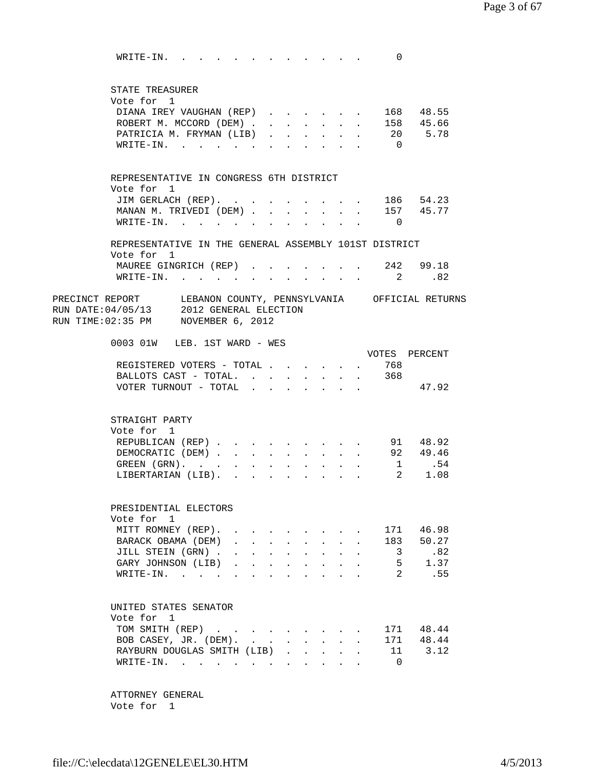| $W$ RITE-IN                                                         |                                   |                           |                            |                                |                                                    |                                 |                            | 0                    |                                          |
|---------------------------------------------------------------------|-----------------------------------|---------------------------|----------------------------|--------------------------------|----------------------------------------------------|---------------------------------|----------------------------|----------------------|------------------------------------------|
|                                                                     |                                   |                           |                            |                                |                                                    |                                 |                            |                      |                                          |
| STATE TREASURER                                                     |                                   |                           |                            |                                |                                                    |                                 |                            |                      |                                          |
| Vote for 1                                                          |                                   |                           |                            |                                |                                                    |                                 |                            |                      |                                          |
| DIANA IREY VAUGHAN (REP).                                           |                                   |                           |                            |                                |                                                    |                                 |                            |                      | . 168 48.55                              |
| ROBERT M. MCCORD (DEM).                                             |                                   | $\ddot{\phantom{0}}$      | $\mathcal{L}^{\text{max}}$ |                                | and a strategic state                              |                                 |                            |                      | . 158 45.66                              |
| PATRICIA M. FRYMAN (LIB)                                            |                                   |                           |                            |                                |                                                    |                                 |                            |                      | 20 5.78                                  |
| WRITE-IN.<br>$\sim$                                                 |                                   |                           |                            |                                |                                                    |                                 |                            | $\overline{0}$       |                                          |
|                                                                     |                                   |                           |                            |                                |                                                    |                                 |                            |                      |                                          |
| REPRESENTATIVE IN CONGRESS 6TH DISTRICT                             |                                   |                           |                            |                                |                                                    |                                 |                            |                      |                                          |
| Vote for 1                                                          |                                   |                           |                            |                                |                                                    |                                 |                            |                      |                                          |
| JIM GERLACH (REP). 186 54.23                                        |                                   |                           |                            |                                |                                                    |                                 |                            |                      |                                          |
| MANAN M. TRIVEDI (DEM)                                              |                                   |                           |                            | $\sim 10^{-11}$                |                                                    |                                 |                            |                      | . 157 45.77                              |
| WRITE-IN.                                                           |                                   |                           |                            |                                |                                                    |                                 |                            | $\overline{0}$       |                                          |
|                                                                     |                                   |                           |                            |                                |                                                    |                                 |                            |                      |                                          |
| REPRESENTATIVE IN THE GENERAL ASSEMBLY 101ST DISTRICT<br>Vote for 1 |                                   |                           |                            |                                |                                                    |                                 |                            |                      |                                          |
| MAUREE GINGRICH (REP).                                              |                                   |                           |                            |                                |                                                    |                                 |                            |                      | . . 242 99.18                            |
| $\texttt{WRTTE-IN.}$                                                |                                   |                           |                            | $\mathbf{L}$                   |                                                    | $\cdot$ $\cdot$ $\cdot$ $\cdot$ |                            |                      | $\overline{2}$ and $\overline{2}$<br>.82 |
|                                                                     |                                   |                           |                            |                                |                                                    |                                 |                            |                      |                                          |
| PRECINCT REPORT LEBANON COUNTY, PENNSYLVANIA OFFICIAL RETURNS       |                                   |                           |                            |                                |                                                    |                                 |                            |                      |                                          |
| RUN DATE: 04/05/13 2012 GENERAL ELECTION                            |                                   |                           |                            |                                |                                                    |                                 |                            |                      |                                          |
| RUN TIME: 02:35 PM NOVEMBER 6, 2012                                 |                                   |                           |                            |                                |                                                    |                                 |                            |                      |                                          |
| 0003 01W LEB. 1ST WARD - WES                                        |                                   |                           |                            |                                |                                                    |                                 |                            |                      |                                          |
|                                                                     |                                   |                           |                            |                                |                                                    |                                 |                            |                      | VOTES PERCENT                            |
| REGISTERED VOTERS - TOTAL                                           |                                   |                           |                            |                                |                                                    | $\mathbf{r} = \mathbf{r}$       | $\mathcal{L}^{\text{max}}$ | 768                  |                                          |
| BALLOTS CAST - TOTAL. 368                                           |                                   |                           |                            |                                |                                                    |                                 |                            |                      |                                          |
| VOTER TURNOUT - TOTAL                                               |                                   | $\mathbf{r} = \mathbf{r}$ |                            |                                | $\mathbf{r}$ , and $\mathbf{r}$ , and $\mathbf{r}$ |                                 |                            |                      | 47.92                                    |
|                                                                     |                                   |                           |                            |                                |                                                    |                                 |                            |                      |                                          |
| STRAIGHT PARTY                                                      |                                   |                           |                            |                                |                                                    |                                 |                            |                      |                                          |
| Vote for 1                                                          |                                   |                           |                            |                                |                                                    |                                 |                            |                      |                                          |
| REPUBLICAN (REP)                                                    |                                   |                           |                            |                                |                                                    |                                 |                            |                      | 91 48.92                                 |
| DEMOCRATIC (DEM).<br>$\sim$                                         | $\mathbf{L}$                      |                           |                            |                                |                                                    |                                 |                            |                      | 92 49.46                                 |
| GREEN (GRN).<br>$\mathbf{r}$                                        | $\mathbf{L}$                      | $\sim$                    | $\ddot{\phantom{a}}$       | ÷.                             |                                                    |                                 |                            |                      | $1 \qquad .54$                           |
| LIBERTARIAN (LIB).                                                  |                                   |                           | $\ddot{\phantom{a}}$       | $\ddot{\phantom{a}}$           | $\sim$                                             |                                 |                            |                      | 2 1.08                                   |
|                                                                     |                                   |                           |                            |                                |                                                    |                                 |                            |                      |                                          |
| PRESIDENTIAL ELECTORS                                               |                                   |                           |                            |                                |                                                    |                                 |                            |                      |                                          |
| Vote for 1                                                          |                                   |                           |                            |                                |                                                    |                                 |                            |                      |                                          |
| MITT ROMNEY (REP).                                                  |                                   |                           |                            |                                |                                                    |                                 |                            | 171                  | 46.98                                    |
| BARACK OBAMA (DEM)                                                  |                                   |                           |                            |                                |                                                    | $\ddot{\phantom{a}}$            |                            | 183                  | 50.27                                    |
| JILL STEIN (GRN).                                                   | $\mathbf{L}$                      | $\ddot{\phantom{a}}$      |                            |                                |                                                    |                                 |                            | $\mathbf{3}$         | .82                                      |
| GARY JOHNSON (LIB)<br>$W\text{RITE}-\text{IN}$ .                    | $\mathbf{L}^{\text{max}}$         | $\mathbf{A}$              |                            | $\mathcal{L}^{\mathcal{A}}$    |                                                    | $\ddot{\phantom{a}}$            |                            | 5<br>$\overline{a}$  | 1.37<br>.55                              |
| $\ddot{\phantom{a}}$                                                | <b>Contract Contract Contract</b> |                           |                            |                                | $\ddot{\phantom{0}}$                               |                                 |                            |                      |                                          |
|                                                                     |                                   |                           |                            |                                |                                                    |                                 |                            |                      |                                          |
| UNITED STATES SENATOR                                               |                                   |                           |                            |                                |                                                    |                                 |                            |                      |                                          |
| Vote for 1                                                          |                                   |                           |                            |                                |                                                    |                                 |                            |                      |                                          |
| TOM SMITH (REP)                                                     |                                   |                           |                            |                                |                                                    |                                 |                            | 171                  | 48.44                                    |
| BOB CASEY, JR. (DEM).                                               |                                   | $\mathbf{A}^{\mathbf{r}}$ |                            |                                |                                                    |                                 |                            | 171                  | 48.44                                    |
| RAYBURN DOUGLAS SMITH (LIB)<br>$W\text{RITE}-\text{IN}.$            |                                   |                           |                            | $\mathbf{r}$<br>$\overline{a}$ |                                                    |                                 |                            | 11<br>$\overline{0}$ | 3.12                                     |
|                                                                     |                                   |                           |                            |                                |                                                    |                                 |                            |                      |                                          |
|                                                                     |                                   |                           |                            |                                |                                                    |                                 |                            |                      |                                          |

 ATTORNEY GENERAL Vote for 1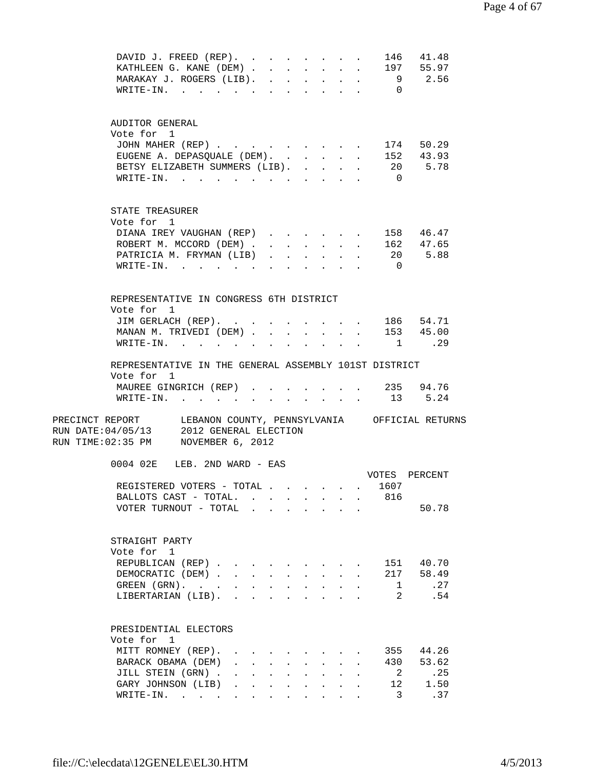| DAVID J. FREED (REP).                                                                                                                 | 146 41.48              |
|---------------------------------------------------------------------------------------------------------------------------------------|------------------------|
| KATHLEEN G. KANE (DEM)                                                                                                                | 197 55.97              |
| MARAKAY J. ROGERS (LIB).<br>$\mathbf{L}$                                                                                              | 9 2.56                 |
| WRITE-IN.                                                                                                                             | $\Omega$               |
|                                                                                                                                       |                        |
| AUDITOR GENERAL                                                                                                                       |                        |
| Vote for 1                                                                                                                            |                        |
| JOHN MAHER (REP)<br>$\sim$                                                                                                            | 174 50.29              |
| EUGENE A. DEPASQUALE (DEM).<br>$\mathbf{r}$<br>$\mathbf{L}$ and $\mathbf{L}$<br>$\mathbf{L}$                                          | 152 43.93              |
| BETSY ELIZABETH SUMMERS (LIB).<br>$\mathbf{r}$                                                                                        | 20 5.78                |
| WRITE-IN.                                                                                                                             | $\overline{0}$         |
| STATE TREASURER                                                                                                                       |                        |
| Vote for 1                                                                                                                            |                        |
| DIANA IREY VAUGHAN (REP)                                                                                                              | 158 46.47              |
| ROBERT M. MCCORD (DEM).<br>$\mathbf{L}$<br>$\mathbf{L}$<br>$\mathbf{L} = \mathbf{L} \mathbf{L}$<br>$\Delta \sim 10^4$<br>$\mathbf{L}$ | 162 47.65              |
| PATRICIA M. FRYMAN (LIB)<br>$\mathbf{L}$                                                                                              | 20 5.88                |
| WRITE-IN.<br>$\mathbf{L}$<br>$\sim$<br>$\sim$<br>$\ddot{\phantom{a}}$<br><b>Contract Contract Contract</b><br>$\mathbf{A}$            | $\overline{0}$         |
|                                                                                                                                       |                        |
| REPRESENTATIVE IN CONGRESS 6TH DISTRICT                                                                                               |                        |
| Vote for 1                                                                                                                            |                        |
| JIM GERLACH (REP).<br>$\mathcal{L}^{\text{max}}$<br>$\mathbf{r}$<br>and the state of the state of the                                 | 186 54.71              |
| MANAN M. TRIVEDI (DEM)<br>$\mathbf{L} = \mathbf{L} \mathbf{L}$                                                                        | 153 45.00              |
| WRITE-IN.<br>$\sim$<br>$\sim$                                                                                                         | .29<br>$\overline{1}$  |
|                                                                                                                                       |                        |
| REPRESENTATIVE IN THE GENERAL ASSEMBLY 101ST DISTRICT<br>Vote for 1                                                                   |                        |
| MAUREE GINGRICH (REP) 235 94.76                                                                                                       |                        |
| WRITE-IN. 13 5.24                                                                                                                     |                        |
| PRECINCT REPORT LEBANON COUNTY, PENNSYLVANIA OFFICIAL RETURNS                                                                         |                        |
| RUN DATE: $04/05/13$ 2012 GENERAL ELECTION                                                                                            |                        |
| RUN TIME: 02:35 PM NOVEMBER 6, 2012                                                                                                   |                        |
|                                                                                                                                       |                        |
| $0004$ $02E$ LEB. $2ND$ WARD - EAS                                                                                                    |                        |
|                                                                                                                                       | VOTES PERCENT          |
| $\cdot$ 1607<br>REGISTERED VOTERS - TOTAL                                                                                             |                        |
| BALLOTS CAST - TOTAL.                                                                                                                 | 816                    |
| VOTER TURNOUT - TOTAL                                                                                                                 | 50.78                  |
|                                                                                                                                       |                        |
| STRAIGHT PARTY                                                                                                                        |                        |
| Vote for 1                                                                                                                            |                        |
| REPUBLICAN (REP).<br>$\sim$                                                                                                           | 40.70<br>151           |
| DEMOCRATIC (DEM)                                                                                                                      | 217<br>58.49           |
| GREEN (GRN).<br>$\ddot{\phantom{a}}$                                                                                                  | .27<br>$\mathbf{1}$    |
| LIBERTARIAN (LIB).                                                                                                                    | $\overline{a}$<br>.54  |
|                                                                                                                                       |                        |
| PRESIDENTIAL ELECTORS                                                                                                                 |                        |
| Vote for 1                                                                                                                            |                        |
| MITT ROMNEY (REP).                                                                                                                    | 44.26<br>355           |
| BARACK OBAMA (DEM)<br>$\mathbf{r}$ and $\mathbf{r}$<br><b>Allen Allen Adams</b><br>$\mathbf{L}$<br>$\mathbb{R}^2$                     | 430<br>53.62           |
| JILL STEIN (GRN).<br>$\mathbf{r}$ and $\mathbf{r}$ and $\mathbf{r}$ and $\mathbf{r}$<br><b>Contract Contract Contract Contract</b>    | $\overline{2}$<br>. 25 |
| GARY JOHNSON (LIB)<br>$\mathbf{r}$ and $\mathbf{r}$ and $\mathbf{r}$<br>$\mathbf{r}$ , $\mathbf{r}$ , $\mathbf{r}$<br>$\mathbf{L}$    | 12<br>1.50             |
| WRITE-IN.                                                                                                                             | 3 <sup>7</sup><br>.37  |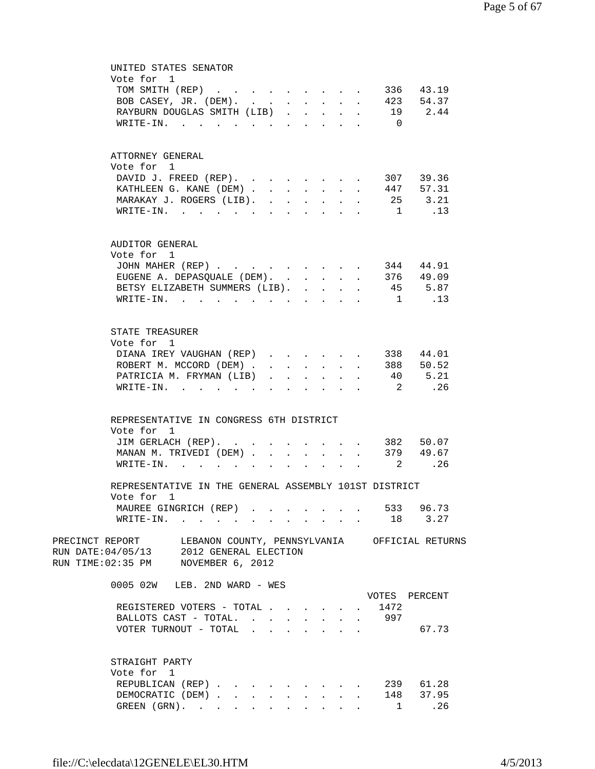| UNITED STATES SENATOR                                                  |                                                                          |                           |
|------------------------------------------------------------------------|--------------------------------------------------------------------------|---------------------------|
| Vote for 1                                                             |                                                                          |                           |
| TOM SMITH (REP)                                                        |                                                                          | 336 43.19<br>$\mathbf{r}$ |
| BOB CASEY, JR. (DEM).                                                  | $\mathbf{r}$ , $\mathbf{r}$ , $\mathbf{r}$ , $\mathbf{r}$ , $\mathbf{r}$ | 423 54.37                 |
| RAYBURN DOUGLAS SMITH (LIB)                                            |                                                                          | 19 2.44                   |
| WRITE-IN.                                                              |                                                                          | $\overline{0}$            |
|                                                                        |                                                                          |                           |
|                                                                        |                                                                          |                           |
| ATTORNEY GENERAL                                                       |                                                                          |                           |
| Vote for 1                                                             |                                                                          |                           |
| DAVID J. FREED (REP).                                                  |                                                                          | 307 39.36<br>$\sim$       |
| KATHLEEN G. KANE (DEM)<br>$\mathbf{L}$                                 | $\sim$<br>$\mathbf{L}$<br>$\sim$                                         | 447 57.31<br>$\mathbf{r}$ |
| MARAKAY J. ROGERS (LIB).                                               | $\mathbf{r}$ , $\mathbf{r}$ , $\mathbf{r}$<br>$\mathbf{A}$               | 25 3.21                   |
| WRITE-IN.<br>$\ddot{\phantom{a}}$                                      | $\sim$ $\sim$                                                            | 1 .13                     |
|                                                                        |                                                                          |                           |
|                                                                        |                                                                          |                           |
| AUDITOR GENERAL                                                        |                                                                          |                           |
| Vote for 1                                                             |                                                                          |                           |
| JOHN MAHER (REP)                                                       |                                                                          | 344 44.91<br>$\mathbf{L}$ |
| EUGENE A. DEPASQUALE (DEM).<br>$\sim$                                  | $\mathbf{L}$<br>$\sim$<br>$\sim$<br>$\mathbf{r}$                         | 376 49.09                 |
| BETSY ELIZABETH SUMMERS (LIB).                                         | $\mathbf{r}$<br><b>Contract</b><br>$\mathbf{L}$                          | 45 5.87                   |
| $\texttt{WRTTE-IN.}$                                                   | $\mathbf{r}$ and $\mathbf{r}$                                            | 1 .13                     |
|                                                                        |                                                                          |                           |
| STATE TREASURER                                                        |                                                                          |                           |
|                                                                        |                                                                          |                           |
| Vote for 1                                                             |                                                                          |                           |
| DIANA IREY VAUGHAN (REP)                                               |                                                                          | 338 44.01                 |
| ROBERT M. MCCORD (DEM).<br>$\sim$                                      | $\mathbf{L}^{\text{max}}$<br>$\mathbf{z} = \mathbf{z} + \mathbf{z}$ .    | 388 50.52<br>$\mathbf{L}$ |
| PATRICIA M. FRYMAN (LIB)<br>$\ddot{\phantom{0}}$                       |                                                                          | 5.21<br>40                |
| WRITE-IN.<br>$\sim$ $\sim$ $\sim$                                      |                                                                          | .26<br>2                  |
|                                                                        |                                                                          |                           |
| REPRESENTATIVE IN CONGRESS 6TH DISTRICT                                |                                                                          |                           |
| Vote for<br>$\mathbf{1}$                                               |                                                                          |                           |
| JIM GERLACH (REP). 382 50.07                                           |                                                                          |                           |
| MANAN M. TRIVEDI (DEM)                                                 |                                                                          |                           |
|                                                                        | $\mathbf{L}^{\text{max}}$                                                | 379 49.67                 |
| WRITE-IN.<br>$\mathbf{r}$ , $\mathbf{r}$ , $\mathbf{r}$ , $\mathbf{r}$ |                                                                          | 2 .26                     |
| REPRESENTATIVE IN THE GENERAL ASSEMBLY 101ST DISTRICT                  |                                                                          |                           |
| Vote for 1                                                             |                                                                          |                           |
| MAUREE GINGRICH (REP) 533 96.73                                        |                                                                          |                           |
| WRITE-IN. 18 3.27                                                      |                                                                          |                           |
|                                                                        |                                                                          |                           |
| PRECINCT REPORT LEBANON COUNTY, PENNSYLVANIA OFFICIAL RETURNS          |                                                                          |                           |
| RUN DATE: 04/05/13 2012 GENERAL ELECTION                               |                                                                          |                           |
| RUN TIME: 02:35 PM NOVEMBER 6, 2012                                    |                                                                          |                           |
| 0005 02W LEB. 2ND WARD - WES                                           |                                                                          |                           |
|                                                                        |                                                                          | VOTES PERCENT             |
|                                                                        |                                                                          |                           |
| REGISTERED VOTERS - TOTAL 1472                                         |                                                                          |                           |
| BALLOTS CAST - TOTAL. 997                                              |                                                                          |                           |
| VOTER TURNOUT - TOTAL                                                  |                                                                          | 67.73                     |
|                                                                        |                                                                          |                           |
| STRAIGHT PARTY                                                         |                                                                          |                           |
| Vote for 1                                                             |                                                                          |                           |
| REPUBLICAN (REP).                                                      |                                                                          | 239 61.28                 |
| DEMOCRATIC (DEM)                                                       |                                                                          | 148 37.95                 |
| GREEN (GRN).                                                           |                                                                          | 1.26                      |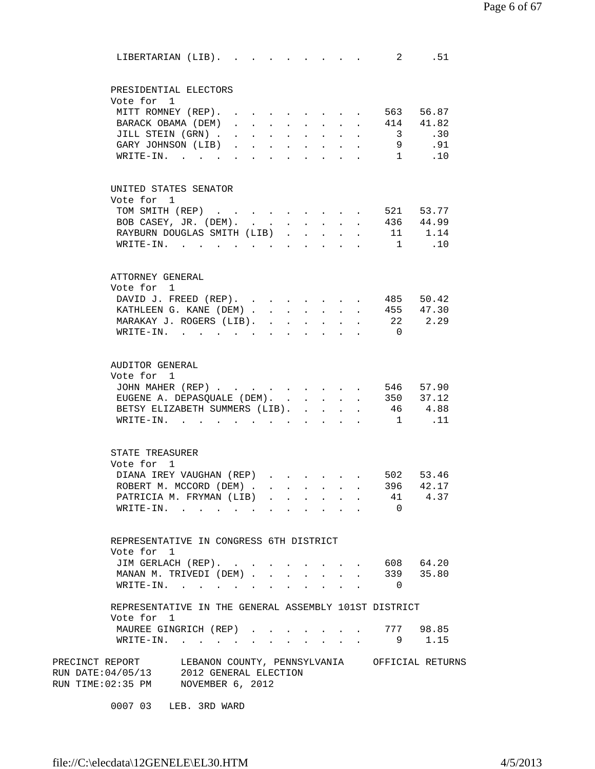| LIBERTARIAN (LIB).                                                                                        |                                                                                 |                  |              |                                                                          |                                                    |                | 2 .51          |
|-----------------------------------------------------------------------------------------------------------|---------------------------------------------------------------------------------|------------------|--------------|--------------------------------------------------------------------------|----------------------------------------------------|----------------|----------------|
| PRESIDENTIAL ELECTORS<br>Vote for 1                                                                       |                                                                                 |                  |              |                                                                          |                                                    |                |                |
| MITT ROMNEY (REP). .                                                                                      |                                                                                 |                  |              |                                                                          | $\mathbf{r}$ , and $\mathbf{r}$ , and $\mathbf{r}$ | 563            | 56.87          |
| BARACK OBAMA (DEM)<br>$\mathbf{r} = \mathbf{r}$ and $\mathbf{r} = \mathbf{r}$                             |                                                                                 | $\sim$ 100 $\pm$ |              |                                                                          |                                                    |                | 414 41.82      |
| JILL STEIN (GRN).<br>$\mathcal{L}^{\text{max}}$<br>$\mathbf{L} = \mathbf{0}$                              | $\mathbf{r}$                                                                    |                  |              | $\mathbf{r} = \mathbf{r} + \mathbf{r}$ , where $\mathbf{r} = \mathbf{r}$ |                                                    | $\overline{3}$ | .30            |
| GARY JOHNSON (LIB).<br>$\mathbf{A}$                                                                       | $\ddot{\phantom{a}}$                                                            |                  |              |                                                                          | $\ddot{\phantom{0}}$                               | 9              | .91            |
| WRITE-IN.                                                                                                 |                                                                                 |                  |              |                                                                          |                                                    | 1              | .10            |
| UNITED STATES SENATOR                                                                                     |                                                                                 |                  |              |                                                                          |                                                    |                |                |
| Vote for 1                                                                                                |                                                                                 |                  |              |                                                                          |                                                    |                |                |
| TOM SMITH (REP)                                                                                           |                                                                                 |                  |              |                                                                          |                                                    | . 521 53.77    |                |
| BOB CASEY, JR. (DEM).                                                                                     |                                                                                 |                  |              |                                                                          |                                                    |                | 436 44.99      |
| RAYBURN DOUGLAS SMITH (LIB)                                                                               |                                                                                 | $\sim$           | $\mathbf{L}$ |                                                                          | $\mathbf{A}$                                       |                | 11 1.14        |
| $\texttt{WRTTE-IN.}$                                                                                      |                                                                                 | $\sim$           | $\sim$       | $\ddot{\phantom{0}}$                                                     |                                                    |                | $1 \qquad .10$ |
|                                                                                                           |                                                                                 |                  |              |                                                                          |                                                    |                |                |
| ATTORNEY GENERAL                                                                                          |                                                                                 |                  |              |                                                                          |                                                    |                |                |
| Vote for 1                                                                                                |                                                                                 |                  |              |                                                                          |                                                    |                |                |
| DAVID J. FREED (REP). 485                                                                                 |                                                                                 |                  |              |                                                                          |                                                    |                | 50.42          |
| KATHLEEN G. KANE (DEM) 455 47.30<br>MARAKAY J. ROGERS (LIB). .                                            |                                                                                 |                  |              |                                                                          |                                                    |                |                |
| $W\text{RITE}-\text{IN}$ .                                                                                |                                                                                 | $\sim$ $-$       |              |                                                                          |                                                    | $\overline{0}$ | 22 2.29        |
| $\mathbf{r}$ , $\mathbf{r}$ , $\mathbf{r}$ , $\mathbf{r}$                                                 | $\sim$                                                                          |                  |              |                                                                          |                                                    |                |                |
| AUDITOR GENERAL                                                                                           |                                                                                 |                  |              |                                                                          |                                                    |                |                |
| Vote for 1                                                                                                |                                                                                 |                  |              |                                                                          |                                                    |                |                |
| JOHN MAHER (REP)                                                                                          |                                                                                 |                  |              |                                                                          |                                                    |                | 546 57.90      |
| EUGENE A. DEPASQUALE (DEM). 350 37.12                                                                     |                                                                                 |                  |              |                                                                          |                                                    |                |                |
| BETSY ELIZABETH SUMMERS (LIB).                                                                            |                                                                                 |                  |              |                                                                          | $\ddot{\phantom{a}}$                               |                | 46 4.88        |
| WRITE-IN.                                                                                                 | the contract of the contract of the contract of the contract of the contract of |                  |              |                                                                          |                                                    |                | $1 \qquad .11$ |
| STATE TREASURER                                                                                           |                                                                                 |                  |              |                                                                          |                                                    |                |                |
| Vote for 1                                                                                                |                                                                                 |                  |              |                                                                          |                                                    |                |                |
| DIANA IREY VAUGHAN (REP) 502 53.46                                                                        |                                                                                 |                  |              |                                                                          |                                                    |                |                |
| ROBERT M. MCCORD (DEM)                                                                                    |                                                                                 |                  |              |                                                                          |                                                    | 396            | 42.17          |
| PATRICIA M. FRYMAN (LIB)                                                                                  |                                                                                 |                  |              |                                                                          |                                                    |                | 41 4.37        |
| WRITE-IN.                                                                                                 |                                                                                 |                  |              |                                                                          |                                                    | $\overline{0}$ |                |
|                                                                                                           |                                                                                 |                  |              |                                                                          |                                                    |                |                |
| REPRESENTATIVE IN CONGRESS 6TH DISTRICT                                                                   |                                                                                 |                  |              |                                                                          |                                                    |                |                |
| Vote for 1                                                                                                |                                                                                 |                  |              |                                                                          |                                                    |                |                |
| JIM GERLACH (REP). 608 64.20                                                                              |                                                                                 |                  |              |                                                                          |                                                    |                |                |
| MANAN M. TRIVEDI (DEM)                                                                                    |                                                                                 |                  |              |                                                                          |                                                    |                | 339 35.80      |
| WRITE-IN.                                                                                                 |                                                                                 |                  |              |                                                                          |                                                    | $\Omega$       |                |
| REPRESENTATIVE IN THE GENERAL ASSEMBLY 101ST DISTRICT                                                     |                                                                                 |                  |              |                                                                          |                                                    |                |                |
| Vote for 1<br>MAUREE GINGRICH (REP)                                                                       |                                                                                 |                  |              |                                                                          |                                                    |                | 777 98.85      |
| $W\text{RITE}-\text{IN.}$                                                                                 |                                                                                 |                  |              |                                                                          |                                                    | 9              | 1.15           |
| $\ddot{\phantom{a}}$                                                                                      |                                                                                 |                  |              |                                                                          |                                                    |                |                |
| PRECINCT REPORT LEBANON COUNTY, PENNSYLVANIA OFFICIAL RETURNS<br>RUN DATE: 04/05/13 2012 GENERAL ELECTION |                                                                                 |                  |              |                                                                          |                                                    |                |                |
| RUN TIME: 02:35 PM NOVEMBER 6, 2012                                                                       |                                                                                 |                  |              |                                                                          |                                                    |                |                |

0007 03 LEB. 3RD WARD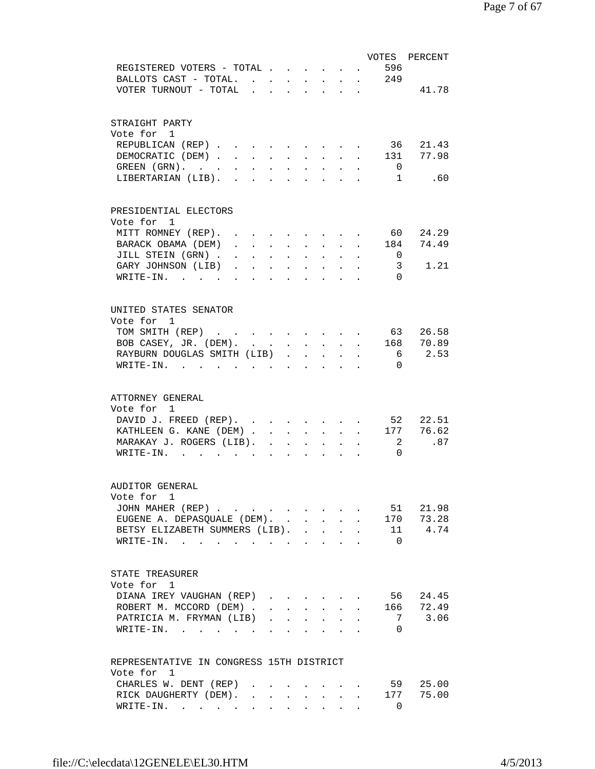| REGISTERED VOTERS - TOTAL                                                                                                       |              |                                              |                                                             |                                                   |              | 596<br>$\mathbf{L}^{\text{max}}$ | VOTES PERCENT     |
|---------------------------------------------------------------------------------------------------------------------------------|--------------|----------------------------------------------|-------------------------------------------------------------|---------------------------------------------------|--------------|----------------------------------|-------------------|
| BALLOTS CAST - TOTAL.                                                                                                           |              |                                              |                                                             |                                                   |              | . 249                            |                   |
| VOTER TURNOUT - TOTAL                                                                                                           |              |                                              |                                                             |                                                   |              |                                  | 41.78             |
|                                                                                                                                 |              | $\cdot$ $\cdot$ $\cdot$ $\cdot$ $\cdot$      |                                                             |                                                   |              |                                  |                   |
| STRAIGHT PARTY                                                                                                                  |              |                                              |                                                             |                                                   |              |                                  |                   |
| Vote for 1                                                                                                                      |              |                                              |                                                             |                                                   |              |                                  |                   |
| REPUBLICAN (REP).                                                                                                               |              |                                              |                                                             |                                                   |              |                                  | 36 21.43          |
| DEMOCRATIC (DEM) 131 77.98                                                                                                      |              |                                              |                                                             |                                                   |              |                                  |                   |
| GREEN (GRN).<br>$\mathbf{r} = \mathbf{r} + \mathbf{r}$ .                                                                        |              | $\mathbf{L}$<br>$\ddot{\phantom{a}}$         | $\mathcal{L}^{\text{max}}$                                  | $\sim$                                            | $\mathbf{L}$ | 0                                |                   |
| LIBERTARIAN (LIB).                                                                                                              |              | $\mathbf{L}$<br>$\ddot{\phantom{0}}$         | $\mathbf{L} = \mathbf{0}$                                   |                                                   |              |                                  | $\sim$ 1<br>.60   |
| PRESIDENTIAL ELECTORS                                                                                                           |              |                                              |                                                             |                                                   |              |                                  |                   |
| Vote for 1                                                                                                                      |              |                                              |                                                             |                                                   |              |                                  |                   |
| MITT ROMNEY (REP).<br>$\mathbf{r} = \mathbf{r}$ and $\mathbf{r} = \mathbf{r}$                                                   |              | $\sim$ $\sim$                                |                                                             | $\mathbf{L} = \mathbf{L}$                         |              |                                  | 60 24.29          |
| BARACK OBAMA (DEM)<br>$1 - 1 - 1 = 1$                                                                                           |              | $\mathbf{L} = \mathbf{L}$                    |                                                             | $\mathbf{L} = \mathbf{L} \mathbf{L} = \mathbf{L}$ |              | 184                              | 74.49             |
| JILL STEIN (GRN).<br>$\mathbf{L}$ and $\mathbf{L}$                                                                              |              | $\mathbf{L}^{\text{max}}$<br>$\sim$          |                                                             | $\ddot{\phantom{a}}$                              |              | $\overline{0}$                   |                   |
| GARY JOHNSON (LIB)<br>$\ddot{\phantom{0}}$<br>$\mathbf{z} = \mathbf{z} + \mathbf{z}$ . The $\mathbf{z}$                         |              | $\ddot{\phantom{0}}$<br>$\ddot{\phantom{0}}$ | $\bullet$ .<br><br><br><br><br><br><br><br><br><br><br><br> | $\mathbf{L} = \mathbf{0}$                         |              | 3                                | 1.21              |
| WRITE-IN.<br><b>Contract Contract Contract Contract</b><br>$\bullet$ . The set of $\bullet$<br>$\bullet$ . The set of $\bullet$ | $\sim$       | $\sim$<br>$\ddot{\phantom{0}}$               | $\ddot{\phantom{0}}$                                        |                                                   |              | $\Omega$                         |                   |
|                                                                                                                                 |              |                                              |                                                             |                                                   |              |                                  |                   |
| UNITED STATES SENATOR                                                                                                           |              |                                              |                                                             |                                                   |              |                                  |                   |
| Vote for 1                                                                                                                      |              |                                              |                                                             |                                                   |              |                                  |                   |
| TOM SMITH (REP)                                                                                                                 |              |                                              |                                                             |                                                   |              |                                  | 63 26.58          |
| BOB CASEY, JR. (DEM).                                                                                                           |              |                                              |                                                             |                                                   |              |                                  | $\cdot$ 168 70.89 |
| RAYBURN DOUGLAS SMITH (LIB)                                                                                                     |              |                                              |                                                             |                                                   | $\mathbf{L}$ |                                  | 6 2.53            |
| WRITE-IN.                                                                                                                       |              |                                              |                                                             |                                                   |              | $\Omega$                         |                   |
| ATTORNEY GENERAL<br>Vote for 1                                                                                                  |              |                                              |                                                             |                                                   |              |                                  |                   |
| DAVID J. FREED (REP).                                                                                                           |              |                                              |                                                             |                                                   |              |                                  | 52 22.51          |
| KATHLEEN G. KANE (DEM)                                                                                                          |              | $\mathbf{A}$                                 |                                                             | $\mathbf{L} = \mathbf{L} \mathbf{L} = \mathbf{L}$ |              |                                  | 177 76.62         |
| MARAKAY J. ROGERS (LIB).<br>$\sim 100$ km s $^{-1}$                                                                             | $\mathbf{r}$ | $\ddot{\phantom{0}}$                         | $\mathbf{L}$                                                | $\mathbf{L}$                                      |              | 2                                | .87               |
| WRITE-IN.                                                                                                                       |              |                                              |                                                             |                                                   |              | $\mathbf 0$                      |                   |
|                                                                                                                                 |              |                                              |                                                             |                                                   |              |                                  |                   |
| AUDITOR GENERAL                                                                                                                 |              |                                              |                                                             |                                                   |              |                                  |                   |
| Vote for 1                                                                                                                      |              |                                              |                                                             |                                                   |              |                                  |                   |
| JOHN MAHER (REP)                                                                                                                |              |                                              |                                                             |                                                   |              |                                  | 51 21.98          |
| EUGENE A. DEPASQUALE (DEM).                                                                                                     |              | $\mathbf{A}$                                 | $\mathbf{r}$                                                | $\mathbf{L}$                                      |              |                                  | 170 73.28         |
| BETSY ELIZABETH SUMMERS (LIB).                                                                                                  |              | $\mathbf{r}$                                 | $\mathbf{L}$                                                | $\mathbf{L}$                                      | $\mathbf{r}$ |                                  | 11 4.74           |
| WRITE-IN.                                                                                                                       |              | $\ddot{\phantom{a}}$                         | $\ddot{\phantom{a}}$                                        |                                                   |              | $\overline{0}$                   |                   |
|                                                                                                                                 |              |                                              |                                                             |                                                   |              |                                  |                   |
| STATE TREASURER                                                                                                                 |              |                                              |                                                             |                                                   |              |                                  |                   |
| Vote for 1                                                                                                                      |              |                                              |                                                             |                                                   |              |                                  |                   |
| DIANA IREY VAUGHAN (REP)                                                                                                        |              |                                              |                                                             |                                                   |              |                                  | 56 24.45          |
| ROBERT M. MCCORD (DEM).                                                                                                         |              |                                              |                                                             |                                                   |              | 166                              | 72.49             |
| PATRICIA M. FRYMAN (LIB)                                                                                                        |              |                                              |                                                             |                                                   |              | $7\overline{ }$                  | 3.06              |
| $WRITE-IN.$<br>$\ddot{\phantom{a}}$<br>$\sim$ $\sim$                                                                            |              |                                              |                                                             |                                                   |              | $\Omega$                         |                   |
| REPRESENTATIVE IN CONGRESS 15TH DISTRICT                                                                                        |              |                                              |                                                             |                                                   |              |                                  |                   |
| Vote for 1                                                                                                                      |              |                                              |                                                             |                                                   |              |                                  |                   |
| CHARLES W. DENT (REP)                                                                                                           |              |                                              |                                                             |                                                   |              | 59                               | 25.00             |
| RICK DAUGHERTY (DEM).<br>$\ddot{\phantom{a}}$                                                                                   |              |                                              |                                                             | $\mathbf{A}$ and $\mathbf{A}$ and $\mathbf{A}$    |              | 177                              | 75.00             |
| WRITE-IN.                                                                                                                       |              |                                              |                                                             |                                                   |              | 0                                |                   |
|                                                                                                                                 |              |                                              |                                                             |                                                   |              |                                  |                   |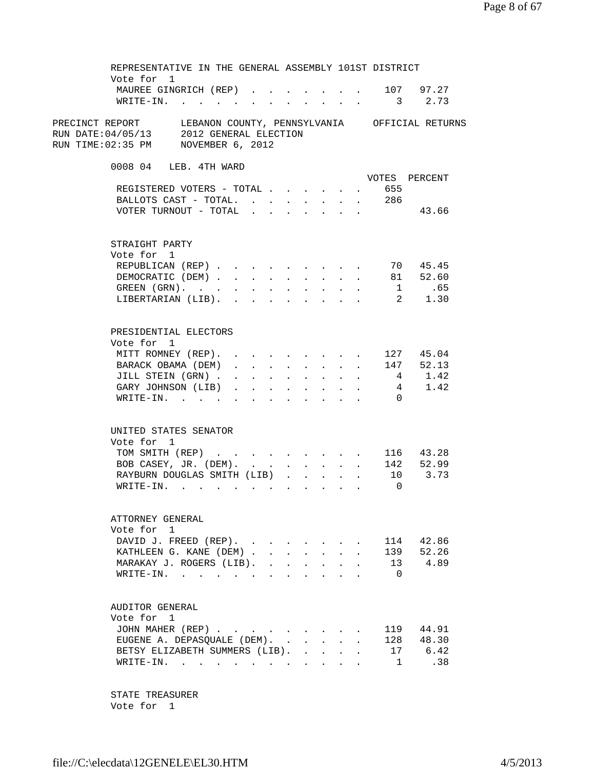| REPRESENTATIVE IN THE GENERAL ASSEMBLY 101ST DISTRICT                                                                                         |              |              |                           |                           |              |                |               |
|-----------------------------------------------------------------------------------------------------------------------------------------------|--------------|--------------|---------------------------|---------------------------|--------------|----------------|---------------|
| Vote for 1<br>MAUREE GINGRICH (REP) 107 97.27                                                                                                 |              |              |                           |                           |              |                |               |
| WRITE-IN. 3 2.73                                                                                                                              |              |              |                           |                           |              |                |               |
|                                                                                                                                               |              |              |                           |                           |              |                |               |
| PRECINCT REPORT LEBANON COUNTY, PENNSYLVANIA OFFICIAL RETURNS                                                                                 |              |              |                           |                           |              |                |               |
| RUN DATE: 04/05/13 2012 GENERAL ELECTION<br>RUN TIME:02:35 PM NOVEMBER 6, 2012                                                                |              |              |                           |                           |              |                |               |
|                                                                                                                                               |              |              |                           |                           |              |                |               |
| 0008 04 LEB. 4TH WARD                                                                                                                         |              |              |                           |                           |              |                |               |
|                                                                                                                                               |              |              |                           |                           |              |                | VOTES PERCENT |
| REGISTERED VOTERS - TOTAL 655                                                                                                                 |              |              |                           |                           |              |                |               |
| BALLOTS CAST - TOTAL. 286                                                                                                                     |              |              |                           |                           |              |                |               |
| VOTER TURNOUT - TOTAL                                                                                                                         |              |              |                           |                           |              |                | 43.66         |
|                                                                                                                                               |              |              |                           |                           |              |                |               |
| STRAIGHT PARTY<br>Vote for 1                                                                                                                  |              |              |                           |                           |              |                |               |
| REPUBLICAN (REP)                                                                                                                              |              |              |                           |                           |              |                | 70 45.45      |
| DEMOCRATIC (DEM)                                                                                                                              |              |              |                           |                           |              |                | 81 52.60      |
| GREEN $(GRN)$ .                                                                                                                               |              |              |                           |                           |              |                | 1 .65         |
| LIBERTARIAN (LIB). 2 1.30                                                                                                                     |              |              |                           |                           |              |                |               |
|                                                                                                                                               |              |              |                           |                           |              |                |               |
| PRESIDENTIAL ELECTORS                                                                                                                         |              |              |                           |                           |              |                |               |
| Vote for 1                                                                                                                                    |              |              |                           |                           |              |                |               |
| MITT ROMNEY (REP).                                                                                                                            |              |              |                           |                           |              |                | 127 45.04     |
| $\cdot$ 147 52.13<br>BARACK OBAMA (DEM)                                                                                                       |              |              |                           |                           |              |                |               |
| JILL STEIN (GRN).<br>$\mathbf{r} = \mathbf{r} - \mathbf{r}$ , $\mathbf{r} = \mathbf{r} - \mathbf{r}$ , $\mathbf{r} = \mathbf{r} - \mathbf{r}$ |              |              |                           |                           |              |                | 4 1.42        |
| GARY JOHNSON (LIB)                                                                                                                            |              |              |                           |                           |              |                | 4 1.42        |
| WRITE-IN.                                                                                                                                     |              |              |                           |                           |              | $\Omega$       |               |
|                                                                                                                                               |              |              |                           |                           |              |                |               |
| UNITED STATES SENATOR<br>Vote for 1                                                                                                           |              |              |                           |                           |              |                |               |
| TOM SMITH (REP)                                                                                                                               |              |              |                           |                           |              |                | 116 43.28     |
| BOB CASEY, JR. (DEM). 142 52.99                                                                                                               |              |              |                           |                           |              |                |               |
| RAYBURN DOUGLAS SMITH (LIB) 10 3.73                                                                                                           |              |              |                           |                           |              |                |               |
| WRITE-IN. 0                                                                                                                                   |              |              |                           |                           |              |                |               |
|                                                                                                                                               |              |              |                           |                           |              |                |               |
| ATTORNEY GENERAL                                                                                                                              |              |              |                           |                           |              |                |               |
| Vote for 1                                                                                                                                    |              |              |                           |                           |              |                |               |
| DAVID J. FREED (REP).                                                                                                                         |              |              |                           |                           |              | 114            | 42.86         |
| KATHLEEN G. KANE (DEM)                                                                                                                        | $\mathbf{L}$ | $\mathbf{L}$ | $\mathbf{L}$              | $\sim$                    | $\mathbf{r}$ | 139            | 52.26         |
| MARAKAY J. ROGERS (LIB).<br><b>Contract Contract</b>                                                                                          | $\mathbf{L}$ |              |                           | $\mathbf{r} = \mathbf{r}$ |              |                | 13 4.89       |
| WRITE-IN.                                                                                                                                     |              |              | $\mathbf{L} = \mathbf{L}$ |                           |              | $\overline{0}$ |               |
| AUDITOR GENERAL                                                                                                                               |              |              |                           |                           |              |                |               |
| Vote for 1                                                                                                                                    |              |              |                           |                           |              |                |               |
| JOHN MAHER (REP)                                                                                                                              |              |              |                           |                           |              | 119            | 44.91         |
| EUGENE A. DEPASQUALE (DEM).                                                                                                                   | $\mathbf{r}$ | $\mathbf{L}$ | $\mathbf{r}$              | $\sim$                    |              | 128            | 48.30         |
| BETSY ELIZABETH SUMMERS (LIB).                                                                                                                |              |              | $1 - 1 - 1 = 1 - 1$       |                           |              |                | 17 6.42       |
| WRITE-IN.                                                                                                                                     |              |              | $\sim$ $\sim$             |                           |              | $\sim$ 1       | .38           |
|                                                                                                                                               |              |              |                           |                           |              |                |               |
|                                                                                                                                               |              |              |                           |                           |              |                |               |

 STATE TREASURER Vote for 1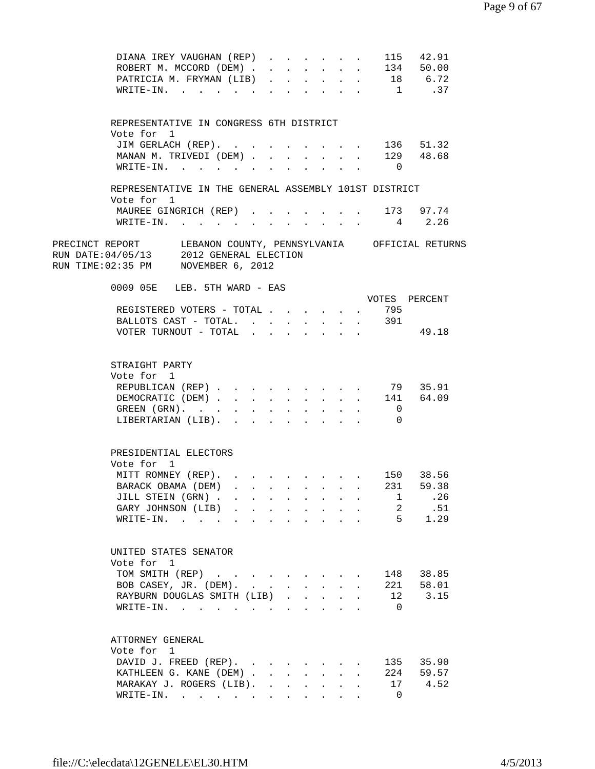| DIANA IREY VAUGHAN (REP)                                                                                                                       |              |              |                                                                                            |                                               |                           |              |                         | 115 42.91      |
|------------------------------------------------------------------------------------------------------------------------------------------------|--------------|--------------|--------------------------------------------------------------------------------------------|-----------------------------------------------|---------------------------|--------------|-------------------------|----------------|
| ROBERT M. MCCORD (DEM).                                                                                                                        | $\mathbf{A}$ | $\sim$       |                                                                                            | $\sim$                                        | $\mathbf{L} = \mathbf{L}$ |              |                         | 134 50.00      |
| PATRICIA M. FRYMAN (LIB)                                                                                                                       |              | $\mathbf{L}$ | $\mathbf{r}$                                                                               | $\sim$                                        | $\mathbf{L}$              | $\mathbf{L}$ |                         | 18 6.72        |
| $\texttt{WRTTE-IN.}$                                                                                                                           |              |              | $\mathbf{1}$ $\mathbf{1}$ $\mathbf{1}$ $\mathbf{1}$ $\mathbf{1}$ $\mathbf{1}$ $\mathbf{1}$ |                                               | $\mathbf{L} = \mathbf{L}$ |              |                         | $1 \qquad .37$ |
|                                                                                                                                                |              |              |                                                                                            |                                               |                           |              |                         |                |
| REPRESENTATIVE IN CONGRESS 6TH DISTRICT                                                                                                        |              |              |                                                                                            |                                               |                           |              |                         |                |
| Vote for 1                                                                                                                                     |              |              |                                                                                            |                                               |                           |              |                         |                |
| JIM GERLACH (REP).                                                                                                                             |              |              |                                                                                            |                                               |                           |              |                         | 136 51.32      |
| MANAN M. TRIVEDI (DEM).                                                                                                                        |              |              | $\mathbf{L}$                                                                               | $\mathbf{L}$                                  | $\mathbf{L} = \mathbf{L}$ |              |                         | 129 48.68      |
| WRITE-IN.                                                                                                                                      | $\sim$       |              |                                                                                            |                                               |                           |              | $\overline{0}$          |                |
|                                                                                                                                                |              |              |                                                                                            |                                               |                           |              |                         |                |
| REPRESENTATIVE IN THE GENERAL ASSEMBLY 101ST DISTRICT<br>Vote for 1                                                                            |              |              |                                                                                            |                                               |                           |              |                         |                |
| MAUREE GINGRICH (REP) 173 97.74                                                                                                                |              |              |                                                                                            |                                               |                           |              |                         |                |
| WRITE-IN. 4 2.26                                                                                                                               |              |              |                                                                                            |                                               |                           |              |                         |                |
|                                                                                                                                                |              |              |                                                                                            |                                               |                           |              |                         |                |
| PRECINCT REPORT LEBANON COUNTY, PENNSYLVANIA OFFICIAL RETURNS<br>RUN DATE:04/05/13 2012 GENERAL ELECTION<br>RUN TIME:02:35 PM NOVEMBER 6, 2012 |              |              |                                                                                            |                                               |                           |              |                         |                |
| $0009$ $05E$ LEB. $5TH$ WARD - EAS                                                                                                             |              |              |                                                                                            |                                               |                           |              |                         |                |
|                                                                                                                                                |              |              |                                                                                            |                                               |                           |              | VOTES PERCENT           |                |
| REGISTERED VOTERS - TOTAL 795                                                                                                                  |              |              |                                                                                            |                                               |                           |              |                         |                |
| BALLOTS CAST - TOTAL. 391                                                                                                                      |              |              |                                                                                            |                                               |                           |              |                         |                |
| VOTER TURNOUT - TOTAL                                                                                                                          |              |              |                                                                                            | and a strong control of the strong strong and |                           |              |                         | 49.18          |
| STRAIGHT PARTY<br>Vote for 1                                                                                                                   |              |              |                                                                                            |                                               |                           |              |                         |                |
| REPUBLICAN (REP) 79 35.91                                                                                                                      |              |              |                                                                                            |                                               |                           |              |                         |                |
| DEMOCRATIC (DEM) 141 64.09                                                                                                                     |              |              |                                                                                            |                                               |                           |              |                         |                |
| GREEN $(GRN)$ .                                                                                                                                |              |              |                                                                                            |                                               |                           |              | $\overline{\mathbf{0}}$ |                |
| $\texttt{LIBERTARIAN (LIB)}.\quad.\quad.\quad.\quad.\quad.\quad.\quad.\quad.\quad.\quad.\quad.\quad.$                                          |              |              |                                                                                            |                                               |                           |              | $\overline{0}$          |                |
|                                                                                                                                                |              |              |                                                                                            |                                               |                           |              |                         |                |
| PRESIDENTIAL ELECTORS<br>Vote for 1                                                                                                            |              |              |                                                                                            |                                               |                           |              |                         |                |
| MITT ROMNEY (REP). 150 38.56                                                                                                                   |              |              |                                                                                            |                                               |                           |              |                         |                |
| BARACK OBAMA (DEM)                                                                                                                             |              |              |                                                                                            |                                               |                           |              | 231                     | 59.38          |
| JILL STEIN (GRN)                                                                                                                               |              |              |                                                                                            |                                               |                           |              | $\mathbf{1}$            | .26            |
| GARY JOHNSON (LIB)                                                                                                                             |              |              |                                                                                            |                                               |                           |              |                         | 2 .51          |
| WRITE-IN.                                                                                                                                      |              |              |                                                                                            |                                               |                           |              |                         | 5 1.29         |
|                                                                                                                                                |              |              |                                                                                            |                                               |                           |              |                         |                |
| UNITED STATES SENATOR<br>Vote for 1                                                                                                            |              |              |                                                                                            |                                               |                           |              |                         |                |
| TOM SMITH (REP)                                                                                                                                |              |              |                                                                                            |                                               |                           |              |                         | 148 38.85      |
|                                                                                                                                                |              |              |                                                                                            |                                               |                           |              |                         | 221 58.01      |
| BOB CASEY, JR. (DEM).                                                                                                                          |              |              |                                                                                            |                                               |                           |              |                         |                |
| RAYBURN DOUGLAS SMITH (LIB)                                                                                                                    |              |              |                                                                                            |                                               |                           |              |                         | 12 3.15        |
| WRITE-IN.                                                                                                                                      |              |              |                                                                                            |                                               |                           |              | $\overline{0}$          |                |
|                                                                                                                                                |              |              |                                                                                            |                                               |                           |              |                         |                |
| ATTORNEY GENERAL                                                                                                                               |              |              |                                                                                            |                                               |                           |              |                         |                |
| Vote for 1                                                                                                                                     |              |              |                                                                                            |                                               |                           |              |                         |                |
| DAVID J. FREED (REP).                                                                                                                          |              |              |                                                                                            |                                               |                           |              |                         | 135 35.90      |
| KATHLEEN G. KANE (DEM)                                                                                                                         |              |              |                                                                                            |                                               |                           |              |                         | 224 59.57      |
| MARAKAY J. ROGERS (LIB).                                                                                                                       |              |              |                                                                                            |                                               |                           |              |                         | 17 4.52        |
| WRITE-IN.                                                                                                                                      |              |              |                                                                                            |                                               |                           |              | $\overline{0}$          |                |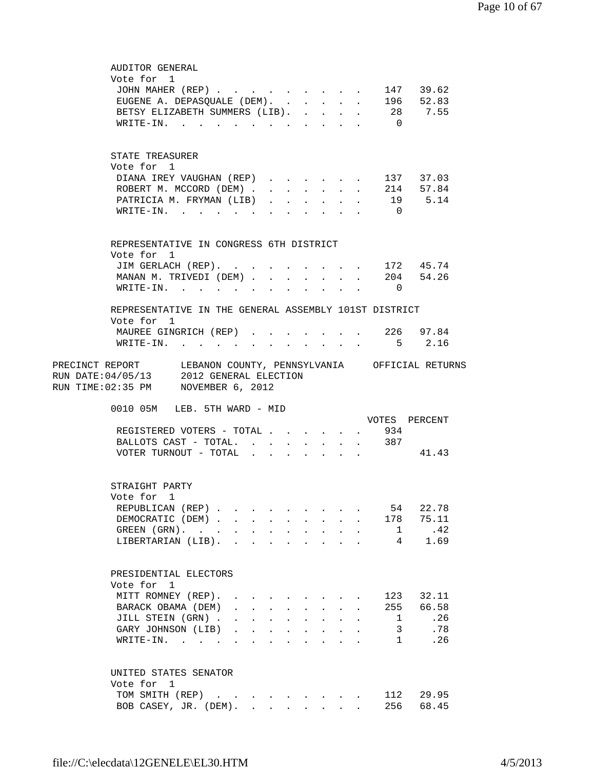| AUDITOR GENERAL                                                                                                                                                                  |                                                                                                                                              |                               |                 |                         |                                                                                               |  |                             |           |  |
|----------------------------------------------------------------------------------------------------------------------------------------------------------------------------------|----------------------------------------------------------------------------------------------------------------------------------------------|-------------------------------|-----------------|-------------------------|-----------------------------------------------------------------------------------------------|--|-----------------------------|-----------|--|
| Vote for 1                                                                                                                                                                       |                                                                                                                                              |                               |                 |                         |                                                                                               |  |                             |           |  |
| JOHN MAHER (REP)                                                                                                                                                                 |                                                                                                                                              |                               |                 |                         |                                                                                               |  |                             | 147 39.62 |  |
| EUGENE A. DEPASQUALE (DEM). 196 52.83                                                                                                                                            |                                                                                                                                              |                               |                 |                         |                                                                                               |  |                             |           |  |
| BETSY ELIZABETH SUMMERS (LIB). 28 7.55                                                                                                                                           |                                                                                                                                              |                               |                 |                         |                                                                                               |  |                             |           |  |
| WRITE-IN.                                                                                                                                                                        |                                                                                                                                              |                               |                 |                         |                                                                                               |  | $\overline{0}$              |           |  |
|                                                                                                                                                                                  |                                                                                                                                              |                               |                 |                         |                                                                                               |  |                             |           |  |
|                                                                                                                                                                                  |                                                                                                                                              |                               |                 |                         |                                                                                               |  |                             |           |  |
| STATE TREASURER<br>Vote for 1                                                                                                                                                    |                                                                                                                                              |                               |                 |                         |                                                                                               |  |                             |           |  |
|                                                                                                                                                                                  |                                                                                                                                              |                               |                 |                         |                                                                                               |  |                             |           |  |
| DIANA IREY VAUGHAN (REP) 137 37.03                                                                                                                                               |                                                                                                                                              |                               |                 |                         |                                                                                               |  |                             | 214 57.84 |  |
| ROBERT M. MCCORD (DEM)                                                                                                                                                           |                                                                                                                                              |                               |                 |                         |                                                                                               |  |                             |           |  |
| PATRICIA M. FRYMAN (LIB)                                                                                                                                                         |                                                                                                                                              |                               |                 |                         |                                                                                               |  |                             | 19 5.14   |  |
| WRITE-IN.                                                                                                                                                                        |                                                                                                                                              |                               |                 |                         |                                                                                               |  | $\overline{0}$              |           |  |
|                                                                                                                                                                                  |                                                                                                                                              |                               |                 |                         |                                                                                               |  |                             |           |  |
| REPRESENTATIVE IN CONGRESS 6TH DISTRICT<br>Vote for 1                                                                                                                            |                                                                                                                                              |                               |                 |                         |                                                                                               |  |                             |           |  |
| JIM GERLACH (REP).                                                                                                                                                               |                                                                                                                                              |                               | $\sim$ $-$      |                         | $\mathbf{r}$ , $\mathbf{r}$ , $\mathbf{r}$ , $\mathbf{r}$                                     |  |                             | 172 45.74 |  |
| MANAN M. TRIVEDI (DEM).                                                                                                                                                          |                                                                                                                                              |                               | $\mathbf{L}$    |                         |                                                                                               |  |                             | 204 54.26 |  |
|                                                                                                                                                                                  |                                                                                                                                              |                               |                 |                         | $\mathbf{r} = \mathbf{r}$ , $\mathbf{r} = \mathbf{r}$                                         |  |                             |           |  |
| $\texttt{WRITE-IN.}$                                                                                                                                                             |                                                                                                                                              |                               | $\sim$          | $\sim$                  |                                                                                               |  | $\overline{0}$              |           |  |
| REPRESENTATIVE IN THE GENERAL ASSEMBLY 101ST DISTRICT                                                                                                                            |                                                                                                                                              |                               |                 |                         |                                                                                               |  |                             |           |  |
| Vote for 1                                                                                                                                                                       |                                                                                                                                              |                               |                 |                         |                                                                                               |  |                             |           |  |
| MAUREE GINGRICH (REP) 226 97.84                                                                                                                                                  |                                                                                                                                              |                               |                 |                         |                                                                                               |  |                             |           |  |
| WRITE-IN. 5 2.16                                                                                                                                                                 |                                                                                                                                              |                               |                 |                         |                                                                                               |  |                             |           |  |
| PRECINCT REPORT LEBANON COUNTY, PENNSYLVANIA OFFICIAL RETURNS<br>RUN DATE: 04/05/13 2012 GENERAL ELECTION<br>RUN TIME: 02:35 PM NOVEMBER 6, 2012<br>0010 05M LEB. 5TH WARD - MID |                                                                                                                                              |                               |                 |                         |                                                                                               |  |                             |           |  |
|                                                                                                                                                                                  |                                                                                                                                              |                               |                 |                         |                                                                                               |  | VOTES PERCENT               |           |  |
|                                                                                                                                                                                  |                                                                                                                                              |                               |                 |                         |                                                                                               |  |                             |           |  |
| REGISTERED VOTERS - TOTAL                                                                                                                                                        |                                                                                                                                              |                               |                 |                         |                                                                                               |  | 934                         |           |  |
| BALLOTS CAST - TOTAL.                                                                                                                                                            |                                                                                                                                              |                               |                 | $\sim 100$ km s $^{-1}$ |                                                                                               |  | $\cdot$ $\cdot$ $\cdot$ 387 |           |  |
| VOTER TURNOUT - TOTAL                                                                                                                                                            |                                                                                                                                              | $\mathbf{r}$ and $\mathbf{r}$ |                 |                         |                                                                                               |  |                             | 41.43     |  |
|                                                                                                                                                                                  |                                                                                                                                              |                               |                 |                         |                                                                                               |  |                             |           |  |
| STRAIGHT PARTY<br>Vote for 1                                                                                                                                                     |                                                                                                                                              |                               |                 |                         |                                                                                               |  |                             |           |  |
|                                                                                                                                                                                  |                                                                                                                                              |                               |                 |                         |                                                                                               |  |                             |           |  |
| REPUBLICAN (REP).                                                                                                                                                                |                                                                                                                                              |                               |                 |                         |                                                                                               |  | 54                          | 22.78     |  |
| DEMOCRATIC (DEM)                                                                                                                                                                 |                                                                                                                                              |                               |                 |                         |                                                                                               |  | 178                         | 75.11     |  |
| GREEN $(GRN)$ .                                                                                                                                                                  |                                                                                                                                              |                               |                 |                         |                                                                                               |  | 1                           | .42       |  |
| LIBERTARIAN (LIB).                                                                                                                                                               |                                                                                                                                              |                               |                 |                         |                                                                                               |  |                             | 4 1.69    |  |
|                                                                                                                                                                                  |                                                                                                                                              |                               |                 |                         |                                                                                               |  |                             |           |  |
| PRESIDENTIAL ELECTORS                                                                                                                                                            |                                                                                                                                              |                               |                 |                         |                                                                                               |  |                             |           |  |
| Vote for 1                                                                                                                                                                       |                                                                                                                                              |                               |                 |                         |                                                                                               |  |                             |           |  |
| MITT ROMNEY (REP).                                                                                                                                                               |                                                                                                                                              |                               |                 |                         |                                                                                               |  | 123                         | 32.11     |  |
| BARACK OBAMA (DEM)                                                                                                                                                               | $\mathbf{r} = \mathbf{r} \cdot \mathbf{r}$ , and $\mathbf{r} = \mathbf{r} \cdot \mathbf{r}$ , and $\mathbf{r} = \mathbf{r} \cdot \mathbf{r}$ |                               |                 |                         |                                                                                               |  | 255                         | 66.58     |  |
| JILL STEIN (GRN).<br>$\ddot{\phantom{0}}$                                                                                                                                        | $\mathbf{L}^{\text{max}}$                                                                                                                    | $\mathbf{L}^{\text{max}}$     |                 |                         | $\mathbf{r} = \mathbf{r} + \mathbf{r} + \mathbf{r} + \mathbf{r} + \mathbf{r}$                 |  | $\mathbf{1}$                | .26       |  |
| GARY JOHNSON (LIB)<br>$\mathbf{L}^{\text{max}}$                                                                                                                                  | $\mathbf{L}$                                                                                                                                 | $\mathbf{L}$                  | $\sim 10^{-11}$ |                         | $\mathbf{r} = \mathbf{r} \cdot \mathbf{r}$ , where $\mathbf{r} = \mathbf{r} \cdot \mathbf{r}$ |  | 3                           | .78       |  |
| $\texttt{WRTTE-IN.}$                                                                                                                                                             |                                                                                                                                              |                               |                 | $\ddot{\phantom{a}}$    | $\mathbf{r}$ , $\mathbf{r}$ , $\mathbf{r}$                                                    |  | 1                           | .26       |  |
| UNITED STATES SENATOR<br>Vote for 1                                                                                                                                              |                                                                                                                                              |                               |                 |                         |                                                                                               |  |                             |           |  |
| TOM SMITH (REP)                                                                                                                                                                  |                                                                                                                                              |                               |                 |                         |                                                                                               |  | 112                         | 29.95     |  |
| BOB CASEY, JR. (DEM).                                                                                                                                                            |                                                                                                                                              |                               |                 |                         |                                                                                               |  | 256                         | 68.45     |  |
|                                                                                                                                                                                  |                                                                                                                                              |                               |                 |                         |                                                                                               |  |                             |           |  |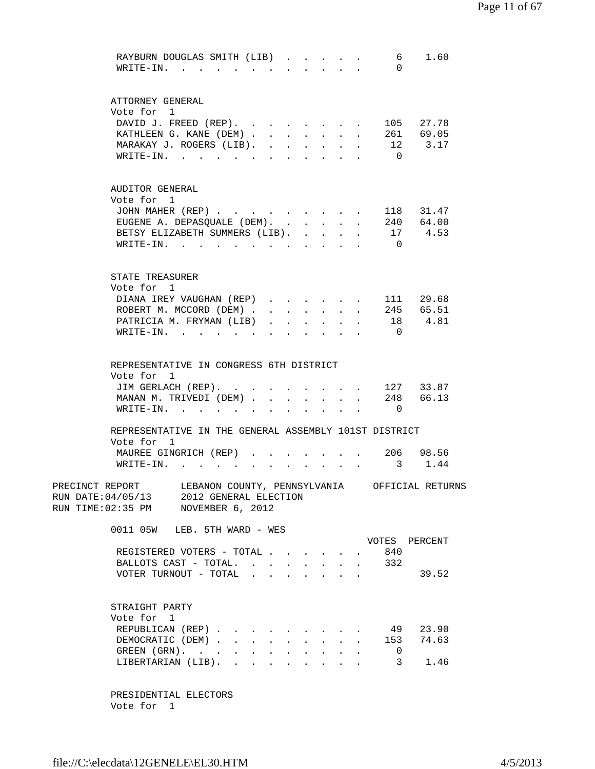| RAYBURN DOUGLAS SMITH (LIB)                                                 |                      |                           |                                                                               |        |                |                | 1.60<br>6 —      |  |
|-----------------------------------------------------------------------------|----------------------|---------------------------|-------------------------------------------------------------------------------|--------|----------------|----------------|------------------|--|
| $W$ RITE-IN<br>$\sim$ $\sim$ $\sim$ $\sim$                                  |                      |                           |                                                                               |        |                | $\Omega$       |                  |  |
|                                                                             |                      |                           |                                                                               |        |                |                |                  |  |
|                                                                             |                      |                           |                                                                               |        |                |                |                  |  |
| ATTORNEY GENERAL<br>Vote for 1                                              |                      |                           |                                                                               |        |                |                |                  |  |
| DAVID J. FREED (REP).                                                       |                      |                           |                                                                               |        |                |                | 105 27.78        |  |
| KATHLEEN G. KANE (DEM).<br>$\mathbf{A}$                                     | $\mathbf{L}$         | $\mathbf{L}$              | $\mathbf{r}$                                                                  | $\sim$ | $\mathbf{L}$   |                | 261 69.05        |  |
| MARAKAY J. ROGERS (LIB).<br>$\sim$                                          | $\mathbf{r}$         |                           |                                                                               |        |                |                | 12 3.17          |  |
| $\texttt{WRTTE-IN.}$<br>$\ddot{\phantom{a}}$                                | $\ddot{\phantom{a}}$ |                           | $\mathbf{A}$                                                                  |        |                | $\overline{0}$ |                  |  |
|                                                                             |                      |                           |                                                                               |        |                |                |                  |  |
|                                                                             |                      |                           |                                                                               |        |                |                |                  |  |
| AUDITOR GENERAL                                                             |                      |                           |                                                                               |        |                |                |                  |  |
| Vote for 1                                                                  |                      |                           |                                                                               |        |                |                |                  |  |
| JOHN MAHER (REP)                                                            |                      |                           |                                                                               |        |                |                | 118 31.47        |  |
| EUGENE A. DEPASQUALE (DEM).                                                 |                      | $\sim$                    | $\mathcal{L}^{\text{max}}$                                                    | $\sim$ |                |                | 240 64.00        |  |
| BETSY ELIZABETH SUMMERS (LIB).                                              |                      | $\mathbf{r}$              | $\mathbf{L}$                                                                  |        |                |                | 17 4.53          |  |
| $W\text{RITE-IN.}$ .<br>and the state of the state of the                   |                      |                           | $\sim$                                                                        |        |                | $\overline{0}$ |                  |  |
|                                                                             |                      |                           |                                                                               |        |                |                |                  |  |
|                                                                             |                      |                           |                                                                               |        |                |                |                  |  |
| STATE TREASURER                                                             |                      |                           |                                                                               |        |                |                |                  |  |
| Vote for 1                                                                  |                      |                           |                                                                               |        |                |                |                  |  |
| DIANA IREY VAUGHAN (REP).                                                   |                      | $\mathbf{r} = \mathbf{r}$ | $\sim$                                                                        |        | $\mathbf{r}$ . |                | 111 29.68        |  |
| ROBERT M. MCCORD (DEM).                                                     |                      | $\mathbf{r}$              | $\mathbf{L}^{\text{max}}$                                                     | $\sim$ |                |                | 245 65.51        |  |
| PATRICIA M. FRYMAN (LIB)                                                    |                      |                           |                                                                               |        |                |                | 18 4.81          |  |
| $WR$ $TT$ $R$ $ TN$ $\ldots$ $\ldots$ $\ldots$<br>$\mathbf{L} = \mathbf{L}$ |                      |                           |                                                                               |        |                | $\overline{0}$ |                  |  |
|                                                                             |                      |                           |                                                                               |        |                |                |                  |  |
|                                                                             |                      |                           |                                                                               |        |                |                |                  |  |
| REPRESENTATIVE IN CONGRESS 6TH DISTRICT                                     |                      |                           |                                                                               |        |                |                |                  |  |
| Vote for 1                                                                  |                      |                           |                                                                               |        |                |                |                  |  |
| JIM GERLACH (REP).                                                          |                      |                           |                                                                               |        |                |                | 127 33.87        |  |
| MANAN M. TRIVEDI (DEM)                                                      |                      | $\mathbf{L}$              |                                                                               |        |                |                | 248 66.13        |  |
| $\texttt{WRITE-IN.}$                                                        |                      |                           |                                                                               |        |                | $\overline{0}$ |                  |  |
|                                                                             |                      |                           |                                                                               |        |                |                |                  |  |
| REPRESENTATIVE IN THE GENERAL ASSEMBLY 101ST DISTRICT                       |                      |                           |                                                                               |        |                |                |                  |  |
| Vote for 1                                                                  |                      |                           |                                                                               |        |                |                |                  |  |
| MAUREE GINGRICH (REP).                                                      |                      |                           |                                                                               |        |                |                | 206 98.56        |  |
| $\texttt{WRTTE-IN.}$                                                        |                      |                           | $\mathbf{r} = \mathbf{r} + \mathbf{r} + \mathbf{r} + \mathbf{r} + \mathbf{r}$ |        |                |                | 3 1.44           |  |
| PRECINCT REPORT<br>LEBANON COUNTY, PENNSYLVANIA                             |                      |                           |                                                                               |        |                |                | OFFICIAL RETURNS |  |
| RUN DATE: 04/05/13 2012 GENERAL ELECTION                                    |                      |                           |                                                                               |        |                |                |                  |  |
| RUN TIME: 02:35 PM NOVEMBER 6, 2012                                         |                      |                           |                                                                               |        |                |                |                  |  |
|                                                                             |                      |                           |                                                                               |        |                |                |                  |  |
| 0011 05W LEB. 5TH WARD - WES                                                |                      |                           |                                                                               |        |                |                |                  |  |
|                                                                             |                      |                           |                                                                               |        |                |                | VOTES PERCENT    |  |
| REGISTERED VOTERS - TOTAL                                                   |                      |                           |                                                                               |        | $\sim$         | 840            |                  |  |
| BALLOTS CAST - TOTAL.                                                       |                      |                           |                                                                               |        |                | 332            |                  |  |
| VOTER TURNOUT - TOTAL                                                       |                      |                           |                                                                               |        |                |                | 39.52            |  |
|                                                                             |                      |                           |                                                                               |        |                |                |                  |  |
|                                                                             |                      |                           |                                                                               |        |                |                |                  |  |
| STRAIGHT PARTY                                                              |                      |                           |                                                                               |        |                |                |                  |  |
| Vote for 1                                                                  |                      |                           |                                                                               |        |                |                |                  |  |
| REPUBLICAN (REP)                                                            |                      |                           |                                                                               |        |                |                | 49 23.90         |  |
| DEMOCRATIC (DEM)                                                            |                      |                           |                                                                               |        |                |                | 153 74.63        |  |
| $GREFN$ $(GRN)$ .                                                           |                      |                           |                                                                               |        |                | $\overline{0}$ |                  |  |
| LIBERTARIAN (LIB).                                                          |                      |                           |                                                                               |        |                |                | $3 \t1.46$       |  |
|                                                                             |                      |                           |                                                                               |        |                |                |                  |  |
|                                                                             |                      |                           |                                                                               |        |                |                |                  |  |
| PRESIDENTIAL ELECTORS                                                       |                      |                           |                                                                               |        |                |                |                  |  |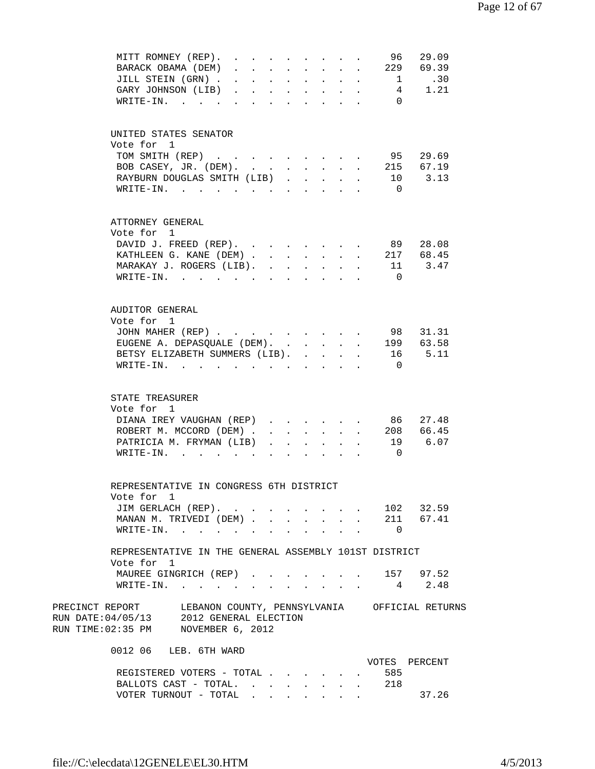| MITT ROMNEY (REP).                                                                                           |                    |                           | $\sim$                     |                                                                  | $\mathbf{r} = \mathbf{r}$            | $\sim$               | 96             | 29.09         |
|--------------------------------------------------------------------------------------------------------------|--------------------|---------------------------|----------------------------|------------------------------------------------------------------|--------------------------------------|----------------------|----------------|---------------|
| BARACK OBAMA (DEM)<br>$\mathbf{L} = \mathbf{L} \mathbf{L}$                                                   | $\mathbf{r}$       | $\sim$                    |                            | $\mathbf{r}$ , $\mathbf{r}$ , $\mathbf{r}$ , $\mathbf{r}$        |                                      |                      |                | 229 69.39     |
| JILL STEIN (GRN).<br>$\mathbf{1}$ $\mathbf{1}$ $\mathbf{1}$ $\mathbf{1}$ $\mathbf{1}$ $\mathbf{1}$           |                    | $\sim$                    |                            | $\mathbf{r}$ , $\mathbf{r}$ , $\mathbf{r}$                       |                                      |                      | $\mathbf{1}$   | .30           |
| GARY JOHNSON (LIB)                                                                                           |                    | $\mathbf{L}$              |                            | $\mathbf{r}$ , $\mathbf{r}$ , $\mathbf{r}$ , $\mathbf{r}$        |                                      |                      | $\overline{4}$ | 1.21          |
| WRITE-IN.<br>and the contract of the contract of the contract of                                             |                    |                           |                            |                                                                  |                                      |                      | $\Omega$       |               |
|                                                                                                              |                    |                           |                            |                                                                  |                                      |                      |                |               |
|                                                                                                              |                    |                           |                            |                                                                  |                                      |                      |                |               |
| UNITED STATES SENATOR                                                                                        |                    |                           |                            |                                                                  |                                      |                      |                |               |
| Vote for 1                                                                                                   |                    |                           |                            |                                                                  |                                      |                      |                |               |
| TOM SMITH (REP)                                                                                              |                    |                           |                            |                                                                  |                                      | $\ddot{\phantom{a}}$ | 95             | 29.69         |
| BOB CASEY, JR. (DEM).                                                                                        |                    |                           |                            | $\mathbf{r} = \mathbf{r} + \mathbf{r} + \mathbf{r} + \mathbf{r}$ |                                      |                      |                | 215 67.19     |
| RAYBURN DOUGLAS SMITH (LIB)                                                                                  |                    |                           |                            |                                                                  |                                      |                      | 10             | 3.13          |
| WRITE-IN.                                                                                                    |                    |                           |                            |                                                                  |                                      |                      | $\overline{0}$ |               |
|                                                                                                              |                    |                           |                            |                                                                  |                                      |                      |                |               |
| ATTORNEY GENERAL                                                                                             |                    |                           |                            |                                                                  |                                      |                      |                |               |
| Vote for 1                                                                                                   |                    |                           |                            |                                                                  |                                      |                      |                |               |
| DAVID J. FREED (REP).                                                                                        |                    |                           | $\sim$                     | $\mathbf{L} = \mathbf{L}$                                        |                                      | $\ddot{\phantom{a}}$ | 89             | 28.08         |
| KATHLEEN G. KANE (DEM)                                                                                       |                    | $\mathbf{L}$              | $\mathbf{L}$               | $\mathbf{L} = \mathbf{L} \mathbf{L}$                             |                                      | $\mathbf{L}$         | 217            | 68.45         |
| MARAKAY J. ROGERS (LIB).                                                                                     |                    |                           |                            |                                                                  |                                      | $\mathbf{r}$         | 11             | 3.47          |
| WRITE-IN.                                                                                                    |                    |                           |                            |                                                                  |                                      |                      | $\Omega$       |               |
|                                                                                                              |                    |                           |                            |                                                                  |                                      |                      |                |               |
|                                                                                                              |                    |                           |                            |                                                                  |                                      |                      |                |               |
| AUDITOR GENERAL<br>Vote for 1                                                                                |                    |                           |                            |                                                                  |                                      |                      |                |               |
| JOHN MAHER (REP)                                                                                             |                    |                           |                            |                                                                  |                                      |                      | 98             | 31.31         |
|                                                                                                              |                    |                           |                            |                                                                  |                                      |                      |                |               |
| EUGENE A. DEPASQUALE (DEM). .                                                                                |                    |                           | $\mathbf{r}$               |                                                                  | $\mathbf{L} = \mathbf{L} \mathbf{L}$ | $\mathbf{r}$         | 199            | 63.58         |
| BETSY ELIZABETH SUMMERS (LIB).                                                                               |                    |                           | $\sim$                     | <b>Contract</b>                                                  |                                      |                      | 16             | 5.11          |
| $\texttt{WRTTE-IN.}$<br>$\mathbf{A} = \mathbf{A} \mathbf{A} + \mathbf{A} \mathbf{A} + \mathbf{A} \mathbf{A}$ |                    |                           | $\sim$                     | $\sim 10^{-11}$                                                  |                                      |                      | $\Omega$       |               |
|                                                                                                              |                    |                           |                            |                                                                  |                                      |                      |                |               |
| STATE TREASURER                                                                                              |                    |                           |                            |                                                                  |                                      |                      |                |               |
| Vote for 1                                                                                                   |                    |                           |                            |                                                                  |                                      |                      |                |               |
| DIANA IREY VAUGHAN (REP)                                                                                     | $\mathbf{L}^{(1)}$ | $\mathbf{L} = \mathbf{L}$ |                            |                                                                  |                                      |                      | 86             | 27.48         |
| ROBERT M. MCCORD (DEM).                                                                                      |                    |                           | $\mathcal{L}^{\text{max}}$ | $\mathbf{L}^{\text{max}}$                                        |                                      |                      | 208            | 66.45         |
| PATRICIA M. FRYMAN (LIB)                                                                                     |                    |                           |                            |                                                                  |                                      |                      | 19             | 6.07          |
| $WRITE-IN.$                                                                                                  |                    |                           |                            |                                                                  |                                      |                      | $\Omega$       |               |
|                                                                                                              |                    |                           |                            |                                                                  |                                      |                      |                |               |
| REPRESENTATIVE IN CONGRESS 6TH DISTRICT                                                                      |                    |                           |                            |                                                                  |                                      |                      |                |               |
| Vote for 1                                                                                                   |                    |                           |                            |                                                                  |                                      |                      |                |               |
| JIM GERLACH (REP).                                                                                           |                    |                           |                            |                                                                  |                                      |                      |                | 102 32.59     |
| MANAN M. TRIVEDI (DEM)                                                                                       |                    |                           |                            |                                                                  |                                      |                      |                | 211 67.41     |
| WRITE-IN.                                                                                                    |                    |                           |                            |                                                                  |                                      |                      | $\overline{0}$ |               |
|                                                                                                              |                    |                           |                            |                                                                  |                                      |                      |                |               |
| REPRESENTATIVE IN THE GENERAL ASSEMBLY 101ST DISTRICT                                                        |                    |                           |                            |                                                                  |                                      |                      |                |               |
| Vote for 1                                                                                                   |                    |                           |                            |                                                                  |                                      |                      |                |               |
| MAUREE GINGRICH (REP)                                                                                        |                    |                           |                            |                                                                  |                                      |                      |                | 157 97.52     |
| WRITE-IN. 4 2.48                                                                                             |                    |                           |                            |                                                                  |                                      |                      |                |               |
| PRECINCT REPORT LEBANON COUNTY, PENNSYLVANIA OFFICIAL RETURNS                                                |                    |                           |                            |                                                                  |                                      |                      |                |               |
| RUN DATE: 04/05/13 2012 GENERAL ELECTION                                                                     |                    |                           |                            |                                                                  |                                      |                      |                |               |
| RUN TIME: 02:35 PM NOVEMBER 6, 2012                                                                          |                    |                           |                            |                                                                  |                                      |                      |                |               |
|                                                                                                              |                    |                           |                            |                                                                  |                                      |                      |                |               |
| 0012 06 LEB. 6TH WARD                                                                                        |                    |                           |                            |                                                                  |                                      |                      |                | VOTES PERCENT |
| REGISTERED VOTERS - TOTAL                                                                                    |                    |                           |                            |                                                                  |                                      |                      | 585            |               |
|                                                                                                              |                    |                           |                            |                                                                  |                                      |                      |                |               |
| BALLOTS CAST - TOTAL                                                                                         |                    |                           |                            |                                                                  |                                      |                      | 218            |               |
| VOTER TURNOUT - TOTAL $\ldots$                                                                               |                    |                           |                            |                                                                  |                                      |                      |                | 37.26         |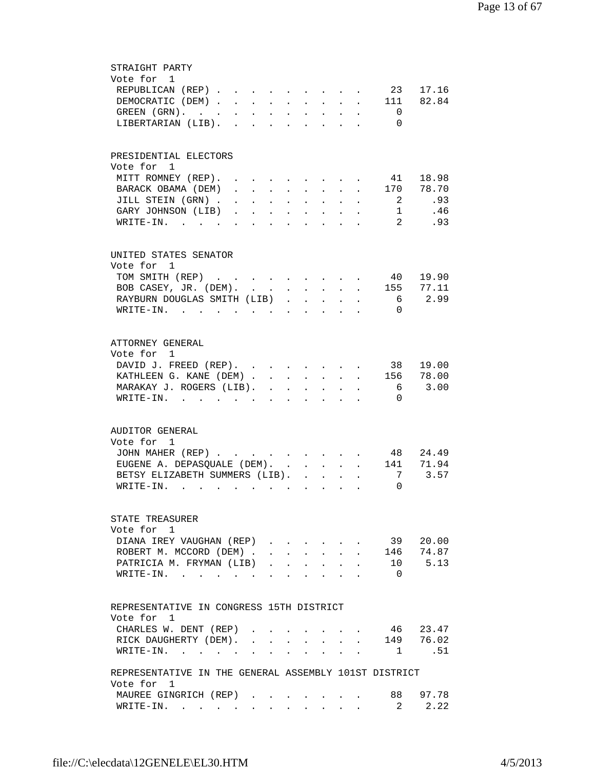| STRAIGHT PARTY                                                                                                                                                                |
|-------------------------------------------------------------------------------------------------------------------------------------------------------------------------------|
| Vote for 1                                                                                                                                                                    |
| REPUBLICAN (REP)<br>23<br>17.16                                                                                                                                               |
| DEMOCRATIC (DEM) 111<br>82.84                                                                                                                                                 |
| GREEN (GRN).<br>$\overline{0}$                                                                                                                                                |
| LIBERTARIAN (LIB).<br>$\overline{0}$                                                                                                                                          |
|                                                                                                                                                                               |
|                                                                                                                                                                               |
| PRESIDENTIAL ELECTORS                                                                                                                                                         |
| Vote for 1                                                                                                                                                                    |
| 41<br>18.98<br>MITT ROMNEY (REP).                                                                                                                                             |
| 170 78.70<br>$\mathbf{r}$<br>BARACK OBAMA (DEM)<br>$\mathbf{r}$ , $\mathbf{r}$ , $\mathbf{r}$ , $\mathbf{r}$<br>$\mathbf{L} = \mathbf{L} \mathbf{L}$                          |
| JILL STEIN (GRN).<br>2<br>.93<br>$\mathbf{r}$ , $\mathbf{r}$ , $\mathbf{r}$ , $\mathbf{r}$ , $\mathbf{r}$<br>and the state of the state of the                                |
| $\mathbf{1}$<br>.46<br>GARY JOHNSON (LIB)<br>$\mathbf{r} = \mathbf{r} - \mathbf{r}$ , and $\mathbf{r} = \mathbf{r} - \mathbf{r}$ , and $\mathbf{r} = \mathbf{r} - \mathbf{r}$ |
| 2<br>.93<br>$\texttt{WRTTE-IN.}$<br>$\cdot$ $\cdot$ $\cdot$<br>and a strong control of the strong strong and                                                                  |
|                                                                                                                                                                               |
| UNITED STATES SENATOR                                                                                                                                                         |
| Vote for 1                                                                                                                                                                    |
| TOM SMITH (REP)<br>19.90<br>40<br>$\mathbf{r} = \mathbf{r}$                                                                                                                   |
| . 155 77.11<br>BOB CASEY, JR. (DEM).                                                                                                                                          |
| RAYBURN DOUGLAS SMITH (LIB)<br>6 2.99                                                                                                                                         |
| WRITE-IN.<br>$\Omega$                                                                                                                                                         |
|                                                                                                                                                                               |
|                                                                                                                                                                               |
| ATTORNEY GENERAL                                                                                                                                                              |
| Vote for 1                                                                                                                                                                    |
| 38<br>DAVID J. FREED (REP).<br>19.00<br>$\sim$<br>$\mathbf{L} = \mathbf{L}$<br>$\ddot{\phantom{0}}$                                                                           |
| 156 78.00<br>KATHLEEN G. KANE (DEM)<br>$\sim$<br>$\mathbf{r}$<br>$\mathbf{L}$<br>$\sim$<br>$\mathbf{L}$                                                                       |
| MARAKAY J. ROGERS (LIB).<br>3.00<br>- 6<br>$\mathbf{L}$<br>$\mathbf{L}$<br>$\sim$                                                                                             |
| $\texttt{WRTTE-IN.}$<br>$\Omega$<br>$\mathbf{r}$<br>$\mathbf{r}$ and $\mathbf{r}$<br>$\ddot{\phantom{a}}$                                                                     |
|                                                                                                                                                                               |
| AUDITOR GENERAL                                                                                                                                                               |
| Vote for 1                                                                                                                                                                    |
| 24.49<br>JOHN MAHER (REP)<br>48                                                                                                                                               |
| 71.94<br>EUGENE A. DEPASQUALE (DEM).<br>141<br>$\mathbf{r}$<br>$\mathbf{L}$<br>$\mathbf{r}$                                                                                   |
| 3.57<br>BETSY ELIZABETH SUMMERS (LIB).<br>7<br>$\mathbf{r}$<br>$\sim$                                                                                                         |
| WRITE-IN.<br>$\Omega$<br>$\ddot{\phantom{a}}$<br>$\ddot{\phantom{0}}$                                                                                                         |
|                                                                                                                                                                               |
| STATE TREASURER                                                                                                                                                               |
| Vote for 1                                                                                                                                                                    |
| 20.00<br>DIANA IREY VAUGHAN (REP)<br>39                                                                                                                                       |
| 74.87<br>ROBERT M. MCCORD (DEM).<br>146                                                                                                                                       |
| PATRICIA M. FRYMAN (LIB)<br>5.13<br>10                                                                                                                                        |
| $\overline{0}$<br>$WRITE-IN.$                                                                                                                                                 |
|                                                                                                                                                                               |
|                                                                                                                                                                               |
| REPRESENTATIVE IN CONGRESS 15TH DISTRICT                                                                                                                                      |
| Vote for 1                                                                                                                                                                    |
| 23.47<br>CHARLES W. DENT (REP)<br>46<br>$\mathbf{r}$ $\mathbf{r}$                                                                                                             |
| 76.02<br>149<br>RICK DAUGHERTY (DEM).<br>$\mathbf{L} = \mathbf{L}$                                                                                                            |
| .51<br>$\overline{1}$<br>WRITE-IN.<br>$\mathbf{L} = \mathbf{L}$                                                                                                               |
| REPRESENTATIVE IN THE GENERAL ASSEMBLY 101ST DISTRICT                                                                                                                         |
| Vote for 1                                                                                                                                                                    |
| 88 97.78<br>MAUREE GINGRICH (REP)                                                                                                                                             |
| 2<br>2.22<br>$\texttt{WRITE-IN.}$                                                                                                                                             |
|                                                                                                                                                                               |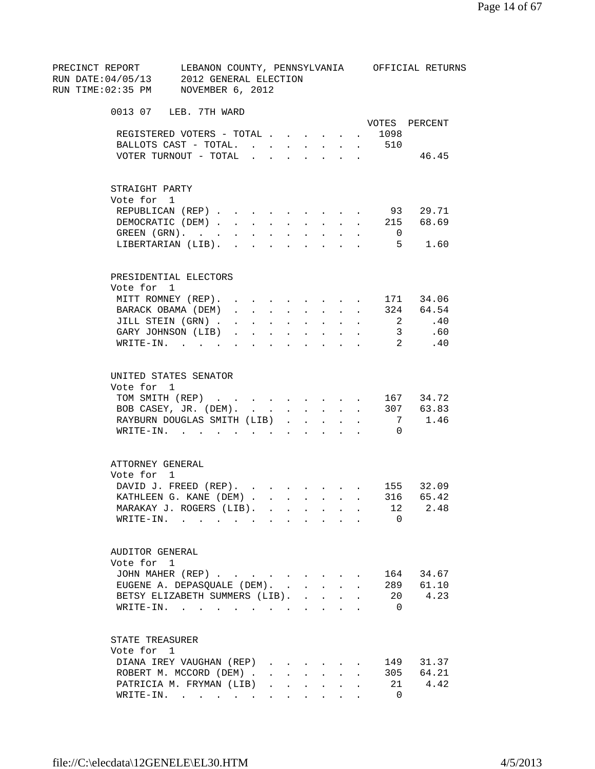| PRECINCT REPORT   LEBANON COUNTY, PENNSYLVANIA     OFFICIAL RETURNS  |                      |              |                   |              |                                                           |                                        |                         |                                                                         |  |
|----------------------------------------------------------------------|----------------------|--------------|-------------------|--------------|-----------------------------------------------------------|----------------------------------------|-------------------------|-------------------------------------------------------------------------|--|
| RUN DATE: 04/05/13 2012 GENERAL ELECTION                             |                      |              |                   |              |                                                           |                                        |                         |                                                                         |  |
| RUN TIME:02:35 PM NOVEMBER 6, 2012                                   |                      |              |                   |              |                                                           |                                        |                         |                                                                         |  |
|                                                                      |                      |              |                   |              |                                                           |                                        |                         |                                                                         |  |
| 0013 07 LEB. 7TH WARD                                                |                      |              |                   |              |                                                           |                                        |                         |                                                                         |  |
|                                                                      |                      |              |                   |              |                                                           |                                        |                         | VOTES PERCENT                                                           |  |
| REGISTERED VOTERS - TOTAL                                            |                      |              |                   |              |                                                           |                                        | 1098                    |                                                                         |  |
|                                                                      |                      |              |                   |              |                                                           |                                        |                         |                                                                         |  |
| BALLOTS CAST - TOTAL.                                                |                      |              | $\sim 10^{-10}$   | $\sim$       | $\sim$ $\sim$                                             |                                        | $\cdot$ $\cdot$ 510     |                                                                         |  |
| VOTER TURNOUT - TOTAL                                                |                      |              | $\mathbf{L}$      | $\mathbf{L}$ |                                                           | $\mathbf{r} = \mathbf{r} + \mathbf{r}$ |                         | 46.45                                                                   |  |
|                                                                      |                      |              |                   |              |                                                           |                                        |                         |                                                                         |  |
| STRAIGHT PARTY                                                       |                      |              |                   |              |                                                           |                                        |                         |                                                                         |  |
| Vote for 1                                                           |                      |              |                   |              |                                                           |                                        |                         |                                                                         |  |
| REPUBLICAN (REP)                                                     |                      |              |                   |              |                                                           |                                        | 93                      | 29.71                                                                   |  |
| DEMOCRATIC (DEM)                                                     |                      |              |                   |              |                                                           |                                        | 215                     | 68.69                                                                   |  |
| GREEN $(GRN)$ .                                                      |                      |              |                   |              |                                                           |                                        | $\overline{0}$          |                                                                         |  |
| LIBERTARIAN (LIB).                                                   |                      |              |                   |              |                                                           |                                        |                         | 5 1.60                                                                  |  |
|                                                                      |                      |              |                   |              |                                                           |                                        |                         |                                                                         |  |
|                                                                      |                      |              |                   |              |                                                           |                                        |                         |                                                                         |  |
| PRESIDENTIAL ELECTORS                                                |                      |              |                   |              |                                                           |                                        |                         |                                                                         |  |
| Vote for 1                                                           |                      |              |                   |              |                                                           |                                        |                         |                                                                         |  |
| MITT ROMNEY (REP).                                                   |                      |              |                   |              |                                                           |                                        |                         | 171 34.06                                                               |  |
| BARACK OBAMA (DEM)                                                   |                      |              |                   |              |                                                           |                                        |                         | $\begin{array}{cccccccccc} . & . & . & . & . & 324 & 64.54 \end{array}$ |  |
| JILL STEIN (GRN)                                                     |                      |              |                   |              |                                                           |                                        | $\overline{2}$          | .40                                                                     |  |
| GARY JOHNSON (LIB)                                                   |                      |              | $\sim$ 100 $\pm$  | $\sim$       |                                                           |                                        | $\overline{\mathbf{3}}$ | .60                                                                     |  |
| $WRITE-IN.$                                                          | $\ddot{\phantom{0}}$ |              | $\Delta \sim 100$ | $\sim$       |                                                           |                                        | $\overline{\mathbf{2}}$ | .40                                                                     |  |
|                                                                      |                      |              |                   |              |                                                           |                                        |                         |                                                                         |  |
|                                                                      |                      |              |                   |              |                                                           |                                        |                         |                                                                         |  |
| UNITED STATES SENATOR                                                |                      |              |                   |              |                                                           |                                        |                         |                                                                         |  |
| Vote for 1                                                           |                      |              |                   |              |                                                           |                                        |                         |                                                                         |  |
| TOM SMITH (REP) 167 34.72                                            |                      |              |                   |              |                                                           |                                        |                         |                                                                         |  |
| BOB CASEY, JR. (DEM). 307 63.83                                      |                      |              |                   |              |                                                           |                                        |                         |                                                                         |  |
| RAYBURN DOUGLAS SMITH (LIB)                                          |                      |              |                   |              |                                                           |                                        |                         | 7 1.46                                                                  |  |
| WRITE-IN.                                                            |                      |              |                   |              |                                                           |                                        | $\Omega$                |                                                                         |  |
|                                                                      |                      |              |                   |              |                                                           |                                        |                         |                                                                         |  |
| ATTORNEY GENERAL                                                     |                      |              |                   |              |                                                           |                                        |                         |                                                                         |  |
| Vote for 1                                                           |                      |              |                   |              |                                                           |                                        |                         |                                                                         |  |
| DAVID J. FREED (REP). 155 32.09                                      |                      |              |                   |              |                                                           |                                        |                         |                                                                         |  |
|                                                                      |                      |              |                   |              |                                                           |                                        |                         |                                                                         |  |
| KATHLEEN G. KANE (DEM)                                               |                      |              |                   |              |                                                           |                                        | 316                     | 65.42                                                                   |  |
| MARAKAY J. ROGERS (LIB).                                             |                      |              |                   |              |                                                           |                                        | 12                      | 2.48                                                                    |  |
| WRITE-IN.                                                            |                      |              |                   |              |                                                           |                                        | $\Omega$                |                                                                         |  |
|                                                                      |                      |              |                   |              |                                                           |                                        |                         |                                                                         |  |
| AUDITOR GENERAL                                                      |                      |              |                   |              |                                                           |                                        |                         |                                                                         |  |
| Vote for 1                                                           |                      |              |                   |              |                                                           |                                        |                         |                                                                         |  |
| JOHN MAHER (REP)                                                     |                      |              |                   |              |                                                           |                                        | 164                     | 34.67                                                                   |  |
| EUGENE A. DEPASQUALE (DEM). .                                        |                      |              |                   |              | $\mathbf{L}^{\text{max}}$ , and $\mathbf{L}^{\text{max}}$ |                                        | 289                     | 61.10                                                                   |  |
| BETSY ELIZABETH SUMMERS (LIB). .                                     |                      |              |                   |              | $\sim$ 100 $\pm$                                          | $\ddot{\phantom{a}}$                   | 20                      | 4.23                                                                    |  |
|                                                                      |                      |              |                   |              |                                                           |                                        | $\overline{0}$          |                                                                         |  |
| WRITE-IN.                                                            |                      |              |                   |              |                                                           |                                        |                         |                                                                         |  |
|                                                                      |                      |              |                   |              |                                                           |                                        |                         |                                                                         |  |
| STATE TREASURER<br>Vote for 1                                        |                      |              |                   |              |                                                           |                                        |                         |                                                                         |  |
|                                                                      |                      |              |                   |              |                                                           |                                        |                         |                                                                         |  |
| DIANA IREY VAUGHAN (REP)                                             |                      |              |                   |              |                                                           |                                        | 149                     | 31.37                                                                   |  |
| ROBERT M. MCCORD (DEM)                                               |                      |              |                   |              |                                                           |                                        | 305                     | 64.21                                                                   |  |
| PATRICIA M. FRYMAN (LIB)                                             |                      | $\mathbf{L}$ | $\mathbf{r}$      | $\mathbf{L}$ | $\mathbf{L}^{\text{max}}$                                 | $\ddot{\phantom{0}}$                   | -21                     | 4.42                                                                    |  |
| $\texttt{WRITE-IN.} \quad . \quad . \quad . \quad . \quad . \quad .$ |                      |              |                   |              | $\mathbf{L} = \mathbf{L}$                                 |                                        | $\Omega$                |                                                                         |  |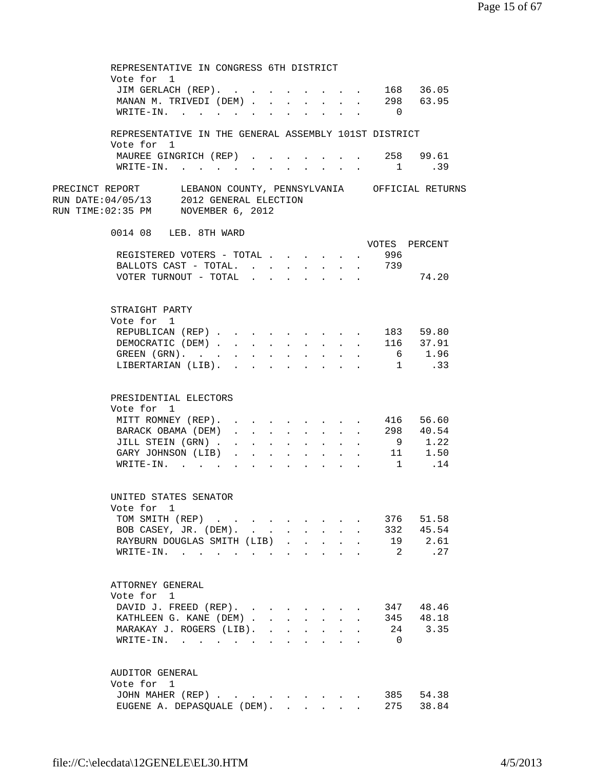| REPRESENTATIVE IN CONGRESS 6TH DISTRICT                                                                                                        |              |                                                              |                                 |                           |                                      |                            |              |                           |                |                     |
|------------------------------------------------------------------------------------------------------------------------------------------------|--------------|--------------------------------------------------------------|---------------------------------|---------------------------|--------------------------------------|----------------------------|--------------|---------------------------|----------------|---------------------|
| Vote for 1                                                                                                                                     |              |                                                              |                                 |                           |                                      |                            |              |                           |                |                     |
| JIM GERLACH (REP). 168 36.05                                                                                                                   |              |                                                              |                                 |                           |                                      |                            |              |                           |                |                     |
| MANAN M. TRIVEDI (DEM) 298 63.95                                                                                                               |              |                                                              |                                 |                           |                                      |                            |              |                           |                |                     |
| WRITE-IN.                                                                                                                                      |              |                                                              |                                 |                           |                                      |                            |              |                           | $\overline{0}$ |                     |
| REPRESENTATIVE IN THE GENERAL ASSEMBLY 101ST DISTRICT<br>Vote for 1                                                                            |              |                                                              |                                 |                           |                                      |                            |              |                           |                |                     |
| MAUREE GINGRICH (REP) 258 99.61                                                                                                                |              |                                                              |                                 |                           |                                      |                            |              |                           |                |                     |
| WRITE-IN.                                                                                                                                      |              |                                                              |                                 |                           |                                      |                            |              |                           |                | 1 .39               |
|                                                                                                                                                |              |                                                              |                                 |                           |                                      |                            |              |                           |                |                     |
| PRECINCT REPORT LEBANON COUNTY, PENNSYLVANIA OFFICIAL RETURNS<br>RUN DATE:04/05/13 2012 GENERAL ELECTION<br>RUN TIME:02:35 PM MOVEMBER 6, 2012 |              |                                                              |                                 |                           |                                      |                            |              |                           |                |                     |
| 0014 08 LEB. 8TH WARD                                                                                                                          |              |                                                              |                                 |                           |                                      |                            |              |                           |                |                     |
|                                                                                                                                                |              |                                                              |                                 |                           |                                      |                            |              |                           |                | VOTES PERCENT       |
| REGISTERED VOTERS - TOTAL                                                                                                                      |              |                                                              |                                 |                           |                                      |                            |              |                           | 996            |                     |
| BALLOTS CAST - TOTAL. 739                                                                                                                      |              |                                                              |                                 |                           |                                      |                            |              |                           |                |                     |
| VOTER TURNOUT - TOTAL                                                                                                                          |              |                                                              |                                 |                           |                                      |                            |              |                           |                | 74.20               |
|                                                                                                                                                |              |                                                              |                                 |                           |                                      |                            |              |                           |                |                     |
| STRAIGHT PARTY                                                                                                                                 |              |                                                              |                                 |                           |                                      |                            |              |                           |                |                     |
| Vote for 1                                                                                                                                     |              |                                                              |                                 |                           |                                      |                            |              |                           |                |                     |
| REPUBLICAN (REP)                                                                                                                               |              |                                                              |                                 |                           |                                      |                            |              |                           |                | 183 59.80           |
| DEMOCRATIC (DEM)                                                                                                                               |              |                                                              |                                 | $\sim 10^{-11}$           | $\sim$ 100 $\pm$                     | $\mathcal{L}^{\text{max}}$ |              | $\mathbf{L} = \mathbf{L}$ |                | 116 37.91           |
| GREEN (GRN).                                                                                                                                   |              | $\mathbf{L} = \mathbf{L}$                                    |                                 | $\mathbf{L}^{\text{max}}$ | $\sim$                               | $\sim$                     | $\sim$       |                           |                | $6 \t 1.96$         |
| LIBERTARIAN (LIB).                                                                                                                             |              |                                                              |                                 |                           |                                      |                            |              |                           |                | 1 .33               |
|                                                                                                                                                |              |                                                              |                                 |                           |                                      |                            |              |                           |                |                     |
| PRESIDENTIAL ELECTORS<br>Vote for 1                                                                                                            |              |                                                              |                                 |                           |                                      |                            |              |                           |                |                     |
| MITT ROMNEY (REP).                                                                                                                             |              |                                                              |                                 |                           |                                      |                            |              |                           |                | 416 56.60           |
| BARACK OBAMA (DEM)                                                                                                                             |              | $\mathbf{L} = \mathbf{L} \mathbf{L} + \mathbf{L} \mathbf{L}$ |                                 |                           | $\mathbf{L}$                         |                            |              | $\mathbf{L}$              |                | 298 40.54<br>9 1.22 |
| JILL STEIN (GRN).                                                                                                                              | $\mathbf{L}$ | $\mathcal{L}^{\text{max}}$                                   | $\sim$                          | $\sim$                    | $\ddot{\phantom{0}}$                 | $\ddot{\phantom{0}}$       | $\mathbf{L}$ | $\ddot{\phantom{a}}$      |                |                     |
| GARY JOHNSON (LIB)                                                                                                                             | $\mathbf{A}$ | $\mathbf{L}^{\text{max}}$ and $\mathbf{L}^{\text{max}}$      |                                 | $\mathbf{r}$              | $\mathbf{L}$                         | $\mathbf{L}$               |              |                           |                | 11 1.50             |
| $\texttt{WRTTE-IN.}$                                                                                                                           |              |                                                              |                                 |                           | $\mathbf{L} = \mathbf{L} \mathbf{L}$ | $\mathbf{r}$ $\mathbf{r}$  |              | $\ddot{\phantom{a}}$      |                | $1 \quad .14$       |
| UNITED STATES SENATOR                                                                                                                          |              |                                                              |                                 |                           |                                      |                            |              |                           |                |                     |
| Vote for 1                                                                                                                                     |              |                                                              |                                 |                           |                                      |                            |              |                           |                |                     |
| TOM SMITH (REP)                                                                                                                                |              |                                                              |                                 |                           |                                      |                            |              |                           | 376            | 51.58               |
| BOB CASEY, JR. (DEM). .                                                                                                                        |              |                                                              | $\Delta \sim 10^4$              |                           | $\mathbf{L}$                         |                            | $\mathbf{A}$ |                           | 332            | 45.54               |
| RAYBURN DOUGLAS SMITH (LIB)                                                                                                                    |              |                                                              |                                 |                           |                                      |                            |              |                           | 19             | 2.61                |
| $W\text{RITE}-\text{IN}.$                                                                                                                      |              |                                                              | <b>Contract Contract Street</b> |                           |                                      |                            |              |                           | - 2            | . 27                |
| ATTORNEY GENERAL                                                                                                                               |              |                                                              |                                 |                           |                                      |                            |              |                           |                |                     |
| Vote for 1                                                                                                                                     |              |                                                              |                                 |                           |                                      |                            |              |                           |                |                     |
| DAVID J. FREED (REP).                                                                                                                          |              |                                                              |                                 |                           |                                      |                            |              |                           | 347            | 48.46               |
| KATHLEEN G. KANE (DEM).                                                                                                                        |              |                                                              | $\sim$                          |                           | $\ddot{\phantom{a}}$                 |                            |              |                           | 345            | 48.18               |
| MARAKAY J. ROGERS (LIB). .                                                                                                                     |              |                                                              |                                 |                           |                                      |                            |              |                           | 24             | 3.35                |
| WRITE-IN.                                                                                                                                      |              | $\sim$                                                       |                                 |                           |                                      |                            |              |                           | $\overline{0}$ |                     |
| AUDITOR GENERAL                                                                                                                                |              |                                                              |                                 |                           |                                      |                            |              |                           |                |                     |
| Vote for 1                                                                                                                                     |              |                                                              |                                 |                           |                                      |                            |              |                           |                |                     |
| JOHN MAHER (REP)                                                                                                                               |              |                                                              |                                 |                           |                                      |                            |              |                           | 385            | 54.38               |
| EUGENE A. DEPASQUALE (DEM).                                                                                                                    |              |                                                              |                                 |                           |                                      |                            |              |                           | 275            | 38.84               |
|                                                                                                                                                |              |                                                              |                                 |                           |                                      |                            |              |                           |                |                     |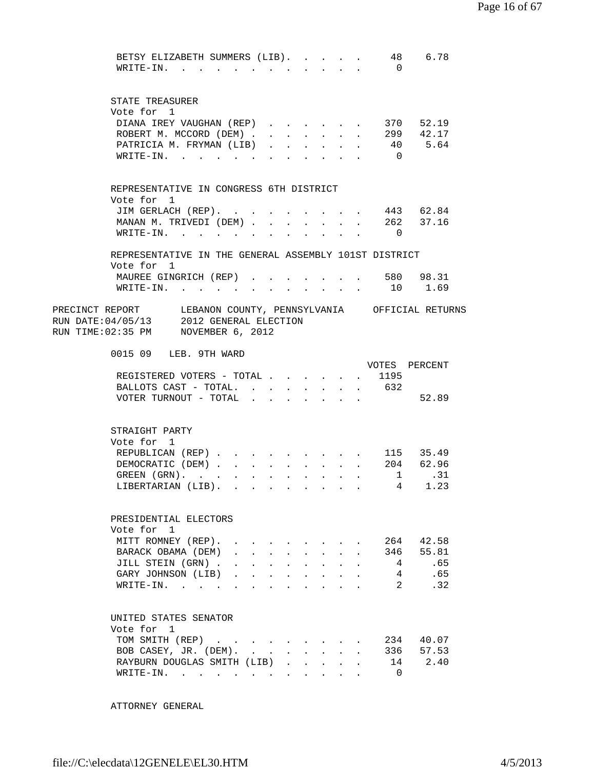| BETSY ELIZABETH SUMMERS (LIB).<br>$WRITE-IN.$ .<br>$\mathbf{r}$ . The set of $\mathbf{r}$                                                           |                                                                                                                                              |                                   |                        |              |                                                           |                             |              | $\bigcap$         | 48 6.78              |
|-----------------------------------------------------------------------------------------------------------------------------------------------------|----------------------------------------------------------------------------------------------------------------------------------------------|-----------------------------------|------------------------|--------------|-----------------------------------------------------------|-----------------------------|--------------|-------------------|----------------------|
| STATE TREASURER                                                                                                                                     |                                                                                                                                              |                                   |                        |              |                                                           |                             |              |                   |                      |
| Vote for 1                                                                                                                                          |                                                                                                                                              |                                   |                        |              |                                                           |                             |              |                   |                      |
| DIANA IREY VAUGHAN (REP)                                                                                                                            |                                                                                                                                              |                                   |                        |              |                                                           |                             |              |                   | 370 52.19            |
| ROBERT M. MCCORD (DEM).                                                                                                                             |                                                                                                                                              | $\mathbf{L}$                      | $\mathbf{L}$           | $\mathbf{L}$ | $\sim$ 100 $\pm$                                          | $\sim$ $\sim$               | $\mathbf{L}$ |                   | 299 42.17<br>40 5.64 |
| PATRICIA M. FRYMAN (LIB)<br>$\texttt{WRTTE-IN.}$                                                                                                    |                                                                                                                                              | $\mathbf{L}$<br>$\sim$ 100 $\sim$ | $\mathbf{L}$<br>$\sim$ | $\mathbf{r}$ | $\mathbf{L}$                                              |                             |              | $\overline{0}$    |                      |
|                                                                                                                                                     |                                                                                                                                              |                                   |                        |              |                                                           |                             |              |                   |                      |
| REPRESENTATIVE IN CONGRESS 6TH DISTRICT                                                                                                             |                                                                                                                                              |                                   |                        |              |                                                           |                             |              |                   |                      |
| Vote for 1<br>JIM GERLACH (REP).                                                                                                                    |                                                                                                                                              |                                   |                        |              |                                                           |                             |              | $\cdot$ 443 62.84 |                      |
| MANAN M. TRIVEDI (DEM)                                                                                                                              |                                                                                                                                              |                                   | $\mathbf{L}$           | $\mathbf{L}$ | $\mathbf{L}$                                              | $\mathbf{L}$                |              |                   | 262 37.16            |
| $\texttt{WRTTE-IN.}$                                                                                                                                |                                                                                                                                              |                                   |                        |              |                                                           |                             |              | $\overline{0}$    |                      |
| REPRESENTATIVE IN THE GENERAL ASSEMBLY 101ST DISTRICT                                                                                               |                                                                                                                                              |                                   |                        |              |                                                           |                             |              |                   |                      |
| Vote for 1                                                                                                                                          |                                                                                                                                              |                                   |                        |              |                                                           |                             |              |                   |                      |
| MAUREE GINGRICH (REP).                                                                                                                              |                                                                                                                                              |                                   |                        |              | the contract of the contract of the                       |                             |              |                   | 580 98.31            |
| WRITE-IN. 10 1.69                                                                                                                                   |                                                                                                                                              |                                   |                        |              |                                                           |                             |              |                   |                      |
| PRECINCT REPORT LEBANON COUNTY, PENNSYLVANIA OFFICIAL RETURNS<br>RUN DATE: 04/05/13<br>2012 GENERAL ELECTION<br>RUN TIME: 02:35 PM NOVEMBER 6, 2012 |                                                                                                                                              |                                   |                        |              |                                                           |                             |              |                   |                      |
| 0015 09 LEB. 9TH WARD                                                                                                                               |                                                                                                                                              |                                   |                        |              |                                                           |                             |              | VOTES PERCENT     |                      |
| REGISTERED VOTERS - TOTAL                                                                                                                           |                                                                                                                                              |                                   |                        |              |                                                           |                             |              | . 1195            |                      |
| BALLOTS CAST - TOTAL. 632                                                                                                                           |                                                                                                                                              |                                   |                        |              |                                                           |                             |              |                   |                      |
| VOTER TURNOUT - TOTAL $\cdot \cdot \cdot \cdot \cdot \cdot$                                                                                         |                                                                                                                                              |                                   |                        |              |                                                           |                             |              |                   | 52.89                |
| STRAIGHT PARTY                                                                                                                                      |                                                                                                                                              |                                   |                        |              |                                                           |                             |              |                   |                      |
| Vote for 1                                                                                                                                          |                                                                                                                                              |                                   |                        |              |                                                           |                             |              |                   |                      |
| REPUBLICAN (REP)                                                                                                                                    |                                                                                                                                              |                                   |                        |              |                                                           |                             |              | $\cdot$ 115 35.49 |                      |
| DEMOCRATIC (DEM) 204 62.96                                                                                                                          |                                                                                                                                              |                                   |                        |              |                                                           |                             |              |                   |                      |
| GREEN (GRN). 1 . 31                                                                                                                                 |                                                                                                                                              |                                   |                        |              |                                                           |                             |              |                   |                      |
| LIBERTARIAN (LIB).                                                                                                                                  |                                                                                                                                              |                                   |                        |              |                                                           |                             |              | $\overline{4}$    | 1.23                 |
| PRESIDENTIAL ELECTORS                                                                                                                               |                                                                                                                                              |                                   |                        |              |                                                           |                             |              |                   |                      |
| Vote for 1                                                                                                                                          |                                                                                                                                              |                                   |                        |              |                                                           |                             |              |                   |                      |
| MITT ROMNEY (REP).                                                                                                                                  |                                                                                                                                              |                                   |                        |              |                                                           |                             |              | 264               | 42.58                |
| BARACK OBAMA (DEM)                                                                                                                                  | $\mathbf{r} = \mathbf{r} \cdot \mathbf{r}$ , and $\mathbf{r} = \mathbf{r} \cdot \mathbf{r}$ , and $\mathbf{r} = \mathbf{r} \cdot \mathbf{r}$ |                                   |                        |              |                                                           |                             |              |                   | 346 55.81            |
| JILL STEIN (GRN).                                                                                                                                   |                                                                                                                                              | $\mathbf{L}$ and $\mathbf{L}$     | $\sim$ 100 $\pm$       |              | $\mathbf{r} = \mathbf{r}$ , and $\mathbf{r} = \mathbf{r}$ |                             |              | 4                 | .65                  |
| GARY JOHNSON (LIB)                                                                                                                                  | $\mathbf{A}$                                                                                                                                 | $\cdot$ $\cdot$ $\cdot$           | $\sim 100$             |              | $\mathbf{r} = \mathbf{r} \cdot \mathbf{r}$                |                             |              | 4                 | .65                  |
| WRITE-IN.                                                                                                                                           |                                                                                                                                              |                                   |                        | $\bullet$    |                                                           | <b>All Card Corporation</b> |              | $\overline{2}$    | .32                  |
| UNITED STATES SENATOR                                                                                                                               |                                                                                                                                              |                                   |                        |              |                                                           |                             |              |                   |                      |
| Vote for 1                                                                                                                                          |                                                                                                                                              |                                   |                        |              |                                                           |                             |              |                   |                      |
| TOM SMITH (REP)                                                                                                                                     |                                                                                                                                              |                                   |                        |              |                                                           |                             |              | 234               | 40.07                |
| BOB CASEY, JR. (DEM).                                                                                                                               |                                                                                                                                              |                                   |                        |              |                                                           |                             |              |                   | 336 57.53            |
| RAYBURN DOUGLAS SMITH (LIB)                                                                                                                         |                                                                                                                                              |                                   |                        |              | $\mathbf{r}$ , $\mathbf{r}$ , $\mathbf{r}$ , $\mathbf{r}$ |                             |              |                   | 14 2.40              |
| WRITE-IN.                                                                                                                                           |                                                                                                                                              |                                   |                        |              |                                                           |                             |              | $\Omega$          |                      |

ATTORNEY GENERAL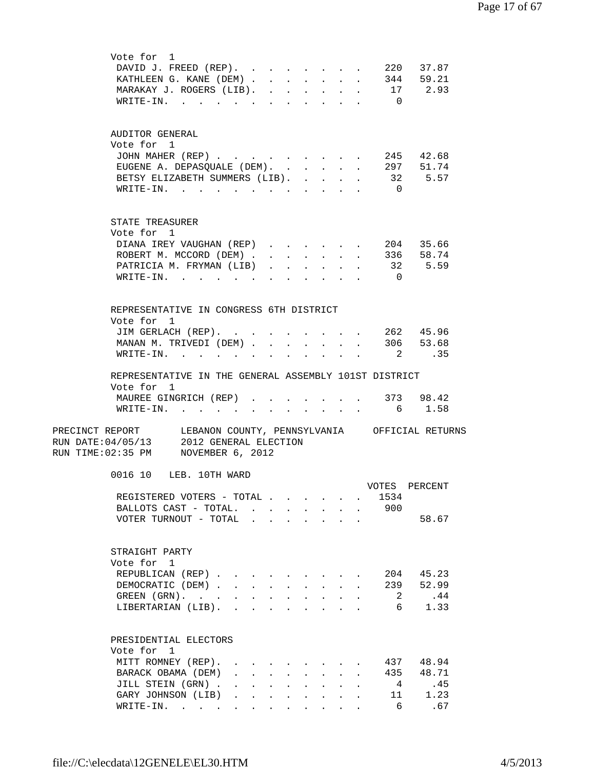| Vote for 1<br>DAVID J. FREED (REP).<br>220 37.87<br>$\sim$<br>344 59.21<br>KATHLEEN G. KANE (DEM).<br>$\mathbf{L}$<br>$\mathbf{r}$<br>$\mathbf{r}$<br>$\mathbf{L}$<br>$\sim$ 100 $\pm$<br>$\sim$<br>$17$ 2.93<br>MARAKAY J. ROGERS (LIB).<br>$\mathbf{A}$<br>$\overline{0}$<br>$W\text{RITE}-\text{IN}.$<br>$\ddot{\phantom{a}}$<br>$\ddot{\phantom{a}}$<br><b>Contract Contract Contract</b><br>$\ddot{\phantom{a}}$<br>$\ddot{\phantom{a}}$ |  |
|-----------------------------------------------------------------------------------------------------------------------------------------------------------------------------------------------------------------------------------------------------------------------------------------------------------------------------------------------------------------------------------------------------------------------------------------------|--|
| AUDITOR GENERAL<br>Vote for 1<br>JOHN MAHER (REP)<br>245 42.68<br>297 51.74<br>32 5.57<br>EUGENE A. DEPASQUALE (DEM).<br>$\mathbf{L}$<br>$\mathcal{L}^{\text{max}}$<br>$\mathbf{r}$<br>$\sim$<br>$\mathbf{A}$<br>BETSY ELIZABETH SUMMERS (LIB).<br>$\sim$<br>$\mathbf{L}$<br>$\texttt{WRTTE-IN.}$<br>$\overline{0}$                                                                                                                           |  |
| STATE TREASURER<br>Vote for 1<br>204 35.66<br>DIANA IREY VAUGHAN (REP)<br>$\mathbf{r}$ .<br>$\sim$ $\sim$<br>ROBERT M. MCCORD (DEM).<br>336 58.74<br>$\ddot{\phantom{a}}$<br>PATRICIA M. FRYMAN (LIB)<br>32 5.59<br>$W\text{RITE-IN.}$<br>$\overline{0}$                                                                                                                                                                                      |  |
| REPRESENTATIVE IN CONGRESS 6TH DISTRICT<br>Vote for<br>$\overline{1}$<br>262 45.96<br>JIM GERLACH (REP).<br>$\ddot{\phantom{a}}$<br>MANAN M. TRIVEDI (DEM)<br>306 53.68<br>$\ddot{\phantom{a}}$<br>$\cdot$ $\cdot$ $\cdot$<br>$\mathbf{2}$<br>.35<br>WRITE-IN.<br><b>Contractor</b>                                                                                                                                                           |  |
| REPRESENTATIVE IN THE GENERAL ASSEMBLY 101ST DISTRICT<br>Vote for 1<br>MAUREE GINGRICH (REP) 373 98.42<br>6 1.58<br>$\texttt{WRTTE-IN.}$<br>$\mathbf{r}$ , $\mathbf{r}$ , $\mathbf{r}$ , $\mathbf{r}$                                                                                                                                                                                                                                         |  |
| LEBANON COUNTY, PENNSYLVANIA OFFICIAL RETURNS<br>PRECINCT REPORT<br>RUN DATE: 04/05/13 2012 GENERAL ELECTION<br>RUN TIME: 02:35 PM NOVEMBER 6, 2012                                                                                                                                                                                                                                                                                           |  |
| 0016 10 LEB. 10TH WARD<br>VOTES<br>PERCENT<br>REGISTERED VOTERS - TOTAL<br>1534<br>BALLOTS CAST - TOTAL. 900<br>VOTER TURNOUT - TOTAL<br>58.67                                                                                                                                                                                                                                                                                                |  |
| STRAIGHT PARTY<br>Vote for 1<br>45.23<br>REPUBLICAN (REP)<br>204<br>239<br>52.99<br>DEMOCRATIC (DEM)<br>$\mathbf{r}$ and $\mathbf{r}$<br>$\mathbf{L}$<br>$\mathbf{L}$<br>2<br>.44<br>GREEN $(GRN)$ .<br>1.33<br>LIBERTARIAN (LIB).<br>6 —                                                                                                                                                                                                     |  |
| PRESIDENTIAL ELECTORS<br>Vote for 1<br>MITT ROMNEY (REP).<br>48.94<br>437<br>435<br>48.71<br>BARACK OBAMA (DEM)<br>$\mathbf{L}$<br>$\mathbf{L}$<br>$\ddot{\phantom{a}}$                                                                                                                                                                                                                                                                       |  |
| $\overline{4}$<br>.45<br>JILL STEIN (GRN).<br>$\mathbf{r} = \mathbf{r} + \mathbf{r}$<br>$\mathbf{L} = \mathbf{L}$<br>$\mathbf{L}$<br>$\sim$<br>11 1.23<br>GARY JOHNSON (LIB)<br>$\mathbf{r}$ , $\mathbf{r}$ , $\mathbf{r}$ , $\mathbf{r}$<br>$\mathbf{r}$ , $\mathbf{r}$ , $\mathbf{r}$ , $\mathbf{r}$<br>$\sim$<br>6<br>.67<br>WRITE-IN.                                                                                                     |  |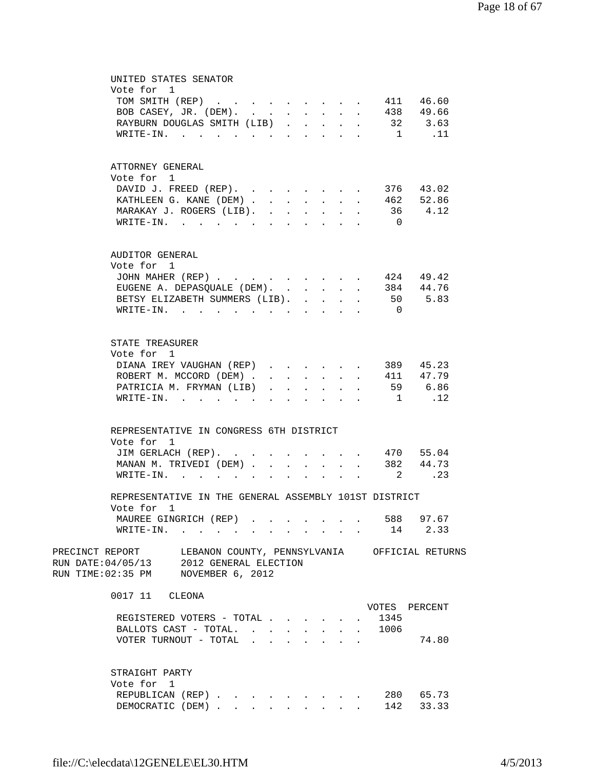| UNITED STATES SENATOR                                                                                       |                   |                           |                      |                                                |                      |                               |                |                        |  |
|-------------------------------------------------------------------------------------------------------------|-------------------|---------------------------|----------------------|------------------------------------------------|----------------------|-------------------------------|----------------|------------------------|--|
| Vote for 1                                                                                                  |                   |                           |                      |                                                |                      |                               |                |                        |  |
| TOM SMITH (REP)                                                                                             |                   |                           |                      |                                                |                      |                               |                | 411 46.60              |  |
| BOB CASEY, JR. (DEM). 438 49.66                                                                             |                   |                           |                      |                                                |                      |                               |                |                        |  |
| RAYBURN DOUGLAS SMITH (LIB)                                                                                 |                   | $\mathbf{L}^{\text{max}}$ | $\mathbf{L}$         | $\ddot{\phantom{a}}$                           | $\sim$ $\sim$        | $\ddot{\phantom{a}}$          |                | 32 3.63                |  |
| $\texttt{WRTTE-IN.}$                                                                                        |                   |                           |                      | $\mathbf{r}$ , and $\mathbf{r}$                |                      |                               |                | .11<br>$\mathbf{1}$    |  |
| ATTORNEY GENERAL                                                                                            |                   |                           |                      |                                                |                      |                               |                |                        |  |
| Vote for 1                                                                                                  |                   |                           |                      |                                                |                      |                               |                |                        |  |
| DAVID J. FREED (REP). 376 43.02                                                                             |                   |                           |                      |                                                |                      |                               |                |                        |  |
| KATHLEEN G. KANE (DEM) 462 52.86                                                                            |                   |                           |                      |                                                |                      |                               |                |                        |  |
| MARAKAY J. ROGERS (LIB).                                                                                    |                   |                           |                      |                                                |                      |                               |                | 36 4.12                |  |
| WRITE-IN.                                                                                                   |                   |                           |                      | and a strategic                                |                      |                               | $\bigcap$      |                        |  |
| AUDITOR GENERAL                                                                                             |                   |                           |                      |                                                |                      |                               |                |                        |  |
| Vote for 1                                                                                                  |                   |                           |                      |                                                |                      |                               |                |                        |  |
| JOHN MAHER (REP) 424 49.42                                                                                  |                   |                           |                      |                                                |                      |                               |                |                        |  |
| EUGENE A. DEPASOUALE (DEM). 384 44.76                                                                       |                   |                           |                      |                                                |                      |                               |                |                        |  |
| BETSY ELIZABETH SUMMERS (LIB).                                                                              |                   |                           |                      |                                                |                      |                               |                | 50 5.83                |  |
| WRITE-IN.                                                                                                   |                   |                           |                      |                                                |                      |                               | $\overline{0}$ |                        |  |
|                                                                                                             |                   |                           |                      |                                                |                      |                               |                |                        |  |
| STATE TREASURER                                                                                             |                   |                           |                      |                                                |                      |                               |                |                        |  |
| Vote for 1                                                                                                  |                   |                           |                      |                                                |                      |                               |                |                        |  |
| DIANA IREY VAUGHAN (REP)                                                                                    |                   |                           |                      |                                                |                      |                               |                | 389 45.23<br>411 47.79 |  |
| ROBERT M. MCCORD (DEM)                                                                                      |                   |                           |                      |                                                |                      |                               |                | 59 6.86                |  |
| PATRICIA M. FRYMAN (LIB)<br>$\texttt{WRTTE-IN.}$                                                            |                   |                           |                      | $\mathbf{r}$ and $\mathbf{r}$ and $\mathbf{r}$ |                      |                               |                | 1.12                   |  |
|                                                                                                             |                   | $\overline{a}$            | $\ddot{\phantom{a}}$ |                                                | <b>Allen Artists</b> |                               |                |                        |  |
| REPRESENTATIVE IN CONGRESS 6TH DISTRICT                                                                     |                   |                           |                      |                                                |                      |                               |                |                        |  |
| Vote for 1                                                                                                  |                   |                           |                      |                                                |                      |                               |                |                        |  |
| JIM GERLACH (REP).                                                                                          | $\sim$ 100 $\pm$  | $\sim$                    | $\sim$               | $\sim$                                         |                      | $\mathbf{r}$ and $\mathbf{r}$ |                | 470 55.04              |  |
| MANAN M. TRIVEDI (DEM)                                                                                      |                   |                           | $\mathbf{r}$         | $\mathbf{L}$                                   | $\sim$               |                               |                | 382 44.73              |  |
| WRITE-IN.                                                                                                   | $\sim$ 100 $\sim$ | $\mathbf{r}$              |                      |                                                |                      |                               |                | 2 .23                  |  |
| REPRESENTATIVE IN THE GENERAL ASSEMBLY 101ST DISTRICT                                                       |                   |                           |                      |                                                |                      |                               |                |                        |  |
| Vote for 1                                                                                                  |                   |                           |                      |                                                |                      |                               |                |                        |  |
| MAUREE GINGRICH (REP)<br>WRITE-IN. 14 2.33                                                                  |                   |                           |                      |                                                |                      |                               |                | 588 97.67              |  |
|                                                                                                             |                   |                           |                      |                                                |                      |                               |                |                        |  |
| PRECINCT REPORT LEBANON COUNTY, PENNSYLVANIA OFFICIAL RETURNS<br>RUN DATE: $04/05/13$ 2012 GENERAL ELECTION |                   |                           |                      |                                                |                      |                               |                |                        |  |
| RUN TIME:02:35 PM NOVEMBER 6, 2012                                                                          |                   |                           |                      |                                                |                      |                               |                |                        |  |
| 0017 11 CLEONA                                                                                              |                   |                           |                      |                                                |                      |                               |                |                        |  |
|                                                                                                             |                   |                           |                      |                                                |                      |                               |                | VOTES PERCENT          |  |
| REGISTERED VOTERS - TOTAL 1345                                                                              |                   |                           |                      |                                                |                      |                               |                |                        |  |
| BALLOTS CAST - TOTAL. 1006                                                                                  |                   |                           |                      |                                                |                      |                               |                |                        |  |
| VOTER TURNOUT - TOTAL                                                                                       |                   |                           |                      |                                                |                      |                               |                | 74.80                  |  |
| STRAIGHT PARTY                                                                                              |                   |                           |                      |                                                |                      |                               |                |                        |  |
| Vote for 1                                                                                                  |                   |                           |                      |                                                |                      |                               |                |                        |  |
| REPUBLICAN (REP) 280 65.73                                                                                  |                   |                           |                      |                                                |                      |                               |                |                        |  |
| DEMOCRATIC (DEM)                                                                                            |                   |                           |                      |                                                |                      |                               |                | 142 33.33              |  |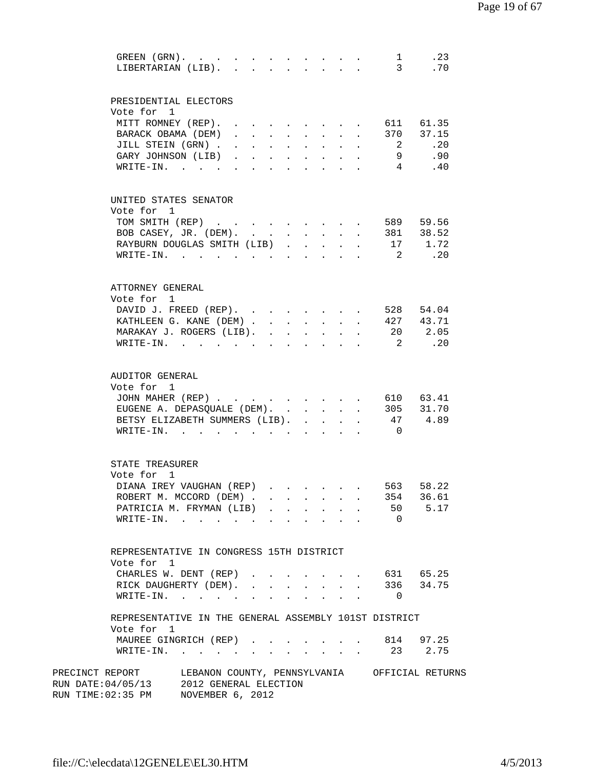|                                                                                | .23<br>GREEN $(GRN)$ .<br>$\mathbf{1}$<br>$\mathbf{3}$<br>LIBERTARIAN (LIB).<br>$\mathbf{L}$<br><b>Contract Contract Contract</b><br>$\sim$                                                                                                                                                                                                                                                                                                                                                                                                                                                            | .70 |
|--------------------------------------------------------------------------------|--------------------------------------------------------------------------------------------------------------------------------------------------------------------------------------------------------------------------------------------------------------------------------------------------------------------------------------------------------------------------------------------------------------------------------------------------------------------------------------------------------------------------------------------------------------------------------------------------------|-----|
| PRESIDENTIAL ELECTORS<br>Vote for 1<br>BARACK OBAMA (DEM)<br>JILL STEIN (GRN). | MITT ROMNEY (REP). .<br>611 61.35<br>$\mathbf{r}$ , $\mathbf{r}$ , $\mathbf{r}$ , $\mathbf{r}$<br>370<br>37.15<br>$\mathbf{1}$ $\mathbf{1}$ $\mathbf{1}$ $\mathbf{1}$ $\mathbf{1}$ $\mathbf{1}$ $\mathbf{1}$<br>$\sim$ 100 $\pm$<br>$\mathbf{r} = \mathbf{r} + \mathbf{r} + \mathbf{r} + \mathbf{r}$<br>$\overline{a}$<br>.20<br>$\sim$ 100 $\pm$<br>$\mathbf{r}$<br>$\mathbf{L}^{\text{max}}$<br>$\cdot$ $\cdot$ $\cdot$<br>$\mathbf{L}$<br>GARY JOHNSON (LIB)<br>9<br>.90<br>$\ddot{\phantom{0}}$<br>$\mathbf{L}$<br>$\ddot{\phantom{a}}$<br>$\ddot{\phantom{0}}$                                    |     |
| UNITED STATES SENATOR<br>Vote for 1                                            | $\texttt{WRTTE-IN.}$<br>4<br>$\mathbf{L}$<br>$\mathbf{A}$<br>$\sim$<br>$\ddot{\phantom{a}}$<br>$\mathbf{r}$<br>589 59.56<br>TOM SMITH (REP)                                                                                                                                                                                                                                                                                                                                                                                                                                                            | .40 |
|                                                                                | 38.52<br>BOB CASEY, JR. (DEM).<br>381<br>$\ddot{\phantom{a}}$<br>1.72<br>RAYBURN DOUGLAS SMITH (LIB)<br>17<br>$\sim$<br>$\mathbf{L}$<br>$\sim$<br>.20<br>$\overline{2}$<br>$W\text{RITE}-\text{IN}.$<br>$\mathbf{A}$ and $\mathbf{A}$ and $\mathbf{A}$<br>$\sim$                                                                                                                                                                                                                                                                                                                                       |     |
| ATTORNEY GENERAL<br>Vote for 1<br>WRITE-IN.                                    | DAVID J. FREED (REP).<br>528<br>54.04<br>KATHLEEN G. KANE (DEM)<br>427<br>43.71<br>$\mathbf{r}$ , $\mathbf{r}$ , $\mathbf{r}$ , $\mathbf{r}$<br>$\ddot{\phantom{a}}$<br>MARAKAY J. ROGERS (LIB). .<br>2.05<br>20<br>$\overline{2}$<br>.20<br>$\mathbf{r}$ , $\mathbf{r}$ , $\mathbf{r}$ , $\mathbf{r}$<br>$\sim$                                                                                                                                                                                                                                                                                       |     |
| AUDITOR GENERAL<br>Vote for 1                                                  | JOHN MAHER (REP) 610 63.41<br>EUGENE A. DEPASQUALE (DEM).<br>31.70<br>305<br>$\ddot{\phantom{a}}$<br>47<br>4.89<br>BETSY ELIZABETH SUMMERS (LIB).<br>$W$ RITE-IN., $\cdot$ , $\cdot$<br>$\Omega$<br>the contract of the contract of the                                                                                                                                                                                                                                                                                                                                                                |     |
| STATE TREASURER<br>Vote for 1                                                  | DIANA IREY VAUGHAN (REP)<br>563<br>58.22<br>the contract of the contract of the contract of the contract of the contract of the contract of the contract of<br>354 36.61<br>ROBERT M. MCCORD (DEM)<br>50 5.17<br>PATRICIA M. FRYMAN (LIB)<br>$\mathbf{r} = \left\{ \begin{array}{ccc} 1 & \mathbf{r} & \mathbf{r} & \mathbf{r} & \mathbf{r} & \mathbf{r} & \mathbf{r} \\ \mathbf{r} & \mathbf{r} & \mathbf{r} & \mathbf{r} & \mathbf{r} & \mathbf{r} & \mathbf{r} \end{array} \right.$<br>$\overline{0}$<br>WRITE-IN.<br>$\mathbf{r} = \mathbf{r} + \mathbf{r} + \mathbf{r} + \mathbf{r} + \mathbf{r}$ |     |
| Vote for 1<br>WRITE-IN.                                                        | REPRESENTATIVE IN CONGRESS 15TH DISTRICT<br>CHARLES W. DENT (REP)<br>. 631 65.25<br>336 34.75<br>RICK DAUGHERTY (DEM).<br>$\Omega$<br>the contract of the contract of the contract of the                                                                                                                                                                                                                                                                                                                                                                                                              |     |
| Vote for 1                                                                     | REPRESENTATIVE IN THE GENERAL ASSEMBLY 101ST DISTRICT<br>814 97.25<br>MAUREE GINGRICH (REP)<br>$\mathbf{r} = \mathbf{r}$<br>23 2.75<br>$\texttt{WRTTE-IN.}$                                                                                                                                                                                                                                                                                                                                                                                                                                            |     |
| PRECINCT REPORT<br>RUN TIME: 02:35 PM NOVEMBER 6, 2012                         | LEBANON COUNTY, PENNSYLVANIA OFFICIAL RETURNS<br>RUN DATE: 04/05/13 2012 GENERAL ELECTION                                                                                                                                                                                                                                                                                                                                                                                                                                                                                                              |     |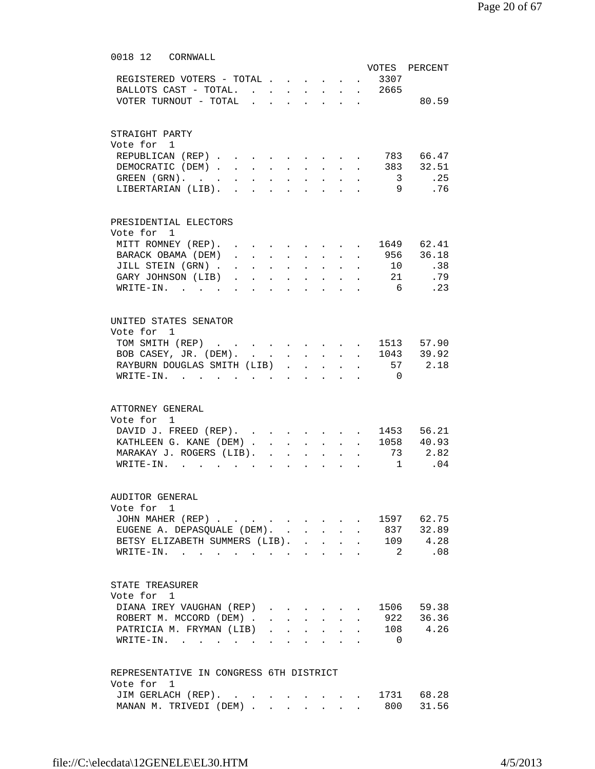| 0018 12 CORNWALL                                                                                                                                                             |          |
|------------------------------------------------------------------------------------------------------------------------------------------------------------------------------|----------|
| VOTES PERCENT                                                                                                                                                                |          |
| . 3307<br>REGISTERED VOTERS - TOTAL<br>$\sim$ $\sim$                                                                                                                         |          |
| BALLOTS CAST - TOTAL.<br>. 2665<br>$\mathbf{L}$                                                                                                                              |          |
|                                                                                                                                                                              | 80.59    |
| VOTER TURNOUT - TOTAL                                                                                                                                                        |          |
|                                                                                                                                                                              |          |
| STRAIGHT PARTY                                                                                                                                                               |          |
| Vote for 1                                                                                                                                                                   |          |
| REPUBLICAN (REP)<br>783 66.47                                                                                                                                                |          |
| . 383 32.51                                                                                                                                                                  |          |
| DEMOCRATIC (DEM).<br>$\mathbf{L}$<br>$\sim 100$<br>$\ddot{\phantom{0}}$<br>$\ddot{\phantom{0}}$<br>$\ddot{\phantom{a}}$                                                      |          |
| $\overline{3}$<br>GREEN (GRN).<br>$\ddot{\phantom{a}}$<br>$\ddot{\phantom{a}}$<br>$\ddot{\phantom{0}}$                                                                       | .25      |
| 9<br>LIBERTARIAN (LIB).                                                                                                                                                      | .76      |
|                                                                                                                                                                              |          |
| PRESIDENTIAL ELECTORS                                                                                                                                                        |          |
| Vote for 1                                                                                                                                                                   |          |
| $1649$ $62.41$<br>MITT ROMNEY (REP).                                                                                                                                         |          |
|                                                                                                                                                                              |          |
| . 956 36.18<br>BARACK OBAMA (DEM)<br>$\mathbf{L}$<br>$\mathbf{L}$<br>$\mathbf{L}$<br>$\mathcal{L}^{\text{max}}$<br>$\mathbf{L}$                                              |          |
| 10<br>JILL STEIN (GRN).<br>$\ddot{\phantom{0}}$<br>$\blacksquare$<br>$\ddot{\phantom{0}}$<br>$\ddot{\phantom{0}}$                                                            | .38      |
| GARY JOHNSON (LIB)<br>21<br>$\ddot{\phantom{a}}$<br>$\ddot{\phantom{a}}$                                                                                                     | .79      |
| $6\overline{6}$<br>$W\text{RITE-IN.}$<br>$\sim$ $\sim$                                                                                                                       | .23      |
|                                                                                                                                                                              |          |
|                                                                                                                                                                              |          |
| UNITED STATES SENATOR                                                                                                                                                        |          |
| Vote for 1                                                                                                                                                                   |          |
| TOM SMITH (REP)<br>$\cdot$ $\cdot$ 1513 57.90<br>and the state of the state of the                                                                                           |          |
| BOB CASEY, JR. (DEM).<br>. 1043 39.92<br>$\mathbf{L}^{\text{max}}$ , and $\mathbf{L}^{\text{max}}$<br>$\mathbf{L}$<br>$\mathbf{L}$                                           |          |
| 57 2.18<br>RAYBURN DOUGLAS SMITH (LIB)                                                                                                                                       |          |
| $\ddot{\phantom{a}}$<br>$\ddot{\phantom{a}}$                                                                                                                                 |          |
| $\verb+WRITE-IN.$<br>$\overline{0}$                                                                                                                                          |          |
|                                                                                                                                                                              |          |
| ATTORNEY GENERAL                                                                                                                                                             |          |
| Vote for 1                                                                                                                                                                   |          |
| DAVID J. FREED (REP). 1453 56.21                                                                                                                                             |          |
|                                                                                                                                                                              |          |
| KATHLEEN G. KANE (DEM).<br>$\,.\quad.\quad 1058\quad 40.93$<br>$\mathbf{L}$<br>$\mathbf{L} = \mathbf{L} \mathbf{L}$<br>$\mathbf{L}$                                          |          |
| MARAKAY J. ROGERS (LIB).<br>. 73 2.82<br>$\ddot{\phantom{a}}$<br>$\mathcal{L}^{\text{max}}$<br>$\ddot{\phantom{a}}$<br>$\ddot{\phantom{a}}$<br>$\ddot{\phantom{a}}$          |          |
| $\overline{1}$<br>$\texttt{WRTTE-IN.}$                                                                                                                                       | $\ldots$ |
|                                                                                                                                                                              |          |
| AUDITOR GENERAL                                                                                                                                                              |          |
| Vote for 1                                                                                                                                                                   |          |
| 1597 62.75<br>JOHN MAHER (REP)                                                                                                                                               |          |
|                                                                                                                                                                              |          |
| 837 32.89<br>EUGENE A. DEPASQUALE (DEM).                                                                                                                                     |          |
| 109 4.28<br>BETSY ELIZABETH SUMMERS (LIB).<br>$\mathbf{r} = \mathbf{r}$<br>$\mathbf{A}$                                                                                      |          |
| $\mathbf{2}$<br>WRITE-IN.<br>the contract of the contract of the contract of the contract of the contract of the contract of the contract of<br>$\mathbf{L}$<br>$\mathbf{r}$ | .08      |
|                                                                                                                                                                              |          |
| STATE TREASURER                                                                                                                                                              |          |
| Vote for 1                                                                                                                                                                   |          |
|                                                                                                                                                                              |          |
| 1506 59.38<br>DIANA IREY VAUGHAN (REP)                                                                                                                                       |          |
| 922 36.36<br>ROBERT M. MCCORD (DEM).<br>$\mathbf{r} = \mathbf{r}$<br>$\mathbf{L}^{\text{max}}$<br>$\mathbf{L}$<br>$\mathcal{L}^{\text{max}}$<br>$\mathbf{r}$                 |          |
| PATRICIA M. FRYMAN (LIB)<br>108 4.26<br>$\mathbf{L}$                                                                                                                         |          |
| WRITE-IN.<br>$\mathbf{0}$                                                                                                                                                    |          |
| $\cdot$ $\cdot$<br>$\sim 100$                                                                                                                                                |          |
|                                                                                                                                                                              |          |
| REPRESENTATIVE IN CONGRESS 6TH DISTRICT                                                                                                                                      |          |
| Vote for 1                                                                                                                                                                   |          |
| 1731 68.28<br>JIM GERLACH (REP). .<br>$\sim$<br>$\ddot{\phantom{0}}$<br>$\mathbf{r} = \mathbf{r} + \mathbf{r}$                                                               |          |
| 800 31.56<br>MANAN M. TRIVEDI (DEM)<br>$\mathbf{r}$ and $\mathbf{r}$ and $\mathbf{r}$                                                                                        |          |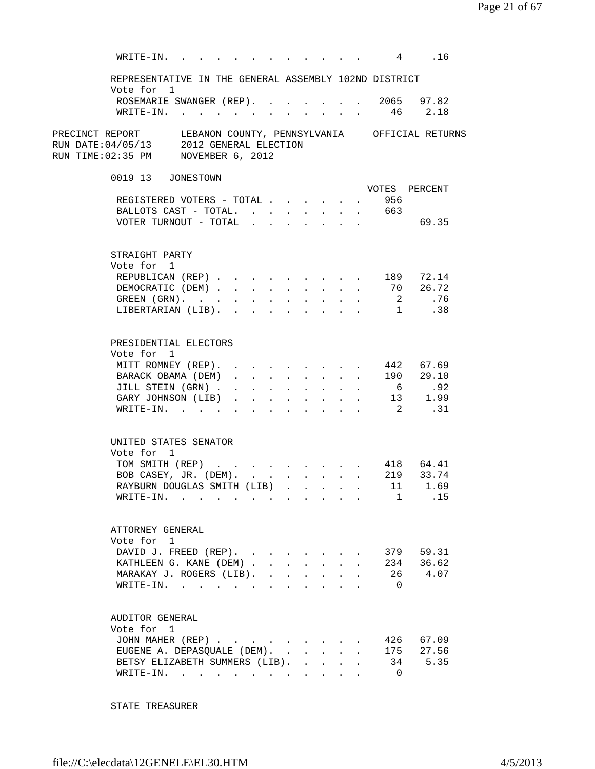| WRITE-IN.                                                                     | the contract of the contract of the contract of the contract of the contract of the contract of the contract of |                                                                                                                                                                                                                                |                                                                 |              |                                                    |              |              |                | 4.16              |  |
|-------------------------------------------------------------------------------|-----------------------------------------------------------------------------------------------------------------|--------------------------------------------------------------------------------------------------------------------------------------------------------------------------------------------------------------------------------|-----------------------------------------------------------------|--------------|----------------------------------------------------|--------------|--------------|----------------|-------------------|--|
| REPRESENTATIVE IN THE GENERAL ASSEMBLY 102ND DISTRICT                         |                                                                                                                 |                                                                                                                                                                                                                                |                                                                 |              |                                                    |              |              |                |                   |  |
| Vote for 1                                                                    |                                                                                                                 |                                                                                                                                                                                                                                |                                                                 |              |                                                    |              |              |                |                   |  |
| ROSEMARIE SWANGER (REP). 2065 97.82<br>$\verb+WRTTE-IN.$                      |                                                                                                                 |                                                                                                                                                                                                                                |                                                                 |              | $\mathbf{r}$ , and $\mathbf{r}$ , and $\mathbf{r}$ |              |              |                | 46 2.18           |  |
|                                                                               |                                                                                                                 |                                                                                                                                                                                                                                |                                                                 |              |                                                    |              |              |                |                   |  |
| PRECINCT REPORT LEBANON COUNTY, PENNSYLVANIA OFFICIAL RETURNS                 |                                                                                                                 |                                                                                                                                                                                                                                |                                                                 |              |                                                    |              |              |                |                   |  |
| RUN DATE:04/05/13 2012 GENERAL ELECTION<br>RUN TIME:02:35 PM NOVEMBER 6, 2012 |                                                                                                                 |                                                                                                                                                                                                                                |                                                                 |              |                                                    |              |              |                |                   |  |
|                                                                               |                                                                                                                 |                                                                                                                                                                                                                                |                                                                 |              |                                                    |              |              |                |                   |  |
| 0019 13 JONESTOWN                                                             |                                                                                                                 |                                                                                                                                                                                                                                |                                                                 |              |                                                    |              |              |                |                   |  |
|                                                                               |                                                                                                                 |                                                                                                                                                                                                                                |                                                                 |              |                                                    |              |              |                | VOTES PERCENT     |  |
| REGISTERED VOTERS - TOTAL                                                     |                                                                                                                 |                                                                                                                                                                                                                                |                                                                 |              |                                                    |              |              | 956            |                   |  |
| BALLOTS CAST - TOTAL. 663                                                     |                                                                                                                 |                                                                                                                                                                                                                                |                                                                 |              |                                                    |              |              |                |                   |  |
| VOTER TURNOUT - TOTAL                                                         |                                                                                                                 |                                                                                                                                                                                                                                |                                                                 |              | $\mathbf{r}$ , and $\mathbf{r}$ , and $\mathbf{r}$ |              |              |                | 69.35             |  |
| STRAIGHT PARTY                                                                |                                                                                                                 |                                                                                                                                                                                                                                |                                                                 |              |                                                    |              |              |                |                   |  |
| Vote for 1                                                                    |                                                                                                                 |                                                                                                                                                                                                                                |                                                                 |              |                                                    |              |              |                |                   |  |
| REPUBLICAN (REP) 189 72.14                                                    |                                                                                                                 |                                                                                                                                                                                                                                |                                                                 |              |                                                    |              |              |                |                   |  |
| DEMOCRATIC (DEM) 70 26.72                                                     |                                                                                                                 |                                                                                                                                                                                                                                |                                                                 |              |                                                    |              |              |                |                   |  |
| GREEN $(GRN)$ .                                                               |                                                                                                                 |                                                                                                                                                                                                                                |                                                                 |              |                                                    |              |              |                | 2 .76             |  |
| LIBERTARIAN (LIB).                                                            |                                                                                                                 |                                                                                                                                                                                                                                |                                                                 |              |                                                    |              |              | 1              | .38               |  |
|                                                                               |                                                                                                                 |                                                                                                                                                                                                                                |                                                                 |              |                                                    |              |              |                |                   |  |
| PRESIDENTIAL ELECTORS                                                         |                                                                                                                 |                                                                                                                                                                                                                                |                                                                 |              |                                                    |              |              |                |                   |  |
| Vote for 1                                                                    |                                                                                                                 |                                                                                                                                                                                                                                |                                                                 |              |                                                    |              |              |                |                   |  |
| MITT ROMNEY (REP). 442 67.69                                                  |                                                                                                                 |                                                                                                                                                                                                                                |                                                                 |              |                                                    |              |              |                |                   |  |
| BARACK OBAMA (DEM)                                                            |                                                                                                                 |                                                                                                                                                                                                                                |                                                                 |              |                                                    |              |              |                | $\cdot$ 190 29.10 |  |
| JILL STEIN (GRN).                                                             |                                                                                                                 | and a series of the contract of the series of the series of the series of the series of the series of the series of the series of the series of the series of the series of the series of the series of the series of the seri |                                                                 |              |                                                    |              |              |                | 6 .92             |  |
| GARY JOHNSON (LIB)                                                            |                                                                                                                 |                                                                                                                                                                                                                                |                                                                 |              | $\cdot$ $\cdot$ $\cdot$ $\cdot$ $\cdot$ $\cdot$    |              |              |                | 13 1.99           |  |
| WRITE-IN.                                                                     |                                                                                                                 |                                                                                                                                                                                                                                |                                                                 |              |                                                    |              |              |                | 2 .31             |  |
| UNITED STATES SENATOR                                                         |                                                                                                                 |                                                                                                                                                                                                                                |                                                                 |              |                                                    |              |              |                |                   |  |
| Vote for 1                                                                    |                                                                                                                 |                                                                                                                                                                                                                                |                                                                 |              |                                                    |              |              |                |                   |  |
| TOM SMITH (REP) 418 64.41                                                     |                                                                                                                 |                                                                                                                                                                                                                                |                                                                 |              |                                                    |              |              |                |                   |  |
| BOB CASEY, JR. (DEM). 219 33.74                                               |                                                                                                                 |                                                                                                                                                                                                                                |                                                                 |              |                                                    |              |              |                |                   |  |
| RAYBURN DOUGLAS SMITH (LIB)                                                   |                                                                                                                 |                                                                                                                                                                                                                                |                                                                 |              |                                                    |              |              | 11             | 1.69              |  |
| WRITE-IN.                                                                     |                                                                                                                 |                                                                                                                                                                                                                                |                                                                 |              |                                                    |              |              | $\mathbf{1}$   | .15               |  |
|                                                                               |                                                                                                                 |                                                                                                                                                                                                                                |                                                                 |              |                                                    |              |              |                |                   |  |
| ATTORNEY GENERAL                                                              |                                                                                                                 |                                                                                                                                                                                                                                |                                                                 |              |                                                    |              |              |                |                   |  |
| Vote for 1                                                                    |                                                                                                                 |                                                                                                                                                                                                                                |                                                                 |              |                                                    |              |              |                |                   |  |
| DAVID J. FREED (REP).                                                         |                                                                                                                 |                                                                                                                                                                                                                                |                                                                 |              |                                                    |              |              |                | 379 59.31         |  |
| KATHLEEN G. KANE (DEM).                                                       |                                                                                                                 |                                                                                                                                                                                                                                |                                                                 |              |                                                    |              | $\mathbf{L}$ | 234            | 36.62             |  |
| MARAKAY J. ROGERS (LIB). .                                                    |                                                                                                                 |                                                                                                                                                                                                                                | $\mathbf{L}^{\text{max}}$                                       | $\mathbf{L}$ | $\sim$ 100 $\pm$                                   | $\mathbf{L}$ |              |                | 26 4.07           |  |
| $\texttt{WRITE-IN.}$                                                          |                                                                                                                 |                                                                                                                                                                                                                                | $\bullet$ .<br><br><br><br><br><br><br><br><br><br><br><br><br> |              |                                                    |              |              | $\overline{0}$ |                   |  |
|                                                                               |                                                                                                                 |                                                                                                                                                                                                                                |                                                                 |              |                                                    |              |              |                |                   |  |
| AUDITOR GENERAL<br>Vote for 1                                                 |                                                                                                                 |                                                                                                                                                                                                                                |                                                                 |              |                                                    |              |              |                |                   |  |
| JOHN MAHER (REP)                                                              |                                                                                                                 |                                                                                                                                                                                                                                |                                                                 |              |                                                    |              |              |                | 426 67.09         |  |
| EUGENE A. DEPASQUALE (DEM).                                                   |                                                                                                                 |                                                                                                                                                                                                                                |                                                                 |              |                                                    |              |              |                | 175 27.56         |  |
| BETSY ELIZABETH SUMMERS (LIB).                                                |                                                                                                                 |                                                                                                                                                                                                                                |                                                                 |              |                                                    |              |              |                | 34 5.35           |  |
| WRITE-IN.                                                                     |                                                                                                                 |                                                                                                                                                                                                                                |                                                                 |              |                                                    |              |              | $\overline{0}$ |                   |  |

STATE TREASURER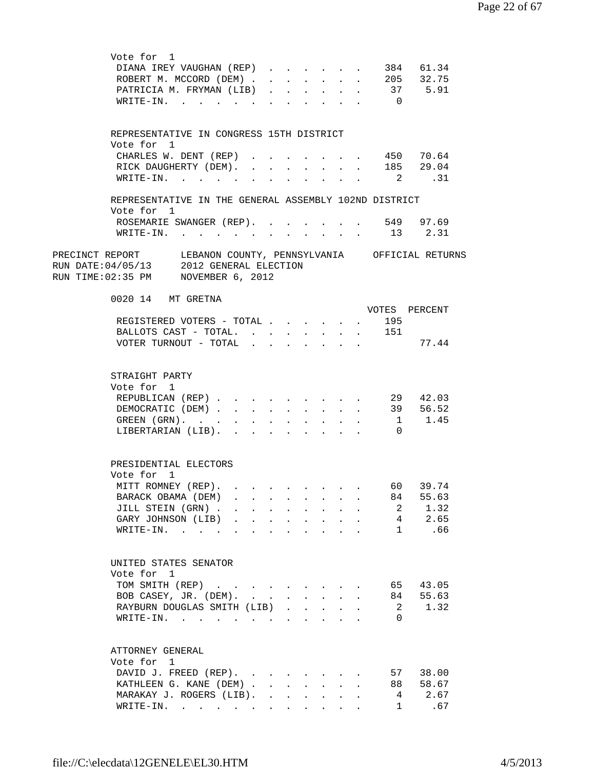| Vote for 1<br>DIANA IREY VAUGHAN (REP)<br>ROBERT M. MCCORD (DEM).                                                                              |  |              | $\mathbf{L} = \mathbf{L}$                                                   | $\mathbf{L}^{\text{max}}$     | $\mathcal{L}^{\text{max}}$ | $\sim$ $\sim$ | $\mathbf{L}$                                                     |                | 384 61.34<br>205 32.75 |  |
|------------------------------------------------------------------------------------------------------------------------------------------------|--|--------------|-----------------------------------------------------------------------------|-------------------------------|----------------------------|---------------|------------------------------------------------------------------|----------------|------------------------|--|
| PATRICIA M. FRYMAN (LIB)<br>WRITE-IN.                                                                                                          |  |              |                                                                             |                               | $\mathbf{L}$               |               |                                                                  | $\overline{0}$ | 37 5.91                |  |
| REPRESENTATIVE IN CONGRESS 15TH DISTRICT<br>Vote for 1                                                                                         |  |              |                                                                             |                               |                            |               |                                                                  |                |                        |  |
| CHARLES W. DENT (REP)                                                                                                                          |  |              |                                                                             |                               |                            |               |                                                                  |                | 450 70.64              |  |
| RICK DAUGHERTY (DEM). .                                                                                                                        |  | $\mathbf{r}$ |                                                                             |                               |                            |               |                                                                  | 185            | 29.04                  |  |
| WRITE-IN.                                                                                                                                      |  |              |                                                                             |                               |                            |               |                                                                  |                | 2 .31                  |  |
| REPRESENTATIVE IN THE GENERAL ASSEMBLY 102ND DISTRICT<br>Vote for 1                                                                            |  |              |                                                                             |                               |                            |               |                                                                  |                |                        |  |
| ROSEMARIE SWANGER (REP). 549 97.69                                                                                                             |  |              |                                                                             |                               |                            |               |                                                                  |                |                        |  |
| WRITE-IN. 13 2.31                                                                                                                              |  |              |                                                                             |                               |                            |               |                                                                  |                |                        |  |
| PRECINCT REPORT LEBANON COUNTY, PENNSYLVANIA OFFICIAL RETURNS<br>RUN DATE:04/05/13 2012 GENERAL ELECTION<br>RUN TIME:02:35 PM NOVEMBER 6, 2012 |  |              |                                                                             |                               |                            |               |                                                                  |                |                        |  |
| 0020 14 MT GRETNA                                                                                                                              |  |              |                                                                             |                               |                            |               |                                                                  |                |                        |  |
| REGISTERED VOTERS - TOTAL 195                                                                                                                  |  |              |                                                                             |                               |                            |               |                                                                  |                | VOTES PERCENT          |  |
| BALLOTS CAST - TOTAL. 151                                                                                                                      |  |              |                                                                             |                               |                            |               |                                                                  |                |                        |  |
| VOTER TURNOUT - TOTAL $\cdot \cdot \cdot \cdot \cdot \cdot$                                                                                    |  |              |                                                                             |                               |                            |               |                                                                  |                | 77.44                  |  |
| STRAIGHT PARTY                                                                                                                                 |  |              |                                                                             |                               |                            |               |                                                                  |                |                        |  |
| Vote for 1                                                                                                                                     |  |              |                                                                             |                               |                            |               |                                                                  |                |                        |  |
| REPUBLICAN (REP)<br>DEMOCRATIC (DEM)                                                                                                           |  |              |                                                                             |                               |                            |               |                                                                  |                | 29 42.03<br>39 56.52   |  |
| GREEN (GRN).                                                                                                                                   |  |              | $\mathbf{L}$<br>$\bullet$ .<br><br><br><br><br><br><br><br><br><br><br><br> | $\mathbf{a}$ and $\mathbf{a}$ | $\sim 10^{-10}$            | $\sim$        | $\mathbf{r} = \mathbf{r} + \mathbf{r} + \mathbf{r} + \mathbf{r}$ |                | 1 1.45                 |  |
| LIBERTARIAN (LIB).                                                                                                                             |  |              | $\sim$                                                                      |                               | <b>All Card Control</b>    |               |                                                                  | $\Omega$       |                        |  |
| PRESIDENTIAL ELECTORS                                                                                                                          |  |              |                                                                             |                               |                            |               |                                                                  |                |                        |  |
| Vote for 1                                                                                                                                     |  |              |                                                                             |                               |                            |               |                                                                  |                |                        |  |
| MITT ROMNEY (REP).<br>BARACK OBAMA (DEM)                                                                                                       |  |              |                                                                             |                               |                            |               |                                                                  | 84             | 60 39.74<br>55.63      |  |
| JILL STEIN (GRN).                                                                                                                              |  |              |                                                                             |                               |                            |               |                                                                  |                | 2 1.32                 |  |
| GARY JOHNSON (LIB)                                                                                                                             |  |              |                                                                             |                               |                            |               |                                                                  |                | 4 2.65                 |  |
| WRITE-IN.                                                                                                                                      |  |              |                                                                             |                               |                            |               |                                                                  |                | 1 .66                  |  |
| UNITED STATES SENATOR                                                                                                                          |  |              |                                                                             |                               |                            |               |                                                                  |                |                        |  |
| Vote for 1<br>TOM SMITH (REP)                                                                                                                  |  |              |                                                                             |                               |                            |               |                                                                  | 65 —           | 43.05                  |  |
| BOB CASEY, JR. (DEM).                                                                                                                          |  |              |                                                                             |                               |                            |               |                                                                  | 84             | 55.63                  |  |
| RAYBURN DOUGLAS SMITH (LIB)                                                                                                                    |  |              |                                                                             |                               |                            |               |                                                                  | $\overline{2}$ | 1.32                   |  |
| WRITE-IN.                                                                                                                                      |  |              |                                                                             |                               |                            |               |                                                                  | $\Omega$       |                        |  |
| ATTORNEY GENERAL                                                                                                                               |  |              |                                                                             |                               |                            |               |                                                                  |                |                        |  |
| Vote for 1                                                                                                                                     |  |              |                                                                             |                               |                            |               |                                                                  |                |                        |  |
| DAVID J. FREED (REP).                                                                                                                          |  |              |                                                                             |                               |                            |               |                                                                  | 57<br>88       | 38.00                  |  |
| KATHLEEN G. KANE (DEM)<br>MARAKAY J. ROGERS (LIB).                                                                                             |  |              |                                                                             |                               |                            |               |                                                                  | $\overline{4}$ | 58.67<br>2.67          |  |
| WRITE-IN.                                                                                                                                      |  |              |                                                                             |                               |                            |               |                                                                  |                | 1 .67                  |  |
|                                                                                                                                                |  |              |                                                                             |                               |                            |               |                                                                  |                |                        |  |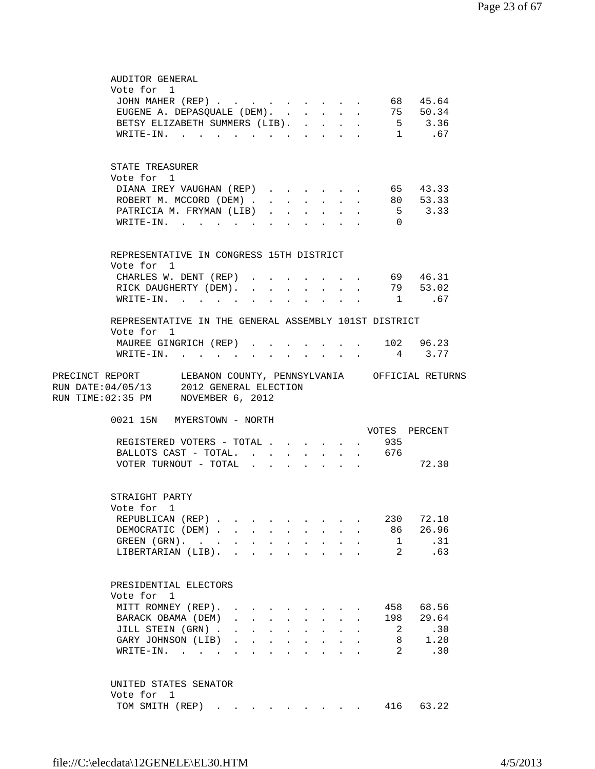| AUDITOR GENERAL                                               |                                              |                                           |                  |                      |                                           |              |                           |                |               |  |
|---------------------------------------------------------------|----------------------------------------------|-------------------------------------------|------------------|----------------------|-------------------------------------------|--------------|---------------------------|----------------|---------------|--|
| Vote for 1                                                    |                                              |                                           |                  |                      |                                           |              |                           |                |               |  |
| JOHN MAHER (REP) 68 45.64                                     |                                              |                                           |                  |                      |                                           |              |                           |                |               |  |
| EUGENE A. DEPASQUALE (DEM). 75 50.34                          |                                              |                                           |                  |                      |                                           |              |                           |                |               |  |
| BETSY ELIZABETH SUMMERS (LIB).                                |                                              |                                           |                  | $\sim$               | $\mathbf{A}$                              | $\mathbf{L}$ | $\mathbf{L}^{\text{max}}$ |                | 5 3.36        |  |
| WRITE-IN.                                                     |                                              |                                           |                  |                      |                                           |              |                           |                | 1 .67         |  |
|                                                               |                                              |                                           |                  |                      |                                           |              |                           |                |               |  |
| STATE TREASURER                                               |                                              |                                           |                  |                      |                                           |              |                           |                |               |  |
| Vote for 1                                                    |                                              |                                           |                  |                      |                                           |              |                           |                |               |  |
| DIANA IREY VAUGHAN (REP) 55 43.33                             |                                              |                                           |                  |                      |                                           |              |                           |                |               |  |
| ROBERT M. MCCORD (DEM) 80 53.33                               |                                              |                                           |                  |                      |                                           |              |                           |                |               |  |
| PATRICIA M. FRYMAN (LIB).                                     |                                              |                                           |                  |                      | and a strong control of the strong strong |              |                           |                | $5 \t3.33$    |  |
| WRITE-IN.                                                     |                                              |                                           |                  |                      |                                           |              |                           | $\Omega$       |               |  |
|                                                               |                                              |                                           |                  |                      |                                           |              |                           |                |               |  |
| REPRESENTATIVE IN CONGRESS 15TH DISTRICT                      |                                              |                                           |                  |                      |                                           |              |                           |                |               |  |
| Vote for 1                                                    |                                              |                                           |                  |                      |                                           |              |                           |                |               |  |
| CHARLES W. DENT (REP) 69 46.31                                |                                              |                                           |                  |                      |                                           |              |                           |                |               |  |
| RICK DAUGHERTY (DEM). 79 53.02                                |                                              |                                           |                  |                      |                                           |              |                           |                |               |  |
| WRITE-IN.                                                     |                                              |                                           |                  |                      |                                           |              |                           |                | 1.67          |  |
| REPRESENTATIVE IN THE GENERAL ASSEMBLY 101ST DISTRICT         |                                              |                                           |                  |                      |                                           |              |                           |                |               |  |
| Vote for 1                                                    |                                              |                                           |                  |                      |                                           |              |                           |                |               |  |
| MAUREE GINGRICH (REP).                                        |                                              |                                           |                  |                      |                                           |              | $\cdot$ $\cdot$ $\cdot$   |                | 102 96.23     |  |
| $W\text{RITE-IN.}$                                            |                                              |                                           |                  |                      |                                           |              |                           |                | 4 3.77        |  |
|                                                               |                                              |                                           |                  |                      |                                           |              |                           |                |               |  |
| PRECINCT REPORT LEBANON COUNTY, PENNSYLVANIA OFFICIAL RETURNS |                                              |                                           |                  |                      |                                           |              |                           |                |               |  |
| RUN DATE: 04/05/13 2012 GENERAL ELECTION                      |                                              |                                           |                  |                      |                                           |              |                           |                |               |  |
| RUN TIME: 02:35 PM NOVEMBER 6, 2012                           |                                              |                                           |                  |                      |                                           |              |                           |                |               |  |
|                                                               |                                              |                                           |                  |                      |                                           |              |                           |                |               |  |
| 0021 15N MYERSTOWN - NORTH                                    |                                              |                                           |                  |                      |                                           |              |                           |                |               |  |
|                                                               |                                              |                                           |                  |                      |                                           |              |                           |                | VOTES PERCENT |  |
| REGISTERED VOTERS - TOTAL                                     |                                              |                                           |                  |                      |                                           |              |                           | 935            |               |  |
| BALLOTS CAST - TOTAL. .                                       |                                              | $\sim$                                    |                  |                      |                                           |              | $\mathbf{L}^{\text{max}}$ | 676            |               |  |
| VOTER TURNOUT - TOTAL                                         | $\mathbf{L}$                                 | $\mathbf{r}$                              |                  |                      |                                           |              |                           |                | 72.30         |  |
|                                                               |                                              |                                           |                  |                      |                                           |              |                           |                |               |  |
| STRAIGHT PARTY                                                |                                              |                                           |                  |                      |                                           |              |                           |                |               |  |
| Vote for 1                                                    |                                              |                                           |                  |                      |                                           |              |                           |                |               |  |
| REPUBLICAN (REP)                                              |                                              |                                           |                  |                      |                                           |              |                           | 230            | 72.10         |  |
| DEMOCRATIC (DEM).                                             | $\sim$<br>$\ddot{\phantom{a}}$               | $\ddot{\phantom{0}}$                      |                  |                      |                                           |              |                           | 86             | 26.96         |  |
| GREEN (GRN).                                                  | $\ddot{\phantom{a}}$<br>$\ddot{\phantom{a}}$ |                                           |                  |                      |                                           |              |                           | 1              | .31           |  |
| LIBERTARIAN (LIB). .                                          | $\sim$                                       |                                           |                  |                      |                                           |              |                           | $2^{\circ}$    | .63           |  |
|                                                               |                                              |                                           |                  |                      |                                           |              |                           |                |               |  |
| PRESIDENTIAL ELECTORS                                         |                                              |                                           |                  |                      |                                           |              |                           |                |               |  |
| Vote for<br>$\overline{1}$                                    |                                              |                                           |                  |                      |                                           |              |                           |                |               |  |
| MITT ROMNEY (REP).                                            |                                              |                                           |                  |                      |                                           |              |                           | 458            | 68.56         |  |
| BARACK OBAMA (DEM)                                            | $\ddot{\phantom{a}}$                         | $\mathbf{A}$<br>$\mathbf{L}^{\text{max}}$ | $\sim$ 100 $\pm$ | $\ddot{\phantom{a}}$ | $\mathbf{L}^{\text{max}}$                 |              |                           | 198            | 29.64         |  |
| JILL STEIN (GRN).                                             | $\ddot{\phantom{a}}$                         | $\ddot{\phantom{a}}$                      |                  |                      |                                           |              |                           | $\overline{2}$ | .30           |  |
| GARY JOHNSON (LIB)                                            | $\mathbf{r}$                                 |                                           |                  |                      |                                           |              |                           | 8              | 1.20          |  |
| $W\text{RITE}-\text{IN}.$                                     |                                              |                                           |                  |                      |                                           |              |                           | $\mathbf{2}$   | .30           |  |
|                                                               |                                              |                                           |                  |                      |                                           |              |                           |                |               |  |
| UNITED STATES SENATOR                                         |                                              |                                           |                  |                      |                                           |              |                           |                |               |  |
| Vote for 1                                                    |                                              |                                           |                  |                      |                                           |              |                           |                |               |  |
| TOM SMITH (REP)                                               |                                              |                                           |                  |                      |                                           |              |                           | 416            | 63.22         |  |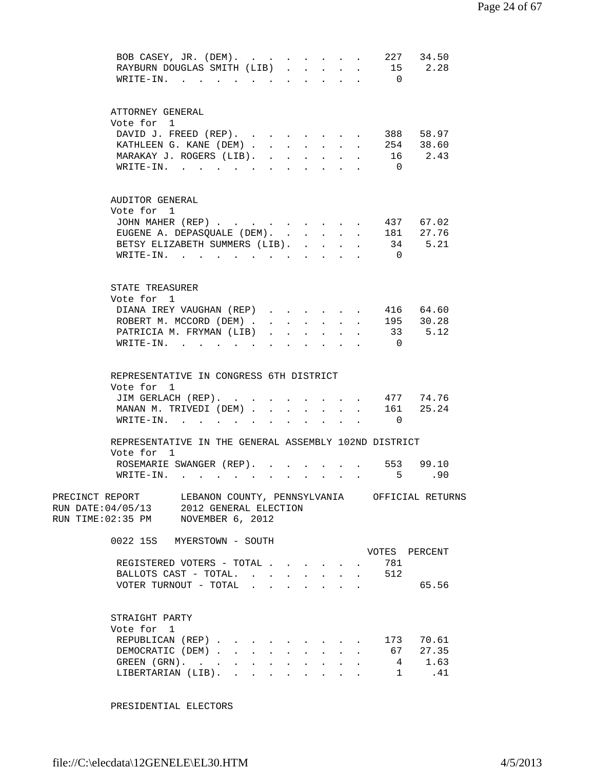|                                                                                                                                                                                                                                                                                     | 34.50<br>227                 |
|-------------------------------------------------------------------------------------------------------------------------------------------------------------------------------------------------------------------------------------------------------------------------------------|------------------------------|
| RAYBURN DOUGLAS SMITH (LIB)<br>$\mathbf{r}$ , and $\mathbf{r}$ , and $\mathbf{r}$                                                                                                                                                                                                   | 15 2.28                      |
| $W\text{RITE}-\text{IN}.$<br>the contract of the contract of the contract of the contract of the contract of the contract of the contract of                                                                                                                                        | $\bigcap$                    |
|                                                                                                                                                                                                                                                                                     |                              |
|                                                                                                                                                                                                                                                                                     |                              |
|                                                                                                                                                                                                                                                                                     |                              |
| ATTORNEY GENERAL                                                                                                                                                                                                                                                                    |                              |
| Vote for 1                                                                                                                                                                                                                                                                          |                              |
| DAVID J. FREED (REP).<br>$\mathbf{r}$ , $\mathbf{r}$ , $\mathbf{r}$ , $\mathbf{r}$                                                                                                                                                                                                  | 388<br>58.97<br>$\mathbf{L}$ |
| KATHLEEN G. KANE (DEM)<br>$\mathbf{r}$<br>$\sim$<br><b>Service</b> State                                                                                                                                                                                                            | 254<br>38.60<br>$\sim$       |
| MARAKAY J. ROGERS (LIB).<br>$\mathbf{r}$ , $\mathbf{r}$ , $\mathbf{r}$                                                                                                                                                                                                              | 16 2.43<br>$\mathbf{L}$      |
| $\texttt{WRTTE-IN.}$                                                                                                                                                                                                                                                                | $\overline{0}$               |
| $\sim$                                                                                                                                                                                                                                                                              |                              |
|                                                                                                                                                                                                                                                                                     |                              |
|                                                                                                                                                                                                                                                                                     |                              |
| AUDITOR GENERAL                                                                                                                                                                                                                                                                     |                              |
| Vote for 1                                                                                                                                                                                                                                                                          |                              |
| JOHN MAHER (REP)                                                                                                                                                                                                                                                                    | 437 67.02                    |
| EUGENE A. DEPASQUALE (DEM).<br>$\mathcal{L}^{\text{max}}$<br>$\mathbf{L}$<br>$\sim$<br>$\mathbf{r}$                                                                                                                                                                                 | 181<br>27.76<br>$\mathbf{A}$ |
|                                                                                                                                                                                                                                                                                     | 34 5.21                      |
| BETSY ELIZABETH SUMMERS (LIB).<br>$\mathbf{L} = \mathbf{L}$<br>$\mathbf{L}$                                                                                                                                                                                                         |                              |
| $WRITE-IN$ .<br>$\sim$ $\sim$ $\sim$ $\sim$ $\sim$<br>$\mathbf{L}^{\text{max}}$<br>$\sim$<br>$\ddot{\phantom{a}}$                                                                                                                                                                   | $\overline{0}$               |
|                                                                                                                                                                                                                                                                                     |                              |
|                                                                                                                                                                                                                                                                                     |                              |
| STATE TREASURER                                                                                                                                                                                                                                                                     |                              |
| Vote for 1                                                                                                                                                                                                                                                                          |                              |
| DIANA IREY VAUGHAN (REP)<br>$\sim$ $\sim$ $\sim$ $\sim$ $\sim$                                                                                                                                                                                                                      | 416 64.60                    |
|                                                                                                                                                                                                                                                                                     |                              |
| ROBERT M. MCCORD (DEM).<br>$\ddot{\phantom{a}}$<br>$\mathbf{L}$<br>$\mathbf{L}$<br>$\ddot{\phantom{0}}$                                                                                                                                                                             | 195<br>30.28                 |
| PATRICIA M. FRYMAN (LIB)                                                                                                                                                                                                                                                            | 5.12<br>33                   |
| $W$ RITE-IN.                                                                                                                                                                                                                                                                        | $\Omega$                     |
|                                                                                                                                                                                                                                                                                     |                              |
|                                                                                                                                                                                                                                                                                     |                              |
| REPRESENTATIVE IN CONGRESS 6TH DISTRICT                                                                                                                                                                                                                                             |                              |
| Vote for 1                                                                                                                                                                                                                                                                          |                              |
|                                                                                                                                                                                                                                                                                     |                              |
| JIM GERLACH (REP).<br>$\sim$                                                                                                                                                                                                                                                        | 477 74.76                    |
| MANAN M. TRIVEDI (DEM)                                                                                                                                                                                                                                                              | 25.24<br>161                 |
| WRITE-IN.                                                                                                                                                                                                                                                                           |                              |
|                                                                                                                                                                                                                                                                                     | $\overline{0}$               |
|                                                                                                                                                                                                                                                                                     |                              |
|                                                                                                                                                                                                                                                                                     |                              |
| REPRESENTATIVE IN THE GENERAL ASSEMBLY 102ND DISTRICT                                                                                                                                                                                                                               |                              |
| Vote for 1                                                                                                                                                                                                                                                                          |                              |
| ROSEMARIE SWANGER (REP).                                                                                                                                                                                                                                                            | 553 99.10                    |
| WRITE-IN.<br>$\mathbf{r}$ . The set of $\mathbf{r}$<br>$\mathbf{r} = \mathbf{r} \cdot \mathbf{r}$ , where $\mathbf{r} = \mathbf{r} \cdot \mathbf{r}$<br><b>All Contracts</b><br>$\bullet$ . The set of $\bullet$<br>$\bullet$ .<br><br><br><br><br><br><br><br><br><br><br><br><br> | 5<br>.90                     |
|                                                                                                                                                                                                                                                                                     |                              |
| LEBANON COUNTY, PENNSYLVANIA OFFICIAL RETURNS                                                                                                                                                                                                                                       |                              |
| PRECINCT REPORT                                                                                                                                                                                                                                                                     |                              |
| RUN DATE: 04/05/13 2012 GENERAL ELECTION                                                                                                                                                                                                                                            |                              |
| RUN TIME:02:35 PM<br>NOVEMBER 6, 2012                                                                                                                                                                                                                                               |                              |
|                                                                                                                                                                                                                                                                                     |                              |
| 0022 15S MYERSTOWN - SOUTH                                                                                                                                                                                                                                                          |                              |
|                                                                                                                                                                                                                                                                                     | VOTES PERCENT                |
| REGISTERED VOTERS - TOTAL                                                                                                                                                                                                                                                           | 781                          |
| BALLOTS CAST - TOTAL512                                                                                                                                                                                                                                                             |                              |
|                                                                                                                                                                                                                                                                                     | 65.56                        |
| VOTER TURNOUT - TOTAL $\ldots$                                                                                                                                                                                                                                                      |                              |
|                                                                                                                                                                                                                                                                                     |                              |
|                                                                                                                                                                                                                                                                                     |                              |
| STRAIGHT PARTY                                                                                                                                                                                                                                                                      |                              |
| Vote for 1                                                                                                                                                                                                                                                                          |                              |
| REPUBLICAN (REP)                                                                                                                                                                                                                                                                    | . 173<br>70.61               |
| DEMOCRATIC (DEM)                                                                                                                                                                                                                                                                    | 67 27.35                     |
|                                                                                                                                                                                                                                                                                     |                              |
| $GREFN$ $(GRN)$ .<br>LIBERTARIAN (LIB).<br>$\bullet$ .<br><br><br><br><br><br><br><br><br><br><br><br><br>                                                                                                                                                                          | 4 1.63<br>1 .41              |

PRESIDENTIAL ELECTORS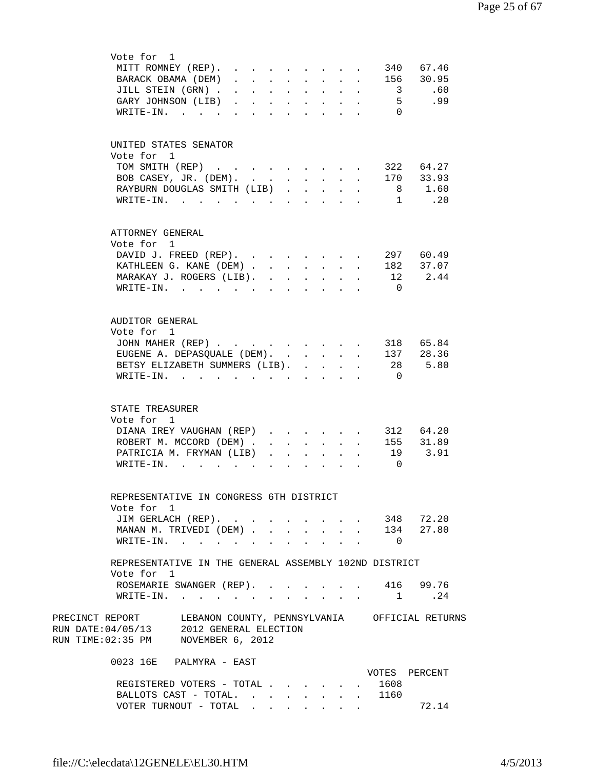| Vote for 1<br>MITT ROMNEY (REP).<br>BARACK OBAMA (DEM)<br>JILL STEIN (GRN).<br>GARY JOHNSON (LIB)<br>$W\text{RITE-IN.}$                         |  |                      |                      |                            | $\mathbf{L}^{\text{max}}$  |                                                                 |                      | $\overline{\mathbf{3}}$<br>5<br>$\Omega$ | 340 67.46<br>156 30.95<br>.60<br>.99 |  |
|-------------------------------------------------------------------------------------------------------------------------------------------------|--|----------------------|----------------------|----------------------------|----------------------------|-----------------------------------------------------------------|----------------------|------------------------------------------|--------------------------------------|--|
| UNITED STATES SENATOR<br>Vote for 1                                                                                                             |  |                      |                      |                            |                            |                                                                 |                      |                                          |                                      |  |
| TOM SMITH (REP)<br>BOB CASEY, JR. (DEM).<br>RAYBURN DOUGLAS SMITH (LIB)                                                                         |  |                      | $\ddot{\phantom{a}}$ | $\mathbf{L}^{\text{max}}$  | $\mathcal{L}^{\text{max}}$ | $\sim$ $-$                                                      | $\sim$               | 8 <sup>8</sup>                           | 322 64.27<br>170 33.93<br>1.60       |  |
| $\texttt{WRTTE-IN.}$                                                                                                                            |  |                      |                      |                            |                            |                                                                 |                      | $\mathbf{1}$                             | $\ldots$ 20                          |  |
| ATTORNEY GENERAL<br>Vote for 1                                                                                                                  |  |                      |                      |                            |                            |                                                                 |                      |                                          |                                      |  |
| DAVID J. FREED (REP).                                                                                                                           |  |                      |                      |                            |                            |                                                                 |                      |                                          | 297 60.49                            |  |
| KATHLEEN G. KANE (DEM)                                                                                                                          |  |                      |                      | $\mathcal{L}^{\text{max}}$ | $\mathbf{L}^{\text{max}}$  | $\mathcal{L}^{\text{max}}$                                      |                      |                                          | 182 37.07                            |  |
| MARAKAY J. ROGERS (LIB). .                                                                                                                      |  |                      |                      |                            |                            |                                                                 |                      |                                          | 12 2.44                              |  |
| $\texttt{WRTTE-IN.}$                                                                                                                            |  |                      |                      |                            |                            |                                                                 |                      | $\overline{0}$                           |                                      |  |
| AUDITOR GENERAL<br>Vote for 1                                                                                                                   |  |                      |                      |                            |                            |                                                                 |                      |                                          |                                      |  |
| JOHN MAHER (REP) 318 65.84                                                                                                                      |  |                      |                      |                            |                            |                                                                 |                      |                                          |                                      |  |
| EUGENE A. DEPASQUALE (DEM). 137 28.36                                                                                                           |  |                      |                      |                            |                            |                                                                 |                      |                                          |                                      |  |
| BETSY ELIZABETH SUMMERS (LIB).<br>WRITE-IN.                                                                                                     |  |                      |                      | $\mathbf{L}$               | $\sim$                     |                                                                 | $\ddot{\phantom{a}}$ | $\overline{0}$                           | 28 5.80                              |  |
| STATE TREASURER<br>Vote for 1                                                                                                                   |  |                      |                      |                            |                            |                                                                 |                      |                                          |                                      |  |
| DIANA IREY VAUGHAN (REP)                                                                                                                        |  |                      |                      |                            |                            | $\mathbf{r}$ and $\mathbf{r}$ and $\mathbf{r}$ and $\mathbf{r}$ |                      | 312 64.20                                |                                      |  |
| ROBERT M. MCCORD (DEM).                                                                                                                         |  |                      |                      |                            |                            |                                                                 |                      | $\cdot$ 155 31.89                        |                                      |  |
| PATRICIA M. FRYMAN (LIB)                                                                                                                        |  | $\ddot{\phantom{a}}$ |                      | $\sim$                     | $\mathbf{L}$               | $\sim$                                                          | $\ddot{\phantom{a}}$ |                                          | 19 3.91                              |  |
| $\texttt{WRTTE-IN.}$                                                                                                                            |  |                      |                      |                            |                            |                                                                 |                      | $\overline{0}$                           |                                      |  |
| REPRESENTATIVE IN CONGRESS 6TH DISTRICT<br>Vote for 1                                                                                           |  |                      |                      |                            |                            |                                                                 |                      |                                          |                                      |  |
| JIM GERLACH (REP). 348 72.20                                                                                                                    |  |                      |                      |                            |                            |                                                                 |                      |                                          |                                      |  |
| MANAN M. TRIVEDI (DEM) 134 27.80                                                                                                                |  |                      |                      |                            |                            |                                                                 |                      |                                          |                                      |  |
| WRITE-IN. 0                                                                                                                                     |  |                      |                      |                            |                            |                                                                 |                      |                                          |                                      |  |
| REPRESENTATIVE IN THE GENERAL ASSEMBLY 102ND DISTRICT<br>Vote for 1                                                                             |  |                      |                      |                            |                            |                                                                 |                      |                                          |                                      |  |
| ROSEMARIE SWANGER (REP). 416 99.76<br>WRITE-IN.                                                                                                 |  |                      |                      |                            |                            |                                                                 |                      |                                          | 1 .24                                |  |
| PRECINCT REPORT LEBANON COUNTY, PENNSYLVANIA OFFICIAL RETURNS<br>RUN DATE: 04/05/13 2012 GENERAL ELECTION<br>RUN TIME:02:35 PM NOVEMBER 6, 2012 |  |                      |                      |                            |                            |                                                                 |                      |                                          |                                      |  |
| 0023 16E PALMYRA - EAST                                                                                                                         |  |                      |                      |                            |                            |                                                                 |                      | VOTES PERCENT                            |                                      |  |
| REGISTERED VOTERS - TOTAL                                                                                                                       |  |                      |                      |                            |                            |                                                                 |                      | 1608                                     |                                      |  |
| BALLOTS CAST - TOTAL. 1160                                                                                                                      |  |                      |                      |                            |                            |                                                                 |                      |                                          |                                      |  |
| VOTER TURNOUT - TOTAL $\ldots$                                                                                                                  |  |                      |                      |                            |                            |                                                                 |                      |                                          | 72.14                                |  |
|                                                                                                                                                 |  |                      |                      |                            |                            |                                                                 |                      |                                          |                                      |  |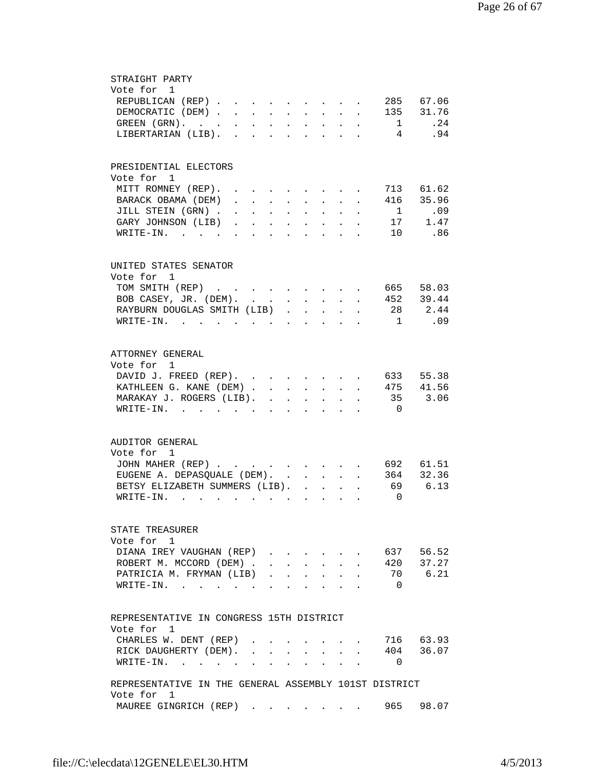| STRAIGHT PARTY                                                                                                                                                                                                                                                       |  |
|----------------------------------------------------------------------------------------------------------------------------------------------------------------------------------------------------------------------------------------------------------------------|--|
| Vote for 1                                                                                                                                                                                                                                                           |  |
| 285 67.06<br>REPUBLICAN (REP)<br>and the contract of the contract of the                                                                                                                                                                                             |  |
| DEMOCRATIC (DEM)<br>135 31.76<br>$\mathbf{r} = \mathbf{r} + \mathbf{r} + \mathbf{r} + \mathbf{r} + \mathbf{r}$                                                                                                                                                       |  |
| 1 .24<br>GREEN (GRN).<br>$\bullet$ .<br><br><br><br><br><br><br><br><br><br><br><br><br>$\sim$<br>$\mathbf{z} = \mathbf{z} + \mathbf{z}$ . The $\mathbf{z}$<br>$\sim 100$<br>$\bullet$ .<br><br><br><br><br><br><br><br><br><br><br><br><br><br>$\ddot{\phantom{0}}$ |  |
| LIBERTARIAN (LIB).<br>4<br>.94<br>$\ddot{\phantom{a}}$<br>$\mathbf{L}^{\text{max}}$<br>$\sim$ $\sim$<br>$\mathbf{z} = \mathbf{z} + \mathbf{z}$ . The $\mathbf{z}$<br>$\mathbf{r}$ $\mathbf{r}$                                                                       |  |
|                                                                                                                                                                                                                                                                      |  |
| PRESIDENTIAL ELECTORS                                                                                                                                                                                                                                                |  |
| Vote for 1                                                                                                                                                                                                                                                           |  |
| MITT ROMNEY (REP).<br>713 61.62<br>$\mathbf{r} = \mathbf{r} \cdot \mathbf{r}$ , $\mathbf{r} = \mathbf{r} \cdot \mathbf{r}$                                                                                                                                           |  |
| BARACK OBAMA (DEM)<br>416 35.96<br>$\mathbf{r}$ , and $\mathbf{r}$ , and $\mathbf{r}$ , and $\mathbf{r}$<br>$\mathbf{r}$                                                                                                                                             |  |
| $\overline{1}$<br>.09                                                                                                                                                                                                                                                |  |
| JILL STEIN (GRN).<br><b>Contract Contract</b><br>$\mathbf{L} = \mathbf{L}$<br>$\mathbf{L}$<br>$\mathbf{L}^{\text{max}}$<br>$\mathbf{L}$<br>$\mathbf{r}$                                                                                                              |  |
| 17 1.47<br>GARY JOHNSON (LIB)<br>$\ddot{\phantom{a}}$<br>$\mathbf{L}^{\text{max}}$<br>$\bullet$<br>$\mathbf{L}^{\text{max}}$<br>$\bullet$ .<br><br><br><br><br><br><br><br><br><br><br><br><br>$\bullet$ .<br><br><br><br><br><br><br><br><br><br><br><br>           |  |
| 10 .86<br>$\texttt{WRTTE-IN.}$<br>$\ddot{\phantom{a}}$<br>$\sim$ 100 $\pm$<br>$\ddot{\phantom{a}}$<br>$\ddot{\phantom{a}}$<br>$\sim$                                                                                                                                 |  |
|                                                                                                                                                                                                                                                                      |  |
| UNITED STATES SENATOR                                                                                                                                                                                                                                                |  |
| Vote for 1                                                                                                                                                                                                                                                           |  |
| TOM SMITH (REP) 665<br>58.03                                                                                                                                                                                                                                         |  |
| BOB CASEY, JR. (DEM). 452 39.44                                                                                                                                                                                                                                      |  |
| RAYBURN DOUGLAS SMITH (LIB)<br>28 2.44<br>$\sim$<br>$\mathbf{L}$<br>$\mathbf{L} = \mathbf{L}$                                                                                                                                                                        |  |
| .09<br>WRITE-IN.<br>$\sim$ 1                                                                                                                                                                                                                                         |  |
|                                                                                                                                                                                                                                                                      |  |
| ATTORNEY GENERAL                                                                                                                                                                                                                                                     |  |
| Vote for 1                                                                                                                                                                                                                                                           |  |
|                                                                                                                                                                                                                                                                      |  |
| DAVID J. FREED (REP).<br>633<br>55.38                                                                                                                                                                                                                                |  |
| 475 41.56<br>KATHLEEN G. KANE (DEM).<br>$\mathbf{r} = \mathbf{r} \cdot \mathbf{r}$ , and $\mathbf{r} = \mathbf{r} \cdot \mathbf{r}$                                                                                                                                  |  |
| MARAKAY J. ROGERS (LIB).<br>35<br>3.06<br>$\mathbf{L}$<br>$\ddot{\phantom{a}}$<br><b>Contract Contract</b><br>$\mathbf{L} = \mathbf{L}$                                                                                                                              |  |
| $\texttt{WRTTE-IN.}$<br>$\overline{0}$<br>$\ddot{\phantom{a}}$<br>$\mathbf{r}$ and $\mathbf{r}$<br>$\ddot{\phantom{a}}$                                                                                                                                              |  |
|                                                                                                                                                                                                                                                                      |  |
| AUDITOR GENERAL                                                                                                                                                                                                                                                      |  |
| Vote for 1                                                                                                                                                                                                                                                           |  |
| 692 61.51<br>JOHN MAHER (REP)<br>$\mathbf{1}^{\prime}$ , and $\mathbf{1}^{\prime}$ , and $\mathbf{1}^{\prime}$<br>$\sim$                                                                                                                                             |  |
| 32.36<br>EUGENE A. DEPASQUALE (DEM).<br>364<br>$\mathbf{L}$<br>$\mathbf{L}$<br>$\mathbf{r}$<br>$\sim$<br>$\sim$                                                                                                                                                      |  |
| BETSY ELIZABETH SUMMERS (LIB).<br>69<br>6.13<br>$\mathbf{L}$<br>$\mathbf{L}^{\text{max}}$<br>$\mathbf{L}$<br>$\mathbf{r}$                                                                                                                                            |  |
| $\texttt{WRTTE-IN.}$<br>$\overline{0}$<br>$\ddot{\phantom{a}}$<br>$\mathbf{r}$ , $\mathbf{r}$ , $\mathbf{r}$ , $\mathbf{r}$ , $\mathbf{r}$<br>$\sim$                                                                                                                 |  |
|                                                                                                                                                                                                                                                                      |  |
| STATE TREASURER                                                                                                                                                                                                                                                      |  |
| Vote for 1                                                                                                                                                                                                                                                           |  |
| DIANA IREY VAUGHAN (REP)<br>637 56.52                                                                                                                                                                                                                                |  |
| 420<br>37.27<br>ROBERT M. MCCORD (DEM).                                                                                                                                                                                                                              |  |
|                                                                                                                                                                                                                                                                      |  |
| 70 6.21<br>PATRICIA M. FRYMAN (LIB)                                                                                                                                                                                                                                  |  |
| WRITE-IN.<br>$\overline{0}$<br>$\ddot{\phantom{a}}$<br>$\sim$                                                                                                                                                                                                        |  |
|                                                                                                                                                                                                                                                                      |  |
| REPRESENTATIVE IN CONGRESS 15TH DISTRICT<br>Vote for 1                                                                                                                                                                                                               |  |
| CHARLES W. DENT (REP)<br>716 63.93                                                                                                                                                                                                                                   |  |
| 36.07                                                                                                                                                                                                                                                                |  |
| RICK DAUGHERTY (DEM).<br>404                                                                                                                                                                                                                                         |  |
| $W\text{RITE}-\text{IN}.$<br>$\Omega$                                                                                                                                                                                                                                |  |
| REPRESENTATIVE IN THE GENERAL ASSEMBLY 101ST DISTRICT                                                                                                                                                                                                                |  |
| Vote for 1                                                                                                                                                                                                                                                           |  |
| 965 98.07<br>MAUREE GINGRICH (REP)                                                                                                                                                                                                                                   |  |
|                                                                                                                                                                                                                                                                      |  |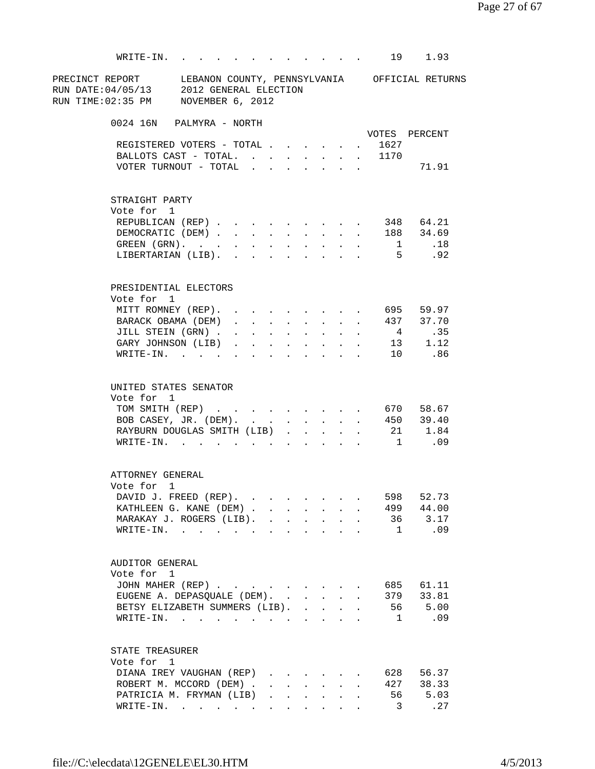| WRITE-IN.                                                                                                                                        | the contract of the contract of the contract of the contract of the contract of the contract of the contract of |                                      |                              |                                 |                                           |                                              |                                                                      |                        |                           |                                                                                                                                                                                                                                                                                                                                                                                     | 19 1.93                                          |
|--------------------------------------------------------------------------------------------------------------------------------------------------|-----------------------------------------------------------------------------------------------------------------|--------------------------------------|------------------------------|---------------------------------|-------------------------------------------|----------------------------------------------|----------------------------------------------------------------------|------------------------|---------------------------|-------------------------------------------------------------------------------------------------------------------------------------------------------------------------------------------------------------------------------------------------------------------------------------------------------------------------------------------------------------------------------------|--------------------------------------------------|
| PRECINCT REPORT LEBANON COUNTY, PENNSYLVANIA OFFICIAL RETURNS<br>RUN DATE: 04/05/13 2012 GENERAL ELECTION<br>RUN TIME: 02:35 PM NOVEMBER 6, 2012 |                                                                                                                 |                                      |                              |                                 |                                           |                                              |                                                                      |                        |                           |                                                                                                                                                                                                                                                                                                                                                                                     |                                                  |
| 0024 16N PALMYRA - NORTH                                                                                                                         |                                                                                                                 |                                      |                              |                                 |                                           |                                              |                                                                      |                        |                           |                                                                                                                                                                                                                                                                                                                                                                                     |                                                  |
|                                                                                                                                                  |                                                                                                                 |                                      |                              |                                 |                                           |                                              |                                                                      |                        |                           |                                                                                                                                                                                                                                                                                                                                                                                     | VOTES PERCENT                                    |
| REGISTERED VOTERS - TOTAL<br>BALLOTS CAST - TOTAL. 1170                                                                                          |                                                                                                                 |                                      |                              |                                 |                                           |                                              |                                                                      |                        |                           | 1627                                                                                                                                                                                                                                                                                                                                                                                |                                                  |
| VOTER TURNOUT - TOTAL                                                                                                                            |                                                                                                                 |                                      |                              |                                 |                                           |                                              |                                                                      |                        |                           |                                                                                                                                                                                                                                                                                                                                                                                     | 71.91                                            |
|                                                                                                                                                  |                                                                                                                 |                                      |                              |                                 |                                           |                                              |                                                                      |                        |                           |                                                                                                                                                                                                                                                                                                                                                                                     |                                                  |
| STRAIGHT PARTY<br>Vote for 1                                                                                                                     |                                                                                                                 |                                      |                              |                                 |                                           |                                              |                                                                      |                        |                           |                                                                                                                                                                                                                                                                                                                                                                                     |                                                  |
| REPUBLICAN (REP)                                                                                                                                 |                                                                                                                 |                                      |                              |                                 |                                           |                                              |                                                                      |                        |                           |                                                                                                                                                                                                                                                                                                                                                                                     | 348 64.21                                        |
| DEMOCRATIC (DEM).                                                                                                                                |                                                                                                                 |                                      | $\sim$ 100 $\pm$             | $\sim$                          | $\sim$                                    |                                              | $\cdot$ $\cdot$ $\cdot$                                              | $\sim$ 100 $\pm$       | $\mathbf{r}$              |                                                                                                                                                                                                                                                                                                                                                                                     | 188 34.69                                        |
| GREEN (GRN).                                                                                                                                     |                                                                                                                 |                                      | $\mathbf{L}^{\text{max}}$    | $\sim$                          | $\mathbf{L}$                              | $\sim$                                       | $\sim$ $\sim$                                                        | $\ddot{\phantom{0}}$   |                           |                                                                                                                                                                                                                                                                                                                                                                                     | 1 .18                                            |
| LIBERTARIAN (LIB).                                                                                                                               |                                                                                                                 |                                      |                              |                                 |                                           |                                              | $\mathbf{L} = \mathbf{L} \mathbf{L}$                                 | $\mathbf{r}$           | $\sim$                    |                                                                                                                                                                                                                                                                                                                                                                                     | 5 .92                                            |
| PRESIDENTIAL ELECTORS                                                                                                                            |                                                                                                                 |                                      |                              |                                 |                                           |                                              |                                                                      |                        |                           |                                                                                                                                                                                                                                                                                                                                                                                     |                                                  |
| Vote for 1                                                                                                                                       |                                                                                                                 |                                      |                              |                                 |                                           |                                              |                                                                      |                        |                           |                                                                                                                                                                                                                                                                                                                                                                                     |                                                  |
| MITT ROMNEY (REP).<br>BARACK OBAMA (DEM)                                                                                                         |                                                                                                                 |                                      |                              |                                 |                                           |                                              |                                                                      |                        |                           |                                                                                                                                                                                                                                                                                                                                                                                     | 695 59.97<br>437 37.70                           |
| JILL STEIN (GRN).                                                                                                                                |                                                                                                                 | $\mathbf{L}$<br>$\ddot{\phantom{0}}$ | $\mathbf{L}$<br>$\mathbf{L}$ | $\sim$<br>$\mathbf{L}$          | $\mathbf{L}$<br>$\mathbf{L}$              | $\ddot{\phantom{0}}$<br>$\ddot{\phantom{0}}$ | $\sim$ $\sim$<br>$\sim$ 100 $\pm$                                    | $\mathbf{A}$<br>$\sim$ | $\sim$<br>$\sim$          | $4\phantom{.0000}\phantom{.0000}\phantom{.0000}\phantom{.0000}\phantom{.0000}\phantom{.0000}\phantom{.0000}\phantom{.0000}\phantom{.0000}\phantom{.0000}\phantom{.0000}\phantom{.0000}\phantom{.0000}\phantom{.0000}\phantom{.0000}\phantom{.0000}\phantom{.0000}\phantom{.0000}\phantom{.0000}\phantom{.0000}\phantom{.0000}\phantom{.0000}\phantom{.0000}\phantom{.0000}\phantom$ | $\overline{35}$                                  |
| GARY JOHNSON (LIB)                                                                                                                               |                                                                                                                 | $\mathbf{L}$                         | $\mathcal{L}^{\text{max}}$   |                                 |                                           |                                              |                                                                      |                        |                           |                                                                                                                                                                                                                                                                                                                                                                                     | 13 1.12                                          |
| $\texttt{WRTTE-IN.}$                                                                                                                             |                                                                                                                 | $\mathbf{L}$                         | $\mathbf{L}$                 | $\sim$                          | $\ddot{\phantom{a}}$                      | $\mathbf{r}$                                 | $\mathbf{r}$                                                         |                        | $\mathbf{r} = \mathbf{r}$ |                                                                                                                                                                                                                                                                                                                                                                                     | 10 .86                                           |
| UNITED STATES SENATOR<br>Vote for 1<br>TOM SMITH (REP)<br>BOB CASEY, JR. (DEM).<br>RAYBURN DOUGLAS SMITH (LIB)<br>$W\text{RITE}-\text{IN}$ , , , |                                                                                                                 |                                      |                              | $\cdot$ $\cdot$ $\cdot$ $\cdot$ | $\sim$                                    | $\mathbf{L}$                                 | $\sim$                                                               |                        |                           | 21                                                                                                                                                                                                                                                                                                                                                                                  | 670 58.67<br>450 39.40<br>1.84<br>$1 \qquad .09$ |
| ATTORNEY GENERAL                                                                                                                                 |                                                                                                                 |                                      |                              |                                 |                                           |                                              |                                                                      |                        |                           |                                                                                                                                                                                                                                                                                                                                                                                     |                                                  |
| Vote for<br>$\mathbf{1}$                                                                                                                         |                                                                                                                 |                                      |                              |                                 |                                           |                                              |                                                                      |                        |                           |                                                                                                                                                                                                                                                                                                                                                                                     |                                                  |
| DAVID J. FREED (REP).                                                                                                                            |                                                                                                                 |                                      |                              |                                 |                                           |                                              |                                                                      |                        |                           | 598                                                                                                                                                                                                                                                                                                                                                                                 | 52.73                                            |
| KATHLEEN G. KANE (DEM).<br>MARAKAY J. ROGERS (LIB). .                                                                                            |                                                                                                                 |                                      |                              | $\sim$ $-$                      | $\mathbf{L}^{\text{max}}$<br>$\mathbf{A}$ |                                              | $\mathbf{r} = \mathbf{r} \cdot \mathbf{r}$ . The set of $\mathbf{r}$ |                        |                           | 36                                                                                                                                                                                                                                                                                                                                                                                  | 44.00<br>3.17                                    |
| $\texttt{WRTTE-IN.}$                                                                                                                             |                                                                                                                 |                                      |                              | $\sim$                          |                                           |                                              |                                                                      |                        |                           | 1                                                                                                                                                                                                                                                                                                                                                                                   | .09                                              |
|                                                                                                                                                  |                                                                                                                 |                                      |                              |                                 |                                           |                                              |                                                                      |                        |                           |                                                                                                                                                                                                                                                                                                                                                                                     |                                                  |
| AUDITOR GENERAL                                                                                                                                  |                                                                                                                 |                                      |                              |                                 |                                           |                                              |                                                                      |                        |                           |                                                                                                                                                                                                                                                                                                                                                                                     |                                                  |
| Vote for 1<br>JOHN MAHER (REP)                                                                                                                   |                                                                                                                 |                                      |                              |                                 |                                           |                                              |                                                                      |                        |                           | 685                                                                                                                                                                                                                                                                                                                                                                                 | 61.11                                            |
| EUGENE A. DEPASQUALE (DEM).                                                                                                                      |                                                                                                                 |                                      |                              |                                 |                                           |                                              |                                                                      |                        |                           | 379                                                                                                                                                                                                                                                                                                                                                                                 | 33.81                                            |
| BETSY ELIZABETH SUMMERS (LIB). .                                                                                                                 |                                                                                                                 |                                      |                              |                                 |                                           |                                              |                                                                      |                        |                           | 56                                                                                                                                                                                                                                                                                                                                                                                  | 5.00                                             |
| $\texttt{WRTTE-IN.}$                                                                                                                             |                                                                                                                 |                                      |                              |                                 |                                           |                                              |                                                                      |                        |                           | $\mathbf{1}$                                                                                                                                                                                                                                                                                                                                                                        | .09                                              |
| STATE TREASURER                                                                                                                                  |                                                                                                                 |                                      |                              |                                 |                                           |                                              |                                                                      |                        |                           |                                                                                                                                                                                                                                                                                                                                                                                     |                                                  |
| Vote for 1                                                                                                                                       |                                                                                                                 |                                      |                              |                                 |                                           |                                              |                                                                      |                        |                           |                                                                                                                                                                                                                                                                                                                                                                                     |                                                  |
| DIANA IREY VAUGHAN (REP)                                                                                                                         |                                                                                                                 |                                      |                              | $\sim$ $\sim$                   |                                           |                                              | $\mathbf{a}$ and $\mathbf{a}$ and $\mathbf{a}$                       |                        |                           | 628                                                                                                                                                                                                                                                                                                                                                                                 | 56.37                                            |
| ROBERT M. MCCORD (DEM).                                                                                                                          |                                                                                                                 |                                      |                              | $\ddot{\phantom{a}}$            |                                           | $\mathcal{L}^{\text{max}}$                   | $\mathbf{L}$                                                         |                        |                           | 427                                                                                                                                                                                                                                                                                                                                                                                 | 38.33                                            |
| PATRICIA M. FRYMAN (LIB)                                                                                                                         |                                                                                                                 |                                      |                              | $\ddot{\phantom{a}}$            |                                           |                                              |                                                                      |                        |                           | 56                                                                                                                                                                                                                                                                                                                                                                                  | 5.03                                             |
| WRITE-IN.                                                                                                                                        |                                                                                                                 |                                      |                              |                                 |                                           |                                              |                                                                      |                        |                           | $\mathbf{3}$                                                                                                                                                                                                                                                                                                                                                                        | .27                                              |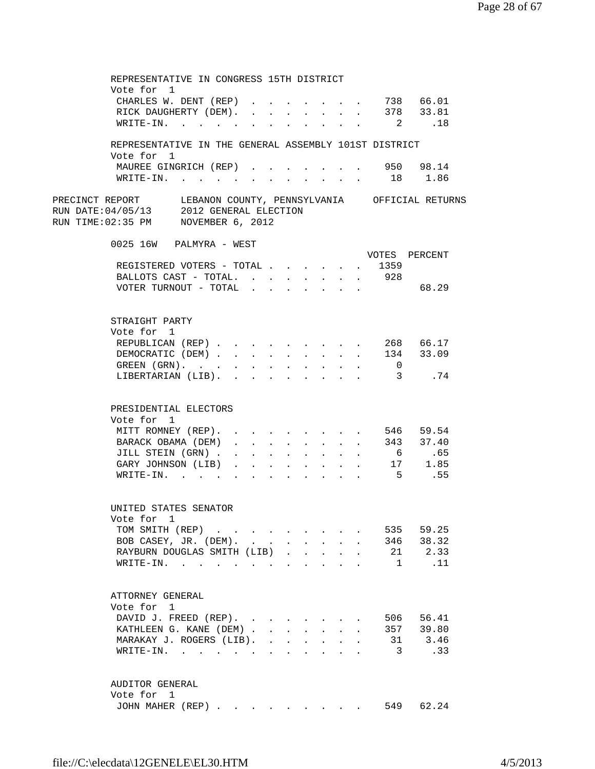| REPRESENTATIVE IN CONGRESS 15TH DISTRICT                      |              |                                                |                                                       |                           |                           |                           |                                      |                           |                         |                                                                  |  |
|---------------------------------------------------------------|--------------|------------------------------------------------|-------------------------------------------------------|---------------------------|---------------------------|---------------------------|--------------------------------------|---------------------------|-------------------------|------------------------------------------------------------------|--|
| Vote for 1                                                    |              |                                                |                                                       |                           |                           |                           |                                      |                           |                         |                                                                  |  |
| CHARLES W. DENT (REP) 738 66.01                               |              |                                                |                                                       |                           |                           |                           |                                      |                           |                         |                                                                  |  |
| RICK DAUGHERTY (DEM). 378 33.81                               |              |                                                |                                                       |                           |                           |                           |                                      |                           |                         |                                                                  |  |
| WRITE-IN.                                                     |              |                                                |                                                       |                           |                           |                           |                                      |                           | $\overline{2}$          | .18                                                              |  |
|                                                               |              |                                                |                                                       |                           |                           |                           |                                      |                           |                         |                                                                  |  |
| REPRESENTATIVE IN THE GENERAL ASSEMBLY 101ST DISTRICT         |              |                                                |                                                       |                           |                           |                           |                                      |                           |                         |                                                                  |  |
| Vote for 1                                                    |              |                                                |                                                       |                           |                           |                           |                                      |                           |                         |                                                                  |  |
| MAUREE GINGRICH (REP) 950 98.14                               |              |                                                |                                                       |                           |                           |                           |                                      |                           |                         |                                                                  |  |
| WRITE-IN.                                                     |              |                                                |                                                       |                           |                           |                           |                                      |                           |                         | 18 1.86                                                          |  |
| PRECINCT REPORT LEBANON COUNTY, PENNSYLVANIA OFFICIAL RETURNS |              |                                                |                                                       |                           |                           |                           |                                      |                           |                         |                                                                  |  |
| RUN DATE:04/05/13 2012 GENERAL ELECTION                       |              |                                                |                                                       |                           |                           |                           |                                      |                           |                         |                                                                  |  |
|                                                               |              |                                                |                                                       |                           |                           |                           |                                      |                           |                         |                                                                  |  |
| RUN TIME:02:35 PM MOVEMBER 6, 2012                            |              |                                                |                                                       |                           |                           |                           |                                      |                           |                         |                                                                  |  |
| 0025 16W PALMYRA - WEST                                       |              |                                                |                                                       |                           |                           |                           |                                      |                           |                         |                                                                  |  |
|                                                               |              |                                                |                                                       |                           |                           |                           |                                      |                           |                         | VOTES PERCENT                                                    |  |
| REGISTERED VOTERS - TOTAL                                     |              |                                                |                                                       |                           |                           |                           |                                      |                           | 1359                    |                                                                  |  |
| BALLOTS CAST - TOTAL. 928                                     |              |                                                |                                                       |                           |                           |                           |                                      | $\mathbf{L}$              |                         |                                                                  |  |
|                                                               |              |                                                |                                                       |                           |                           |                           |                                      |                           |                         |                                                                  |  |
| VOTER TURNOUT - TOTAL                                         |              |                                                |                                                       |                           |                           |                           |                                      |                           |                         | 68.29                                                            |  |
|                                                               |              |                                                |                                                       |                           |                           |                           |                                      |                           |                         |                                                                  |  |
|                                                               |              |                                                |                                                       |                           |                           |                           |                                      |                           |                         |                                                                  |  |
| STRAIGHT PARTY                                                |              |                                                |                                                       |                           |                           |                           |                                      |                           |                         |                                                                  |  |
| Vote for 1                                                    |              |                                                |                                                       |                           |                           |                           |                                      |                           |                         |                                                                  |  |
| REPUBLICAN (REP)                                              |              |                                                |                                                       |                           |                           |                           |                                      |                           |                         | 268 66.17                                                        |  |
| DEMOCRATIC (DEM)                                              |              |                                                |                                                       |                           |                           | $\sim$ $-$                |                                      | $\mathbf{L} = \mathbf{L}$ |                         | 134 33.09                                                        |  |
| GREEN (GRN).                                                  |              |                                                | $\mathbf{z} = \mathbf{z} + \mathbf{z}$ .              | $\sim 10^{-10}$           | $\sim$                    | $\sim$                    | $\sim$                               |                           | $\overline{0}$          |                                                                  |  |
| LIBERTARIAN (LIB).                                            |              |                                                |                                                       |                           |                           |                           |                                      |                           |                         | 3 .74                                                            |  |
|                                                               |              |                                                |                                                       |                           |                           |                           |                                      |                           |                         |                                                                  |  |
|                                                               |              |                                                |                                                       |                           |                           |                           |                                      |                           |                         |                                                                  |  |
| PRESIDENTIAL ELECTORS                                         |              |                                                |                                                       |                           |                           |                           |                                      |                           |                         |                                                                  |  |
| Vote for 1                                                    |              |                                                |                                                       |                           |                           |                           |                                      |                           |                         |                                                                  |  |
| MITT ROMNEY (REP).                                            |              |                                                |                                                       |                           |                           |                           |                                      |                           |                         | 546 59.54                                                        |  |
| BARACK OBAMA (DEM)                                            |              | $\mathbf{r}$ and $\mathbf{r}$ and $\mathbf{r}$ |                                                       |                           |                           |                           |                                      |                           |                         | $\begin{array}{cccc} . & 343 & 37.40 \\ . & 6 & .65 \end{array}$ |  |
| JILL STEIN (GRN).                                             | $\mathbf{L}$ | $\mathcal{L}^{\text{max}}$                     | $\sim$                                                | $\sim$                    | $\sim$                    | $\ddot{\phantom{0}}$      |                                      |                           |                         |                                                                  |  |
| GARY JOHNSON (LIB).                                           |              |                                                | $\mathbf{L}^{\text{max}}$ , $\mathbf{L}^{\text{max}}$ | $\mathbf{L}^{\text{max}}$ | $\sim$                    | $\mathbf{A}$              |                                      |                           |                         | 17   1.85                                                        |  |
| $\texttt{WRTTE-IN.}$                                          |              |                                                |                                                       |                           | $\mathbf{r} = \mathbf{r}$ | $\mathbf{r}$ $\mathbf{r}$ |                                      |                           |                         | 5 .55                                                            |  |
|                                                               |              |                                                |                                                       |                           |                           |                           |                                      |                           |                         |                                                                  |  |
|                                                               |              |                                                |                                                       |                           |                           |                           |                                      |                           |                         |                                                                  |  |
| UNITED STATES SENATOR                                         |              |                                                |                                                       |                           |                           |                           |                                      |                           |                         |                                                                  |  |
| Vote for 1                                                    |              |                                                |                                                       |                           |                           |                           |                                      |                           |                         |                                                                  |  |
| TOM SMITH (REP)                                               |              |                                                |                                                       |                           |                           |                           |                                      |                           | 535                     | 59.25                                                            |  |
| BOB CASEY, JR. (DEM). .                                       |              |                                                | $\sim 10^{-11}$                                       |                           | $\sim$                    |                           | $\mathbf{r}$                         |                           | 346                     | 38.32                                                            |  |
| RAYBURN DOUGLAS SMITH (LIB)                                   |              |                                                |                                                       |                           | $\mathbf{r}$              |                           |                                      |                           | 21                      | 2.33                                                             |  |
| WRITE-IN.                                                     |              |                                                | <b>Contract Contract</b>                              |                           |                           |                           |                                      |                           | $\mathbf{1}$            | $\ldots$ 11                                                      |  |
|                                                               |              |                                                |                                                       |                           |                           |                           |                                      |                           |                         |                                                                  |  |
|                                                               |              |                                                |                                                       |                           |                           |                           |                                      |                           |                         |                                                                  |  |
| ATTORNEY GENERAL                                              |              |                                                |                                                       |                           |                           |                           |                                      |                           |                         |                                                                  |  |
| Vote for 1                                                    |              |                                                |                                                       |                           |                           |                           |                                      |                           |                         |                                                                  |  |
| DAVID J. FREED (REP).                                         |              |                                                |                                                       |                           | $\ddot{\phantom{a}}$      | $\mathbf{L} = \mathbf{L}$ |                                      |                           | 506 —                   | 56.41                                                            |  |
| KATHLEEN G. KANE (DEM)                                        |              |                                                |                                                       | $\mathbf{L}$              | $\mathbf{L}$              |                           | $\mathbf{L} = \mathbf{L} \mathbf{L}$ |                           | 357                     | 39.80                                                            |  |
| MARAKAY J. ROGERS (LIB). .                                    |              |                                                |                                                       | $\ddot{\phantom{a}}$      |                           |                           |                                      |                           | 31                      | 3.46                                                             |  |
| WRITE-IN.                                                     |              |                                                |                                                       |                           |                           |                           |                                      |                           | $\overline{\mathbf{3}}$ | .33                                                              |  |
|                                                               |              |                                                |                                                       |                           |                           |                           |                                      |                           |                         |                                                                  |  |
|                                                               |              |                                                |                                                       |                           |                           |                           |                                      |                           |                         |                                                                  |  |
| AUDITOR GENERAL                                               |              |                                                |                                                       |                           |                           |                           |                                      |                           |                         |                                                                  |  |
| Vote for 1                                                    |              |                                                |                                                       |                           |                           |                           |                                      |                           |                         |                                                                  |  |
| JOHN MAHER (REP)                                              |              |                                                |                                                       |                           |                           |                           |                                      |                           | 549                     | 62.24                                                            |  |
|                                                               |              |                                                |                                                       |                           |                           |                           |                                      |                           |                         |                                                                  |  |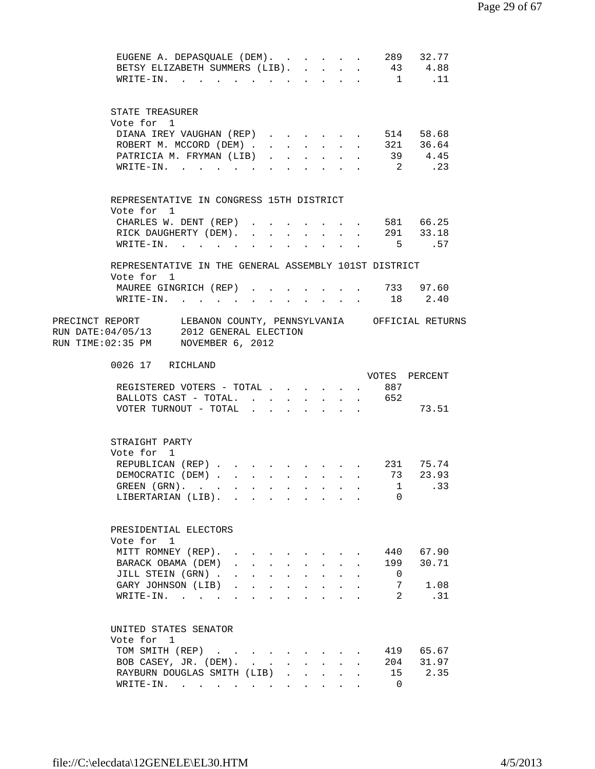| EUGENE A. DEPASQUALE (DEM).                                                                                     |              |                                                                                                                 |                      |                      |                                                                                            |               |              |                | 289 32.77     |
|-----------------------------------------------------------------------------------------------------------------|--------------|-----------------------------------------------------------------------------------------------------------------|----------------------|----------------------|--------------------------------------------------------------------------------------------|---------------|--------------|----------------|---------------|
| BETSY ELIZABETH SUMMERS (LIB).                                                                                  |              |                                                                                                                 |                      |                      |                                                                                            |               |              |                | 43 4.88       |
| $W$ RITE-IN<br>$\sim$ $\sim$ $\sim$ $\sim$                                                                      |              | the contract of the contract of the contract of the contract of the contract of the contract of the contract of |                      |                      |                                                                                            |               |              |                | 1.11          |
|                                                                                                                 |              |                                                                                                                 |                      |                      |                                                                                            |               |              |                |               |
|                                                                                                                 |              |                                                                                                                 |                      |                      |                                                                                            |               |              |                |               |
| STATE TREASURER                                                                                                 |              |                                                                                                                 |                      |                      |                                                                                            |               |              |                |               |
| Vote for 1                                                                                                      |              |                                                                                                                 |                      |                      |                                                                                            |               |              |                |               |
| DIANA IREY VAUGHAN (REP)                                                                                        |              |                                                                                                                 |                      |                      |                                                                                            |               |              |                | 514 58.68     |
| ROBERT M. MCCORD (DEM).                                                                                         |              |                                                                                                                 |                      |                      |                                                                                            |               |              |                | $321$ $36.64$ |
|                                                                                                                 |              | $\mathbf{L}$                                                                                                    | $\mathbf{L}$         | $\mathbf{L}$         | $\mathbf{L}^{\text{max}}$                                                                  | $\sim$ $\sim$ | $\mathbf{L}$ |                | 39 4.45       |
| PATRICIA M. FRYMAN (LIB)                                                                                        |              | $\mathbf{L}$                                                                                                    | $\mathbf{L}$         |                      |                                                                                            |               |              |                |               |
| $\texttt{WRTTE-IN.}$                                                                                            |              | $\mathbf{A}$                                                                                                    | $\sim$               |                      |                                                                                            |               |              |                | 2 .23         |
|                                                                                                                 |              |                                                                                                                 |                      |                      |                                                                                            |               |              |                |               |
|                                                                                                                 |              |                                                                                                                 |                      |                      |                                                                                            |               |              |                |               |
| REPRESENTATIVE IN CONGRESS 15TH DISTRICT                                                                        |              |                                                                                                                 |                      |                      |                                                                                            |               |              |                |               |
| Vote for 1                                                                                                      |              |                                                                                                                 |                      |                      |                                                                                            |               |              |                |               |
| CHARLES W. DENT (REP)                                                                                           |              |                                                                                                                 |                      |                      |                                                                                            |               |              |                |               |
| RICK DAUGHERTY (DEM).                                                                                           |              |                                                                                                                 |                      | $\mathbf{L}$         |                                                                                            |               |              |                |               |
| WRITE-IN.                                                                                                       | $\sim 100$   |                                                                                                                 |                      |                      |                                                                                            |               |              |                | 5 .57         |
|                                                                                                                 |              |                                                                                                                 |                      |                      |                                                                                            |               |              |                |               |
| REPRESENTATIVE IN THE GENERAL ASSEMBLY 101ST DISTRICT                                                           |              |                                                                                                                 |                      |                      |                                                                                            |               |              |                |               |
| Vote for 1                                                                                                      |              |                                                                                                                 |                      |                      |                                                                                            |               |              |                |               |
| MAUREE GINGRICH (REP).                                                                                          |              |                                                                                                                 |                      |                      | $\sim$ $\sim$ $\sim$ $\sim$ $\sim$ $\sim$                                                  |               |              | . 733 97.60    |               |
| WRITE-IN.                                                                                                       |              |                                                                                                                 |                      |                      |                                                                                            |               |              | . 18 2.40      |               |
| the contract of the contract of the contract of the contract of the contract of the contract of the contract of |              |                                                                                                                 |                      |                      |                                                                                            |               |              |                |               |
|                                                                                                                 |              |                                                                                                                 |                      |                      |                                                                                            |               |              |                |               |
| PRECINCT REPORT LEBANON COUNTY, PENNSYLVANIA OFFICIAL RETURNS                                                   |              |                                                                                                                 |                      |                      |                                                                                            |               |              |                |               |
| RUN DATE:04/05/13<br>2012 GENERAL ELECTION                                                                      |              |                                                                                                                 |                      |                      |                                                                                            |               |              |                |               |
| RUN TIME:02:35 PM<br>NOVEMBER 6, 2012                                                                           |              |                                                                                                                 |                      |                      |                                                                                            |               |              |                |               |
|                                                                                                                 |              |                                                                                                                 |                      |                      |                                                                                            |               |              |                |               |
| 0026 17 RICHLAND                                                                                                |              |                                                                                                                 |                      |                      |                                                                                            |               |              |                |               |
|                                                                                                                 |              |                                                                                                                 |                      |                      |                                                                                            |               |              | VOTES PERCENT  |               |
| REGISTERED VOTERS - TOTAL 887                                                                                   |              |                                                                                                                 |                      |                      |                                                                                            |               |              |                |               |
| BALLOTS CAST - TOTAL.                                                                                           |              |                                                                                                                 |                      |                      |                                                                                            |               |              | 652            |               |
| VOTER TURNOUT - TOTAL $\cdot \cdot \cdot \cdot \cdot \cdot$                                                     |              |                                                                                                                 |                      |                      |                                                                                            |               |              |                | 73.51         |
|                                                                                                                 |              |                                                                                                                 |                      |                      |                                                                                            |               |              |                |               |
|                                                                                                                 |              |                                                                                                                 |                      |                      |                                                                                            |               |              |                |               |
| STRAIGHT PARTY                                                                                                  |              |                                                                                                                 |                      |                      |                                                                                            |               |              |                |               |
| Vote for 1                                                                                                      |              |                                                                                                                 |                      |                      |                                                                                            |               |              |                |               |
| REPUBLICAN (REP) 231 75.74                                                                                      |              |                                                                                                                 |                      |                      |                                                                                            |               |              |                |               |
| DEMOCRATIC (DEM) 73 23.93                                                                                       |              |                                                                                                                 |                      |                      |                                                                                            |               |              |                |               |
|                                                                                                                 |              |                                                                                                                 |                      |                      |                                                                                            |               |              |                |               |
| GREEN $(GRN)$ . 1                                                                                               |              |                                                                                                                 |                      |                      |                                                                                            |               |              |                | .33           |
| LIBERTARIAN (LIB).                                                                                              |              |                                                                                                                 |                      |                      |                                                                                            |               |              | 0              |               |
|                                                                                                                 |              |                                                                                                                 |                      |                      |                                                                                            |               |              |                |               |
|                                                                                                                 |              |                                                                                                                 |                      |                      |                                                                                            |               |              |                |               |
| PRESIDENTIAL ELECTORS                                                                                           |              |                                                                                                                 |                      |                      |                                                                                            |               |              |                |               |
|                                                                                                                 |              |                                                                                                                 |                      |                      |                                                                                            |               |              |                |               |
| Vote for 1                                                                                                      |              |                                                                                                                 |                      |                      |                                                                                            |               |              |                |               |
| MITT ROMNEY (REP).                                                                                              |              |                                                                                                                 |                      |                      | $\mathbf{r} = \mathbf{r} + \mathbf{r} + \mathbf{r} + \mathbf{r}$                           |               |              | 440            | 67.90         |
| BARACK OBAMA (DEM)                                                                                              |              | $1 - 1 - 1 = 1$                                                                                                 | $\mathbf{L}$         |                      | $\mathbf{r} = \mathbf{r} \cdot \mathbf{r}$                                                 |               |              | 199            | 30.71         |
| JILL STEIN (GRN).                                                                                               |              | $\mathbf{r}$ , $\mathbf{r}$ , $\mathbf{r}$                                                                      | $\mathbf{L}$         |                      | $\mathbf{1}$ $\mathbf{1}$ $\mathbf{1}$ $\mathbf{1}$ $\mathbf{1}$ $\mathbf{1}$ $\mathbf{1}$ |               |              | $\overline{0}$ |               |
| GARY JOHNSON (LIB)<br>$\mathbf{L}$                                                                              | $\mathbf{A}$ | $\ddot{\phantom{0}}$                                                                                            | $\sim$               | $\ddot{\phantom{a}}$ | <b>Contract Contract Contract</b>                                                          |               |              | 7              | 1.08          |
|                                                                                                                 |              |                                                                                                                 |                      |                      |                                                                                            |               |              | $\mathbf{2}$   |               |
| $\texttt{WRITE-IN.}$                                                                                            |              | $\ddot{\phantom{0}}$                                                                                            | $\ddot{\phantom{a}}$ |                      | $\sim$                                                                                     |               |              |                | .31           |
|                                                                                                                 |              |                                                                                                                 |                      |                      |                                                                                            |               |              |                |               |
|                                                                                                                 |              |                                                                                                                 |                      |                      |                                                                                            |               |              |                |               |
| UNITED STATES SENATOR                                                                                           |              |                                                                                                                 |                      |                      |                                                                                            |               |              |                |               |
| Vote for 1                                                                                                      |              |                                                                                                                 |                      |                      |                                                                                            |               |              |                |               |
| TOM SMITH (REP)                                                                                                 |              |                                                                                                                 |                      |                      |                                                                                            |               |              |                | 419 65.67     |
| BOB CASEY, JR. (DEM).                                                                                           |              |                                                                                                                 |                      |                      |                                                                                            |               |              |                | 204 31.97     |
| RAYBURN DOUGLAS SMITH (LIB)<br>WRITE-IN.                                                                        |              |                                                                                                                 |                      |                      | $\mathbf{r}$ , $\mathbf{r}$ , $\mathbf{r}$ , $\mathbf{r}$                                  |               |              |                | 15 2.35       |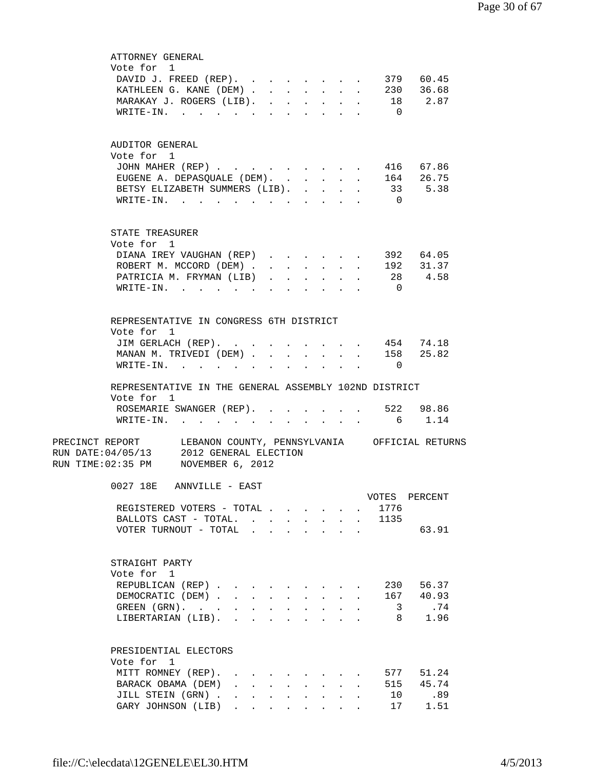| ATTORNEY GENERAL                                                                                                                               |                             |
|------------------------------------------------------------------------------------------------------------------------------------------------|-----------------------------|
| Vote for 1                                                                                                                                     |                             |
| DAVID J. FREED (REP).                                                                                                                          | 379 60.45                   |
| KATHLEEN G. KANE (DEM) 230 36.68                                                                                                               |                             |
| MARAKAY J. ROGERS (LIB). .<br>$\mathbf{L}$<br>$\mathbf{L}$                                                                                     | . 18 2.87                   |
| WRITE-IN.<br>$\mathbf{L}$<br>$\sim$<br>$\ddot{\phantom{a}}$                                                                                    | $\bigcap$                   |
|                                                                                                                                                |                             |
| AUDITOR GENERAL                                                                                                                                |                             |
| Vote for 1                                                                                                                                     |                             |
| JOHN MAHER (REP)                                                                                                                               | . 416 67.86                 |
| EUGENE A. DEPASQUALE (DEM).                                                                                                                    | 164 26.75                   |
| BETSY ELIZABETH SUMMERS (LIB).<br>$\sim$ $\sim$ $\sim$ $\sim$ $\sim$ $\sim$                                                                    | 33 5.38                     |
| $\texttt{WRTTE-IN.}$<br><b>Contract Contract</b>                                                                                               | $\overline{0}$              |
|                                                                                                                                                |                             |
|                                                                                                                                                |                             |
| STATE TREASURER<br>Vote for 1                                                                                                                  |                             |
| DIANA IREY VAUGHAN (REP).                                                                                                                      | 392 64.05<br>$\sim$         |
| ROBERT M. MCCORD (DEM).<br>$\mathbf{L}$<br>$\mathbf{L}$<br>$\mathbf{r}$<br>$\mathbf{r}$<br>$\mathbf{r}$                                        | 192 31.37<br>$\mathbf{L}$   |
| PATRICIA M. FRYMAN (LIB)<br>$\mathbf{r}$<br>$\mathbf{A}$<br>$\mathbf{L}$                                                                       | 28 4.58<br>$\mathbf{A}$     |
| $\texttt{WRITE-IN.}$<br>$\sim$<br>$\mathbf{L}$<br>$\overline{a}$<br>$\ddot{\phantom{a}}$                                                       | $\overline{0}$              |
|                                                                                                                                                |                             |
|                                                                                                                                                |                             |
| REPRESENTATIVE IN CONGRESS 6TH DISTRICT                                                                                                        |                             |
| Vote for 1                                                                                                                                     |                             |
| JIM GERLACH (REP).                                                                                                                             | 454 74.18                   |
| MANAN M. TRIVEDI (DEM).<br>WRITE-IN.                                                                                                           | 158 25.82<br>$\overline{0}$ |
| $\sim$<br>$\mathbf{r}$                                                                                                                         |                             |
| REPRESENTATIVE IN THE GENERAL ASSEMBLY 102ND DISTRICT                                                                                          |                             |
| Vote for 1                                                                                                                                     |                             |
| ROSEMARIE SWANGER (REP). 522 98.86                                                                                                             |                             |
| WRITE-IN. 6 1.14                                                                                                                               |                             |
|                                                                                                                                                |                             |
| PRECINCT REPORT LEBANON COUNTY, PENNSYLVANIA OFFICIAL RETURNS                                                                                  |                             |
| RUN DATE: 04/05/13<br>2012 GENERAL ELECTION                                                                                                    |                             |
| RUN TIME: 02:35 PM NOVEMBER 6, 2012                                                                                                            |                             |
| 0027 18E ANNVILLE - EAST                                                                                                                       |                             |
|                                                                                                                                                | VOTES PERCENT               |
| REGISTERED VOTERS - TOTAL                                                                                                                      | 1776<br>$\sim$ 100 $\pm$    |
| BALLOTS CAST - TOTAL 1135                                                                                                                      |                             |
| VOTER TURNOUT - TOTAL                                                                                                                          | 63.91                       |
|                                                                                                                                                |                             |
| STRAIGHT PARTY                                                                                                                                 |                             |
| Vote for 1                                                                                                                                     |                             |
| REPUBLICAN (REP) 230                                                                                                                           | 56.37                       |
| DEMOCRATIC (DEM) 167 40.93                                                                                                                     |                             |
| GREEN $(GRN)$ .                                                                                                                                | 3 .74                       |
| LIBERTARIAN (LIB).                                                                                                                             | 8 1.96                      |
|                                                                                                                                                |                             |
| PRESIDENTIAL ELECTORS                                                                                                                          |                             |
| Vote for 1                                                                                                                                     |                             |
|                                                                                                                                                |                             |
| MITT ROMNEY (REP).                                                                                                                             | 577<br>51.24                |
| BARACK OBAMA (DEM)<br>$\mathbf{r} = \mathbf{r} - \mathbf{r}$ , $\mathbf{r} = \mathbf{r} - \mathbf{r}$ , $\mathbf{r} = \mathbf{r} - \mathbf{r}$ | 515 45.74                   |
| JILL STEIN (GRN) 10 .89                                                                                                                        |                             |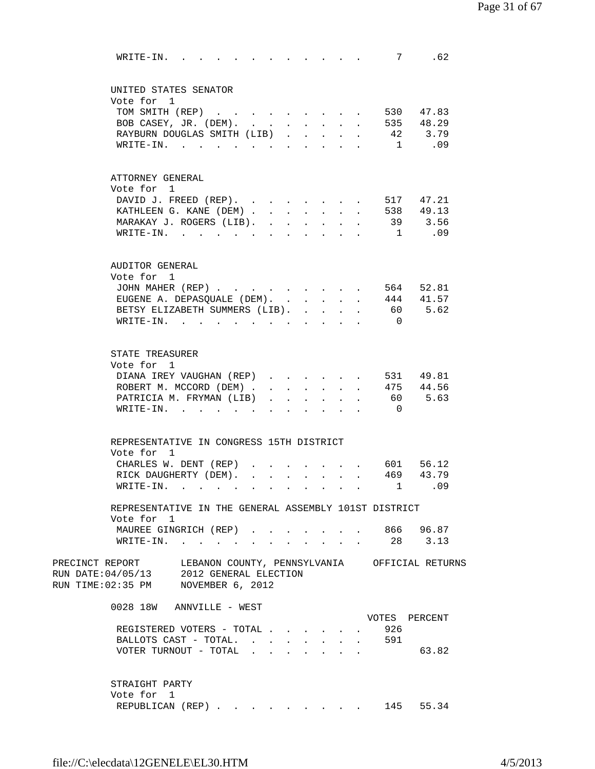| WRITE-IN.                                                                                                                    | and the state of the state of |              | $\mathbf{r} = \mathbf{r}$ , $\mathbf{r} = \mathbf{r}$ , $\mathbf{r} = \mathbf{r}$ |                                         |                                      |              | $7\overline{ }$                             | .62                          |  |
|------------------------------------------------------------------------------------------------------------------------------|-------------------------------|--------------|-----------------------------------------------------------------------------------|-----------------------------------------|--------------------------------------|--------------|---------------------------------------------|------------------------------|--|
|                                                                                                                              |                               |              |                                                                                   |                                         |                                      |              |                                             |                              |  |
| UNITED STATES SENATOR<br>Vote for 1                                                                                          |                               |              |                                                                                   |                                         |                                      |              |                                             |                              |  |
| TOM SMITH (REP)                                                                                                              |                               |              |                                                                                   |                                         |                                      |              |                                             |                              |  |
| BOB CASEY, JR. (DEM).                                                                                                        |                               | $\sim$       | $\sim$                                                                            | $\mathbf{L}^{\text{max}}$               | $\sim$                               | $\mathbf{L}$ |                                             | 530 47.83<br>535 48.29       |  |
| RAYBURN DOUGLAS SMITH (LIB)                                                                                                  |                               | $\mathbf{L}$ | $\mathbf{A}$                                                                      |                                         | $\ddot{\phantom{0}}$                 |              |                                             | 42 3.79                      |  |
| $\texttt{WRTTE-IN.}$                                                                                                         |                               |              |                                                                                   |                                         |                                      |              | $\sim$ 1                                    | .09                          |  |
|                                                                                                                              |                               |              |                                                                                   |                                         |                                      |              |                                             |                              |  |
| ATTORNEY GENERAL                                                                                                             |                               |              |                                                                                   |                                         |                                      |              |                                             |                              |  |
| Vote for 1                                                                                                                   |                               |              |                                                                                   |                                         |                                      |              |                                             |                              |  |
| DAVID J. FREED (REP).                                                                                                        |                               |              |                                                                                   |                                         |                                      |              | . 517 47.21                                 |                              |  |
| KATHLEEN G. KANE (DEM)                                                                                                       |                               |              | $\mathbf{r} = \mathbf{r} + \mathbf{r} + \mathbf{r}$                               |                                         |                                      |              |                                             | 538 49.13                    |  |
| MARAKAY J. ROGERS (LIB). .                                                                                                   |                               |              |                                                                                   |                                         |                                      |              |                                             | 39 3.56                      |  |
| $\texttt{WRTTE-IN.}$                                                                                                         | $\ddot{\phantom{0}}$          |              |                                                                                   |                                         |                                      |              |                                             | 1 .09                        |  |
|                                                                                                                              |                               |              |                                                                                   |                                         |                                      |              |                                             |                              |  |
| AUDITOR GENERAL                                                                                                              |                               |              |                                                                                   |                                         |                                      |              |                                             |                              |  |
| Vote for 1                                                                                                                   |                               |              |                                                                                   |                                         |                                      |              |                                             |                              |  |
| JOHN MAHER (REP)                                                                                                             |                               |              |                                                                                   |                                         |                                      |              | 564                                         | 52.81                        |  |
| EUGENE A. DEPASQUALE (DEM). 444 41.57                                                                                        |                               |              |                                                                                   |                                         |                                      |              |                                             |                              |  |
| BETSY ELIZABETH SUMMERS (LIB). .                                                                                             |                               |              |                                                                                   |                                         |                                      |              |                                             | 60 5.62                      |  |
| WRITE-IN.<br>$\mathbf{r} = \mathbf{r} + \mathbf{r} + \mathbf{r} + \mathbf{r} + \mathbf{r}$                                   |                               |              |                                                                                   |                                         |                                      |              | $\overline{0}$                              |                              |  |
|                                                                                                                              |                               |              |                                                                                   |                                         |                                      |              |                                             |                              |  |
| STATE TREASURER                                                                                                              |                               |              |                                                                                   |                                         |                                      |              |                                             |                              |  |
| Vote for 1                                                                                                                   |                               |              |                                                                                   |                                         |                                      |              |                                             |                              |  |
| DIANA IREY VAUGHAN (REP)                                                                                                     |                               |              |                                                                                   |                                         |                                      |              | . 531 49.81                                 |                              |  |
| ROBERT M. MCCORD (DEM).                                                                                                      | $\ddot{\phantom{0}}$          |              |                                                                                   |                                         |                                      |              | . 475 44.56                                 |                              |  |
| PATRICIA M. FRYMAN (LIB)                                                                                                     | $\ddot{\phantom{a}}$          |              |                                                                                   |                                         |                                      |              |                                             | 60 5.63                      |  |
| $W\text{RITE-IN.}$<br>$\sim$                                                                                                 |                               |              |                                                                                   |                                         |                                      |              | $\overline{0}$                              |                              |  |
|                                                                                                                              |                               |              |                                                                                   |                                         |                                      |              |                                             |                              |  |
| REPRESENTATIVE IN CONGRESS 15TH DISTRICT                                                                                     |                               |              |                                                                                   |                                         |                                      |              |                                             |                              |  |
| Vote for 1                                                                                                                   |                               |              |                                                                                   |                                         |                                      |              |                                             |                              |  |
| CHARLES W. DENT (REP)                                                                                                        |                               |              |                                                                                   |                                         |                                      |              | $\cdot$ , . 601 56.12                       |                              |  |
| RICK DAUGHERTY (DEM). 469 43.79                                                                                              |                               |              |                                                                                   |                                         |                                      |              |                                             |                              |  |
| WRITE-IN.<br>the contract of the contract of the contract of the contract of the contract of the contract of the contract of |                               |              |                                                                                   |                                         |                                      |              | 1                                           | $\overline{\phantom{0}}$ .09 |  |
| REPRESENTATIVE IN THE GENERAL ASSEMBLY 101ST DISTRICT                                                                        |                               |              |                                                                                   |                                         |                                      |              |                                             |                              |  |
| Vote for 1                                                                                                                   |                               |              |                                                                                   |                                         |                                      |              |                                             |                              |  |
| MAUREE GINGRICH (REP)                                                                                                        |                               |              | $\mathbf{r} = \mathbf{r}$                                                         |                                         |                                      |              | . 866 96.87                                 |                              |  |
| $\texttt{WRITE-IN.}\quad .\quad .\quad .\quad .\quad .\quad .$                                                               |                               |              | $\mathbf{L}$                                                                      | $\cdot$ $\cdot$ $\cdot$ $\cdot$ $\cdot$ |                                      |              |                                             | 28 3.13                      |  |
| PRECINCT REPORT LEBANON COUNTY, PENNSYLVANIA OFFICIAL RETURNS                                                                |                               |              |                                                                                   |                                         |                                      |              |                                             |                              |  |
| RUN DATE: 04/05/13 2012 GENERAL ELECTION                                                                                     |                               |              |                                                                                   |                                         |                                      |              |                                             |                              |  |
| RUN TIME: 02:35 PM NOVEMBER 6, 2012                                                                                          |                               |              |                                                                                   |                                         |                                      |              |                                             |                              |  |
| 0028 18W ANNVILLE - WEST                                                                                                     |                               |              |                                                                                   |                                         |                                      |              |                                             |                              |  |
|                                                                                                                              |                               |              |                                                                                   |                                         |                                      |              | VOTES PERCENT                               |                              |  |
| REGISTERED VOTERS - TOTAL                                                                                                    |                               |              |                                                                                   |                                         | $\mathbf{L} = \mathbf{L} \mathbf{L}$ |              | 926                                         |                              |  |
| BALLOTS CAST - TOTAL.                                                                                                        |                               |              |                                                                                   |                                         |                                      |              | $\cdot$ $\cdot$ $\cdot$ $\cdot$ $\cdot$ 591 |                              |  |
| VOTER TURNOUT - TOTAL                                                                                                        |                               |              |                                                                                   |                                         |                                      |              |                                             | 63.82                        |  |
|                                                                                                                              |                               |              |                                                                                   |                                         |                                      |              |                                             |                              |  |
| STRAIGHT PARTY<br>Vote for 1                                                                                                 |                               |              |                                                                                   |                                         |                                      |              |                                             |                              |  |
| REPUBLICAN (REP)                                                                                                             |                               |              |                                                                                   |                                         |                                      |              |                                             | 145 55.34                    |  |
|                                                                                                                              |                               |              |                                                                                   |                                         |                                      |              |                                             |                              |  |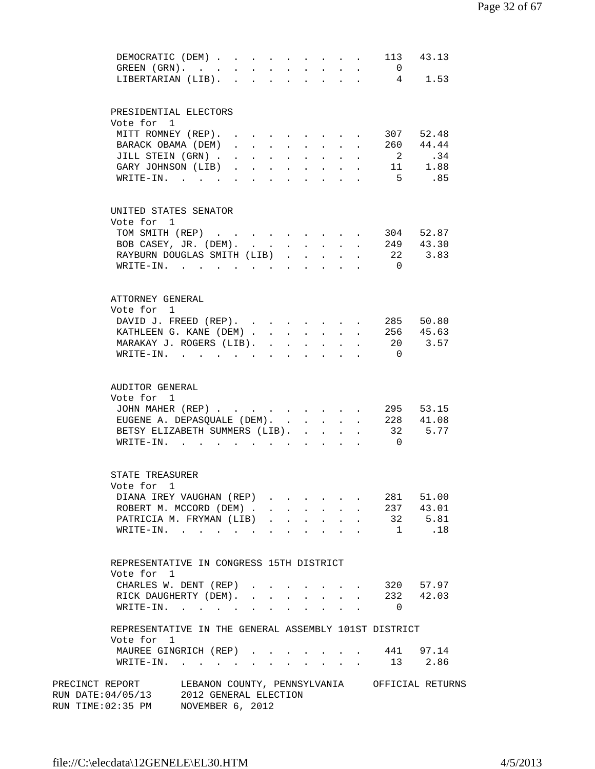|                                                               | DEMOCRATIC (DEM)                                          |                                                              |                            |                            |                                                                                   |                                                | 113            | 43.13                 |
|---------------------------------------------------------------|-----------------------------------------------------------|--------------------------------------------------------------|----------------------------|----------------------------|-----------------------------------------------------------------------------------|------------------------------------------------|----------------|-----------------------|
|                                                               | GREEN $(GRN)$ .                                           |                                                              |                            |                            |                                                                                   |                                                | $\Omega$       |                       |
|                                                               | LIBERTARIAN (LIB).                                        |                                                              |                            |                            |                                                                                   |                                                |                | 4 1.53                |
|                                                               |                                                           |                                                              |                            |                            |                                                                                   |                                                |                |                       |
|                                                               |                                                           |                                                              |                            |                            |                                                                                   |                                                |                |                       |
| PRESIDENTIAL ELECTORS                                         |                                                           |                                                              |                            |                            |                                                                                   |                                                |                |                       |
| Vote for 1                                                    |                                                           |                                                              |                            |                            |                                                                                   |                                                |                |                       |
|                                                               | MITT ROMNEY (REP). .                                      |                                                              |                            |                            | <b>Service Control</b>                                                            |                                                | 307            | 52.48                 |
| BARACK OBAMA (DEM)                                            |                                                           | $\mathbf{L} = \mathbf{L} \mathbf{L} + \mathbf{L} \mathbf{L}$ | $\mathbf{L}$               | $\mathcal{L}^{\text{max}}$ | $\sim$ $\sim$                                                                     | $\mathbf{r}$<br>$\sim$                         |                | 260 44.44             |
| JILL STEIN (GRN).                                             | $\mathbf{L}$                                              | $\mathbf{L}^{\text{max}}$<br>$\mathbf{L}$                    | $\mathbf{L}$               | $\mathbf{L}$               | $\sim$                                                                            | $\mathbf{L}$                                   | $\overline{2}$ | .34                   |
|                                                               | GARY JOHNSON (LIB)                                        |                                                              |                            |                            | $\mathbf{r} = \mathbf{r}$ , $\mathbf{r} = \mathbf{r}$ , $\mathbf{r} = \mathbf{r}$ |                                                |                | 11 1.88               |
|                                                               |                                                           |                                                              |                            |                            |                                                                                   |                                                |                | 5 .85                 |
|                                                               | WRITE-IN.                                                 |                                                              |                            |                            |                                                                                   | $\mathbf{r}$                                   |                |                       |
|                                                               |                                                           |                                                              |                            |                            |                                                                                   |                                                |                |                       |
|                                                               |                                                           |                                                              |                            |                            |                                                                                   |                                                |                |                       |
| UNITED STATES SENATOR                                         |                                                           |                                                              |                            |                            |                                                                                   |                                                |                |                       |
| Vote for 1                                                    |                                                           |                                                              |                            |                            |                                                                                   |                                                |                |                       |
|                                                               | TOM SMITH (REP)                                           |                                                              |                            |                            |                                                                                   |                                                |                | 304 52.87             |
|                                                               | BOB CASEY, JR. (DEM).                                     |                                                              | $\mathcal{L}^{\text{max}}$ | $\sim$ $\sim$              | $\mathbf{L}$                                                                      | $\mathbf{L}^{\text{max}}$<br>$\mathbf{r}$      |                | 249 43.30             |
|                                                               | RAYBURN DOUGLAS SMITH (LIB)                               |                                                              | $\mathbf{L}$               | $\sim$                     | $\sim$                                                                            | $\ddot{\phantom{a}}$<br>$\mathbf{L}$           |                | 22 3.83               |
|                                                               | WRITE-IN.                                                 |                                                              |                            |                            |                                                                                   | $\mathbf{r}$                                   | $\cap$         |                       |
|                                                               |                                                           |                                                              |                            |                            |                                                                                   |                                                |                |                       |
|                                                               |                                                           |                                                              |                            |                            |                                                                                   |                                                |                |                       |
| ATTORNEY GENERAL                                              |                                                           |                                                              |                            |                            |                                                                                   |                                                |                |                       |
| Vote for 1                                                    |                                                           |                                                              |                            |                            |                                                                                   |                                                |                |                       |
|                                                               | DAVID J. FREED (REP).                                     |                                                              |                            |                            |                                                                                   |                                                | 285            | 50.80                 |
|                                                               | KATHLEEN G. KANE (DEM)                                    |                                                              | $\mathbf{L}^{\text{max}}$  | $\sim 10$                  |                                                                                   | $\mathbf{r}$ and $\mathbf{r}$ and $\mathbf{r}$ |                | 256 45.63             |
|                                                               | MARAKAY J. ROGERS (LIB). .                                |                                                              |                            |                            |                                                                                   |                                                | 20             | 3.57                  |
|                                                               |                                                           |                                                              | $\mathbf{L}$               |                            |                                                                                   | $\ddot{\phantom{a}}$<br>$\ddot{\phantom{a}}$   |                |                       |
| WRITE-IN.                                                     | $\mathbf{r}$ , $\mathbf{r}$ , $\mathbf{r}$ , $\mathbf{r}$ |                                                              |                            |                            |                                                                                   |                                                | $\overline{0}$ |                       |
|                                                               |                                                           |                                                              |                            |                            |                                                                                   |                                                |                |                       |
|                                                               |                                                           |                                                              |                            |                            |                                                                                   |                                                |                |                       |
| AUDITOR GENERAL                                               |                                                           |                                                              |                            |                            |                                                                                   |                                                |                |                       |
| Vote for 1                                                    |                                                           |                                                              |                            |                            |                                                                                   |                                                |                |                       |
|                                                               | JOHN MAHER (REP)                                          |                                                              |                            |                            |                                                                                   |                                                | 295            | 53.15                 |
|                                                               | EUGENE A. DEPASQUALE (DEM). .                             |                                                              |                            |                            | $\mathbf{r} = \mathbf{r} \times \mathbf{r}$ . The set of $\mathbf{r}$             |                                                |                | 228 41.08             |
|                                                               | BETSY ELIZABETH SUMMERS (LIB).                            |                                                              |                            | $\sim$ $\sim$              | $\sim$                                                                            |                                                | 32             | 5.77                  |
| $W\text{RITE}-\text{IN}.$                                     |                                                           |                                                              |                            |                            |                                                                                   |                                                | $\Omega$       |                       |
|                                                               |                                                           |                                                              |                            |                            |                                                                                   |                                                |                |                       |
|                                                               |                                                           |                                                              |                            |                            |                                                                                   |                                                |                |                       |
| STATE TREASURER                                               |                                                           |                                                              |                            |                            |                                                                                   |                                                |                |                       |
| Vote for 1                                                    |                                                           |                                                              |                            |                            |                                                                                   |                                                |                |                       |
|                                                               | DIANA IREY VAUGHAN (REP)                                  |                                                              |                            |                            |                                                                                   |                                                |                | 281 51.00             |
|                                                               | ROBERT M. MCCORD (DEM).                                   |                                                              |                            |                            |                                                                                   |                                                |                | 237 43.01             |
|                                                               |                                                           | $\ddot{\phantom{0}}$                                         | $\sim$                     | $\sim$                     | $\mathbf{r} = \mathbf{r}$                                                         | $\ddot{\phantom{a}}$                           |                |                       |
|                                                               | PATRICIA M. FRYMAN (LIB)                                  |                                                              |                            |                            |                                                                                   |                                                |                | 32 5.81               |
|                                                               | WRITE-IN.                                                 | $\sim$                                                       |                            |                            |                                                                                   |                                                | 1              | .18                   |
|                                                               |                                                           |                                                              |                            |                            |                                                                                   |                                                |                |                       |
|                                                               |                                                           |                                                              |                            |                            |                                                                                   |                                                |                |                       |
|                                                               | REPRESENTATIVE IN CONGRESS 15TH DISTRICT                  |                                                              |                            |                            |                                                                                   |                                                |                |                       |
| Vote for 1                                                    |                                                           |                                                              |                            |                            |                                                                                   |                                                |                |                       |
|                                                               | CHARLES W. DENT (REP)                                     | $\mathbf{r} = \mathbf{r}$                                    |                            |                            |                                                                                   |                                                |                | $\cdot$ , . 320 57.97 |
|                                                               | RICK DAUGHERTY (DEM).                                     |                                                              |                            |                            |                                                                                   |                                                |                | $\cdot$ 232 42.03     |
|                                                               | $\texttt{WRITE-IN.}$                                      |                                                              |                            |                            |                                                                                   |                                                | $\Omega$       |                       |
|                                                               |                                                           |                                                              |                            |                            |                                                                                   |                                                |                |                       |
|                                                               | REPRESENTATIVE IN THE GENERAL ASSEMBLY 101ST DISTRICT     |                                                              |                            |                            |                                                                                   |                                                |                |                       |
| Vote for 1                                                    |                                                           |                                                              |                            |                            |                                                                                   |                                                |                |                       |
|                                                               | MAUREE GINGRICH (REP)                                     |                                                              |                            |                            |                                                                                   |                                                |                | 441 97.14             |
|                                                               | WRITE-IN.                                                 |                                                              |                            |                            |                                                                                   |                                                |                | 13 2.86               |
|                                                               |                                                           |                                                              |                            |                            |                                                                                   |                                                |                |                       |
| PRECINCT REPORT LEBANON COUNTY, PENNSYLVANIA OFFICIAL RETURNS |                                                           |                                                              |                            |                            |                                                                                   |                                                |                |                       |
| RUN DATE: 04/05/13 2012 GENERAL ELECTION                      |                                                           |                                                              |                            |                            |                                                                                   |                                                |                |                       |
|                                                               |                                                           |                                                              |                            |                            |                                                                                   |                                                |                |                       |
| RUN TIME: 02:35 PM NOVEMBER 6, 2012                           |                                                           |                                                              |                            |                            |                                                                                   |                                                |                |                       |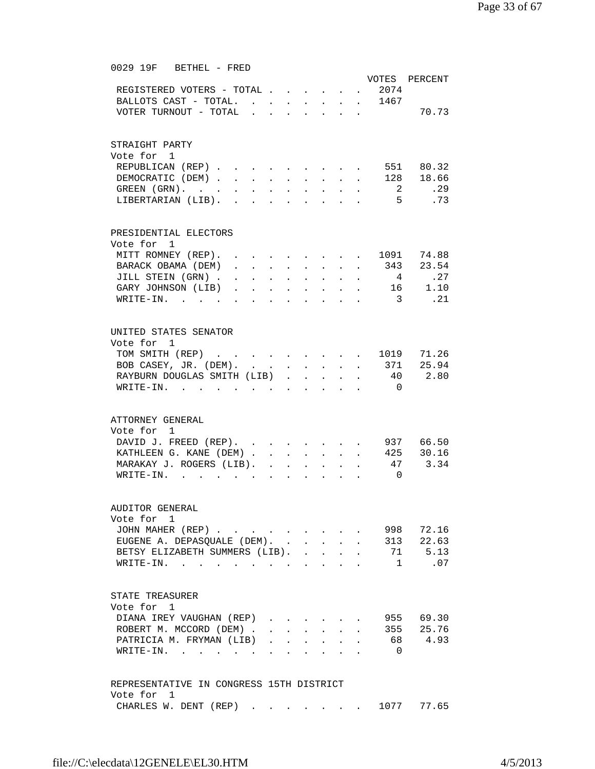0029 19F BETHEL - FRED VOTES PERCENT REGISTERED VOTERS - TOTAL . . . . . . 2074<br>BALLOTS CAST - TOTAL . . . . . . . 1467 BALLOTS CAST - TOTAL.  $\cdot \cdot \cdot \cdot \cdot \cdot \cdot$ VOTER TURNOUT - TOTAL . . . . . . . . 70.73 STRAIGHT PARTY Vote for 1 REPUBLICAN (REP) . . . . . . . . . 551 80.32 DEMOCRATIC (DEM) . . . . . . . . . 128 18.66 GREEN (GRN). . . . . . . . . . . . 2 . 29<br>LIBERTARIAN (LIB). . . . . . . . . 5 . 73 LIBERTARIAN (LIB). . . . . . . . . 5 .73 PRESIDENTIAL ELECTORS Vote for 1 MITT ROMNEY (REP). . . . . . . . . 1091 74.88 BARACK OBAMA (DEM) . . . . . . . . 343 23.54<br>JILL STEIN (GRN) . . . . . . . . . 4 .27 JILL STEIN (GRN) . . . . . . . . . 4 .27 GARY JOHNSON (LIB) . . . . . . . . 16 1.10 WRITE-IN. . . . . . . . . . . . 3 .21 UNITED STATES SENATOR Vote for 1 TOM SMITH (REP) . . . . . . . . . 1019 71.26 BOB CASEY, JR. (DEM). . . . . . . . 371 25.94<br>RAYBURN DOUGLAS SMITH (LIB) . . . . . 40 2.80 RAYBURN DOUGLAS SMITH (LIB) . . . . . WRITE-IN. . . . . . . . . . . . 0 ATTORNEY GENERAL Vote for 1 DAVID J. FREED (REP). . . . . . . . 937 66.50 KATHLEEN G. KANE (DEM) . . . . . . . 425 30.16<br>MARAKAY J. ROGERS (LIB). . . . . . . 47 3.34 MARAKAY J. ROGERS (LIB). . . . . . . 47 3.34<br>WRITE-IN. . . . . . . . . . . . 0 WRITE-IN. . . . . . . . . . . . AUDITOR GENERAL Vote for 1 JOHN MAHER (REP) . . . . . . . . . 998 72.16 EUGENE A. DEPASQUALE (DEM). . . . . . 313 22.63<br>BETSY ELIZABETH SUMMERS (LIB). . . . . 71 5.13<br>WRITE-IN BETSY ELIZABETH SUMMERS (LIB). . . . . 71<br>WRITE-IN. . . . . . . . . . . . . . . . 1 WRITE-IN. . . . . . . . . . . . 1 .07 STATE TREASURER Vote for 1 DIANA IREY VAUGHAN (REP) . . . . . . 955 69.30 ROBERT M. MCCORD (DEM) . . . . . . . 355 25.76 ROBERT M. MCCORD (DEM) . . . . . . . . . 355 25.76<br>PATRICIA M. FRYMAN (LIB) . . . . . . . . 68 4.93 WRITE-IN. . . . . . . . . . . 0 REPRESENTATIVE IN CONGRESS 15TH DISTRICT Vote for 1 CHARLES W. DENT (REP) . . . . . . 1077 77.65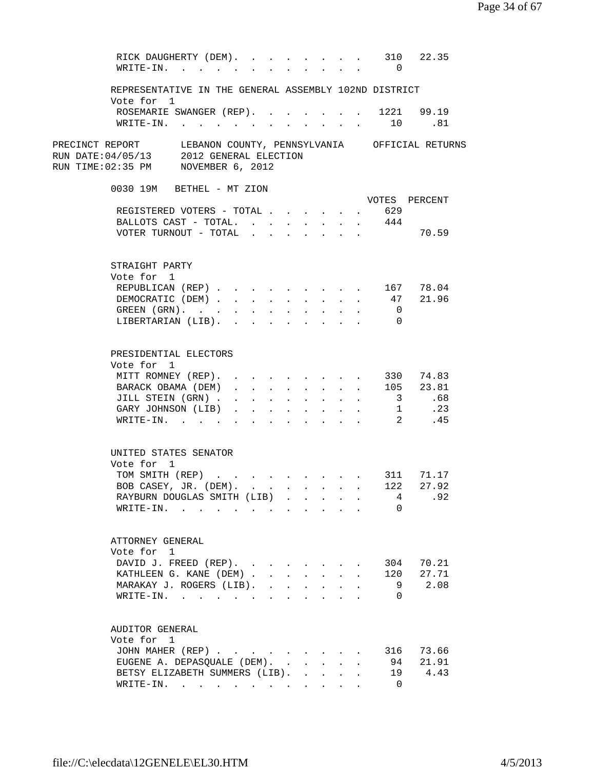| RICK DAUGHERTY (DEM). 310 22.35<br>$W\text{RITE}-\text{IN.}$                                                                                     |               |               |                               |                 |                                                                  |                | $\overline{0}$           |                |
|--------------------------------------------------------------------------------------------------------------------------------------------------|---------------|---------------|-------------------------------|-----------------|------------------------------------------------------------------|----------------|--------------------------|----------------|
| REPRESENTATIVE IN THE GENERAL ASSEMBLY 102ND DISTRICT<br>Vote for 1                                                                              |               |               |                               |                 |                                                                  |                |                          |                |
| ROSEMARIE SWANGER (REP). 1221 99.19<br>WRITE-IN. 10 .81                                                                                          |               |               |                               |                 |                                                                  |                |                          |                |
| PRECINCT REPORT LEBANON COUNTY, PENNSYLVANIA OFFICIAL RETURNS<br>RUN DATE: 04/05/13 2012 GENERAL ELECTION<br>RUN TIME: 02:35 PM NOVEMBER 6, 2012 |               |               |                               |                 |                                                                  |                |                          |                |
| 0030 19M BETHEL - MT ZION                                                                                                                        |               |               |                               |                 |                                                                  |                |                          | VOTES PERCENT  |
| REGISTERED VOTERS - TOTAL<br>BALLOTS CAST - TOTAL.                                                                                               |               |               |                               | $\sim$ $\sim$   | $\ddot{\phantom{a}}$                                             |                | . 629<br>$\cdot$ $444$   |                |
| VOTER TURNOUT - TOTAL                                                                                                                            |               |               |                               |                 |                                                                  |                |                          | 70.59          |
| STRAIGHT PARTY<br>Vote for 1                                                                                                                     |               |               |                               |                 |                                                                  |                |                          |                |
| REPUBLICAN (REP) 167 78.04                                                                                                                       |               |               |                               |                 |                                                                  |                |                          |                |
| DEMOCRATIC (DEM)                                                                                                                                 |               |               |                               |                 |                                                                  |                |                          | . 47 21.96     |
| GREEN (GRN).                                                                                                                                     |               |               | <b>All Cards</b>              |                 | $\sim 100$                                                       |                | $\overline{\phantom{0}}$ |                |
| LIBERTARIAN (LIB).                                                                                                                               |               |               |                               |                 |                                                                  |                | $\bigcap$                |                |
| PRESIDENTIAL ELECTORS<br>Vote for 1                                                                                                              |               |               |                               |                 |                                                                  |                |                          |                |
| MITT ROMNEY (REP). 330 74.83                                                                                                                     |               |               |                               |                 |                                                                  |                |                          |                |
| BARACK OBAMA (DEM) 105 23.81                                                                                                                     |               |               |                               |                 |                                                                  |                |                          |                |
| JILL STEIN (GRN)                                                                                                                                 | $\sim$ $\sim$ | $\mathbf{L}$  | $\mathbf{r}$ and $\mathbf{r}$ |                 | $\mathbf{L} = \mathbf{L} \mathbf{L}$                             | $\mathbf{A}$   |                          | . 3 .68        |
| GARY JOHNSON (LIB).<br>$\texttt{WRTTE-IN.}$                                                                                                      | $\sim$        |               |                               |                 | $\mathbf{r} = \mathbf{r} + \mathbf{r} + \mathbf{r} + \mathbf{r}$ | $\blacksquare$ |                          | 1 .23<br>2 .45 |
| UNITED STATES SENATOR<br>Vote for 1                                                                                                              |               |               |                               |                 |                                                                  |                |                          |                |
| TOM SMITH (REP) 311 71.17                                                                                                                        |               |               |                               |                 |                                                                  |                |                          |                |
| BOB CASEY, JR. (DEM).                                                                                                                            |               |               |                               |                 |                                                                  |                | 122                      | 27.92          |
| RAYBURN DOUGLAS SMITH (LIB)                                                                                                                      |               |               | $\mathbf{L}$                  |                 | $\mathbf{r} = \mathbf{r}$                                        | $\mathbf{L}$   | 4                        | .92            |
| WRITE-IN.                                                                                                                                        |               |               |                               |                 |                                                                  |                | $\Omega$                 |                |
| ATTORNEY GENERAL                                                                                                                                 |               |               |                               |                 |                                                                  |                |                          |                |
| Vote for 1<br>DAVID J. FREED (REP).                                                                                                              |               |               |                               |                 |                                                                  |                | 304                      | 70.21          |
| KATHLEEN G. KANE (DEM)                                                                                                                           |               |               |                               |                 | $\mathcal{L}^{\text{max}}$                                       | $\mathbf{L}$   | 120                      | 27.71          |
| MARAKAY J. ROGERS (LIB).                                                                                                                         |               | $\sim$ $\sim$ | $\mathbf{r}$ and $\mathbf{r}$ | $\sim 10^{-10}$ | $\mathbf{A}$                                                     |                | 9                        | 2.08           |
| $\texttt{WRTTE-IN.}$                                                                                                                             |               |               | $\ddot{\phantom{0}}$          |                 | $\sim$                                                           |                | 0                        |                |
| AUDITOR GENERAL                                                                                                                                  |               |               |                               |                 |                                                                  |                |                          |                |
| Vote for 1                                                                                                                                       |               |               |                               |                 |                                                                  |                |                          |                |
| JOHN MAHER (REP)                                                                                                                                 |               |               |                               |                 |                                                                  |                | 316                      | 73.66          |
| EUGENE A. DEPASQUALE (DEM).                                                                                                                      |               |               |                               |                 | $\mathbf{L}$                                                     | $\mathbf{L}$   | 94                       | 21.91          |
| BETSY ELIZABETH SUMMERS (LIB).<br>WRITE-IN.                                                                                                      |               |               |                               |                 |                                                                  | $\mathbf{L}$   | 19<br>$\overline{0}$     | 4.43           |
|                                                                                                                                                  |               |               |                               |                 |                                                                  |                |                          |                |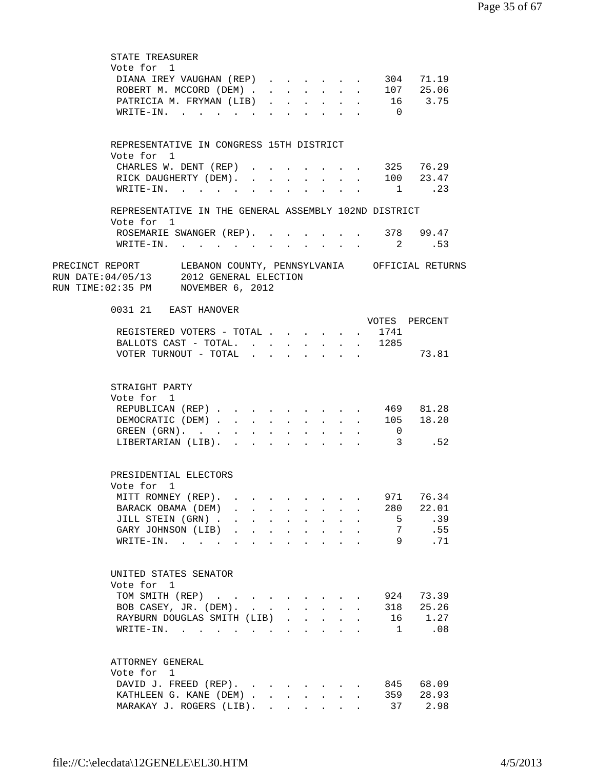STATE TREASURER Vote for 1 DIANA IREY VAUGHAN (REP) . . . . . . 304 71.19 ROBERT M. MCCORD (DEM) . . . . . . . 107 25.06<br>PATRICIA M. FRYMAN (LIB) . . . . . . 16 3.75 PATRICIA M. FRYMAN (LIB) . . . . . . WRITE-IN. . . . . . . . . . . . 0 REPRESENTATIVE IN CONGRESS 15TH DISTRICT Vote for 1 CHARLES W. DENT (REP) . . . . . . . 325 76.29<br>RICK DAUGHERTY (DEM). . . . . . . . 100 23.47 RICK DAUGHERTY (DEM). . . . . . . . 100 23.47<br>WRITE-IN. . . . . . . . . . . . . 1 . 23 WRITE-IN. . . . . . . . . . . . REPRESENTATIVE IN THE GENERAL ASSEMBLY 102ND DISTRICT Vote for 1 ROSEMARIE SWANGER (REP). . . . . . . 378 99.47 WRITE-IN. . . . . . . . . . . . 2 .53 PRECINCT REPORT LEBANON COUNTY, PENNSYLVANIA OFFICIAL RETURNS RUN DATE:04/05/13 2012 GENERAL ELECTION RUN TIME:02:35 PM NOVEMBER 6, 2012 0031 21 EAST HANOVER VOTES PERCENT REGISTERED VOTERS - TOTAL . . . . . . 1741<br>BALLOTS CAST - TOTAL. . . . . . . . 1285 BALLOTS CAST - TOTAL.  $\cdot \cdot \cdot \cdot \cdot \cdot$ VOTER TURNOUT - TOTAL . . . . . . . 73.81 STRAIGHT PARTY Vote for 1 REPUBLICAN (REP) . . . . . . . . . 469 81.28<br>DEMOCRATIC (DEM) . . . . . . . . . 105 18.20 DEMOCRATIC (DEM) . . . . . . . . . 105<br>GREEN (GRN). . . . . . . . . . . 0 GREEN (GRN). . . . . . . . . . . 0<br>LIBERTARIAN (LIB). . . . . . . . . 3 .52 LIBERTARIAN (LIB). . . . . . . . . PRESIDENTIAL ELECTORS Vote for 1 MITT ROMNEY (REP). . . . . . . . . 971 76.34 BARACK OBAMA (DEM) . . . . . . . . 280 22.01 JILL STEIN (GRN) . . . . . . . . . 5 .39 GARY JOHNSON (LIB) . . . . . . . . 7 .55 WRITE-IN. . . . . . . . . . . . 9 .71 UNITED STATES SENATOR Vote for 1 TOM SMITH (REP) . . . . . . . . . 924 73.39 BOB CASEY, JR. (DEM). . . . . . . . 318 25.26<br>RAYBURN DOUGLAS SMITH (LIB) . . . . . 16 1.27<br>WRITE-IN. . . . . . . . . . . . 1 .08 RAYBURN DOUGLAS SMITH (LIB) . . . . . WRITE-IN. . . . . . . . . . . . ATTORNEY GENERAL Vote for 1 DAVID J. FREED (REP). . . . . . . . 845 68.09<br>
KATHLEEN G. KANE (DEM) . . . . . . 359 28.93<br>
MARAKAY J. POGERS (LIR) 37 398 KATHLEEN G. KANE (DEM) . . . . . . . MARAKAY J. ROGERS (LIB). . . . . . . 37 2.98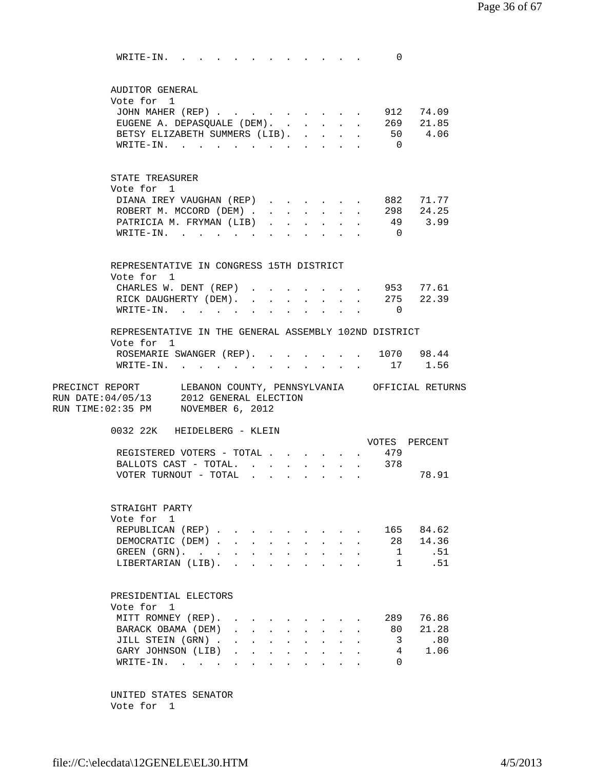| $WRITE-IN.$                                                                                                                                      |                                                                          |                            |                      |                      |                      |                                      |                           |                      | 0              |                         |  |
|--------------------------------------------------------------------------------------------------------------------------------------------------|--------------------------------------------------------------------------|----------------------------|----------------------|----------------------|----------------------|--------------------------------------|---------------------------|----------------------|----------------|-------------------------|--|
| AUDITOR GENERAL<br>Vote for 1                                                                                                                    |                                                                          |                            |                      |                      |                      |                                      |                           |                      |                |                         |  |
| JOHN MAHER (REP)                                                                                                                                 |                                                                          |                            |                      |                      |                      |                                      |                           |                      |                | 912 74.09               |  |
| EUGENE A. DEPASQUALE (DEM).                                                                                                                      |                                                                          |                            |                      |                      |                      | <b>All Contracts</b>                 |                           |                      |                | . 269 21.85             |  |
| BETSY ELIZABETH SUMMERS (LIB).                                                                                                                   |                                                                          |                            |                      |                      | $\mathbf{L}$         | $\mathbf{L}$                         |                           |                      |                | 50 4.06                 |  |
| WRITE-IN.                                                                                                                                        |                                                                          |                            |                      |                      |                      |                                      |                           |                      | $\overline{0}$ |                         |  |
| STATE TREASURER                                                                                                                                  |                                                                          |                            |                      |                      |                      |                                      |                           |                      |                |                         |  |
| Vote for 1                                                                                                                                       |                                                                          |                            |                      |                      |                      |                                      |                           |                      |                |                         |  |
| DIANA IREY VAUGHAN (REP)                                                                                                                         |                                                                          |                            |                      |                      |                      |                                      |                           |                      |                | 882 71.77               |  |
| ROBERT M. MCCORD (DEM).<br>PATRICIA M. FRYMAN (LIB)                                                                                              |                                                                          |                            |                      | $\mathbf{L}$         |                      | $\mathbf{L} = \mathbf{L} \mathbf{L}$ | $\mathbf{L}$              | $\ddot{\phantom{a}}$ |                | 298 24.25<br>49 3.99    |  |
| $\texttt{WRTTE-IN.}$                                                                                                                             |                                                                          |                            |                      |                      | $\ddot{\phantom{a}}$ | $\sim$                               |                           |                      | $\overline{0}$ |                         |  |
|                                                                                                                                                  |                                                                          |                            |                      |                      |                      |                                      |                           |                      |                |                         |  |
| REPRESENTATIVE IN CONGRESS 15TH DISTRICT<br>Vote for 1                                                                                           |                                                                          |                            |                      |                      |                      |                                      |                           |                      |                |                         |  |
| CHARLES W. DENT (REP)                                                                                                                            |                                                                          |                            |                      |                      |                      |                                      |                           |                      |                | $\cdot$ 953 77.61       |  |
| RICK DAUGHERTY (DEM). 275 22.39                                                                                                                  |                                                                          |                            |                      |                      |                      |                                      |                           |                      |                |                         |  |
| WRITE-IN.                                                                                                                                        | $\mathbf{r}$ , $\mathbf{r}$ , $\mathbf{r}$ , $\mathbf{r}$ , $\mathbf{r}$ |                            | $\ddot{\phantom{a}}$ | $\ddot{\phantom{0}}$ |                      |                                      | $\mathbf{r} = \mathbf{r}$ |                      | $\overline{0}$ |                         |  |
| REPRESENTATIVE IN THE GENERAL ASSEMBLY 102ND DISTRICT                                                                                            |                                                                          |                            |                      |                      |                      |                                      |                           |                      |                |                         |  |
| Vote for 1                                                                                                                                       |                                                                          |                            |                      |                      |                      |                                      |                           |                      |                |                         |  |
| ROSEMARIE SWANGER (REP). .<br>WRITE-IN.                                                                                                          | $\ddot{\phantom{a}}$                                                     |                            |                      |                      |                      |                                      |                           |                      |                | $1070$ 98.44<br>17 1.56 |  |
| PRECINCT REPORT LEBANON COUNTY, PENNSYLVANIA OFFICIAL RETURNS<br>RUN DATE: 04/05/13 2012 GENERAL ELECTION<br>RUN TIME: 02:35 PM NOVEMBER 6, 2012 |                                                                          |                            |                      |                      |                      |                                      |                           |                      |                |                         |  |
| 0032 22K HEIDELBERG - KLEIN                                                                                                                      |                                                                          |                            |                      |                      |                      |                                      |                           |                      |                | VOTES PERCENT           |  |
| REGISTERED VOTERS - TOTAL                                                                                                                        |                                                                          |                            |                      |                      |                      |                                      |                           |                      | 479            |                         |  |
| BALLOTS CAST - TOTAL.                                                                                                                            |                                                                          |                            |                      |                      |                      |                                      |                           |                      | 378            |                         |  |
| VOTER TURNOUT - TOTAL                                                                                                                            |                                                                          | $\ddot{\phantom{a}}$       |                      |                      |                      |                                      |                           |                      |                | 78.91                   |  |
| STRAIGHT PARTY<br>Vote for 1                                                                                                                     |                                                                          |                            |                      |                      |                      |                                      |                           |                      |                |                         |  |
| REPUBLICAN (REP).                                                                                                                                |                                                                          | $\mathcal{L}^{\text{max}}$ |                      |                      |                      |                                      |                           |                      |                | 165 84.62               |  |
| DEMOCRATIC (DEM).                                                                                                                                |                                                                          | $\ddot{\phantom{a}}$       |                      |                      |                      |                                      |                           |                      | 28             | 14.36                   |  |
| GREEN (GRN).                                                                                                                                     |                                                                          |                            |                      |                      |                      |                                      |                           |                      | $\mathbf{1}$   | .51                     |  |
| LIBERTARIAN (LIB).                                                                                                                               |                                                                          | $\ddot{\phantom{a}}$       |                      |                      |                      |                                      |                           |                      | 1              | .51                     |  |
| PRESIDENTIAL ELECTORS                                                                                                                            |                                                                          |                            |                      |                      |                      |                                      |                           |                      |                |                         |  |
| Vote for 1                                                                                                                                       |                                                                          |                            |                      |                      |                      |                                      |                           |                      |                |                         |  |
| MITT ROMNEY (REP).                                                                                                                               |                                                                          |                            |                      |                      |                      |                                      |                           |                      | 289            | 76.86                   |  |
| BARACK OBAMA (DEM)                                                                                                                               |                                                                          |                            |                      |                      |                      |                                      |                           |                      | 80             | 21.28                   |  |
| JILL STEIN (GRN).                                                                                                                                |                                                                          |                            |                      |                      |                      |                                      |                           |                      |                |                         |  |
|                                                                                                                                                  |                                                                          |                            |                      |                      |                      |                                      |                           |                      | $\mathbf{3}$   | .80                     |  |
| GARY JOHNSON (LIB)<br>$WRITE-IN.$                                                                                                                |                                                                          |                            |                      |                      |                      |                                      |                           |                      | 4<br>$\Omega$  | 1.06                    |  |

 UNITED STATES SENATOR Vote for 1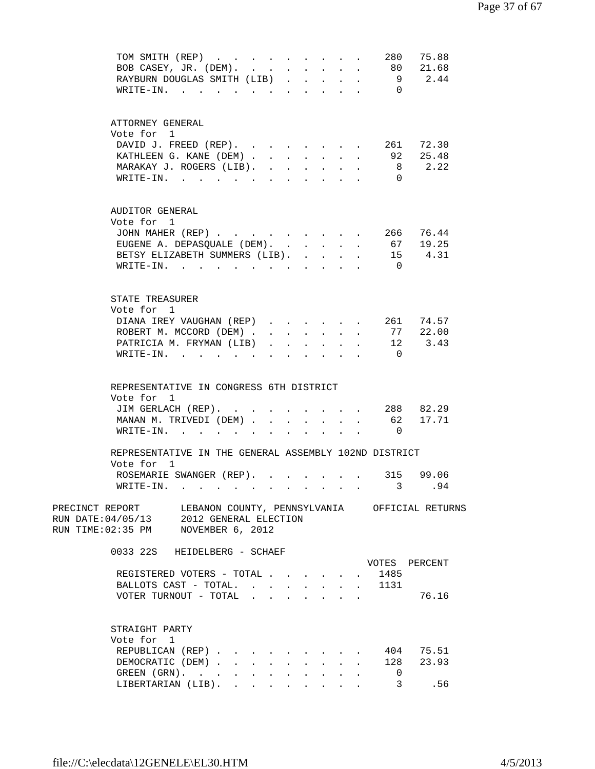|                    | TOM SMITH (REP)                                                                                      |                       |  |                      |                      |              |                                                                          |                              |              | 280            | 75.88         |  |
|--------------------|------------------------------------------------------------------------------------------------------|-----------------------|--|----------------------|----------------------|--------------|--------------------------------------------------------------------------|------------------------------|--------------|----------------|---------------|--|
|                    | BOB CASEY, JR. (DEM).                                                                                |                       |  |                      |                      |              |                                                                          |                              |              |                | 80 21.68      |  |
|                    | RAYBURN DOUGLAS SMITH (LIB)                                                                          |                       |  |                      |                      |              |                                                                          |                              | $\mathbf{L}$ |                | 9 2.44        |  |
|                    | WRITE-IN.                                                                                            |                       |  |                      |                      |              |                                                                          |                              |              | $\Omega$       |               |  |
|                    |                                                                                                      |                       |  |                      |                      |              |                                                                          |                              |              |                |               |  |
|                    | ATTORNEY GENERAL                                                                                     |                       |  |                      |                      |              |                                                                          |                              |              |                |               |  |
|                    | Vote for 1                                                                                           |                       |  |                      |                      |              |                                                                          |                              |              |                |               |  |
|                    | DAVID J. FREED (REP).                                                                                |                       |  |                      |                      |              |                                                                          |                              |              |                | 261 72.30     |  |
|                    | KATHLEEN G. KANE (DEM)                                                                               |                       |  |                      |                      |              |                                                                          |                              | $\sim$       |                | 92 25.48      |  |
|                    | MARAKAY J. ROGERS (LIB).                                                                             |                       |  |                      |                      |              | $\mathbf{r}$ and $\mathbf{r}$                                            |                              |              |                | 8 2.22        |  |
|                    | $\verb+WRITE-IN.$                                                                                    |                       |  |                      | $\ddot{\phantom{0}}$ | $\bullet$    | $\sim$ $\sim$                                                            |                              |              | $\Omega$       |               |  |
|                    | AUDITOR GENERAL                                                                                      |                       |  |                      |                      |              |                                                                          |                              |              |                |               |  |
|                    | Vote for 1                                                                                           |                       |  |                      |                      |              |                                                                          |                              |              |                |               |  |
|                    | JOHN MAHER (REP)                                                                                     |                       |  |                      |                      |              |                                                                          |                              |              |                | 266 76.44     |  |
|                    | EUGENE A. DEPASQUALE (DEM).                                                                          |                       |  |                      |                      |              |                                                                          |                              |              |                | 67 19.25      |  |
|                    | BETSY ELIZABETH SUMMERS (LIB).                                                                       |                       |  |                      |                      |              |                                                                          | $\mathbf{L}$<br>$\mathbf{L}$ | $\mathbf{L}$ |                | 15 4.31       |  |
|                    |                                                                                                      |                       |  |                      |                      |              |                                                                          |                              |              | $\overline{0}$ |               |  |
|                    | WRITE-IN.                                                                                            |                       |  |                      |                      |              |                                                                          |                              |              |                |               |  |
|                    | STATE TREASURER                                                                                      |                       |  |                      |                      |              |                                                                          |                              |              |                |               |  |
|                    | Vote for 1                                                                                           |                       |  |                      |                      |              |                                                                          |                              |              |                |               |  |
|                    | DIANA IREY VAUGHAN (REP).                                                                            |                       |  |                      |                      |              | $\mathbf{L}$                                                             |                              | $\sim$       |                | 261 74.57     |  |
|                    | ROBERT M. MCCORD (DEM).                                                                              |                       |  | $\ddot{\phantom{a}}$ |                      | $\mathbf{L}$ | $\sim$                                                                   | $\mathbf{L}$                 |              |                | 77 22.00      |  |
|                    | PATRICIA M. FRYMAN (LIB)                                                                             |                       |  |                      |                      |              |                                                                          |                              |              |                | 12 3.43       |  |
|                    | $W\text{RITE}-\text{IN}.$                                                                            |                       |  |                      |                      |              |                                                                          |                              |              | $\overline{0}$ |               |  |
|                    |                                                                                                      |                       |  |                      |                      |              |                                                                          |                              |              |                |               |  |
|                    | REPRESENTATIVE IN CONGRESS 6TH DISTRICT                                                              |                       |  |                      |                      |              |                                                                          |                              |              |                |               |  |
|                    | Vote for 1                                                                                           |                       |  |                      |                      |              |                                                                          |                              |              |                |               |  |
|                    | JIM GERLACH (REP).                                                                                   |                       |  |                      |                      |              |                                                                          |                              |              |                | 288 82.29     |  |
|                    | MANAN M. TRIVEDI (DEM).                                                                              |                       |  | $\mathbf{A}$         |                      |              |                                                                          |                              |              |                | 62 17.71      |  |
|                    | $\texttt{WRTTE-IN.}$                                                                                 | $\mathbf{r}$          |  |                      |                      |              |                                                                          |                              |              | $\Omega$       |               |  |
|                    | REPRESENTATIVE IN THE GENERAL ASSEMBLY 102ND DISTRICT                                                |                       |  |                      |                      |              |                                                                          |                              |              |                |               |  |
|                    | Vote for 1                                                                                           |                       |  |                      |                      |              |                                                                          |                              |              |                |               |  |
|                    | ROSEMARIE SWANGER (REP).                                                                             |                       |  |                      |                      |              | $\mathbf{r} = \mathbf{r}$ , where $\mathbf{r} = \mathbf{r}$              |                              |              |                | 315 99.06     |  |
|                    | WRITE-IN.                                                                                            |                       |  |                      |                      |              |                                                                          |                              |              | 3              | .94           |  |
| RUN DATE: 04/05/13 | PRECINCT REPORT LEBANON COUNTY, PENNSYLVANIA OFFICIAL RETURNS<br>RUN TIME: 02:35 PM NOVEMBER 6, 2012 | 2012 GENERAL ELECTION |  |                      |                      |              |                                                                          |                              |              |                |               |  |
|                    | 0033 22S HEIDELBERG - SCHAEF                                                                         |                       |  |                      |                      |              |                                                                          |                              |              |                | VOTES PERCENT |  |
|                    | REGISTERED VOTERS - TOTAL                                                                            |                       |  |                      |                      |              |                                                                          |                              |              | 1485           |               |  |
|                    |                                                                                                      |                       |  |                      |                      |              |                                                                          |                              |              | $\mathbf{L}$   |               |  |
|                    | BALLOTS CAST - TOTAL 1131                                                                            |                       |  |                      |                      |              |                                                                          |                              |              |                |               |  |
|                    | VOTER TURNOUT - TOTAL                                                                                |                       |  |                      |                      |              |                                                                          |                              |              |                | 76.16         |  |
|                    | STRAIGHT PARTY                                                                                       |                       |  |                      |                      |              |                                                                          |                              |              |                |               |  |
|                    | Vote for 1                                                                                           |                       |  |                      |                      |              |                                                                          |                              |              |                |               |  |
|                    | REPUBLICAN (REP)                                                                                     |                       |  |                      |                      |              |                                                                          |                              |              |                | 404 75.51     |  |
|                    | DEMOCRATIC (DEM)                                                                                     |                       |  |                      |                      |              |                                                                          |                              |              |                | 128 23.93     |  |
|                    | GREEN (GRN).                                                                                         |                       |  |                      |                      |              | $\mathbf{z} = \mathbf{z} + \mathbf{z}$ , where $\mathbf{z} = \mathbf{z}$ |                              |              | $\overline{0}$ |               |  |
|                    | LIBERTARIAN (LIB).                                                                                   |                       |  |                      |                      |              |                                                                          |                              |              |                | 3 .56         |  |
|                    |                                                                                                      |                       |  |                      |                      |              |                                                                          |                              |              |                |               |  |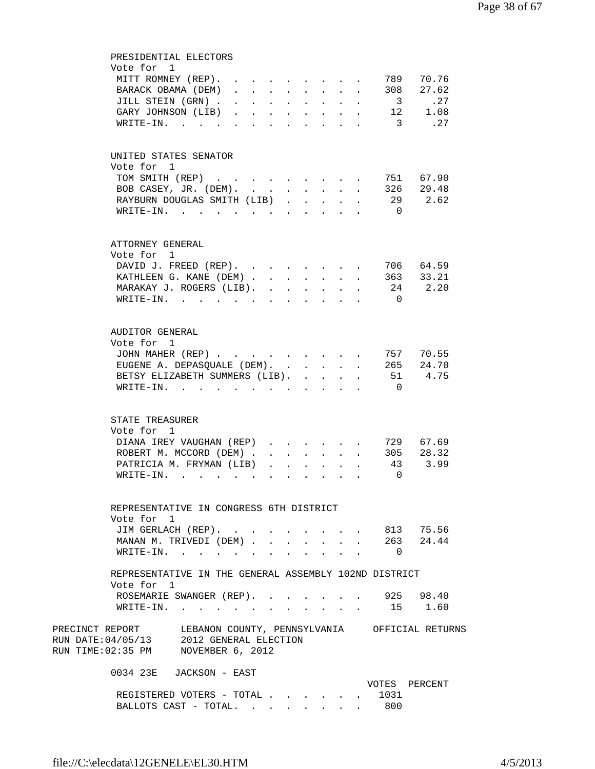| Vote for 1<br>MITT ROMNEY (REP).<br>789 70.76<br>$\mathbf{r} = \mathbf{r} \cdot \mathbf{r}$ , and $\mathbf{r} = \mathbf{r} \cdot \mathbf{r}$ , and $\mathbf{r} = \mathbf{r} \cdot \mathbf{r}$<br>BARACK OBAMA (DEM)<br>308 27.62<br>and a strong strong strong and<br>$\sim$ 100 $\mu$<br>$\mathbf{L}$<br>$\bullet$ .<br><br><br><br><br><br><br><br><br><br><br><br><br>$\sim$ $\sim$<br>.27<br>JILL STEIN (GRN).<br>$\overline{\mathbf{3}}$<br>$\ddot{\phantom{a}}$<br>$\bullet$<br>$\bullet$<br>$\ddot{\phantom{a}}$<br>$\bullet$<br>$\ddot{\phantom{a}}$<br>$\ddot{\phantom{0}}$<br>12 1.08<br>GARY JOHNSON (LIB)<br>.27<br>$\overline{\mathbf{3}}$<br>$W\text{RITE}-\text{IN}$ , , , ,<br>UNITED STATES SENATOR<br>Vote for 1<br>751 67.90<br>TOM SMITH (REP)<br>BOB CASEY, JR. (DEM).<br>326 29.48<br>$\mathbf{L}^{\text{max}}$<br>$\ddot{\phantom{a}}$<br>29 2.62<br>RAYBURN DOUGLAS SMITH (LIB)<br>$\ddot{\phantom{a}}$<br>$\ddot{\phantom{0}}$<br>$\texttt{WRTTE-IN.}$<br>$\overline{0}$<br>ATTORNEY GENERAL<br>Vote for 1<br>DAVID J. FREED (REP).<br>706 64.59<br>KATHLEEN G. KANE (DEM)<br>363 33.21<br>MARAKAY J. ROGERS (LIB). .<br>24 2.20<br>$\ddot{\phantom{0}}$<br>$\ddot{\phantom{a}}$<br>$\ddot{\phantom{a}}$<br>$\mathbf{z} = \mathbf{z}$<br>$\bullet$<br>$\texttt{WRTTE-IN.}$<br>$\overline{0}$<br>$\ddot{\phantom{a}}$<br>AUDITOR GENERAL<br>Vote for 1<br>757 70.55<br>JOHN MAHER (REP)<br>EUGENE A. DEPASQUALE (DEM).<br>265 24.70<br>BETSY ELIZABETH SUMMERS (LIB).<br>51 4.75<br>$\ddot{\phantom{0}}$<br>$\texttt{WRTTE-IN.}$<br>$\overline{0}$<br>$\sim$ $\sim$<br>$\sim$ 100 $\sim$<br>STATE TREASURER<br>Vote for 1<br>729 67.69<br>DIANA IREY VAUGHAN (REP)<br>$\mathbf{r} = \mathbf{r} + \mathbf{r} + \mathbf{r}$<br>305 28.32<br>ROBERT M. MCCORD (DEM).<br>$\mathbf{r} = \mathbf{r} + \mathbf{r} + \mathbf{r} + \mathbf{r} + \mathbf{r}$<br>PATRICIA M. FRYMAN (LIB)<br>43 3.99<br>$\ddot{\phantom{a}}$<br>$\texttt{WRITE-IN.}$<br>$\overline{0}$<br>$\bullet$ .<br><br><br><br><br><br><br><br><br><br><br><br><br><br>$\mathbf{a}$ and $\mathbf{a}$<br>$\mathbf{L}^{\text{max}}$ .<br>$\sim 100$<br>REPRESENTATIVE IN CONGRESS 6TH DISTRICT<br>Vote for 1<br>813 75.56<br>JIM GERLACH (REP).<br>263 24.44<br>MANAN M. TRIVEDI (DEM)<br>WRITE-IN.<br>$\overline{0}$<br>REPRESENTATIVE IN THE GENERAL ASSEMBLY 102ND DISTRICT<br>Vote for 1<br>ROSEMARIE SWANGER (REP). 925 98.40<br>WRITE-IN. 15 1.60<br>PRECINCT REPORT LEBANON COUNTY, PENNSYLVANIA OFFICIAL RETURNS<br>RUN DATE: 04/05/13 2012 GENERAL ELECTION<br>RUN TIME:02:35 PM NOVEMBER 6, 2012<br>0034 23E JACKSON - EAST<br>VOTES PERCENT<br>REGISTERED VOTERS - TOTAL 1031<br>BALLOTS CAST - TOTAL. 800 | PRESIDENTIAL ELECTORS |  |  |  |  |  |  |
|--------------------------------------------------------------------------------------------------------------------------------------------------------------------------------------------------------------------------------------------------------------------------------------------------------------------------------------------------------------------------------------------------------------------------------------------------------------------------------------------------------------------------------------------------------------------------------------------------------------------------------------------------------------------------------------------------------------------------------------------------------------------------------------------------------------------------------------------------------------------------------------------------------------------------------------------------------------------------------------------------------------------------------------------------------------------------------------------------------------------------------------------------------------------------------------------------------------------------------------------------------------------------------------------------------------------------------------------------------------------------------------------------------------------------------------------------------------------------------------------------------------------------------------------------------------------------------------------------------------------------------------------------------------------------------------------------------------------------------------------------------------------------------------------------------------------------------------------------------------------------------------------------------------------------------------------------------------------------------------------------------------------------------------------------------------------------------------------------------------------------------------------------------------------------------------------------------------------------------------------------------------------------------------------------------------------------------------------------------------------------------------------------------------------------------------------------------------------------------------------------------------------------------------------------------------------------------------------------------------------------------------------------------------------------------------------------------|-----------------------|--|--|--|--|--|--|
|                                                                                                                                                                                                                                                                                                                                                                                                                                                                                                                                                                                                                                                                                                                                                                                                                                                                                                                                                                                                                                                                                                                                                                                                                                                                                                                                                                                                                                                                                                                                                                                                                                                                                                                                                                                                                                                                                                                                                                                                                                                                                                                                                                                                                                                                                                                                                                                                                                                                                                                                                                                                                                                                                                        |                       |  |  |  |  |  |  |
|                                                                                                                                                                                                                                                                                                                                                                                                                                                                                                                                                                                                                                                                                                                                                                                                                                                                                                                                                                                                                                                                                                                                                                                                                                                                                                                                                                                                                                                                                                                                                                                                                                                                                                                                                                                                                                                                                                                                                                                                                                                                                                                                                                                                                                                                                                                                                                                                                                                                                                                                                                                                                                                                                                        |                       |  |  |  |  |  |  |
|                                                                                                                                                                                                                                                                                                                                                                                                                                                                                                                                                                                                                                                                                                                                                                                                                                                                                                                                                                                                                                                                                                                                                                                                                                                                                                                                                                                                                                                                                                                                                                                                                                                                                                                                                                                                                                                                                                                                                                                                                                                                                                                                                                                                                                                                                                                                                                                                                                                                                                                                                                                                                                                                                                        |                       |  |  |  |  |  |  |
|                                                                                                                                                                                                                                                                                                                                                                                                                                                                                                                                                                                                                                                                                                                                                                                                                                                                                                                                                                                                                                                                                                                                                                                                                                                                                                                                                                                                                                                                                                                                                                                                                                                                                                                                                                                                                                                                                                                                                                                                                                                                                                                                                                                                                                                                                                                                                                                                                                                                                                                                                                                                                                                                                                        |                       |  |  |  |  |  |  |
|                                                                                                                                                                                                                                                                                                                                                                                                                                                                                                                                                                                                                                                                                                                                                                                                                                                                                                                                                                                                                                                                                                                                                                                                                                                                                                                                                                                                                                                                                                                                                                                                                                                                                                                                                                                                                                                                                                                                                                                                                                                                                                                                                                                                                                                                                                                                                                                                                                                                                                                                                                                                                                                                                                        |                       |  |  |  |  |  |  |
|                                                                                                                                                                                                                                                                                                                                                                                                                                                                                                                                                                                                                                                                                                                                                                                                                                                                                                                                                                                                                                                                                                                                                                                                                                                                                                                                                                                                                                                                                                                                                                                                                                                                                                                                                                                                                                                                                                                                                                                                                                                                                                                                                                                                                                                                                                                                                                                                                                                                                                                                                                                                                                                                                                        |                       |  |  |  |  |  |  |
|                                                                                                                                                                                                                                                                                                                                                                                                                                                                                                                                                                                                                                                                                                                                                                                                                                                                                                                                                                                                                                                                                                                                                                                                                                                                                                                                                                                                                                                                                                                                                                                                                                                                                                                                                                                                                                                                                                                                                                                                                                                                                                                                                                                                                                                                                                                                                                                                                                                                                                                                                                                                                                                                                                        |                       |  |  |  |  |  |  |
|                                                                                                                                                                                                                                                                                                                                                                                                                                                                                                                                                                                                                                                                                                                                                                                                                                                                                                                                                                                                                                                                                                                                                                                                                                                                                                                                                                                                                                                                                                                                                                                                                                                                                                                                                                                                                                                                                                                                                                                                                                                                                                                                                                                                                                                                                                                                                                                                                                                                                                                                                                                                                                                                                                        |                       |  |  |  |  |  |  |
|                                                                                                                                                                                                                                                                                                                                                                                                                                                                                                                                                                                                                                                                                                                                                                                                                                                                                                                                                                                                                                                                                                                                                                                                                                                                                                                                                                                                                                                                                                                                                                                                                                                                                                                                                                                                                                                                                                                                                                                                                                                                                                                                                                                                                                                                                                                                                                                                                                                                                                                                                                                                                                                                                                        |                       |  |  |  |  |  |  |
|                                                                                                                                                                                                                                                                                                                                                                                                                                                                                                                                                                                                                                                                                                                                                                                                                                                                                                                                                                                                                                                                                                                                                                                                                                                                                                                                                                                                                                                                                                                                                                                                                                                                                                                                                                                                                                                                                                                                                                                                                                                                                                                                                                                                                                                                                                                                                                                                                                                                                                                                                                                                                                                                                                        |                       |  |  |  |  |  |  |
|                                                                                                                                                                                                                                                                                                                                                                                                                                                                                                                                                                                                                                                                                                                                                                                                                                                                                                                                                                                                                                                                                                                                                                                                                                                                                                                                                                                                                                                                                                                                                                                                                                                                                                                                                                                                                                                                                                                                                                                                                                                                                                                                                                                                                                                                                                                                                                                                                                                                                                                                                                                                                                                                                                        |                       |  |  |  |  |  |  |
|                                                                                                                                                                                                                                                                                                                                                                                                                                                                                                                                                                                                                                                                                                                                                                                                                                                                                                                                                                                                                                                                                                                                                                                                                                                                                                                                                                                                                                                                                                                                                                                                                                                                                                                                                                                                                                                                                                                                                                                                                                                                                                                                                                                                                                                                                                                                                                                                                                                                                                                                                                                                                                                                                                        |                       |  |  |  |  |  |  |
|                                                                                                                                                                                                                                                                                                                                                                                                                                                                                                                                                                                                                                                                                                                                                                                                                                                                                                                                                                                                                                                                                                                                                                                                                                                                                                                                                                                                                                                                                                                                                                                                                                                                                                                                                                                                                                                                                                                                                                                                                                                                                                                                                                                                                                                                                                                                                                                                                                                                                                                                                                                                                                                                                                        |                       |  |  |  |  |  |  |
|                                                                                                                                                                                                                                                                                                                                                                                                                                                                                                                                                                                                                                                                                                                                                                                                                                                                                                                                                                                                                                                                                                                                                                                                                                                                                                                                                                                                                                                                                                                                                                                                                                                                                                                                                                                                                                                                                                                                                                                                                                                                                                                                                                                                                                                                                                                                                                                                                                                                                                                                                                                                                                                                                                        |                       |  |  |  |  |  |  |
|                                                                                                                                                                                                                                                                                                                                                                                                                                                                                                                                                                                                                                                                                                                                                                                                                                                                                                                                                                                                                                                                                                                                                                                                                                                                                                                                                                                                                                                                                                                                                                                                                                                                                                                                                                                                                                                                                                                                                                                                                                                                                                                                                                                                                                                                                                                                                                                                                                                                                                                                                                                                                                                                                                        |                       |  |  |  |  |  |  |
|                                                                                                                                                                                                                                                                                                                                                                                                                                                                                                                                                                                                                                                                                                                                                                                                                                                                                                                                                                                                                                                                                                                                                                                                                                                                                                                                                                                                                                                                                                                                                                                                                                                                                                                                                                                                                                                                                                                                                                                                                                                                                                                                                                                                                                                                                                                                                                                                                                                                                                                                                                                                                                                                                                        |                       |  |  |  |  |  |  |
|                                                                                                                                                                                                                                                                                                                                                                                                                                                                                                                                                                                                                                                                                                                                                                                                                                                                                                                                                                                                                                                                                                                                                                                                                                                                                                                                                                                                                                                                                                                                                                                                                                                                                                                                                                                                                                                                                                                                                                                                                                                                                                                                                                                                                                                                                                                                                                                                                                                                                                                                                                                                                                                                                                        |                       |  |  |  |  |  |  |
|                                                                                                                                                                                                                                                                                                                                                                                                                                                                                                                                                                                                                                                                                                                                                                                                                                                                                                                                                                                                                                                                                                                                                                                                                                                                                                                                                                                                                                                                                                                                                                                                                                                                                                                                                                                                                                                                                                                                                                                                                                                                                                                                                                                                                                                                                                                                                                                                                                                                                                                                                                                                                                                                                                        |                       |  |  |  |  |  |  |
|                                                                                                                                                                                                                                                                                                                                                                                                                                                                                                                                                                                                                                                                                                                                                                                                                                                                                                                                                                                                                                                                                                                                                                                                                                                                                                                                                                                                                                                                                                                                                                                                                                                                                                                                                                                                                                                                                                                                                                                                                                                                                                                                                                                                                                                                                                                                                                                                                                                                                                                                                                                                                                                                                                        |                       |  |  |  |  |  |  |
|                                                                                                                                                                                                                                                                                                                                                                                                                                                                                                                                                                                                                                                                                                                                                                                                                                                                                                                                                                                                                                                                                                                                                                                                                                                                                                                                                                                                                                                                                                                                                                                                                                                                                                                                                                                                                                                                                                                                                                                                                                                                                                                                                                                                                                                                                                                                                                                                                                                                                                                                                                                                                                                                                                        |                       |  |  |  |  |  |  |
|                                                                                                                                                                                                                                                                                                                                                                                                                                                                                                                                                                                                                                                                                                                                                                                                                                                                                                                                                                                                                                                                                                                                                                                                                                                                                                                                                                                                                                                                                                                                                                                                                                                                                                                                                                                                                                                                                                                                                                                                                                                                                                                                                                                                                                                                                                                                                                                                                                                                                                                                                                                                                                                                                                        |                       |  |  |  |  |  |  |
|                                                                                                                                                                                                                                                                                                                                                                                                                                                                                                                                                                                                                                                                                                                                                                                                                                                                                                                                                                                                                                                                                                                                                                                                                                                                                                                                                                                                                                                                                                                                                                                                                                                                                                                                                                                                                                                                                                                                                                                                                                                                                                                                                                                                                                                                                                                                                                                                                                                                                                                                                                                                                                                                                                        |                       |  |  |  |  |  |  |
|                                                                                                                                                                                                                                                                                                                                                                                                                                                                                                                                                                                                                                                                                                                                                                                                                                                                                                                                                                                                                                                                                                                                                                                                                                                                                                                                                                                                                                                                                                                                                                                                                                                                                                                                                                                                                                                                                                                                                                                                                                                                                                                                                                                                                                                                                                                                                                                                                                                                                                                                                                                                                                                                                                        |                       |  |  |  |  |  |  |
|                                                                                                                                                                                                                                                                                                                                                                                                                                                                                                                                                                                                                                                                                                                                                                                                                                                                                                                                                                                                                                                                                                                                                                                                                                                                                                                                                                                                                                                                                                                                                                                                                                                                                                                                                                                                                                                                                                                                                                                                                                                                                                                                                                                                                                                                                                                                                                                                                                                                                                                                                                                                                                                                                                        |                       |  |  |  |  |  |  |
|                                                                                                                                                                                                                                                                                                                                                                                                                                                                                                                                                                                                                                                                                                                                                                                                                                                                                                                                                                                                                                                                                                                                                                                                                                                                                                                                                                                                                                                                                                                                                                                                                                                                                                                                                                                                                                                                                                                                                                                                                                                                                                                                                                                                                                                                                                                                                                                                                                                                                                                                                                                                                                                                                                        |                       |  |  |  |  |  |  |
|                                                                                                                                                                                                                                                                                                                                                                                                                                                                                                                                                                                                                                                                                                                                                                                                                                                                                                                                                                                                                                                                                                                                                                                                                                                                                                                                                                                                                                                                                                                                                                                                                                                                                                                                                                                                                                                                                                                                                                                                                                                                                                                                                                                                                                                                                                                                                                                                                                                                                                                                                                                                                                                                                                        |                       |  |  |  |  |  |  |
|                                                                                                                                                                                                                                                                                                                                                                                                                                                                                                                                                                                                                                                                                                                                                                                                                                                                                                                                                                                                                                                                                                                                                                                                                                                                                                                                                                                                                                                                                                                                                                                                                                                                                                                                                                                                                                                                                                                                                                                                                                                                                                                                                                                                                                                                                                                                                                                                                                                                                                                                                                                                                                                                                                        |                       |  |  |  |  |  |  |
|                                                                                                                                                                                                                                                                                                                                                                                                                                                                                                                                                                                                                                                                                                                                                                                                                                                                                                                                                                                                                                                                                                                                                                                                                                                                                                                                                                                                                                                                                                                                                                                                                                                                                                                                                                                                                                                                                                                                                                                                                                                                                                                                                                                                                                                                                                                                                                                                                                                                                                                                                                                                                                                                                                        |                       |  |  |  |  |  |  |
|                                                                                                                                                                                                                                                                                                                                                                                                                                                                                                                                                                                                                                                                                                                                                                                                                                                                                                                                                                                                                                                                                                                                                                                                                                                                                                                                                                                                                                                                                                                                                                                                                                                                                                                                                                                                                                                                                                                                                                                                                                                                                                                                                                                                                                                                                                                                                                                                                                                                                                                                                                                                                                                                                                        |                       |  |  |  |  |  |  |
|                                                                                                                                                                                                                                                                                                                                                                                                                                                                                                                                                                                                                                                                                                                                                                                                                                                                                                                                                                                                                                                                                                                                                                                                                                                                                                                                                                                                                                                                                                                                                                                                                                                                                                                                                                                                                                                                                                                                                                                                                                                                                                                                                                                                                                                                                                                                                                                                                                                                                                                                                                                                                                                                                                        |                       |  |  |  |  |  |  |
|                                                                                                                                                                                                                                                                                                                                                                                                                                                                                                                                                                                                                                                                                                                                                                                                                                                                                                                                                                                                                                                                                                                                                                                                                                                                                                                                                                                                                                                                                                                                                                                                                                                                                                                                                                                                                                                                                                                                                                                                                                                                                                                                                                                                                                                                                                                                                                                                                                                                                                                                                                                                                                                                                                        |                       |  |  |  |  |  |  |
|                                                                                                                                                                                                                                                                                                                                                                                                                                                                                                                                                                                                                                                                                                                                                                                                                                                                                                                                                                                                                                                                                                                                                                                                                                                                                                                                                                                                                                                                                                                                                                                                                                                                                                                                                                                                                                                                                                                                                                                                                                                                                                                                                                                                                                                                                                                                                                                                                                                                                                                                                                                                                                                                                                        |                       |  |  |  |  |  |  |
|                                                                                                                                                                                                                                                                                                                                                                                                                                                                                                                                                                                                                                                                                                                                                                                                                                                                                                                                                                                                                                                                                                                                                                                                                                                                                                                                                                                                                                                                                                                                                                                                                                                                                                                                                                                                                                                                                                                                                                                                                                                                                                                                                                                                                                                                                                                                                                                                                                                                                                                                                                                                                                                                                                        |                       |  |  |  |  |  |  |
|                                                                                                                                                                                                                                                                                                                                                                                                                                                                                                                                                                                                                                                                                                                                                                                                                                                                                                                                                                                                                                                                                                                                                                                                                                                                                                                                                                                                                                                                                                                                                                                                                                                                                                                                                                                                                                                                                                                                                                                                                                                                                                                                                                                                                                                                                                                                                                                                                                                                                                                                                                                                                                                                                                        |                       |  |  |  |  |  |  |
|                                                                                                                                                                                                                                                                                                                                                                                                                                                                                                                                                                                                                                                                                                                                                                                                                                                                                                                                                                                                                                                                                                                                                                                                                                                                                                                                                                                                                                                                                                                                                                                                                                                                                                                                                                                                                                                                                                                                                                                                                                                                                                                                                                                                                                                                                                                                                                                                                                                                                                                                                                                                                                                                                                        |                       |  |  |  |  |  |  |
|                                                                                                                                                                                                                                                                                                                                                                                                                                                                                                                                                                                                                                                                                                                                                                                                                                                                                                                                                                                                                                                                                                                                                                                                                                                                                                                                                                                                                                                                                                                                                                                                                                                                                                                                                                                                                                                                                                                                                                                                                                                                                                                                                                                                                                                                                                                                                                                                                                                                                                                                                                                                                                                                                                        |                       |  |  |  |  |  |  |
|                                                                                                                                                                                                                                                                                                                                                                                                                                                                                                                                                                                                                                                                                                                                                                                                                                                                                                                                                                                                                                                                                                                                                                                                                                                                                                                                                                                                                                                                                                                                                                                                                                                                                                                                                                                                                                                                                                                                                                                                                                                                                                                                                                                                                                                                                                                                                                                                                                                                                                                                                                                                                                                                                                        |                       |  |  |  |  |  |  |
|                                                                                                                                                                                                                                                                                                                                                                                                                                                                                                                                                                                                                                                                                                                                                                                                                                                                                                                                                                                                                                                                                                                                                                                                                                                                                                                                                                                                                                                                                                                                                                                                                                                                                                                                                                                                                                                                                                                                                                                                                                                                                                                                                                                                                                                                                                                                                                                                                                                                                                                                                                                                                                                                                                        |                       |  |  |  |  |  |  |
|                                                                                                                                                                                                                                                                                                                                                                                                                                                                                                                                                                                                                                                                                                                                                                                                                                                                                                                                                                                                                                                                                                                                                                                                                                                                                                                                                                                                                                                                                                                                                                                                                                                                                                                                                                                                                                                                                                                                                                                                                                                                                                                                                                                                                                                                                                                                                                                                                                                                                                                                                                                                                                                                                                        |                       |  |  |  |  |  |  |
|                                                                                                                                                                                                                                                                                                                                                                                                                                                                                                                                                                                                                                                                                                                                                                                                                                                                                                                                                                                                                                                                                                                                                                                                                                                                                                                                                                                                                                                                                                                                                                                                                                                                                                                                                                                                                                                                                                                                                                                                                                                                                                                                                                                                                                                                                                                                                                                                                                                                                                                                                                                                                                                                                                        |                       |  |  |  |  |  |  |
|                                                                                                                                                                                                                                                                                                                                                                                                                                                                                                                                                                                                                                                                                                                                                                                                                                                                                                                                                                                                                                                                                                                                                                                                                                                                                                                                                                                                                                                                                                                                                                                                                                                                                                                                                                                                                                                                                                                                                                                                                                                                                                                                                                                                                                                                                                                                                                                                                                                                                                                                                                                                                                                                                                        |                       |  |  |  |  |  |  |
|                                                                                                                                                                                                                                                                                                                                                                                                                                                                                                                                                                                                                                                                                                                                                                                                                                                                                                                                                                                                                                                                                                                                                                                                                                                                                                                                                                                                                                                                                                                                                                                                                                                                                                                                                                                                                                                                                                                                                                                                                                                                                                                                                                                                                                                                                                                                                                                                                                                                                                                                                                                                                                                                                                        |                       |  |  |  |  |  |  |
|                                                                                                                                                                                                                                                                                                                                                                                                                                                                                                                                                                                                                                                                                                                                                                                                                                                                                                                                                                                                                                                                                                                                                                                                                                                                                                                                                                                                                                                                                                                                                                                                                                                                                                                                                                                                                                                                                                                                                                                                                                                                                                                                                                                                                                                                                                                                                                                                                                                                                                                                                                                                                                                                                                        |                       |  |  |  |  |  |  |
|                                                                                                                                                                                                                                                                                                                                                                                                                                                                                                                                                                                                                                                                                                                                                                                                                                                                                                                                                                                                                                                                                                                                                                                                                                                                                                                                                                                                                                                                                                                                                                                                                                                                                                                                                                                                                                                                                                                                                                                                                                                                                                                                                                                                                                                                                                                                                                                                                                                                                                                                                                                                                                                                                                        |                       |  |  |  |  |  |  |
|                                                                                                                                                                                                                                                                                                                                                                                                                                                                                                                                                                                                                                                                                                                                                                                                                                                                                                                                                                                                                                                                                                                                                                                                                                                                                                                                                                                                                                                                                                                                                                                                                                                                                                                                                                                                                                                                                                                                                                                                                                                                                                                                                                                                                                                                                                                                                                                                                                                                                                                                                                                                                                                                                                        |                       |  |  |  |  |  |  |
|                                                                                                                                                                                                                                                                                                                                                                                                                                                                                                                                                                                                                                                                                                                                                                                                                                                                                                                                                                                                                                                                                                                                                                                                                                                                                                                                                                                                                                                                                                                                                                                                                                                                                                                                                                                                                                                                                                                                                                                                                                                                                                                                                                                                                                                                                                                                                                                                                                                                                                                                                                                                                                                                                                        |                       |  |  |  |  |  |  |
|                                                                                                                                                                                                                                                                                                                                                                                                                                                                                                                                                                                                                                                                                                                                                                                                                                                                                                                                                                                                                                                                                                                                                                                                                                                                                                                                                                                                                                                                                                                                                                                                                                                                                                                                                                                                                                                                                                                                                                                                                                                                                                                                                                                                                                                                                                                                                                                                                                                                                                                                                                                                                                                                                                        |                       |  |  |  |  |  |  |
|                                                                                                                                                                                                                                                                                                                                                                                                                                                                                                                                                                                                                                                                                                                                                                                                                                                                                                                                                                                                                                                                                                                                                                                                                                                                                                                                                                                                                                                                                                                                                                                                                                                                                                                                                                                                                                                                                                                                                                                                                                                                                                                                                                                                                                                                                                                                                                                                                                                                                                                                                                                                                                                                                                        |                       |  |  |  |  |  |  |
|                                                                                                                                                                                                                                                                                                                                                                                                                                                                                                                                                                                                                                                                                                                                                                                                                                                                                                                                                                                                                                                                                                                                                                                                                                                                                                                                                                                                                                                                                                                                                                                                                                                                                                                                                                                                                                                                                                                                                                                                                                                                                                                                                                                                                                                                                                                                                                                                                                                                                                                                                                                                                                                                                                        |                       |  |  |  |  |  |  |
|                                                                                                                                                                                                                                                                                                                                                                                                                                                                                                                                                                                                                                                                                                                                                                                                                                                                                                                                                                                                                                                                                                                                                                                                                                                                                                                                                                                                                                                                                                                                                                                                                                                                                                                                                                                                                                                                                                                                                                                                                                                                                                                                                                                                                                                                                                                                                                                                                                                                                                                                                                                                                                                                                                        |                       |  |  |  |  |  |  |
|                                                                                                                                                                                                                                                                                                                                                                                                                                                                                                                                                                                                                                                                                                                                                                                                                                                                                                                                                                                                                                                                                                                                                                                                                                                                                                                                                                                                                                                                                                                                                                                                                                                                                                                                                                                                                                                                                                                                                                                                                                                                                                                                                                                                                                                                                                                                                                                                                                                                                                                                                                                                                                                                                                        |                       |  |  |  |  |  |  |
|                                                                                                                                                                                                                                                                                                                                                                                                                                                                                                                                                                                                                                                                                                                                                                                                                                                                                                                                                                                                                                                                                                                                                                                                                                                                                                                                                                                                                                                                                                                                                                                                                                                                                                                                                                                                                                                                                                                                                                                                                                                                                                                                                                                                                                                                                                                                                                                                                                                                                                                                                                                                                                                                                                        |                       |  |  |  |  |  |  |
|                                                                                                                                                                                                                                                                                                                                                                                                                                                                                                                                                                                                                                                                                                                                                                                                                                                                                                                                                                                                                                                                                                                                                                                                                                                                                                                                                                                                                                                                                                                                                                                                                                                                                                                                                                                                                                                                                                                                                                                                                                                                                                                                                                                                                                                                                                                                                                                                                                                                                                                                                                                                                                                                                                        |                       |  |  |  |  |  |  |
|                                                                                                                                                                                                                                                                                                                                                                                                                                                                                                                                                                                                                                                                                                                                                                                                                                                                                                                                                                                                                                                                                                                                                                                                                                                                                                                                                                                                                                                                                                                                                                                                                                                                                                                                                                                                                                                                                                                                                                                                                                                                                                                                                                                                                                                                                                                                                                                                                                                                                                                                                                                                                                                                                                        |                       |  |  |  |  |  |  |
|                                                                                                                                                                                                                                                                                                                                                                                                                                                                                                                                                                                                                                                                                                                                                                                                                                                                                                                                                                                                                                                                                                                                                                                                                                                                                                                                                                                                                                                                                                                                                                                                                                                                                                                                                                                                                                                                                                                                                                                                                                                                                                                                                                                                                                                                                                                                                                                                                                                                                                                                                                                                                                                                                                        |                       |  |  |  |  |  |  |
|                                                                                                                                                                                                                                                                                                                                                                                                                                                                                                                                                                                                                                                                                                                                                                                                                                                                                                                                                                                                                                                                                                                                                                                                                                                                                                                                                                                                                                                                                                                                                                                                                                                                                                                                                                                                                                                                                                                                                                                                                                                                                                                                                                                                                                                                                                                                                                                                                                                                                                                                                                                                                                                                                                        |                       |  |  |  |  |  |  |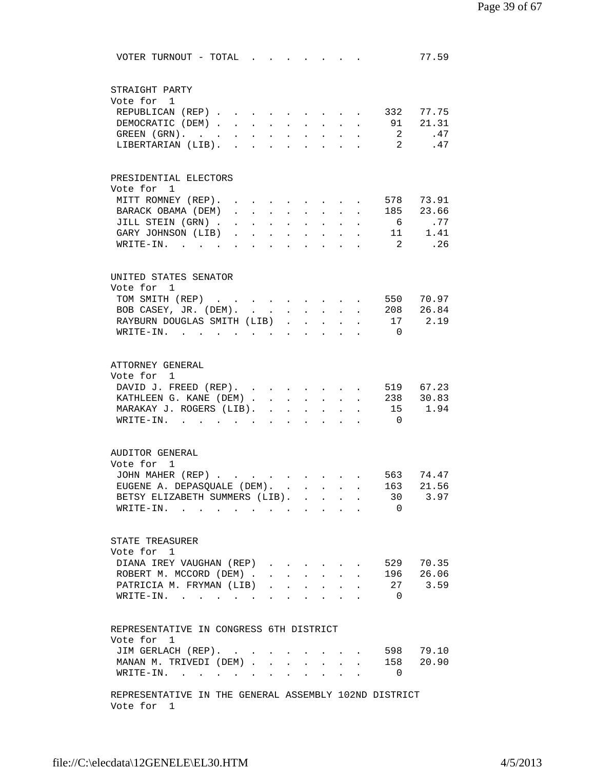| VOTER TURNOUT - TOTAL                                                                                                                                                                                                 | 77.59 |
|-----------------------------------------------------------------------------------------------------------------------------------------------------------------------------------------------------------------------|-------|
| STRAIGHT PARTY                                                                                                                                                                                                        |       |
| Vote for 1                                                                                                                                                                                                            |       |
| 332 77.75<br>REPUBLICAN (REP)                                                                                                                                                                                         |       |
| 91 21.31<br>DEMOCRATIC (DEM)<br>$\mathcal{L}^{\text{max}}$<br>$\mathbf{L}$<br>$\mathbf{L}$<br>$\mathbf{L}$<br>$\mathbf{L}$<br>$\sim$ 100 $\pm$<br>$\ddot{\phantom{a}}$                                                |       |
| $\overline{a}$<br>GREEN (GRN).<br>$\mathbf{L}^{\text{max}}$<br>$\ddot{\phantom{0}}$<br>$\ddot{\phantom{a}}$                                                                                                           | .47   |
| 2<br>LIBERTARIAN (LIB). .<br>$\mathbf{A}$                                                                                                                                                                             | .47   |
|                                                                                                                                                                                                                       |       |
| PRESIDENTIAL ELECTORS<br>Vote for 1                                                                                                                                                                                   |       |
| 578 73.91<br>MITT ROMNEY (REP).<br>$\mathbf{A}$<br>$\sim$                                                                                                                                                             |       |
| BARACK OBAMA (DEM)<br>185                                                                                                                                                                                             | 23.66 |
| $6\overline{6}$<br>JILL STEIN (GRN).<br>$\ddot{\phantom{a}}$<br>$\ddot{\phantom{a}}$<br>$\ddot{\phantom{0}}$                                                                                                          | .77   |
| $11 \qquad 1.41$                                                                                                                                                                                                      |       |
| GARY JOHNSON (LIB)<br>$\ddot{\phantom{a}}$<br>2 .26                                                                                                                                                                   |       |
| WRITE-IN.<br>$\sim 100$ km s $^{-1}$<br>$\sim$<br>$\sim$<br>$\ddot{\phantom{a}}$                                                                                                                                      |       |
| UNITED STATES SENATOR                                                                                                                                                                                                 |       |
| Vote for 1                                                                                                                                                                                                            |       |
| TOM SMITH (REP)<br>550                                                                                                                                                                                                | 70.97 |
| BOB CASEY, JR. (DEM).<br>208<br>$\mathbf{L}^{\text{max}}$ , and $\mathbf{L}^{\text{max}}$<br>$\sim$ 100 $\pm$<br>$\mathbf{L}^{\text{max}}$                                                                            | 26.84 |
| 17 2.19<br>RAYBURN DOUGLAS SMITH (LIB)<br>$\mathbf{r}$                                                                                                                                                                |       |
| WRITE-IN. .<br>$\Omega$                                                                                                                                                                                               |       |
|                                                                                                                                                                                                                       |       |
| ATTORNEY GENERAL                                                                                                                                                                                                      |       |
| Vote for 1                                                                                                                                                                                                            |       |
| DAVID J. FREED (REP).<br>519 67.23                                                                                                                                                                                    |       |
| KATHLEEN G. KANE (DEM)<br>238 30.83<br>$\sim 10^{-11}$<br>$\mathbf{L}$<br>$\sim$                                                                                                                                      |       |
| 15 1.94<br>MARAKAY J. ROGERS (LIB). .                                                                                                                                                                                 |       |
| $W\text{RITE}-\text{IN}.$<br>$\overline{0}$                                                                                                                                                                           |       |
| $\sim$ $\sim$                                                                                                                                                                                                         |       |
| AUDITOR GENERAL                                                                                                                                                                                                       |       |
| Vote for 1                                                                                                                                                                                                            |       |
| JOHN MAHER (REP)<br>563 74.47                                                                                                                                                                                         |       |
| EUGENE A. DEPASQUALE (DEM).<br>163                                                                                                                                                                                    | 21.56 |
| 30<br>BETSY ELIZABETH SUMMERS (LIB). .<br><b>Contract Contract Street</b>                                                                                                                                             | 3.97  |
| $WRITE-IN.$ .<br>$\Omega$<br>$\sim$ $\sim$ $\sim$<br>the contract of the contract of the                                                                                                                              |       |
|                                                                                                                                                                                                                       |       |
|                                                                                                                                                                                                                       |       |
| STATE TREASURER                                                                                                                                                                                                       |       |
| Vote for 1                                                                                                                                                                                                            |       |
| 529<br>DIANA IREY VAUGHAN (REP)                                                                                                                                                                                       | 70.35 |
|                                                                                                                                                                                                                       |       |
| ROBERT M. MCCORD (DEM).<br>196 26.06<br>$\mathbf{L}^{\text{max}}$<br>$\mathbf{L}^{\text{max}}$<br>$\mathbf{L}^{\text{max}}$<br>$\mathbf{L}$                                                                           |       |
| 27 3.59<br>PATRICIA M. FRYMAN (LIB)                                                                                                                                                                                   |       |
| $W{\tt RITE-IN.}$<br>$\overline{0}$<br>$\sim$ $\sim$                                                                                                                                                                  |       |
| REPRESENTATIVE IN CONGRESS 6TH DISTRICT                                                                                                                                                                               |       |
| Vote for 1                                                                                                                                                                                                            |       |
| 598 79.10                                                                                                                                                                                                             |       |
| JIM GERLACH (REP).                                                                                                                                                                                                    |       |
| MANAN M. TRIVEDI (DEM)<br>158<br>$\texttt{WRTTE-IN.}$<br>0<br>$\mathbf{r} = \mathbf{r}$<br>$\bullet$ .<br><br><br><br><br><br><br><br><br><br><br><br><br>$\bullet$ .<br><br><br><br><br><br><br><br><br><br><br><br> | 20.90 |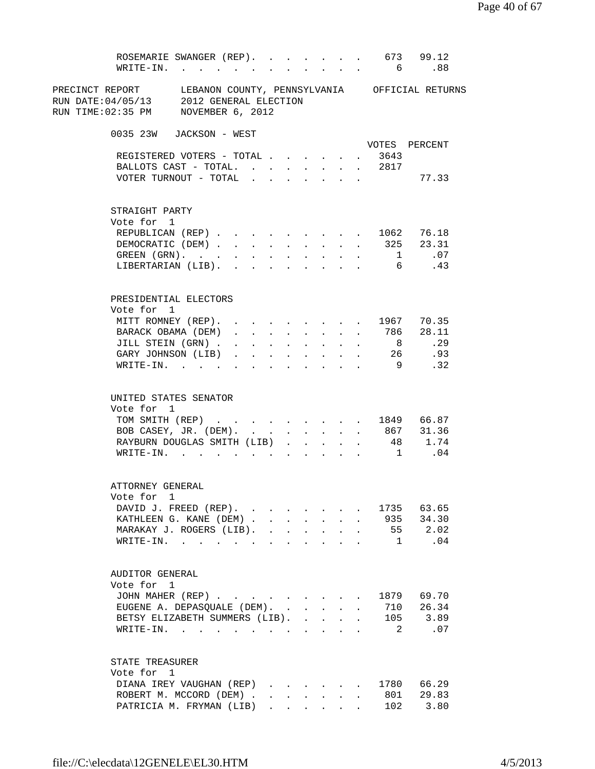|                                                                                                                                                               | ROSEMARIE SWANGER (REP). 673 99.12                           |  |  |  |                                      |              |      |               |
|---------------------------------------------------------------------------------------------------------------------------------------------------------------|--------------------------------------------------------------|--|--|--|--------------------------------------|--------------|------|---------------|
|                                                                                                                                                               | WRITE-IN. 6 .88                                              |  |  |  |                                      |              |      |               |
| PRECINCT REPORT      LEBANON COUNTY, PENNSYLVANIA     OFFICIAL RETURNS<br>RUN DATE:04/05/13     2012 GENERAL ELECTION<br>RUN TIME:02:35 PM NOVEMBER $6, 2012$ |                                                              |  |  |  |                                      |              |      |               |
|                                                                                                                                                               |                                                              |  |  |  |                                      |              |      |               |
|                                                                                                                                                               | 0035 23W JACKSON - WEST                                      |  |  |  |                                      |              |      | VOTES PERCENT |
|                                                                                                                                                               | REGISTERED VOTERS - TOTAL 3643                               |  |  |  |                                      |              |      |               |
|                                                                                                                                                               | BALLOTS CAST - TOTAL. 2817<br>VOTER TURNOUT - TOTAL $\ldots$ |  |  |  |                                      |              |      | 77.33         |
|                                                                                                                                                               |                                                              |  |  |  |                                      |              |      |               |
| STRAIGHT PARTY<br>Vote for 1                                                                                                                                  |                                                              |  |  |  |                                      |              |      |               |
|                                                                                                                                                               | REPUBLICAN (REP) 1062 76.18                                  |  |  |  |                                      |              |      |               |
|                                                                                                                                                               | DEMOCRATIC (DEM) 325 23.31                                   |  |  |  |                                      |              |      |               |
|                                                                                                                                                               | GREEN (GRN). 1 .07                                           |  |  |  |                                      |              |      |               |
|                                                                                                                                                               | LIBERTARIAN (LIB). 6 . 43                                    |  |  |  |                                      |              |      |               |
|                                                                                                                                                               |                                                              |  |  |  |                                      |              |      |               |
| Vote for 1                                                                                                                                                    | PRESIDENTIAL ELECTORS                                        |  |  |  |                                      |              |      |               |
|                                                                                                                                                               | MITT ROMNEY (REP). 1967 70.35                                |  |  |  |                                      |              |      |               |
|                                                                                                                                                               | BARACK OBAMA (DEM) 786 28.11                                 |  |  |  |                                      |              |      |               |
|                                                                                                                                                               | JILL STEIN (GRN)                                             |  |  |  |                                      |              |      | 8 .29         |
|                                                                                                                                                               | GARY JOHNSON (LIB) 26 .93                                    |  |  |  |                                      |              |      |               |
|                                                                                                                                                               | WRITE-IN.                                                    |  |  |  |                                      |              |      | 9<br>.32      |
| Vote for 1                                                                                                                                                    | UNITED STATES SENATOR                                        |  |  |  |                                      |              |      |               |
|                                                                                                                                                               | TOM SMITH (REP) 1849 66.87                                   |  |  |  |                                      |              |      |               |
|                                                                                                                                                               | BOB CASEY, JR. (DEM). 867 31.36                              |  |  |  |                                      |              |      |               |
|                                                                                                                                                               | RAYBURN DOUGLAS SMITH (LIB) 48 1.74                          |  |  |  |                                      |              |      |               |
|                                                                                                                                                               | WRITE-IN. 1 . 04                                             |  |  |  |                                      |              |      |               |
| ATTORNEY GENERAL                                                                                                                                              |                                                              |  |  |  |                                      |              |      |               |
| Vote for 1                                                                                                                                                    |                                                              |  |  |  |                                      |              |      |               |
|                                                                                                                                                               | DAVID J. FREED (REP).                                        |  |  |  |                                      |              |      | 1735 63.65    |
|                                                                                                                                                               | KATHLEEN G. KANE (DEM) 935 34.30                             |  |  |  |                                      |              |      |               |
|                                                                                                                                                               | MARAKAY J. ROGERS (LIB). 55 2.02                             |  |  |  |                                      |              |      |               |
|                                                                                                                                                               | WRITE-IN.                                                    |  |  |  |                                      |              |      | 1 .04         |
| AUDITOR GENERAL                                                                                                                                               |                                                              |  |  |  |                                      |              |      |               |
| Vote for 1                                                                                                                                                    |                                                              |  |  |  |                                      |              |      |               |
|                                                                                                                                                               | JOHN MAHER (REP)                                             |  |  |  |                                      |              |      | 1879 69.70    |
|                                                                                                                                                               | EUGENE A. DEPASQUALE (DEM). 710 26.34                        |  |  |  |                                      |              |      |               |
|                                                                                                                                                               | BETSY ELIZABETH SUMMERS (LIB).                               |  |  |  |                                      |              |      | 105 3.89      |
|                                                                                                                                                               | WRITE-IN.                                                    |  |  |  |                                      |              |      | 2 .07         |
| STATE TREASURER                                                                                                                                               |                                                              |  |  |  |                                      |              |      |               |
| Vote for 1                                                                                                                                                    |                                                              |  |  |  |                                      |              |      |               |
|                                                                                                                                                               | DIANA IREY VAUGHAN (REP)                                     |  |  |  |                                      |              | 1780 | 66.29         |
|                                                                                                                                                               | ROBERT M. MCCORD (DEM)                                       |  |  |  | $\mathbf{L} = \mathbf{L} \mathbf{L}$ | $\mathbf{r}$ |      | 801 29.83     |
|                                                                                                                                                               | PATRICIA M. FRYMAN (LIB)                                     |  |  |  |                                      |              |      | 102 3.80      |
|                                                                                                                                                               |                                                              |  |  |  |                                      |              |      |               |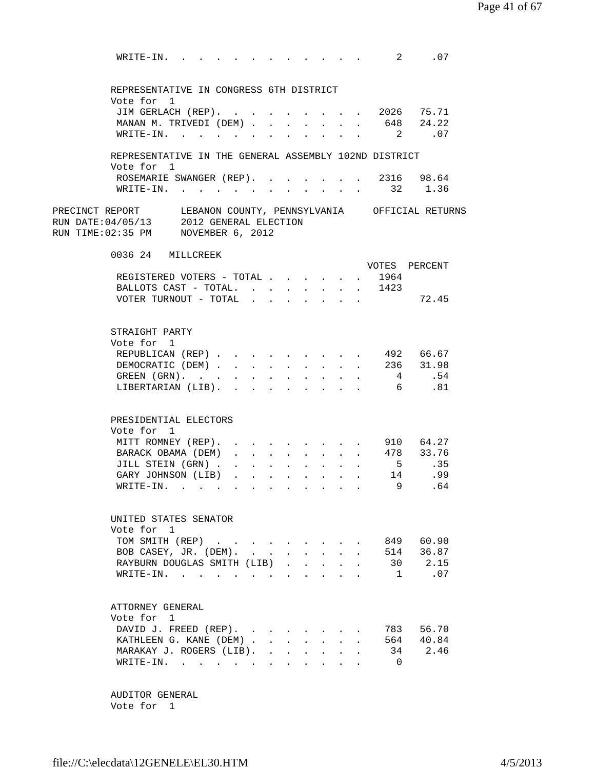| WRITE-IN.                                                                                                                                      |                           |                                                                                         |                  |                                             |                      | $\sim$ $\sim$ $\sim$ $\sim$ $\sim$ $\sim$                     |                                                           | $\overline{\phantom{a}}$ 2 | .07                |  |
|------------------------------------------------------------------------------------------------------------------------------------------------|---------------------------|-----------------------------------------------------------------------------------------|------------------|---------------------------------------------|----------------------|---------------------------------------------------------------|-----------------------------------------------------------|----------------------------|--------------------|--|
| REPRESENTATIVE IN CONGRESS 6TH DISTRICT                                                                                                        |                           |                                                                                         |                  |                                             |                      |                                                               |                                                           |                            |                    |  |
| Vote for 1                                                                                                                                     |                           |                                                                                         |                  |                                             |                      |                                                               |                                                           |                            |                    |  |
| JIM GERLACH (REP).                                                                                                                             |                           |                                                                                         |                  |                                             |                      |                                                               |                                                           |                            | $\cdot$ 2026 75.71 |  |
| MANAN M. TRIVEDI (DEM).                                                                                                                        |                           |                                                                                         | $\Delta \sim 10$ |                                             | $\ddot{\phantom{a}}$ |                                                               |                                                           |                            | 648 24.22          |  |
| $\texttt{WRTTE-IN.}$                                                                                                                           | $\mathbf{L}^{\text{max}}$ | $\sim$ 100 $\mu$                                                                        |                  |                                             |                      |                                                               |                                                           |                            | 2.07               |  |
| REPRESENTATIVE IN THE GENERAL ASSEMBLY 102ND DISTRICT<br>Vote for 1                                                                            |                           |                                                                                         |                  |                                             |                      |                                                               |                                                           |                            |                    |  |
| ROSEMARIE SWANGER (REP). 2316 98.64                                                                                                            |                           |                                                                                         |                  |                                             |                      |                                                               |                                                           |                            |                    |  |
| WRITE-IN. 32 1.36                                                                                                                              |                           |                                                                                         |                  |                                             |                      |                                                               |                                                           |                            |                    |  |
| PRECINCT REPORT LEBANON COUNTY, PENNSYLVANIA OFFICIAL RETURNS<br>RUN DATE:04/05/13 2012 GENERAL ELECTION<br>RUN TIME:02:35 PM NOVEMBER 6, 2012 |                           |                                                                                         |                  |                                             |                      |                                                               |                                                           |                            |                    |  |
| 0036 24 MILLCREEK                                                                                                                              |                           |                                                                                         |                  |                                             |                      |                                                               |                                                           |                            |                    |  |
|                                                                                                                                                |                           |                                                                                         |                  |                                             |                      |                                                               |                                                           |                            | VOTES PERCENT      |  |
| REGISTERED VOTERS - TOTAL 1964                                                                                                                 |                           |                                                                                         |                  |                                             |                      |                                                               |                                                           |                            |                    |  |
| BALLOTS CAST - TOTAL. 1423<br>VOTER TURNOUT - TOTAL                                                                                            |                           |                                                                                         |                  |                                             |                      |                                                               |                                                           |                            | 72.45              |  |
|                                                                                                                                                |                           |                                                                                         |                  |                                             |                      |                                                               | $\mathbf{r}$ , $\mathbf{r}$ , $\mathbf{r}$ , $\mathbf{r}$ |                            |                    |  |
| STRAIGHT PARTY<br>Vote for 1<br>REPUBLICAN (REP) 492 66.67                                                                                     |                           |                                                                                         |                  |                                             |                      |                                                               |                                                           |                            |                    |  |
| DEMOCRATIC (DEM) 236 31.98                                                                                                                     |                           |                                                                                         |                  |                                             |                      |                                                               |                                                           |                            |                    |  |
| $GREFN$ $(GRN)$ .                                                                                                                              |                           |                                                                                         |                  |                                             |                      |                                                               |                                                           |                            | 4.54               |  |
| $\texttt{LIBERTARIAN (LIB)}.\quad.\quad.\quad.\quad.\quad.\quad.\quad.\quad.\quad.\quad.\quad.\quad.\quad.$                                    |                           |                                                                                         |                  |                                             |                      |                                                               |                                                           |                            | 6 .81              |  |
| PRESIDENTIAL ELECTORS<br>Vote for 1                                                                                                            |                           |                                                                                         |                  |                                             |                      |                                                               |                                                           |                            | . 910 64.27        |  |
| MITT ROMNEY (REP).<br>BARACK OBAMA (DEM)                                                                                                       |                           |                                                                                         |                  | $\mathbf{L} = \mathbf{L} \times \mathbf{L}$ |                      | $\sim 10^{-11}$<br>$\mathbf{r} = \mathbf{r} \cdot \mathbf{r}$ |                                                           |                            | . 478 33.76        |  |
| JILL STEIN (GRN).                                                                                                                              |                           | $\mathbf{r}$ , $\mathbf{r}$ , $\mathbf{r}$ , $\mathbf{r}$ , $\mathbf{r}$ , $\mathbf{r}$ |                  |                                             |                      |                                                               |                                                           |                            | 5 .35              |  |
| GARY JOHNSON (LIB) 14 . 99                                                                                                                     |                           |                                                                                         |                  |                                             |                      |                                                               |                                                           |                            |                    |  |
| WRITE-IN.                                                                                                                                      |                           |                                                                                         |                  |                                             |                      |                                                               |                                                           | $\mathsf{Q}$               | .64                |  |
| UNITED STATES SENATOR<br>Vote for 1                                                                                                            |                           |                                                                                         |                  |                                             |                      |                                                               |                                                           |                            |                    |  |
| TOM SMITH (REP)                                                                                                                                |                           |                                                                                         |                  |                                             |                      |                                                               |                                                           |                            | 849 60.90          |  |
| BOB CASEY, JR. (DEM).                                                                                                                          |                           |                                                                                         |                  |                                             |                      |                                                               |                                                           |                            | 514 36.87          |  |
| RAYBURN DOUGLAS SMITH (LIB)                                                                                                                    |                           |                                                                                         |                  |                                             |                      |                                                               |                                                           |                            | 30 2.15            |  |
| WRITE-IN.                                                                                                                                      |                           |                                                                                         |                  |                                             |                      |                                                               |                                                           | 1                          | $\ldots$ 07        |  |
| ATTORNEY GENERAL<br>Vote for 1                                                                                                                 |                           |                                                                                         |                  |                                             |                      |                                                               |                                                           |                            |                    |  |
| DAVID J. FREED (REP).                                                                                                                          |                           |                                                                                         |                  |                                             |                      |                                                               |                                                           | 783                        | 56.70              |  |
| KATHLEEN G. KANE (DEM)                                                                                                                         |                           |                                                                                         |                  |                                             |                      |                                                               |                                                           |                            | 564 40.84          |  |
| MARAKAY J. ROGERS (LIB).                                                                                                                       |                           |                                                                                         |                  |                                             |                      |                                                               |                                                           | $\Box$ 0                   | 34 2.46            |  |
| WRITE-IN.                                                                                                                                      |                           |                                                                                         |                  |                                             |                      |                                                               |                                                           |                            |                    |  |
|                                                                                                                                                |                           |                                                                                         |                  |                                             |                      |                                                               |                                                           |                            |                    |  |

 AUDITOR GENERAL Vote for 1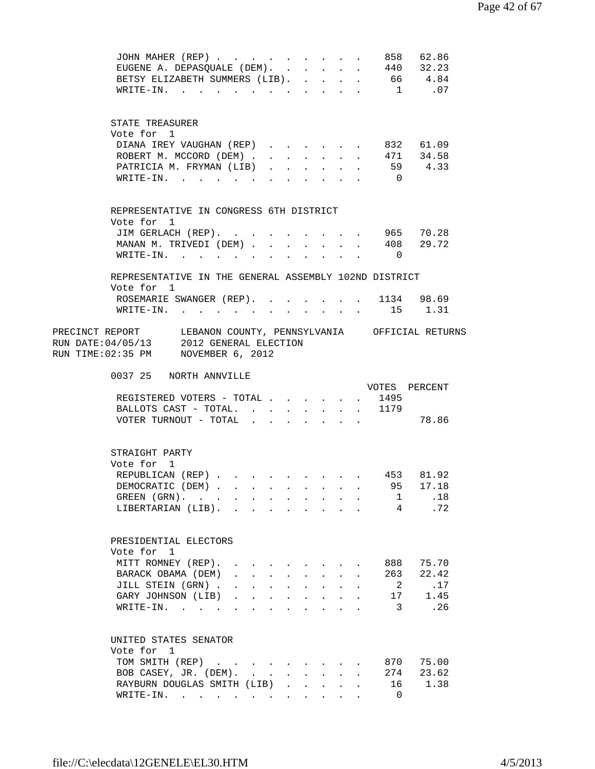| EUGENE A. DEPASQUALE (DEM).                                                                                 |                                                                       |                                              |                           |              | JOHN MAHER (REP)                           |                                      |                        |                | 858 62.86                          |
|-------------------------------------------------------------------------------------------------------------|-----------------------------------------------------------------------|----------------------------------------------|---------------------------|--------------|--------------------------------------------|--------------------------------------|------------------------|----------------|------------------------------------|
|                                                                                                             |                                                                       |                                              |                           |              |                                            |                                      |                        |                | 440 32.23                          |
| BETSY ELIZABETH SUMMERS (LIB).                                                                              |                                                                       |                                              |                           |              |                                            |                                      |                        |                | 66 4.84                            |
| WRITE-IN.                                                                                                   |                                                                       |                                              |                           |              |                                            |                                      |                        |                | 1.07                               |
|                                                                                                             |                                                                       |                                              |                           |              |                                            |                                      |                        |                |                                    |
| STATE TREASURER                                                                                             |                                                                       |                                              |                           |              |                                            |                                      |                        |                |                                    |
| Vote for 1<br>DIANA IREY VAUGHAN (REP)                                                                      |                                                                       |                                              |                           |              |                                            |                                      |                        |                | 832 61.09                          |
| ROBERT M. MCCORD (DEM).                                                                                     |                                                                       | $\mathbf{L}$                                 | $\mathbf{A}$              | $\mathbf{L}$ |                                            | $\mathbf{L} = \mathbf{L} \mathbf{L}$ | $\sim$<br>$\mathbf{L}$ |                | 471 34.58                          |
| PATRICIA M. FRYMAN (LIB)                                                                                    |                                                                       |                                              |                           |              | $\mathbf{r}$ , $\mathbf{r}$ , $\mathbf{r}$ |                                      | $\mathbf{A}$           |                | 59 4.33                            |
| WRITE-IN.                                                                                                   |                                                                       |                                              |                           |              | $\mathbf{r}$ , $\mathbf{r}$ , $\mathbf{r}$ |                                      |                        | $\overline{0}$ |                                    |
|                                                                                                             |                                                                       |                                              |                           |              |                                            |                                      |                        |                |                                    |
| REPRESENTATIVE IN CONGRESS 6TH DISTRICT                                                                     |                                                                       |                                              |                           |              |                                            |                                      |                        |                |                                    |
| Vote for 1                                                                                                  |                                                                       |                                              |                           |              |                                            |                                      |                        |                |                                    |
| JIM GERLACH (REP).                                                                                          |                                                                       |                                              |                           |              |                                            |                                      |                        |                |                                    |
| MANAN M. TRIVEDI (DEM).                                                                                     |                                                                       |                                              | $\sim$                    | $\mathbf{L}$ | $\mathbf{r}$                               | $\mathbf{A}$                         |                        |                | 965       70.28<br>408       29.72 |
| $\texttt{WRTTE-IN.}$                                                                                        |                                                                       | $\sim 100$                                   |                           |              |                                            |                                      |                        | $\overline{0}$ |                                    |
|                                                                                                             |                                                                       |                                              |                           |              |                                            |                                      |                        |                |                                    |
| REPRESENTATIVE IN THE GENERAL ASSEMBLY 102ND DISTRICT                                                       |                                                                       |                                              |                           |              |                                            |                                      |                        |                |                                    |
| Vote for 1                                                                                                  |                                                                       |                                              |                           |              |                                            |                                      |                        |                |                                    |
| ROSEMARIE SWANGER (REP). 1134 98.69                                                                         |                                                                       |                                              |                           |              |                                            |                                      |                        |                |                                    |
| 1. 15 1.31<br>WRITE-IN.                                                                                     |                                                                       |                                              |                           |              |                                            |                                      |                        |                |                                    |
| PRECINCT REPORT LEBANON COUNTY, PENNSYLVANIA OFFICIAL RETURNS<br>RUN DATE:04/05/13<br>2012 GENERAL ELECTION |                                                                       |                                              |                           |              |                                            |                                      |                        |                |                                    |
| NOVEMBER 6, 2012<br>RUN TIME:02:35 PM                                                                       |                                                                       |                                              |                           |              |                                            |                                      |                        |                |                                    |
|                                                                                                             |                                                                       |                                              |                           |              |                                            |                                      |                        |                |                                    |
| 0037 25 NORTH ANNVILLE                                                                                      |                                                                       |                                              |                           |              |                                            |                                      |                        |                |                                    |
|                                                                                                             |                                                                       |                                              |                           |              |                                            |                                      |                        |                | VOTES PERCENT                      |
| REGISTERED VOTERS - TOTAL 1495                                                                              |                                                                       |                                              |                           |              |                                            |                                      |                        |                |                                    |
| BALLOTS CAST - TOTAL. 1179                                                                                  |                                                                       |                                              |                           |              |                                            |                                      |                        |                |                                    |
| VOTER TURNOUT - TOTAL                                                                                       |                                                                       |                                              |                           |              |                                            |                                      |                        |                |                                    |
|                                                                                                             |                                                                       |                                              |                           |              |                                            |                                      |                        |                | 78.86                              |
|                                                                                                             |                                                                       |                                              |                           |              |                                            |                                      |                        |                |                                    |
|                                                                                                             |                                                                       |                                              |                           |              |                                            |                                      |                        |                |                                    |
| STRAIGHT PARTY                                                                                              |                                                                       |                                              |                           |              |                                            |                                      |                        |                |                                    |
| Vote for 1                                                                                                  |                                                                       |                                              |                           |              |                                            |                                      |                        |                |                                    |
| REPUBLICAN (REP)                                                                                            |                                                                       |                                              |                           |              |                                            |                                      |                        |                | 453 81.92                          |
| DEMOCRATIC (DEM)                                                                                            |                                                                       |                                              |                           |              |                                            |                                      |                        | 95             | 17.18                              |
| GREEN (GRN).                                                                                                |                                                                       |                                              |                           |              |                                            |                                      |                        | 1              | .18                                |
| LIBERTARIAN (LIB).                                                                                          |                                                                       |                                              |                           |              |                                            |                                      |                        | 4              | .72                                |
|                                                                                                             |                                                                       |                                              |                           |              |                                            |                                      |                        |                |                                    |
|                                                                                                             |                                                                       |                                              |                           |              |                                            |                                      |                        |                |                                    |
| PRESIDENTIAL ELECTORS                                                                                       |                                                                       |                                              |                           |              |                                            |                                      |                        |                |                                    |
| Vote for 1                                                                                                  |                                                                       |                                              |                           |              |                                            |                                      |                        |                |                                    |
| MITT ROMNEY (REP).                                                                                          |                                                                       |                                              |                           |              |                                            |                                      |                        | 888            | 75.70                              |
| BARACK OBAMA (DEM)                                                                                          | $\mathbf{r}$ , and $\mathbf{r}$ , and $\mathbf{r}$ , and $\mathbf{r}$ |                                              |                           |              |                                            |                                      |                        | 263            | 22.42                              |
| JILL STEIN (GRN).                                                                                           | $1 - 1 - 1 = 1$                                                       |                                              | $\mathbf{L}^{\text{max}}$ |              |                                            |                                      | $\ddot{\phantom{a}}$   | 2              | .17                                |
| GARY JOHNSON (LIB)                                                                                          | $\mathbf{L}^{\text{max}}$                                             | $\mathbf{r} = \mathbf{r} \cdot \mathbf{r}$ . | $\sim 10^{-11}$           |              | $\mathbf{r}$ , $\mathbf{r}$ , $\mathbf{r}$ |                                      |                        |                | 17<br>1.45                         |
| WRITE-IN.                                                                                                   |                                                                       |                                              |                           |              |                                            |                                      |                        | 3              | .26                                |
|                                                                                                             |                                                                       |                                              |                           |              |                                            |                                      |                        |                |                                    |
| UNITED STATES SENATOR                                                                                       |                                                                       |                                              |                           |              |                                            |                                      |                        |                |                                    |
| Vote for 1                                                                                                  |                                                                       |                                              |                           |              |                                            |                                      |                        |                |                                    |
| TOM SMITH (REP)                                                                                             |                                                                       |                                              |                           |              |                                            |                                      |                        | 870 —          | 75.00                              |
| BOB CASEY, JR. (DEM).                                                                                       |                                                                       |                                              |                           |              |                                            |                                      |                        | 274            | 23.62                              |
| RAYBURN DOUGLAS SMITH (LIB)<br>WRITE-IN.                                                                    |                                                                       |                                              |                           |              |                                            |                                      | $\mathbf{A}$           | 16<br>$\Omega$ | 1.38                               |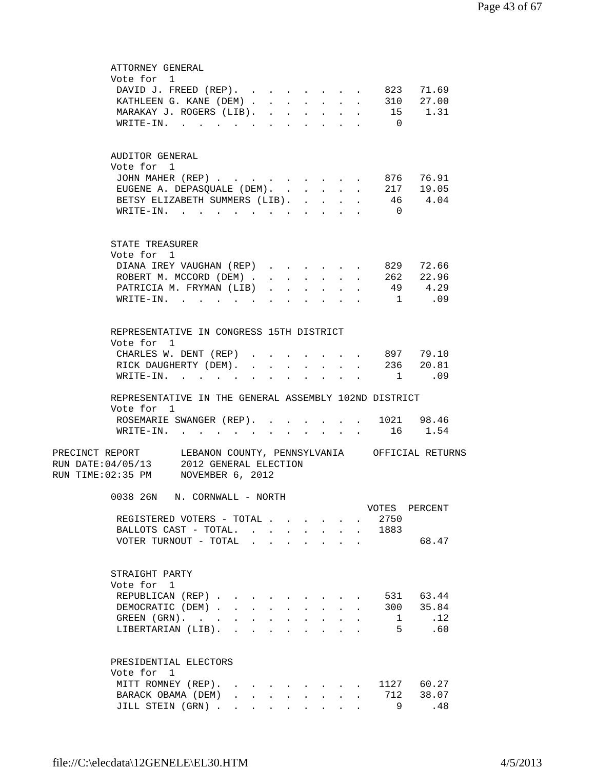| ATTORNEY GENERAL                                                                                                                                   |                               |                               |                                                    |              |                                 |                                          |                |                                 |  |
|----------------------------------------------------------------------------------------------------------------------------------------------------|-------------------------------|-------------------------------|----------------------------------------------------|--------------|---------------------------------|------------------------------------------|----------------|---------------------------------|--|
| Vote for 1                                                                                                                                         |                               |                               |                                                    |              |                                 |                                          |                |                                 |  |
| DAVID J. FREED (REP). 823 71.69                                                                                                                    |                               |                               |                                                    |              |                                 |                                          |                |                                 |  |
| KATHLEEN G. KANE (DEM) 310 27.00                                                                                                                   |                               |                               |                                                    |              |                                 |                                          |                |                                 |  |
| MARAKAY J. ROGERS (LIB).                                                                                                                           |                               |                               | $\ddot{\phantom{0}}$                               |              |                                 |                                          |                |                                 |  |
| WRITE-IN.                                                                                                                                          |                               |                               |                                                    |              |                                 |                                          | $\overline{0}$ |                                 |  |
|                                                                                                                                                    |                               |                               |                                                    |              |                                 |                                          |                |                                 |  |
| AUDITOR GENERAL                                                                                                                                    |                               |                               |                                                    |              |                                 |                                          |                |                                 |  |
| Vote for 1                                                                                                                                         |                               |                               |                                                    |              |                                 |                                          |                |                                 |  |
| JOHN MAHER (REP)                                                                                                                                   |                               |                               |                                                    |              |                                 |                                          | . 876 76.91    |                                 |  |
| EUGENE A. DEPASQUALE (DEM).                                                                                                                        |                               |                               |                                                    |              |                                 |                                          |                | 217 19.05                       |  |
| BETSY ELIZABETH SUMMERS (LIB). 46 4.04                                                                                                             |                               |                               |                                                    |              |                                 |                                          |                |                                 |  |
| WRITE-IN.                                                                                                                                          |                               |                               |                                                    |              |                                 |                                          | $\overline{0}$ |                                 |  |
|                                                                                                                                                    |                               |                               |                                                    |              |                                 |                                          |                |                                 |  |
|                                                                                                                                                    |                               |                               |                                                    |              |                                 |                                          |                |                                 |  |
| STATE TREASURER                                                                                                                                    |                               |                               |                                                    |              |                                 |                                          |                |                                 |  |
| Vote for 1                                                                                                                                         |                               |                               |                                                    |              |                                 |                                          |                |                                 |  |
| DIANA IREY VAUGHAN (REP)                                                                                                                           |                               |                               | $\sim$                                             |              |                                 | $\mathbf{z} = \mathbf{z} + \mathbf{z}$ . |                | 829 72.66<br>262 22.96          |  |
| ROBERT M. MCCORD (DEM).                                                                                                                            |                               | $\mathbf{L}$<br>$\mathbf{L}$  | $\mathbf{L}$                                       | $\mathbf{L}$ |                                 | $\mathbf{L} = \mathbf{L} \mathbf{L}$     |                |                                 |  |
| PATRICIA M. FRYMAN (LIB)                                                                                                                           |                               | $\mathbf{L}$                  |                                                    | $\mathbf{L}$ | $\mathbf{L}$                    | $\mathbf{L}$                             |                | 49 4.29                         |  |
| $\texttt{WRTTE-IN.}$                                                                                                                               |                               |                               | $\ddot{\phantom{a}}$                               | $\mathbf{L}$ | $\ddot{\phantom{a}}$            |                                          |                | 1 .09                           |  |
|                                                                                                                                                    |                               |                               |                                                    |              |                                 |                                          |                |                                 |  |
| REPRESENTATIVE IN CONGRESS 15TH DISTRICT                                                                                                           |                               |                               |                                                    |              |                                 |                                          |                |                                 |  |
| Vote for 1                                                                                                                                         |                               |                               |                                                    |              |                                 |                                          |                |                                 |  |
| CHARLES W. DENT (REP)                                                                                                                              |                               |                               |                                                    |              | $\cdot$ $\cdot$ $\cdot$ $\cdot$ |                                          |                | 897 79.10<br>236 20.81<br>1 .09 |  |
| RICK DAUGHERTY (DEM).                                                                                                                              |                               |                               |                                                    |              | $\mathbf{L}$                    | $\mathbf{r}$                             |                |                                 |  |
| $\texttt{WRTTE-IN.}$                                                                                                                               |                               |                               |                                                    |              |                                 |                                          |                |                                 |  |
|                                                                                                                                                    |                               |                               |                                                    |              |                                 |                                          |                |                                 |  |
| REPRESENTATIVE IN THE GENERAL ASSEMBLY 102ND DISTRICT<br>Vote for 1                                                                                |                               |                               |                                                    |              |                                 |                                          |                |                                 |  |
| ROSEMARIE SWANGER (REP). 1021 98.46                                                                                                                |                               |                               |                                                    |              |                                 |                                          |                |                                 |  |
| WRITE-IN. 16 1.54                                                                                                                                  |                               |                               |                                                    |              |                                 |                                          |                |                                 |  |
| PRECINCT REPORT LEBANON COUNTY, PENNSYLVANIA OFFICIAL RETURNS<br>RUN DATE: 04/05/13 2012 GENERAL ELECTION<br>RUN TIME: $02:35$ PM NOVEMBER 6, 2012 |                               |                               |                                                    |              |                                 |                                          |                |                                 |  |
| 0038 26N N. CORNWALL - NORTH                                                                                                                       |                               |                               |                                                    |              |                                 |                                          |                |                                 |  |
|                                                                                                                                                    |                               |                               |                                                    |              |                                 |                                          | VOTES PERCENT  |                                 |  |
| REGISTERED VOTERS - TOTAL                                                                                                                          |                               |                               |                                                    |              |                                 |                                          | 2750           |                                 |  |
| BALLOTS CAST - TOTAL. 1883                                                                                                                         |                               |                               |                                                    |              |                                 |                                          |                |                                 |  |
| VOTER TURNOUT - TOTAL                                                                                                                              |                               |                               |                                                    |              |                                 |                                          |                | 68.47                           |  |
| STRAIGHT PARTY<br>Vote for 1                                                                                                                       |                               |                               |                                                    |              |                                 |                                          |                |                                 |  |
| REPUBLICAN (REP) 531 63.44                                                                                                                         |                               |                               |                                                    |              |                                 |                                          |                |                                 |  |
| DEMOCRATIC (DEM) 300 35.84                                                                                                                         |                               |                               |                                                    |              |                                 |                                          |                |                                 |  |
| GREEN (GRN).                                                                                                                                       |                               | $\sim 10^{-10}$<br>$\sim 100$ |                                                    |              |                                 |                                          |                | $\mathbf{1}$<br>.12             |  |
| LIBERTARIAN (LIB). .                                                                                                                               | $\mathbf{L}$ and $\mathbf{L}$ |                               | $\mathbf{r}$ , and $\mathbf{r}$ , and $\mathbf{r}$ |              |                                 |                                          |                | $5^{\circ}$<br>.60              |  |
|                                                                                                                                                    |                               |                               |                                                    |              |                                 |                                          |                |                                 |  |
| PRESIDENTIAL ELECTORS<br>Vote for 1                                                                                                                |                               |                               |                                                    |              |                                 |                                          |                |                                 |  |
| MITT ROMNEY (REP). 1127 60.27                                                                                                                      |                               |                               |                                                    |              |                                 |                                          |                |                                 |  |
| BARACK OBAMA (DEM) 712<br>JILL STEIN (GRN)                                                                                                         |                               |                               |                                                    |              |                                 |                                          |                | 38.07<br>.48                    |  |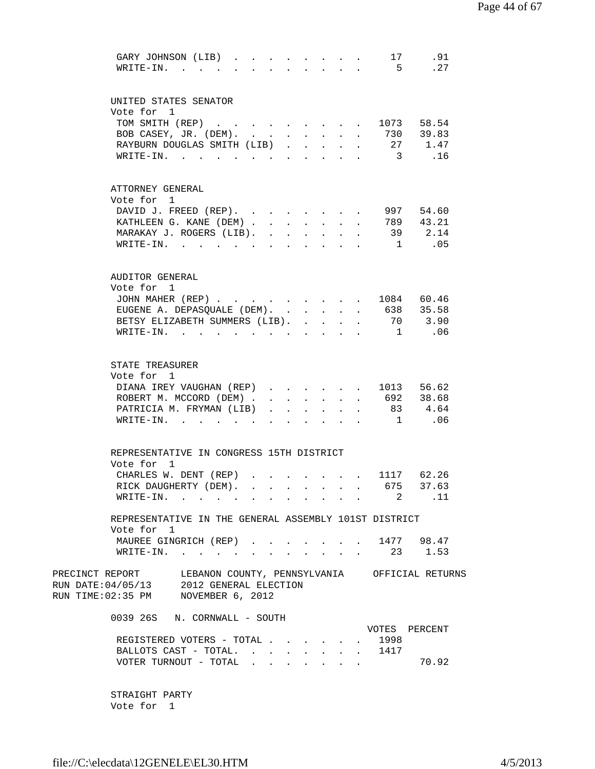| GARY JOHNSON (LIB)<br>WRITE-IN.<br><b>Contract Contract</b><br><b><i>Contract Contract Contract</i></b><br><b>Contract Contract Contract</b>                                                                                                                                                                                                    | .91<br>17<br>5<br>.27                                       |
|-------------------------------------------------------------------------------------------------------------------------------------------------------------------------------------------------------------------------------------------------------------------------------------------------------------------------------------------------|-------------------------------------------------------------|
| UNITED STATES SENATOR<br>Vote for 1<br>TOM SMITH (REP) 1073 58.54<br>BOB CASEY, JR. (DEM).<br>730<br><b>Service</b> State<br>$\sim$<br>$\sim$<br>$\mathbf{L}$<br>RAYBURN DOUGLAS SMITH (LIB)<br>$\mathbf{L}$<br>$\Delta$ .<br>$\texttt{WRTTE-IN.}$<br>$\mathbf{L}$<br>$\sim$<br>$\sim$                                                          | 39.83<br>1.47<br>27<br>3 .16                                |
| ATTORNEY GENERAL<br>Vote for 1<br>DAVID J. FREED (REP).<br>KATHLEEN G. KANE (DEM)<br>$\mathbf{L} = \mathbf{L} \mathbf{L} + \mathbf{L} \mathbf{L}$<br>$\sim$ $\sim$<br>MARAKAY J. ROGERS (LIB). .<br>39<br>$\ddot{\phantom{0}}$<br>WRITE-IN.<br><b>Service Control</b><br>$\sim$                                                                 | 997 54.60<br>789 43.21<br>2.14<br>$1 \qquad .05$            |
| AUDITOR GENERAL<br>Vote for 1<br>JOHN MAHER (REP) 1084 60.46<br>EUGENE A. DEPASQUALE (DEM).<br>638<br><b>Service Control</b><br>$\mathcal{L}^{\text{max}}$<br>BETSY ELIZABETH SUMMERS (LIB).<br>$WRITE-IN.$ .<br>$\mathbf{r} = \mathbf{r} \times \mathbf{r}$ . The $\mathbf{r}$                                                                 | 35.58<br>70 3.90<br>$\mathbf{1}$<br>.06                     |
| STATE TREASURER<br>Vote for 1<br>DIANA IREY VAUGHAN (REP)<br>ROBERT M. MCCORD (DEM).<br>$\ddot{\phantom{a}}$<br>$\ddot{\phantom{0}}$<br>PATRICIA M. FRYMAN (LIB)<br>$\ddot{\phantom{a}}$<br>$\texttt{WRTTE-IN.}$                                                                                                                                | . 1013 56.62<br>692 38.68<br>83 4.64<br>$\mathbf{1}$<br>.06 |
| REPRESENTATIVE IN CONGRESS 15TH DISTRICT<br>Vote for 1<br>CHARLES W. DENT (REP).<br>. 1117 62.26<br>675<br>RICK DAUGHERTY (DEM).<br>WRITE-IN. 2<br>REPRESENTATIVE IN THE GENERAL ASSEMBLY 101ST DISTRICT<br>Vote for 1<br>$\cdot$ 1477 98.47<br>MAUREE GINGRICH (REP)<br>$\texttt{WRITE-IN.}$<br>$\mathbf{r}$ and $\mathbf{r}$ and $\mathbf{r}$ | 37.63<br>.11<br>23 1.53                                     |
| PRECINCT REPORT LEBANON COUNTY, PENNSYLVANIA OFFICIAL RETURNS<br>RUN DATE: 04/05/13 2012 GENERAL ELECTION<br>RUN TIME: 02:35 PM NOVEMBER 6, 2012                                                                                                                                                                                                |                                                             |
| 0039 26S N. CORNWALL - SOUTH<br>1998<br>REGISTERED VOTERS - TOTAL<br>BALLOTS CAST - TOTAL. 1417<br>VOTER TURNOUT - TOTAL                                                                                                                                                                                                                        | VOTES PERCENT<br>70.92                                      |
| STRAIGHT PARTY                                                                                                                                                                                                                                                                                                                                  |                                                             |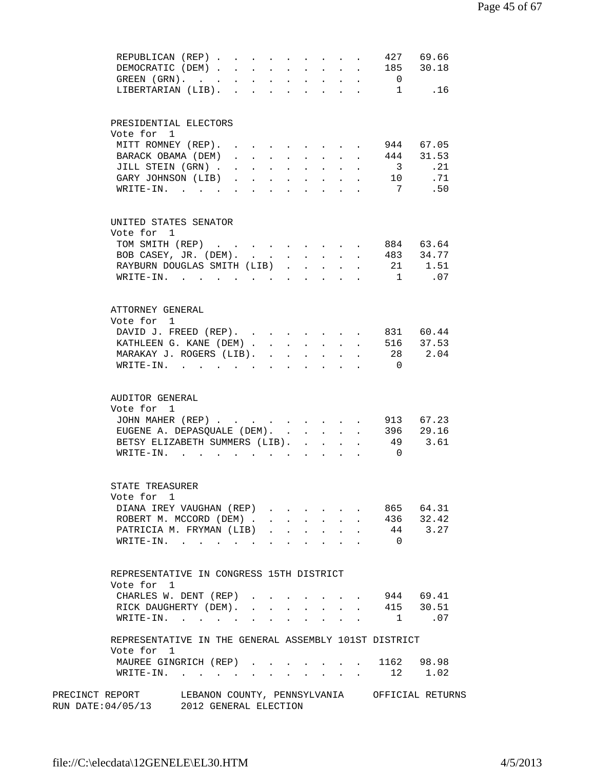|                                                                                                           | REPUBLICAN (REP)                                      |  |                                                                                                                                                                                                                                                                                                                                                                                                                              |                 |              |              |                                     |                         |              | 427                     | 69.66     |  |
|-----------------------------------------------------------------------------------------------------------|-------------------------------------------------------|--|------------------------------------------------------------------------------------------------------------------------------------------------------------------------------------------------------------------------------------------------------------------------------------------------------------------------------------------------------------------------------------------------------------------------------|-----------------|--------------|--------------|-------------------------------------|-------------------------|--------------|-------------------------|-----------|--|
|                                                                                                           | DEMOCRATIC (DEM) 185 30.18                            |  |                                                                                                                                                                                                                                                                                                                                                                                                                              |                 |              |              |                                     |                         |              |                         |           |  |
|                                                                                                           | GREEN $(GRN)$ .                                       |  |                                                                                                                                                                                                                                                                                                                                                                                                                              |                 |              |              |                                     |                         |              | $\overline{0}$          |           |  |
|                                                                                                           | LIBERTARIAN (LIB). 1                                  |  |                                                                                                                                                                                                                                                                                                                                                                                                                              |                 |              |              |                                     |                         |              |                         | .16       |  |
|                                                                                                           |                                                       |  |                                                                                                                                                                                                                                                                                                                                                                                                                              |                 |              |              |                                     |                         |              |                         |           |  |
|                                                                                                           |                                                       |  |                                                                                                                                                                                                                                                                                                                                                                                                                              |                 |              |              |                                     |                         |              |                         |           |  |
|                                                                                                           | PRESIDENTIAL ELECTORS<br>Vote for 1                   |  |                                                                                                                                                                                                                                                                                                                                                                                                                              |                 |              |              |                                     |                         |              |                         |           |  |
|                                                                                                           | MITT ROMNEY (REP).                                    |  | $\mathbf{r} = \mathbf{r} + \mathbf{r} + \mathbf{r} + \mathbf{r} + \mathbf{r} + \mathbf{r} + \mathbf{r} + \mathbf{r} + \mathbf{r} + \mathbf{r} + \mathbf{r} + \mathbf{r} + \mathbf{r} + \mathbf{r} + \mathbf{r} + \mathbf{r} + \mathbf{r} + \mathbf{r} + \mathbf{r} + \mathbf{r} + \mathbf{r} + \mathbf{r} + \mathbf{r} + \mathbf{r} + \mathbf{r} + \mathbf{r} + \mathbf{r} + \mathbf{r} + \mathbf{r} + \mathbf{r} + \mathbf$ |                 |              |              |                                     |                         |              |                         | 944 67.05 |  |
|                                                                                                           | BARACK OBAMA (DEM)                                    |  | $\mathbf{r}$ , $\mathbf{r}$ , $\mathbf{r}$ , $\mathbf{r}$ , $\mathbf{r}$ , $\mathbf{r}$ , $\mathbf{r}$                                                                                                                                                                                                                                                                                                                       |                 |              |              |                                     |                         |              | 444                     | 31.53     |  |
|                                                                                                           | JILL STEIN (GRN).                                     |  | $\mathbf{r}$ , and $\mathbf{r}$ , and $\mathbf{r}$ , and $\mathbf{r}$                                                                                                                                                                                                                                                                                                                                                        |                 |              |              |                                     |                         |              | $\overline{\mathbf{3}}$ | .21       |  |
|                                                                                                           | GARY JOHNSON (LIB)                                    |  |                                                                                                                                                                                                                                                                                                                                                                                                                              |                 |              |              |                                     |                         |              | 10                      | .71       |  |
|                                                                                                           |                                                       |  |                                                                                                                                                                                                                                                                                                                                                                                                                              |                 |              |              |                                     |                         |              | $7\overline{7}$         | .50       |  |
|                                                                                                           | WRITE-IN.                                             |  |                                                                                                                                                                                                                                                                                                                                                                                                                              |                 |              |              |                                     |                         |              |                         |           |  |
|                                                                                                           |                                                       |  |                                                                                                                                                                                                                                                                                                                                                                                                                              |                 |              |              |                                     |                         |              |                         |           |  |
|                                                                                                           | UNITED STATES SENATOR                                 |  |                                                                                                                                                                                                                                                                                                                                                                                                                              |                 |              |              |                                     |                         |              |                         |           |  |
|                                                                                                           | Vote for 1                                            |  |                                                                                                                                                                                                                                                                                                                                                                                                                              |                 |              |              |                                     |                         |              |                         |           |  |
|                                                                                                           | TOM SMITH (REP)                                       |  |                                                                                                                                                                                                                                                                                                                                                                                                                              |                 |              |              |                                     |                         |              | . 884 63.64             |           |  |
|                                                                                                           | BOB CASEY, JR. (DEM). 483 34.77                       |  |                                                                                                                                                                                                                                                                                                                                                                                                                              |                 |              |              |                                     |                         |              |                         |           |  |
|                                                                                                           | RAYBURN DOUGLAS SMITH (LIB)                           |  |                                                                                                                                                                                                                                                                                                                                                                                                                              |                 |              |              |                                     |                         |              |                         | 21 1.51   |  |
|                                                                                                           | WRITE-IN.                                             |  |                                                                                                                                                                                                                                                                                                                                                                                                                              |                 |              |              |                                     |                         |              |                         | 1 .07     |  |
|                                                                                                           |                                                       |  |                                                                                                                                                                                                                                                                                                                                                                                                                              |                 |              |              |                                     |                         |              |                         |           |  |
|                                                                                                           | ATTORNEY GENERAL                                      |  |                                                                                                                                                                                                                                                                                                                                                                                                                              |                 |              |              |                                     |                         |              |                         |           |  |
|                                                                                                           | Vote for 1                                            |  |                                                                                                                                                                                                                                                                                                                                                                                                                              |                 |              |              |                                     |                         |              |                         |           |  |
|                                                                                                           |                                                       |  |                                                                                                                                                                                                                                                                                                                                                                                                                              |                 |              |              |                                     |                         |              |                         | 831 60.44 |  |
|                                                                                                           | DAVID J. FREED (REP).                                 |  |                                                                                                                                                                                                                                                                                                                                                                                                                              |                 |              |              |                                     |                         |              |                         | 516 37.53 |  |
|                                                                                                           | KATHLEEN G. KANE (DEM)                                |  |                                                                                                                                                                                                                                                                                                                                                                                                                              |                 |              |              |                                     |                         | $\mathbf{L}$ |                         |           |  |
|                                                                                                           | MARAKAY J. ROGERS (LIB).                              |  |                                                                                                                                                                                                                                                                                                                                                                                                                              |                 |              |              |                                     |                         |              |                         | 28 2.04   |  |
|                                                                                                           | WRITE-IN.                                             |  |                                                                                                                                                                                                                                                                                                                                                                                                                              |                 |              |              |                                     |                         |              | $\overline{0}$          |           |  |
|                                                                                                           |                                                       |  |                                                                                                                                                                                                                                                                                                                                                                                                                              |                 |              |              |                                     |                         |              |                         |           |  |
|                                                                                                           | AUDITOR GENERAL                                       |  |                                                                                                                                                                                                                                                                                                                                                                                                                              |                 |              |              |                                     |                         |              |                         |           |  |
|                                                                                                           | Vote for 1                                            |  |                                                                                                                                                                                                                                                                                                                                                                                                                              |                 |              |              |                                     |                         |              |                         |           |  |
|                                                                                                           | JOHN MAHER (REP)                                      |  |                                                                                                                                                                                                                                                                                                                                                                                                                              |                 |              |              |                                     |                         |              |                         | 913 67.23 |  |
|                                                                                                           | EUGENE A. DEPASQUALE (DEM).                           |  |                                                                                                                                                                                                                                                                                                                                                                                                                              |                 |              |              |                                     |                         | $\mathbf{r}$ | 396                     | 29.16     |  |
|                                                                                                           | BETSY ELIZABETH SUMMERS (LIB).                        |  |                                                                                                                                                                                                                                                                                                                                                                                                                              |                 |              |              |                                     |                         |              | 49                      | 3.61      |  |
|                                                                                                           | WRITE-IN.                                             |  |                                                                                                                                                                                                                                                                                                                                                                                                                              |                 |              |              |                                     | $\mathbf{A}$            |              | $\overline{0}$          |           |  |
|                                                                                                           |                                                       |  |                                                                                                                                                                                                                                                                                                                                                                                                                              |                 |              |              |                                     |                         |              |                         |           |  |
|                                                                                                           |                                                       |  |                                                                                                                                                                                                                                                                                                                                                                                                                              |                 |              |              |                                     |                         |              |                         |           |  |
|                                                                                                           | STATE TREASURER                                       |  |                                                                                                                                                                                                                                                                                                                                                                                                                              |                 |              |              |                                     |                         |              |                         |           |  |
|                                                                                                           | Vote for 1                                            |  |                                                                                                                                                                                                                                                                                                                                                                                                                              |                 |              |              |                                     |                         |              |                         |           |  |
|                                                                                                           | DIANA IREY VAUGHAN (REP)                              |  |                                                                                                                                                                                                                                                                                                                                                                                                                              |                 |              |              |                                     |                         |              |                         | 865 64.31 |  |
|                                                                                                           | ROBERT M. MCCORD (DEM).                               |  |                                                                                                                                                                                                                                                                                                                                                                                                                              |                 | $\mathbf{L}$ | $\mathbf{L}$ | $\mathbf{r}$                        | $\mathbf{L}$            | $\mathbf{r}$ |                         | 436 32.42 |  |
|                                                                                                           | PATRICIA M. FRYMAN (LIB)                              |  |                                                                                                                                                                                                                                                                                                                                                                                                                              |                 |              |              |                                     |                         |              |                         | 44 3.27   |  |
|                                                                                                           | $W\text{RITE-IN.}$                                    |  |                                                                                                                                                                                                                                                                                                                                                                                                                              | $\sim$          | $\sim$       |              |                                     |                         |              | $\overline{0}$          |           |  |
|                                                                                                           |                                                       |  |                                                                                                                                                                                                                                                                                                                                                                                                                              |                 |              |              |                                     |                         |              |                         |           |  |
|                                                                                                           | REPRESENTATIVE IN CONGRESS 15TH DISTRICT              |  |                                                                                                                                                                                                                                                                                                                                                                                                                              |                 |              |              |                                     |                         |              |                         |           |  |
|                                                                                                           | Vote for 1                                            |  |                                                                                                                                                                                                                                                                                                                                                                                                                              |                 |              |              |                                     |                         |              |                         |           |  |
|                                                                                                           | CHARLES W. DENT (REP)                                 |  |                                                                                                                                                                                                                                                                                                                                                                                                                              |                 |              |              |                                     | $\cdot$ $\cdot$ $\cdot$ |              | 944 69.41               |           |  |
|                                                                                                           | RICK DAUGHERTY (DEM).                                 |  |                                                                                                                                                                                                                                                                                                                                                                                                                              | $\sim 10^{-11}$ |              |              | the contract of the contract of the |                         |              | 415 30.51               |           |  |
|                                                                                                           | $\texttt{WRTTE-IN.}$                                  |  |                                                                                                                                                                                                                                                                                                                                                                                                                              |                 |              |              |                                     |                         |              | $\overline{1}$          | .07       |  |
|                                                                                                           |                                                       |  |                                                                                                                                                                                                                                                                                                                                                                                                                              |                 |              |              |                                     |                         |              |                         |           |  |
|                                                                                                           | REPRESENTATIVE IN THE GENERAL ASSEMBLY 101ST DISTRICT |  |                                                                                                                                                                                                                                                                                                                                                                                                                              |                 |              |              |                                     |                         |              |                         |           |  |
|                                                                                                           | Vote for 1                                            |  |                                                                                                                                                                                                                                                                                                                                                                                                                              |                 |              |              |                                     |                         |              |                         |           |  |
|                                                                                                           | MAUREE GINGRICH (REP) 1162 98.98                      |  |                                                                                                                                                                                                                                                                                                                                                                                                                              |                 |              |              |                                     |                         |              |                         |           |  |
|                                                                                                           | WRITE-IN.                                             |  |                                                                                                                                                                                                                                                                                                                                                                                                                              |                 |              |              |                                     |                         |              |                         | 12 1.02   |  |
|                                                                                                           |                                                       |  |                                                                                                                                                                                                                                                                                                                                                                                                                              |                 |              |              |                                     |                         |              |                         |           |  |
| PRECINCT REPORT LEBANON COUNTY, PENNSYLVANIA OFFICIAL RETURNS<br>RUN DATE: 04/05/13 2012 GENERAL ELECTION |                                                       |  |                                                                                                                                                                                                                                                                                                                                                                                                                              |                 |              |              |                                     |                         |              |                         |           |  |
|                                                                                                           |                                                       |  |                                                                                                                                                                                                                                                                                                                                                                                                                              |                 |              |              |                                     |                         |              |                         |           |  |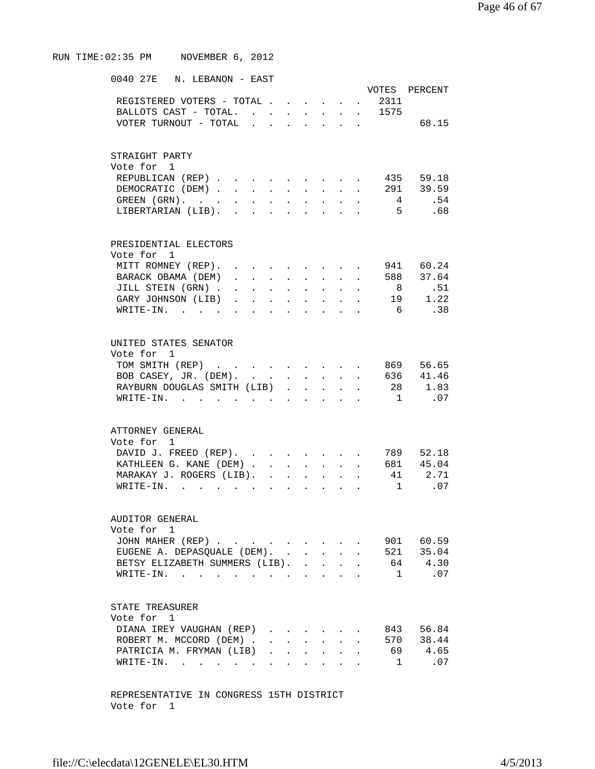## RUN TIME:02:35 PM NOVEMBER 6, 2012

| 0040 27E N. LEBANON - EAST                                                                                                                    |
|-----------------------------------------------------------------------------------------------------------------------------------------------|
| VOTES PERCENT                                                                                                                                 |
| REGISTERED VOTERS - TOTAL<br>2311<br>$\mathbf{A}$<br>$\ddot{\phantom{a}}$                                                                     |
| BALLOTS CAST - TOTAL.<br>. 1575<br>$\mathbf{L} = \mathbf{L} \mathbf{L}$<br>$\sim$<br>$\mathbf{L}$                                             |
| VOTER TURNOUT - TOTAL<br>68.15<br>$\mathbf{L}$<br>$\mathbf{L}$<br>$\mathbf{r}$                                                                |
|                                                                                                                                               |
|                                                                                                                                               |
| STRAIGHT PARTY                                                                                                                                |
| Vote for 1                                                                                                                                    |
| 435 59.18<br>REPUBLICAN (REP)<br>291 39.59                                                                                                    |
| DEMOCRATIC (DEM)<br>$\sim$ $-$<br>$\ddot{\phantom{a}}$<br>$\mathbf{L}$<br>.54<br>$\overline{4}$                                               |
| GREEN (GRN).<br>$\ddot{\phantom{0}}$<br>$\ddot{\phantom{a}}$<br>$\ddot{\phantom{a}}$<br>5 <sup>7</sup><br>.68                                 |
| LIBERTARIAN (LIB).<br>$\mathbf{L}$                                                                                                            |
|                                                                                                                                               |
| PRESIDENTIAL ELECTORS                                                                                                                         |
| Vote for 1                                                                                                                                    |
| 941 60.24<br>MITT ROMNEY (REP).<br>$\mathbf{L}$<br>$\sim$                                                                                     |
| 588 37.64<br>BARACK OBAMA (DEM)<br>$\sim$ $\sim$                                                                                              |
| 8 <sup>8</sup><br>.51<br>JILL STEIN (GRN).                                                                                                    |
| $\begin{array}{c} 19 \\ 1.22 \end{array}$<br>GARY JOHNSON (LIB)<br>$\ddot{\phantom{a}}$<br>$\mathbf{A}$                                       |
| .38<br>6<br>$WRITE-IN.$<br>$\sim$ $\sim$                                                                                                      |
|                                                                                                                                               |
| UNITED STATES SENATOR                                                                                                                         |
| Vote for 1                                                                                                                                    |
| 869 56.65<br>TOM SMITH (REP)<br>$\sim$<br>$\sim$                                                                                              |
| 636 41.46<br>BOB CASEY, JR. (DEM).<br>$\ddot{\phantom{a}}$<br>$\mathbf{L}$ and $\mathbf{L}$<br>$\ddot{\phantom{0}}$                           |
| 28 1.83<br>RAYBURN DOUGLAS SMITH (LIB)<br>$\ddot{\phantom{a}}$                                                                                |
| $W\text{RITE}-\text{IN.}$<br>$\overline{1}$<br>.07<br>$\mathbf{r} = \mathbf{r}$<br>$\mathbf{L}$                                               |
|                                                                                                                                               |
| ATTORNEY GENERAL                                                                                                                              |
| Vote for 1                                                                                                                                    |
| 789 52.18<br>DAVID J. FREED (REP).                                                                                                            |
| KATHLEEN G. KANE (DEM).<br>681 45.04<br>$\mathbf{L}$<br>$\ddot{\phantom{a}}$<br>$\ddot{\phantom{a}}$<br>$\mathbf{L}^{\text{max}}$             |
| 2.71<br>MARAKAY J. ROGERS (LIB).<br>41                                                                                                        |
| $\mathbf{1}$<br>.07<br>$W\text{RITE}-\text{IN.}$ .<br>$\sim$                                                                                  |
|                                                                                                                                               |
| AUDITOR GENERAL                                                                                                                               |
| Vote for 1                                                                                                                                    |
| JOHN MAHER (REP)<br>901 60.59                                                                                                                 |
| EUGENE A. DEPASQUALE (DEM). .<br>521 35.04<br>$\mathcal{L}^{\text{max}}$<br>$\Delta \sim 10^{-11}$<br>$\ddot{\phantom{a}}$                    |
| 64 4.30<br>BETSY ELIZABETH SUMMERS (LIB).<br>$\ddot{\phantom{a}}$<br>$\mathbf{L} = \mathbf{L}$                                                |
| 1<br>$\ldots$ 0.7<br>WRITE-IN.<br><b>Contract Contract</b><br>$\ddot{\phantom{a}}$                                                            |
|                                                                                                                                               |
|                                                                                                                                               |
| STATE TREASURER                                                                                                                               |
| Vote for 1                                                                                                                                    |
| 843 56.84<br>DIANA IREY VAUGHAN (REP)                                                                                                         |
| ROBERT M. MCCORD (DEM).<br>570 38.44<br>$\ddot{\phantom{a}}$<br>$\mathbf{L}^{\text{max}}$<br>$\mathbf{L}^{\text{max}}$<br>$\sim$              |
| PATRICIA M. FRYMAN (LIB)<br>4.65<br>69 —<br>$\mathbf{L}^{\text{max}}$<br>$\ddot{\phantom{0}}$<br>$\ddot{\phantom{a}}$<br>$\ddot{\phantom{a}}$ |
| .07<br>$\texttt{WRITE-IN.}$<br>$\overline{1}$<br>$\ddot{\phantom{a}}$                                                                         |
|                                                                                                                                               |

 REPRESENTATIVE IN CONGRESS 15TH DISTRICT Vote for 1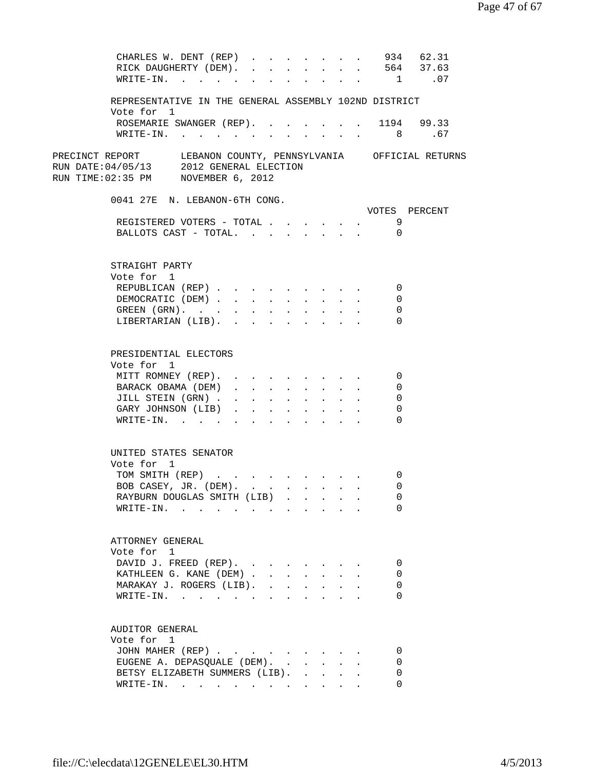| CHARLES W. DENT (REP) 934 62.31                                                                           |                               |        |                                                                               |                      |                      |                                                                  |               |
|-----------------------------------------------------------------------------------------------------------|-------------------------------|--------|-------------------------------------------------------------------------------|----------------------|----------------------|------------------------------------------------------------------|---------------|
| RICK DAUGHERTY (DEM). 564 37.63                                                                           |                               |        |                                                                               |                      |                      |                                                                  |               |
| WRITE-IN. 1 .07                                                                                           |                               |        |                                                                               |                      |                      |                                                                  |               |
| REPRESENTATIVE IN THE GENERAL ASSEMBLY 102ND DISTRICT                                                     |                               |        |                                                                               |                      |                      |                                                                  |               |
| Vote for 1                                                                                                |                               |        |                                                                               |                      |                      |                                                                  |               |
| ROSEMARIE SWANGER (REP). 1194 99.33                                                                       |                               |        |                                                                               |                      |                      |                                                                  |               |
| $\texttt{WRTTE-IN.}$                                                                                      |                               |        |                                                                               |                      |                      | 8 <sup>8</sup>                                                   | .67           |
|                                                                                                           |                               |        |                                                                               |                      |                      |                                                                  |               |
| PRECINCT REPORT LEBANON COUNTY, PENNSYLVANIA OFFICIAL RETURNS<br>RUN DATE: 04/05/13 2012 GENERAL ELECTION |                               |        |                                                                               |                      |                      |                                                                  |               |
| RUN TIME:02:35 PM MOVEMBER 6, 2012                                                                        |                               |        |                                                                               |                      |                      |                                                                  |               |
| 0041 27E N. LEBANON-6TH CONG.                                                                             |                               |        |                                                                               |                      |                      |                                                                  |               |
|                                                                                                           |                               |        |                                                                               |                      |                      |                                                                  | VOTES PERCENT |
| REGISTERED VOTERS - TOTAL                                                                                 |                               |        |                                                                               |                      |                      | 9<br>$\mathbf{A}^{\text{max}}$ , where $\mathbf{A}^{\text{max}}$ |               |
| BALLOTS CAST - TOTAL.                                                                                     |                               |        |                                                                               |                      | <b>Allen Artists</b> | $\overline{\phantom{0}}$                                         |               |
| STRAIGHT PARTY                                                                                            |                               |        |                                                                               |                      |                      |                                                                  |               |
| Vote for 1                                                                                                |                               |        |                                                                               |                      |                      |                                                                  |               |
| REPUBLICAN (REP)                                                                                          |                               |        |                                                                               |                      |                      | $\Omega$                                                         |               |
| DEMOCRATIC (DEM)                                                                                          | $\sim 10^{-10}$               |        | and a strategic control of the                                                |                      |                      | 0                                                                |               |
| GREEN (GRN).                                                                                              |                               |        |                                                                               |                      |                      | 0                                                                |               |
| LIBERTARIAN (LIB).                                                                                        |                               | $\sim$ |                                                                               |                      |                      | $\Omega$                                                         |               |
|                                                                                                           |                               |        |                                                                               |                      |                      |                                                                  |               |
| PRESIDENTIAL ELECTORS                                                                                     |                               |        |                                                                               |                      |                      |                                                                  |               |
| Vote for 1                                                                                                |                               |        |                                                                               |                      |                      |                                                                  |               |
| MITT ROMNEY (REP).                                                                                        |                               |        |                                                                               |                      |                      | $\cdots$ 0                                                       |               |
| BARACK OBAMA (DEM)                                                                                        | $\mathbf{a}$ and $\mathbf{a}$ |        |                                                                               |                      |                      | 0<br>and a strategic control of the                              |               |
| JILL STEIN (GRN).<br>$\mathbf{r} = \mathbf{r}$                                                            | $\sim$                        |        | $\mathbf{r} = \mathbf{r} + \mathbf{r} + \mathbf{r} + \mathbf{r}$ .            |                      |                      | 0                                                                |               |
| GARY JOHNSON (LIB).<br>$\mathbf{r} = \mathbf{r} \cdot \mathbf{r}$ .                                       |                               |        | $\mathbf{r} = \mathbf{r} + \mathbf{r} + \mathbf{r} + \mathbf{r} + \mathbf{r}$ |                      |                      | 0                                                                |               |
| WRITE-IN.                                                                                                 |                               |        | $\sim$ $\sim$ $\sim$ $\sim$ $\sim$                                            |                      |                      | $\Omega$                                                         |               |
| UNITED STATES SENATOR                                                                                     |                               |        |                                                                               |                      |                      |                                                                  |               |
| Vote for 1                                                                                                |                               |        |                                                                               |                      |                      |                                                                  |               |
| TOM SMITH (REP)                                                                                           |                               |        |                                                                               |                      |                      | $\Omega$                                                         |               |
| BOB CASEY, JR. (DEM).                                                                                     |                               |        |                                                                               |                      |                      | 0                                                                |               |
| RAYBURN DOUGLAS SMITH (LIB)                                                                               |                               |        |                                                                               |                      |                      | 0                                                                |               |
| WRITE-IN.<br>$\sim$ $\sim$ $\sim$ $\sim$ $\sim$                                                           |                               |        |                                                                               |                      |                      | $\Omega$                                                         |               |
|                                                                                                           |                               |        |                                                                               |                      |                      |                                                                  |               |
| ATTORNEY GENERAL                                                                                          |                               |        |                                                                               |                      |                      |                                                                  |               |
| Vote for 1                                                                                                |                               |        |                                                                               |                      |                      |                                                                  |               |
| DAVID J. FREED (REP).                                                                                     |                               |        |                                                                               |                      |                      | $\Omega$                                                         |               |
| KATHLEEN G. KANE (DEM)                                                                                    |                               |        |                                                                               | $\ddot{\phantom{0}}$ |                      | $\Omega$                                                         |               |
| MARAKAY J. ROGERS (LIB). .                                                                                | $\mathbf{L}$                  |        |                                                                               |                      |                      | $\Omega$                                                         |               |
| $\texttt{WRITE-IN.}$                                                                                      |                               |        |                                                                               |                      |                      | $\Omega$                                                         |               |
|                                                                                                           |                               |        |                                                                               |                      |                      |                                                                  |               |
| AUDITOR GENERAL                                                                                           |                               |        |                                                                               |                      |                      |                                                                  |               |
| Vote for 1                                                                                                |                               |        |                                                                               |                      |                      |                                                                  |               |
| JOHN MAHER (REP)                                                                                          |                               |        |                                                                               |                      |                      | 0                                                                |               |
| EUGENE A. DEPASQUALE (DEM).<br>BETSY ELIZABETH SUMMERS (LIB).                                             |                               |        |                                                                               |                      |                      | 0<br>$\Omega$                                                    |               |
|                                                                                                           |                               |        |                                                                               |                      |                      | <sup>0</sup>                                                     |               |
| WRITE-IN.                                                                                                 |                               |        |                                                                               |                      |                      |                                                                  |               |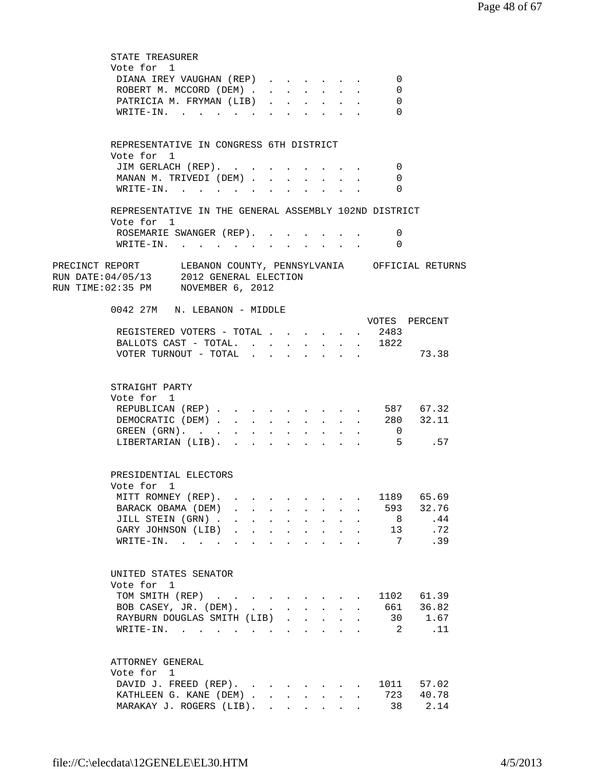STATE TREASURER Vote for 1 DIANA IREY VAUGHAN (REP) . . . . . . 0 ROBERT M. MCCORD (DEM) . . . . . . . 0 PATRICIA M. FRYMAN (LIB) . . . . . . 0 WRITE-IN. . . . . . . . . . . . 0 REPRESENTATIVE IN CONGRESS 6TH DISTRICT Vote for 1 JIM GERLACH (REP). . . . . . . . . 0 MANAN M. TRIVEDI (DEM) . . . . . . . 0 WRITE-IN. . . . . . . . . . . . 0 REPRESENTATIVE IN THE GENERAL ASSEMBLY 102ND DISTRICT Vote for 1 ROSEMARIE SWANGER (REP). . . . . . . 0 WRITE-IN. . . . . . . . . . . . 0 PRECINCT REPORT LEBANON COUNTY, PENNSYLVANIA OFFICIAL RETURNS RUN DATE:04/05/13 2012 GENERAL ELECTION RUN TIME:02:35 PM NOVEMBER 6, 2012 0042 27M N. LEBANON - MIDDLE VOTES PERCENT REGISTERED VOTERS - TOTAL . . . . . . 2483 BALLOTS CAST - TOTAL. . . . . . . . 1822 VOTER TURNOUT - TOTAL . . . . . . . . 73.38 STRAIGHT PARTY Vote for 1 REPUBLICAN (REP) . . . . . . . . . 587 67.32<br>DEMOCRATIC (DEM) . . . . . . . . . 280 32.11 DEMOCRATIC (DEM) . . . . . . . . . 280<br>GREEN (GRN). . . . . . . . . . . 0 GREEN  $(GRN)$ . . . . . . . . . . . LIBERTARIAN (LIB). . . . . . . . . 5 .57 PRESIDENTIAL ELECTORS Vote for 1 MITT ROMNEY (REP). . . . . . . . . 1189 65.69 BARACK OBAMA (DEM) . . . . . . . . 593 32.76 JILL STEIN (GRN) . . . . . . . . . 8 .44 GARY JOHNSON (LIB) . . . . . . . . 13 .72 WRITE-IN. . . . . . . . . . . . 7 .39 UNITED STATES SENATOR Vote for 1 TOM SMITH (REP) . . . . . . . . . 1102 61.39 BOB CASEY, JR. (DEM). . . . . . . . 661 36.82<br>RAYBURN DOUGLAS SMITH (LIB) . . . . . 30 1.67<br>WRITE-IN. . . . . . . . . . . . 2 .11 RAYBURN DOUGLAS SMITH (LIB) . . . . . WRITE-IN. . . . . . . . . . . . ATTORNEY GENERAL Vote for 1 DAVID J. FREED (REP). . . . . . . . 1011 57.02<br>KATHLEEN G. KANE (DEM) . . . . . . . 723 40.78 KATHLEEN G. KANE (DEM) . . . . . . . MARAKAY J. ROGERS (LIB). . . . . . . 38 2.14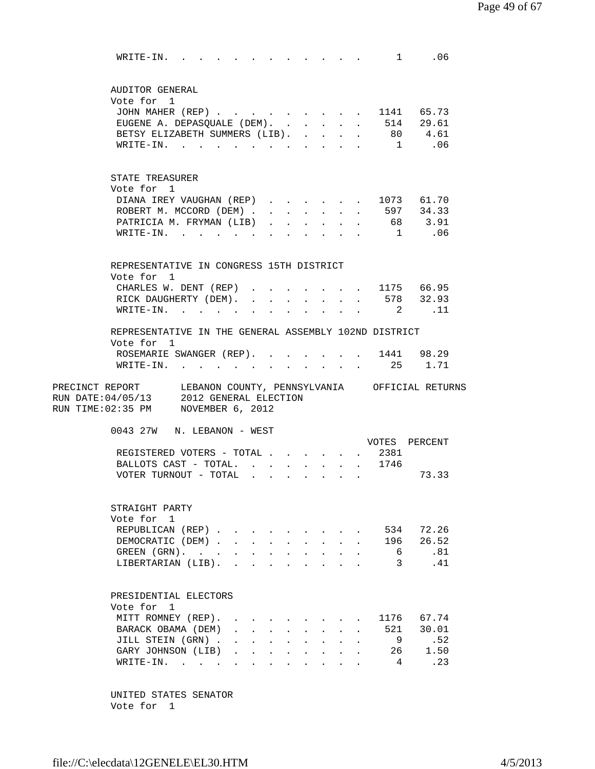| WRITE-IN.<br>$\sim$                                                                                                                              |                      |                      |                           | $\mathbf{r}$ , and $\mathbf{r}$ , and $\mathbf{r}$ |                                        | $\mathbf{r}$ , $\mathbf{r}$ , $\mathbf{r}$ |                      |         | 1 .06                                  |  |
|--------------------------------------------------------------------------------------------------------------------------------------------------|----------------------|----------------------|---------------------------|----------------------------------------------------|----------------------------------------|--------------------------------------------|----------------------|---------|----------------------------------------|--|
| AUDITOR GENERAL                                                                                                                                  |                      |                      |                           |                                                    |                                        |                                            |                      |         |                                        |  |
| Vote for 1                                                                                                                                       |                      |                      |                           |                                                    |                                        |                                            |                      |         |                                        |  |
| JOHN MAHER (REP)                                                                                                                                 |                      |                      |                           |                                                    |                                        |                                            |                      |         | . 1141 65.73                           |  |
| EUGENE A. DEPASQUALE (DEM).                                                                                                                      |                      |                      |                           |                                                    | $\mathbf{r} = \mathbf{r} + \mathbf{r}$ |                                            |                      |         | . 514 29.61                            |  |
| BETSY ELIZABETH SUMMERS (LIB).                                                                                                                   |                      |                      |                           | $\mathbf{r}$                                       | $\mathbf{L}$                           | $\ddot{\phantom{a}}$                       |                      |         | 80 4.61                                |  |
| $\texttt{WRITE-IN.}$                                                                                                                             |                      |                      |                           |                                                    |                                        |                                            |                      |         | 1.06                                   |  |
|                                                                                                                                                  |                      |                      |                           |                                                    |                                        |                                            |                      |         |                                        |  |
| STATE TREASURER<br>Vote for 1                                                                                                                    |                      |                      |                           |                                                    |                                        |                                            |                      |         |                                        |  |
| DIANA IREY VAUGHAN (REP)                                                                                                                         |                      |                      |                           |                                                    |                                        |                                            |                      |         | . 1073 61.70                           |  |
| ROBERT M. MCCORD (DEM).                                                                                                                          |                      |                      | $\mathbf{L}^{\text{max}}$ |                                                    | $\mathbf{L} = \mathbf{L} \mathbf{L}$   | $\ddot{\phantom{0}}$                       | $\ddot{\phantom{a}}$ |         | 597 34.33                              |  |
| PATRICIA M. FRYMAN (LIB)                                                                                                                         |                      |                      |                           |                                                    | $\ddot{\phantom{0}}$                   |                                            | $\ddot{\phantom{a}}$ |         | 68 3.91                                |  |
| $\texttt{WRTTE-IN.}$                                                                                                                             |                      |                      |                           |                                                    |                                        |                                            |                      |         | 1.06                                   |  |
|                                                                                                                                                  |                      |                      |                           |                                                    |                                        |                                            |                      |         |                                        |  |
| REPRESENTATIVE IN CONGRESS 15TH DISTRICT<br>Vote for 1                                                                                           |                      |                      |                           |                                                    |                                        |                                            |                      |         |                                        |  |
| CHARLES W. DENT (REP)                                                                                                                            |                      |                      |                           |                                                    |                                        |                                            |                      |         | $\therefore$ $\therefore$ $1175$ 66.95 |  |
| RICK DAUGHERTY (DEM). 578 32.93                                                                                                                  |                      |                      |                           |                                                    |                                        |                                            |                      |         |                                        |  |
| WRITE-IN.                                                                                                                                        |                      |                      |                           |                                                    |                                        |                                            |                      |         | 2 . 11                                 |  |
| REPRESENTATIVE IN THE GENERAL ASSEMBLY 102ND DISTRICT                                                                                            |                      |                      |                           |                                                    |                                        |                                            |                      |         |                                        |  |
| Vote for 1<br>ROSEMARIE SWANGER (REP).                                                                                                           |                      |                      | $\mathbf{L}$              |                                                    |                                        |                                            |                      |         | . 1441 98.29                           |  |
| $\texttt{WRTTE-IN.}$                                                                                                                             |                      |                      |                           |                                                    |                                        |                                            |                      |         | 25 1.71                                |  |
| PRECINCT REPORT LEBANON COUNTY, PENNSYLVANIA OFFICIAL RETURNS<br>RUN DATE: 04/05/13 2012 GENERAL ELECTION<br>RUN TIME: 02:35 PM NOVEMBER 6, 2012 |                      |                      |                           |                                                    |                                        |                                            |                      |         |                                        |  |
| 0043 27W N. LEBANON - WEST                                                                                                                       |                      |                      |                           |                                                    |                                        |                                            |                      |         |                                        |  |
|                                                                                                                                                  |                      |                      |                           |                                                    |                                        |                                            |                      |         | VOTES PERCENT                          |  |
| REGISTERED VOTERS - TOTAL                                                                                                                        |                      |                      |                           |                                                    |                                        |                                            |                      | 2381    |                                        |  |
| BALLOTS CAST - TOTAL.                                                                                                                            |                      |                      |                           |                                                    |                                        |                                            |                      | . 1746  |                                        |  |
| VOTER TURNOUT - TOTAL                                                                                                                            | $\ddot{\phantom{a}}$ | $\ddot{\phantom{a}}$ |                           |                                                    |                                        |                                            |                      |         | 73.33                                  |  |
| STRAIGHT PARTY<br>Vote for 1                                                                                                                     |                      |                      |                           |                                                    |                                        |                                            |                      |         |                                        |  |
| REPUBLICAN (REP)                                                                                                                                 |                      |                      |                           |                                                    |                                        |                                            |                      | 534     | 72.26                                  |  |
| DEMOCRATIC (DEM).<br>$\ddot{\phantom{a}}$                                                                                                        |                      |                      |                           |                                                    |                                        |                                            |                      | 196     | 26.52                                  |  |
| GREEN (GRN).<br>$\ddot{\phantom{a}}$                                                                                                             |                      |                      |                           |                                                    |                                        |                                            |                      | 6       | .81                                    |  |
| LIBERTARIAN (LIB).                                                                                                                               |                      |                      |                           |                                                    |                                        |                                            |                      | 3       | .41                                    |  |
|                                                                                                                                                  |                      |                      |                           |                                                    |                                        |                                            |                      |         |                                        |  |
|                                                                                                                                                  |                      |                      |                           |                                                    |                                        |                                            |                      |         |                                        |  |
| PRESIDENTIAL ELECTORS                                                                                                                            |                      |                      |                           |                                                    |                                        |                                            |                      |         |                                        |  |
| Vote for 1                                                                                                                                       |                      |                      |                           |                                                    |                                        |                                            |                      |         |                                        |  |
| MITT ROMNEY (REP).                                                                                                                               |                      |                      |                           |                                                    |                                        |                                            |                      | 1176    | 67.74                                  |  |
| BARACK OBAMA (DEM)                                                                                                                               |                      |                      |                           |                                                    |                                        |                                            |                      | 521     | 30.01                                  |  |
| JILL STEIN (GRN).                                                                                                                                |                      |                      |                           |                                                    |                                        |                                            |                      | 9       | .52                                    |  |
| GARY JOHNSON (LIB)<br>$WRITE-IN.$                                                                                                                |                      |                      |                           |                                                    |                                        |                                            |                      | 26<br>4 | 1.50<br>.23                            |  |

 UNITED STATES SENATOR Vote for 1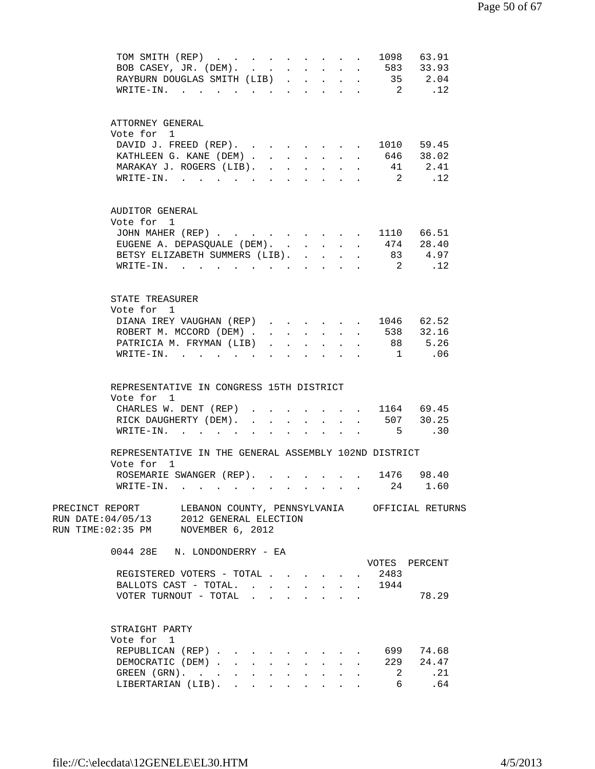| TOM SMITH (REP) 1098 63.91                                                                                                                             |        |                      |                           |              |                                        |              |                      |                                                                               |                        |  |
|--------------------------------------------------------------------------------------------------------------------------------------------------------|--------|----------------------|---------------------------|--------------|----------------------------------------|--------------|----------------------|-------------------------------------------------------------------------------|------------------------|--|
| BOB CASEY, JR. (DEM). 583 33.93                                                                                                                        |        |                      |                           |              |                                        |              |                      |                                                                               |                        |  |
| RAYBURN DOUGLAS SMITH (LIB) 35 2.04                                                                                                                    |        |                      |                           |              |                                        |              |                      |                                                                               |                        |  |
| WRITE-IN.                                                                                                                                              |        |                      |                           |              |                                        |              |                      |                                                                               | 2 .12                  |  |
|                                                                                                                                                        |        |                      |                           |              |                                        |              |                      |                                                                               |                        |  |
| ATTORNEY GENERAL                                                                                                                                       |        |                      |                           |              |                                        |              |                      |                                                                               |                        |  |
| Vote for 1                                                                                                                                             |        |                      |                           |              |                                        |              |                      |                                                                               |                        |  |
| DAVID J. FREED (REP). 1010 59.45                                                                                                                       |        |                      |                           |              |                                        |              |                      |                                                                               |                        |  |
| KATHLEEN G. KANE (DEM) 646 38.02                                                                                                                       |        |                      |                           |              |                                        |              |                      |                                                                               |                        |  |
| MARAKAY J. ROGERS (LIB). 41 2.41                                                                                                                       |        |                      |                           |              |                                        |              |                      |                                                                               |                        |  |
| WRITE-IN.                                                                                                                                              |        |                      | $\ddot{\phantom{0}}$      |              | $\mathbf{r} = \mathbf{r} + \mathbf{r}$ |              | $\ddot{\phantom{a}}$ |                                                                               | 2 .12                  |  |
| AUDITOR GENERAL                                                                                                                                        |        |                      |                           |              |                                        |              |                      |                                                                               |                        |  |
| Vote for 1                                                                                                                                             |        |                      |                           |              |                                        |              |                      |                                                                               |                        |  |
| JOHN MAHER (REP) 1110 66.51                                                                                                                            |        |                      |                           |              |                                        |              |                      |                                                                               |                        |  |
| EUGENE A. DEPASQUALE (DEM).                                                                                                                            |        |                      |                           |              |                                        |              |                      |                                                                               | . 474 28.40            |  |
| BETSY ELIZABETH SUMMERS (LIB).                                                                                                                         |        |                      |                           |              |                                        | $\mathbf{A}$ | $\mathbf{L}$         |                                                                               | 83 4.97                |  |
| WRITE-IN.                                                                                                                                              |        |                      |                           |              |                                        |              |                      |                                                                               | 2 .12                  |  |
|                                                                                                                                                        |        |                      |                           |              |                                        |              |                      |                                                                               |                        |  |
| STATE TREASURER                                                                                                                                        |        |                      |                           |              |                                        |              |                      |                                                                               |                        |  |
| Vote for 1                                                                                                                                             |        |                      |                           |              |                                        |              |                      |                                                                               |                        |  |
| DIANA IREY VAUGHAN (REP) 1046 62.52                                                                                                                    |        |                      |                           |              |                                        |              |                      |                                                                               |                        |  |
| ROBERT M. MCCORD (DEM).                                                                                                                                |        | $\ddot{\phantom{a}}$ | $\mathbf{L}$              | $\mathbf{r}$ | $\mathbf{L}$                           | $\mathbf{L}$ | $\mathbf{L}$         |                                                                               | 538 32.16              |  |
| PATRICIA M. FRYMAN (LIB)                                                                                                                               |        |                      |                           |              |                                        |              |                      |                                                                               | 88 5.26                |  |
| $W\text{RITE}-\text{IN.}$                                                                                                                              |        |                      |                           |              |                                        |              | $\ddot{\phantom{a}}$ |                                                                               | 1.06                   |  |
|                                                                                                                                                        |        | $\sim$               |                           |              |                                        |              |                      |                                                                               |                        |  |
| REPRESENTATIVE IN CONGRESS 15TH DISTRICT<br>Vote for 1                                                                                                 |        |                      |                           |              |                                        |              |                      |                                                                               |                        |  |
| CHARLES W. DENT (REP)                                                                                                                                  |        |                      |                           |              |                                        |              |                      |                                                                               | $\cdot$ 1164 69.45     |  |
| RICK DAUGHERTY (DEM).                                                                                                                                  | $\sim$ |                      |                           |              |                                        |              | $\Delta \sim 10^4$   |                                                                               |                        |  |
| $\texttt{WRTTE-IN.}$                                                                                                                                   |        |                      |                           |              |                                        |              |                      |                                                                               | $507$ $30.25$<br>5 .30 |  |
|                                                                                                                                                        |        |                      |                           |              |                                        |              |                      |                                                                               |                        |  |
| REPRESENTATIVE IN THE GENERAL ASSEMBLY 102ND DISTRICT<br>Vote for 1                                                                                    |        |                      |                           |              |                                        |              |                      |                                                                               |                        |  |
| ROSEMARIE SWANGER (REP). 1476 98.40                                                                                                                    |        |                      |                           |              |                                        |              |                      |                                                                               |                        |  |
| WRITE-IN.                                                                                                                                              |        |                      |                           |              |                                        |              |                      | 24                                                                            | 1.60                   |  |
|                                                                                                                                                        |        |                      |                           |              |                                        |              |                      |                                                                               |                        |  |
| PRECINCT REPORT<br>LEBANON COUNTY, PENNSYLVANIA OFFICIAL RETURNS<br>RUN DATE: 04/05/13<br>2012 GENERAL ELECTION<br>RUN TIME: 02:35 PM NOVEMBER 6, 2012 |        |                      |                           |              |                                        |              |                      |                                                                               |                        |  |
| 0044 28E N. LONDONDERRY - EA                                                                                                                           |        |                      |                           |              |                                        |              |                      |                                                                               | VOTES PERCENT          |  |
| REGISTERED VOTERS - TOTAL                                                                                                                              |        |                      |                           |              |                                        |              |                      | 2483                                                                          |                        |  |
| BALLOTS CAST - TOTAL.                                                                                                                                  |        |                      |                           |              |                                        |              |                      | . 1944                                                                        |                        |  |
|                                                                                                                                                        |        |                      |                           |              |                                        |              |                      |                                                                               |                        |  |
| VOTER TURNOUT - TOTAL                                                                                                                                  |        |                      |                           |              |                                        |              |                      |                                                                               | 78.29                  |  |
| STRAIGHT PARTY                                                                                                                                         |        |                      |                           |              |                                        |              |                      |                                                                               |                        |  |
| Vote for 1                                                                                                                                             |        |                      |                           |              |                                        |              |                      |                                                                               |                        |  |
| REPUBLICAN (REP)                                                                                                                                       |        |                      |                           |              |                                        |              |                      |                                                                               | 699 74.68              |  |
| DEMOCRATIC (DEM)                                                                                                                                       |        |                      |                           |              |                                        |              |                      | $\mathbf{r} = \mathbf{r} + \mathbf{r} + \mathbf{r} + \mathbf{r} + \mathbf{r}$ | 229 24.47              |  |
|                                                                                                                                                        |        |                      |                           |              |                                        |              |                      |                                                                               |                        |  |
| GREEN (GRN).                                                                                                                                           |        |                      | $\mathbf{L} = \mathbf{0}$ |              |                                        |              |                      | $\mathbf{2}$                                                                  | .21                    |  |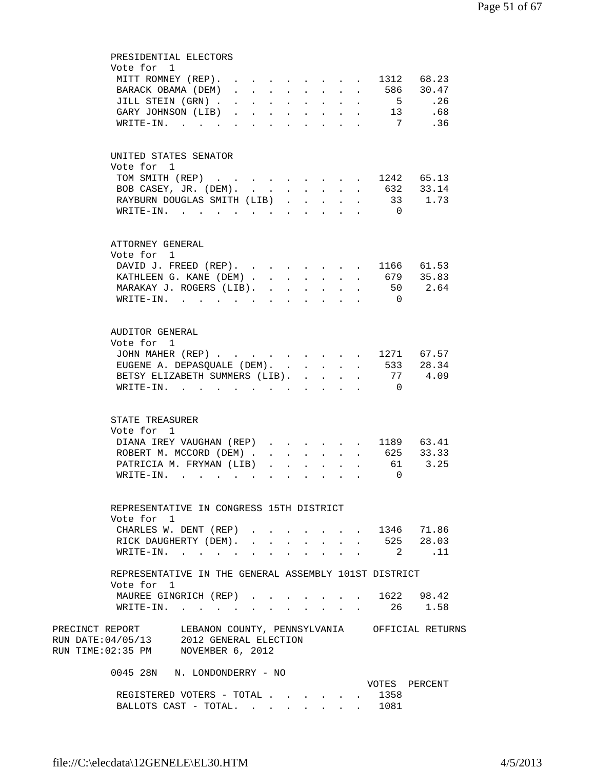| PRESIDENTIAL ELECTORS                                         |                      |        |                                          |                  |                                        |                 |                                                       |                                                           |                 |                                 |  |
|---------------------------------------------------------------|----------------------|--------|------------------------------------------|------------------|----------------------------------------|-----------------|-------------------------------------------------------|-----------------------------------------------------------|-----------------|---------------------------------|--|
| Vote for 1                                                    |                      |        |                                          |                  |                                        |                 |                                                       |                                                           |                 |                                 |  |
| MITT ROMNEY (REP). 1312 68.23                                 |                      |        |                                          |                  |                                        |                 |                                                       |                                                           |                 |                                 |  |
| BARACK OBAMA (DEM)                                            |                      |        |                                          |                  |                                        |                 |                                                       |                                                           |                 | $\cdot$ 586 30.47               |  |
| JILL STEIN (GRN).                                             | $\ddot{\phantom{0}}$ | $\sim$ | $\mathbf{r} = \mathbf{r} + \mathbf{r}$ . |                  | $\sim 100$                             | $\sim 10^{-11}$ |                                                       | $\mathbf{z} = \mathbf{z} + \mathbf{z}$                    | 5 <sup>5</sup>  | .26                             |  |
| GARY JOHNSON (LIB)                                            |                      |        |                                          |                  | $\ddot{\phantom{a}}$                   |                 | $\bullet$                                             |                                                           | 13              | .68                             |  |
| WRITE-IN.                                                     |                      |        |                                          |                  |                                        |                 |                                                       |                                                           | $7\overline{ }$ | .36                             |  |
|                                                               |                      |        |                                          |                  |                                        |                 |                                                       |                                                           |                 |                                 |  |
|                                                               |                      |        |                                          |                  |                                        |                 |                                                       |                                                           |                 |                                 |  |
| UNITED STATES SENATOR                                         |                      |        |                                          |                  |                                        |                 |                                                       |                                                           |                 |                                 |  |
| Vote for 1                                                    |                      |        |                                          |                  |                                        |                 |                                                       |                                                           |                 |                                 |  |
| TOM SMITH (REP) 1242 65.13                                    |                      |        |                                          |                  |                                        |                 |                                                       |                                                           |                 |                                 |  |
| BOB CASEY, JR. (DEM). 632 33.14                               |                      |        |                                          |                  |                                        |                 |                                                       |                                                           |                 |                                 |  |
| RAYBURN DOUGLAS SMITH (LIB)                                   |                      |        |                                          | $\sim$ 100 $\pm$ |                                        |                 |                                                       | $\mathbf{r}$ , $\mathbf{r}$ , $\mathbf{r}$                |                 | 33 1.73                         |  |
| $\texttt{WRTTE-IN.}$                                          |                      |        |                                          |                  |                                        |                 | $\mathbf{r} = \mathbf{r} + \mathbf{r} + \mathbf{r}$ . |                                                           | $\overline{0}$  |                                 |  |
|                                                               |                      |        |                                          |                  |                                        |                 |                                                       |                                                           |                 |                                 |  |
| ATTORNEY GENERAL                                              |                      |        |                                          |                  |                                        |                 |                                                       |                                                           |                 |                                 |  |
| Vote for 1                                                    |                      |        |                                          |                  |                                        |                 |                                                       |                                                           |                 |                                 |  |
| DAVID J. FREED (REP). 1166 61.53                              |                      |        |                                          |                  |                                        |                 |                                                       |                                                           |                 |                                 |  |
| KATHLEEN G. KANE (DEM) 679 35.83                              |                      |        |                                          |                  |                                        |                 |                                                       |                                                           |                 |                                 |  |
| MARAKAY J. ROGERS (LIB). .                                    |                      |        |                                          | $\sim$           | $\sim$ 100 $\pm$                       |                 |                                                       |                                                           |                 | $\cdot$ $\cdot$ $\cdot$ 50 2.64 |  |
| WRITE-IN.                                                     |                      |        |                                          |                  |                                        |                 |                                                       |                                                           | $\overline{0}$  |                                 |  |
|                                                               |                      |        |                                          |                  |                                        |                 |                                                       |                                                           |                 |                                 |  |
|                                                               |                      |        |                                          |                  |                                        |                 |                                                       |                                                           |                 |                                 |  |
| AUDITOR GENERAL                                               |                      |        |                                          |                  |                                        |                 |                                                       |                                                           |                 |                                 |  |
| Vote for 1                                                    |                      |        |                                          |                  |                                        |                 |                                                       |                                                           |                 |                                 |  |
| JOHN MAHER (REP) 1271 67.57                                   |                      |        |                                          |                  |                                        |                 |                                                       |                                                           |                 |                                 |  |
| EUGENE A. DEPASQUALE (DEM). 533 28.34                         |                      |        |                                          |                  |                                        |                 |                                                       |                                                           |                 |                                 |  |
| BETSY ELIZABETH SUMMERS (LIB).                                |                      |        |                                          |                  |                                        |                 |                                                       |                                                           |                 | 77 4.09                         |  |
| WRITE-IN.                                                     |                      |        |                                          |                  |                                        |                 |                                                       |                                                           | $\overline{0}$  |                                 |  |
|                                                               |                      |        |                                          |                  |                                        |                 |                                                       |                                                           |                 |                                 |  |
| STATE TREASURER                                               |                      |        |                                          |                  |                                        |                 |                                                       |                                                           |                 |                                 |  |
| Vote for 1                                                    |                      |        |                                          |                  |                                        |                 |                                                       |                                                           |                 |                                 |  |
| DIANA IREY VAUGHAN (REP) 1189 63.41                           |                      |        |                                          |                  |                                        |                 |                                                       |                                                           |                 |                                 |  |
| ROBERT M. MCCORD (DEM).                                       |                      |        |                                          |                  |                                        |                 |                                                       |                                                           |                 | $\cdot$ 625 33.33               |  |
| PATRICIA M. FRYMAN (LIB)                                      |                      |        | $\mathbf{L}$                             |                  |                                        |                 |                                                       |                                                           |                 | $\cdot$ 61 3.25                 |  |
| WRITE-IN.                                                     |                      |        |                                          |                  | $\mathbf{r} = \mathbf{r} + \mathbf{r}$ |                 |                                                       |                                                           | $\overline{0}$  |                                 |  |
|                                                               |                      |        |                                          |                  |                                        |                 |                                                       | $\mathbf{z} = \mathbf{z} + \mathbf{z}$ . The $\mathbf{z}$ |                 |                                 |  |
|                                                               |                      |        |                                          |                  |                                        |                 |                                                       |                                                           |                 |                                 |  |
| REPRESENTATIVE IN CONGRESS 15TH DISTRICT                      |                      |        |                                          |                  |                                        |                 |                                                       |                                                           |                 |                                 |  |
| Vote for 1                                                    |                      |        |                                          |                  |                                        |                 |                                                       |                                                           |                 |                                 |  |
| CHARLES W. DENT (REP)                                         |                      |        |                                          |                  |                                        |                 |                                                       |                                                           |                 | 1346 71.86                      |  |
| RICK DAUGHERTY (DEM). 525 28.03                               |                      |        |                                          |                  |                                        |                 |                                                       |                                                           |                 |                                 |  |
| WRITE-IN.                                                     |                      |        |                                          |                  |                                        |                 |                                                       |                                                           |                 | 2 .11                           |  |
| REPRESENTATIVE IN THE GENERAL ASSEMBLY 101ST DISTRICT         |                      |        |                                          |                  |                                        |                 |                                                       |                                                           |                 |                                 |  |
| Vote for 1                                                    |                      |        |                                          |                  |                                        |                 |                                                       |                                                           |                 |                                 |  |
| MAUREE GINGRICH (REP) 1622 98.42                              |                      |        |                                          |                  |                                        |                 |                                                       |                                                           |                 |                                 |  |
| WRITE-IN. 26 1.58                                             |                      |        |                                          |                  |                                        |                 |                                                       |                                                           |                 |                                 |  |
|                                                               |                      |        |                                          |                  |                                        |                 |                                                       |                                                           |                 |                                 |  |
| PRECINCT REPORT LEBANON COUNTY, PENNSYLVANIA OFFICIAL RETURNS |                      |        |                                          |                  |                                        |                 |                                                       |                                                           |                 |                                 |  |
| RUN DATE:04/05/13 2012 GENERAL ELECTION                       |                      |        |                                          |                  |                                        |                 |                                                       |                                                           |                 |                                 |  |
| RUN TIME:02:35 PM NOVEMBER 6, 2012                            |                      |        |                                          |                  |                                        |                 |                                                       |                                                           |                 |                                 |  |
|                                                               |                      |        |                                          |                  |                                        |                 |                                                       |                                                           |                 |                                 |  |
| 0045 28N N. LONDONDERRY - NO                                  |                      |        |                                          |                  |                                        |                 |                                                       |                                                           |                 |                                 |  |
|                                                               |                      |        |                                          |                  |                                        |                 |                                                       |                                                           |                 | VOTES PERCENT                   |  |
| REGISTERED VOTERS - TOTAL 1358                                |                      |        |                                          |                  |                                        |                 |                                                       |                                                           |                 |                                 |  |
| BALLOTS CAST - TOTAL. 1081                                    |                      |        |                                          |                  |                                        |                 |                                                       |                                                           |                 |                                 |  |
|                                                               |                      |        |                                          |                  |                                        |                 |                                                       |                                                           |                 |                                 |  |
|                                                               |                      |        |                                          |                  |                                        |                 |                                                       |                                                           |                 |                                 |  |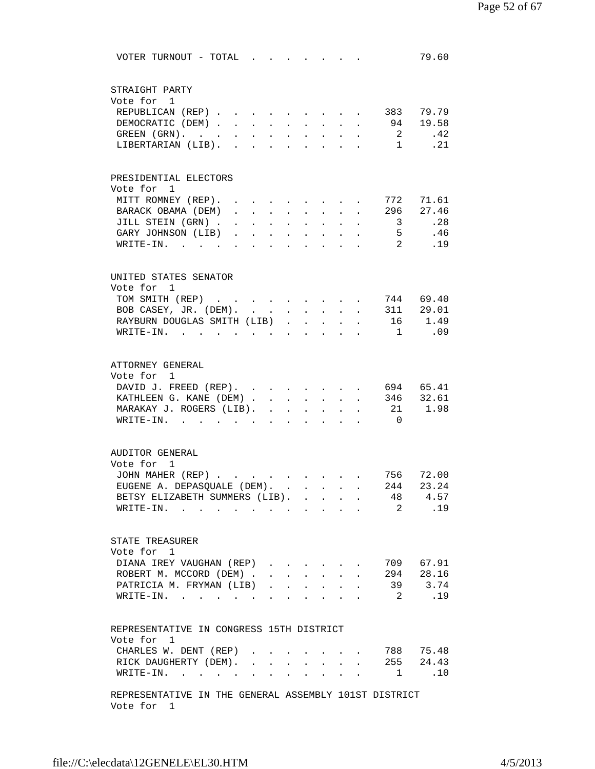| STRAIGHT PARTY<br>Vote for 1<br>383<br>79.79<br>REPUBLICAN (REP)<br>$\mathbf{r} = \mathbf{r} + \mathbf{r} + \mathbf{r} + \mathbf{r} + \mathbf{r}$<br>94 19.58<br>DEMOCRATIC (DEM)<br>$\mathbf{L}$<br>$\sim$<br>$\sim$<br>$\sim$<br>$\sim$<br>$\ddot{\phantom{a}}$<br>GREEN (GRN).<br>$\overline{a}$<br>.42<br>$\mathcal{L}^{\text{max}}$<br>$\mathbf{L}$<br>$\mathbf{L}^{\text{max}}$<br>$\sim$<br>$\ddot{\phantom{a}}$<br>$\sim$<br>.21<br>LIBERTARIAN (LIB).<br>$\mathbf{1}$<br>$\mathbf{L} = \mathbf{L}$<br>$\mathbf{L}$<br>PRESIDENTIAL ELECTORS<br>Vote for 1<br>772<br>71.61<br>MITT ROMNEY (REP).<br>BARACK OBAMA (DEM)<br>27.46<br>296<br>$\ddotsc$<br>.28<br>$\overline{\mathbf{3}}$<br>JILL STEIN (GRN).<br>$\mathbf{L}$<br>$\ddot{\phantom{a}}$<br>$\ddot{\phantom{0}}$<br>$\ddot{\phantom{a}}$<br>GARY JOHNSON (LIB)<br>5<br>.46<br><b>College</b><br>$\sim$<br>$\mathbf{L}$<br>$\ddot{\phantom{a}}$<br>2<br>.19<br>$W{\tt RITE-IN.}$<br>$\mathbf{r} = \mathbf{r}$<br>$\mathbf{A}$<br>$\ddot{\phantom{0}}$<br>$\mathbf{L}$<br>UNITED STATES SENATOR<br>Vote for 1<br>TOM SMITH (REP)<br>744 69.40<br>311 29.01<br>BOB CASEY, JR. (DEM).<br>1.49<br>RAYBURN DOUGLAS SMITH (LIB).<br>16<br>$\mathbf{r}$<br>.09<br>WRITE-IN.<br>$\mathbf{1}$<br>$\mathbf{r} = \mathbf{r}$ , and $\mathbf{r} = \mathbf{r}$<br>ATTORNEY GENERAL<br>Vote for 1<br>DAVID J. FREED (REP). 694 65.41<br>KATHLEEN G. KANE (DEM).<br>346 32.61<br>$\mathbf{r} = \mathbf{r} + \mathbf{r} + \mathbf{r} + \mathbf{r} + \mathbf{r}$<br>$\ddot{\phantom{a}}$<br>21 1.98<br>MARAKAY J. ROGERS (LIB).<br>$\ddot{\phantom{0}}$<br>$\mathbf{L}$<br>$\sim$ 10 $\pm$<br>$W\text{RITE}-\text{IN}.$<br>$\overline{0}$<br>$\sim$ $\sim$ $\sim$<br>$\ddot{\phantom{a}}$<br>AUDITOR GENERAL<br>Vote for 1<br>JOHN MAHER (REP) 756<br>72.00<br>EUGENE A. DEPASQUALE (DEM).<br>244<br>23.24<br>4.57<br>BETSY ELIZABETH SUMMERS (LIB).<br>48<br>2<br>.19<br>WRITE-IN.<br>STATE TREASURER<br>Vote for 1<br>709 67.91<br>DIANA IREY VAUGHAN (REP)<br>ROBERT M. MCCORD (DEM).<br>294 28.16<br>$\mathbf{L}^{\text{max}}$<br>$\mathbf{L}^{\text{max}}$<br>$\mathbf{L}^{\text{max}}$<br>$\sim$ $-$<br>39 3.74<br>PATRICIA M. FRYMAN (LIB)<br>$\ddot{\phantom{0}}$<br>$\ddot{\phantom{0}}$<br>$\overline{2}$<br>$\texttt{WRITE-IN.}$<br>.19<br>REPRESENTATIVE IN CONGRESS 15TH DISTRICT<br>Vote for 1<br>75.48<br>CHARLES W. DENT (REP)<br>788<br>$\mathbf{r}$ and $\mathbf{r}$<br>$\mathbf{r}$ , $\mathbf{r}$ , $\mathbf{r}$<br>255 24.43<br>RICK DAUGHERTY (DEM).<br>$\mathbf{L}$<br>$\cdot$ $\cdot$ $\cdot$ $\cdot$<br>WRITE-IN.<br>1.10<br>and the contract of the contract of<br><b>All Carl Carl Control</b><br>$\mathbf{A}$ and $\mathbf{A}$<br>$\ddot{\phantom{a}}$ | VOTER TURNOUT - TOTAL<br>79.60 |
|------------------------------------------------------------------------------------------------------------------------------------------------------------------------------------------------------------------------------------------------------------------------------------------------------------------------------------------------------------------------------------------------------------------------------------------------------------------------------------------------------------------------------------------------------------------------------------------------------------------------------------------------------------------------------------------------------------------------------------------------------------------------------------------------------------------------------------------------------------------------------------------------------------------------------------------------------------------------------------------------------------------------------------------------------------------------------------------------------------------------------------------------------------------------------------------------------------------------------------------------------------------------------------------------------------------------------------------------------------------------------------------------------------------------------------------------------------------------------------------------------------------------------------------------------------------------------------------------------------------------------------------------------------------------------------------------------------------------------------------------------------------------------------------------------------------------------------------------------------------------------------------------------------------------------------------------------------------------------------------------------------------------------------------------------------------------------------------------------------------------------------------------------------------------------------------------------------------------------------------------------------------------------------------------------------------------------------------------------------------------------------------------------------------------------------------------------------------------------------------------------------------------------------------------------------------------------------------------------------------------------------------------------------------------------------------------------------------------------------|--------------------------------|
|                                                                                                                                                                                                                                                                                                                                                                                                                                                                                                                                                                                                                                                                                                                                                                                                                                                                                                                                                                                                                                                                                                                                                                                                                                                                                                                                                                                                                                                                                                                                                                                                                                                                                                                                                                                                                                                                                                                                                                                                                                                                                                                                                                                                                                                                                                                                                                                                                                                                                                                                                                                                                                                                                                                                    |                                |
|                                                                                                                                                                                                                                                                                                                                                                                                                                                                                                                                                                                                                                                                                                                                                                                                                                                                                                                                                                                                                                                                                                                                                                                                                                                                                                                                                                                                                                                                                                                                                                                                                                                                                                                                                                                                                                                                                                                                                                                                                                                                                                                                                                                                                                                                                                                                                                                                                                                                                                                                                                                                                                                                                                                                    |                                |
|                                                                                                                                                                                                                                                                                                                                                                                                                                                                                                                                                                                                                                                                                                                                                                                                                                                                                                                                                                                                                                                                                                                                                                                                                                                                                                                                                                                                                                                                                                                                                                                                                                                                                                                                                                                                                                                                                                                                                                                                                                                                                                                                                                                                                                                                                                                                                                                                                                                                                                                                                                                                                                                                                                                                    |                                |
|                                                                                                                                                                                                                                                                                                                                                                                                                                                                                                                                                                                                                                                                                                                                                                                                                                                                                                                                                                                                                                                                                                                                                                                                                                                                                                                                                                                                                                                                                                                                                                                                                                                                                                                                                                                                                                                                                                                                                                                                                                                                                                                                                                                                                                                                                                                                                                                                                                                                                                                                                                                                                                                                                                                                    |                                |
|                                                                                                                                                                                                                                                                                                                                                                                                                                                                                                                                                                                                                                                                                                                                                                                                                                                                                                                                                                                                                                                                                                                                                                                                                                                                                                                                                                                                                                                                                                                                                                                                                                                                                                                                                                                                                                                                                                                                                                                                                                                                                                                                                                                                                                                                                                                                                                                                                                                                                                                                                                                                                                                                                                                                    |                                |
|                                                                                                                                                                                                                                                                                                                                                                                                                                                                                                                                                                                                                                                                                                                                                                                                                                                                                                                                                                                                                                                                                                                                                                                                                                                                                                                                                                                                                                                                                                                                                                                                                                                                                                                                                                                                                                                                                                                                                                                                                                                                                                                                                                                                                                                                                                                                                                                                                                                                                                                                                                                                                                                                                                                                    |                                |
|                                                                                                                                                                                                                                                                                                                                                                                                                                                                                                                                                                                                                                                                                                                                                                                                                                                                                                                                                                                                                                                                                                                                                                                                                                                                                                                                                                                                                                                                                                                                                                                                                                                                                                                                                                                                                                                                                                                                                                                                                                                                                                                                                                                                                                                                                                                                                                                                                                                                                                                                                                                                                                                                                                                                    |                                |
|                                                                                                                                                                                                                                                                                                                                                                                                                                                                                                                                                                                                                                                                                                                                                                                                                                                                                                                                                                                                                                                                                                                                                                                                                                                                                                                                                                                                                                                                                                                                                                                                                                                                                                                                                                                                                                                                                                                                                                                                                                                                                                                                                                                                                                                                                                                                                                                                                                                                                                                                                                                                                                                                                                                                    |                                |
|                                                                                                                                                                                                                                                                                                                                                                                                                                                                                                                                                                                                                                                                                                                                                                                                                                                                                                                                                                                                                                                                                                                                                                                                                                                                                                                                                                                                                                                                                                                                                                                                                                                                                                                                                                                                                                                                                                                                                                                                                                                                                                                                                                                                                                                                                                                                                                                                                                                                                                                                                                                                                                                                                                                                    |                                |
|                                                                                                                                                                                                                                                                                                                                                                                                                                                                                                                                                                                                                                                                                                                                                                                                                                                                                                                                                                                                                                                                                                                                                                                                                                                                                                                                                                                                                                                                                                                                                                                                                                                                                                                                                                                                                                                                                                                                                                                                                                                                                                                                                                                                                                                                                                                                                                                                                                                                                                                                                                                                                                                                                                                                    |                                |
|                                                                                                                                                                                                                                                                                                                                                                                                                                                                                                                                                                                                                                                                                                                                                                                                                                                                                                                                                                                                                                                                                                                                                                                                                                                                                                                                                                                                                                                                                                                                                                                                                                                                                                                                                                                                                                                                                                                                                                                                                                                                                                                                                                                                                                                                                                                                                                                                                                                                                                                                                                                                                                                                                                                                    |                                |
|                                                                                                                                                                                                                                                                                                                                                                                                                                                                                                                                                                                                                                                                                                                                                                                                                                                                                                                                                                                                                                                                                                                                                                                                                                                                                                                                                                                                                                                                                                                                                                                                                                                                                                                                                                                                                                                                                                                                                                                                                                                                                                                                                                                                                                                                                                                                                                                                                                                                                                                                                                                                                                                                                                                                    |                                |
|                                                                                                                                                                                                                                                                                                                                                                                                                                                                                                                                                                                                                                                                                                                                                                                                                                                                                                                                                                                                                                                                                                                                                                                                                                                                                                                                                                                                                                                                                                                                                                                                                                                                                                                                                                                                                                                                                                                                                                                                                                                                                                                                                                                                                                                                                                                                                                                                                                                                                                                                                                                                                                                                                                                                    |                                |
|                                                                                                                                                                                                                                                                                                                                                                                                                                                                                                                                                                                                                                                                                                                                                                                                                                                                                                                                                                                                                                                                                                                                                                                                                                                                                                                                                                                                                                                                                                                                                                                                                                                                                                                                                                                                                                                                                                                                                                                                                                                                                                                                                                                                                                                                                                                                                                                                                                                                                                                                                                                                                                                                                                                                    |                                |
|                                                                                                                                                                                                                                                                                                                                                                                                                                                                                                                                                                                                                                                                                                                                                                                                                                                                                                                                                                                                                                                                                                                                                                                                                                                                                                                                                                                                                                                                                                                                                                                                                                                                                                                                                                                                                                                                                                                                                                                                                                                                                                                                                                                                                                                                                                                                                                                                                                                                                                                                                                                                                                                                                                                                    |                                |
|                                                                                                                                                                                                                                                                                                                                                                                                                                                                                                                                                                                                                                                                                                                                                                                                                                                                                                                                                                                                                                                                                                                                                                                                                                                                                                                                                                                                                                                                                                                                                                                                                                                                                                                                                                                                                                                                                                                                                                                                                                                                                                                                                                                                                                                                                                                                                                                                                                                                                                                                                                                                                                                                                                                                    |                                |
|                                                                                                                                                                                                                                                                                                                                                                                                                                                                                                                                                                                                                                                                                                                                                                                                                                                                                                                                                                                                                                                                                                                                                                                                                                                                                                                                                                                                                                                                                                                                                                                                                                                                                                                                                                                                                                                                                                                                                                                                                                                                                                                                                                                                                                                                                                                                                                                                                                                                                                                                                                                                                                                                                                                                    |                                |
|                                                                                                                                                                                                                                                                                                                                                                                                                                                                                                                                                                                                                                                                                                                                                                                                                                                                                                                                                                                                                                                                                                                                                                                                                                                                                                                                                                                                                                                                                                                                                                                                                                                                                                                                                                                                                                                                                                                                                                                                                                                                                                                                                                                                                                                                                                                                                                                                                                                                                                                                                                                                                                                                                                                                    |                                |
|                                                                                                                                                                                                                                                                                                                                                                                                                                                                                                                                                                                                                                                                                                                                                                                                                                                                                                                                                                                                                                                                                                                                                                                                                                                                                                                                                                                                                                                                                                                                                                                                                                                                                                                                                                                                                                                                                                                                                                                                                                                                                                                                                                                                                                                                                                                                                                                                                                                                                                                                                                                                                                                                                                                                    |                                |
|                                                                                                                                                                                                                                                                                                                                                                                                                                                                                                                                                                                                                                                                                                                                                                                                                                                                                                                                                                                                                                                                                                                                                                                                                                                                                                                                                                                                                                                                                                                                                                                                                                                                                                                                                                                                                                                                                                                                                                                                                                                                                                                                                                                                                                                                                                                                                                                                                                                                                                                                                                                                                                                                                                                                    |                                |
|                                                                                                                                                                                                                                                                                                                                                                                                                                                                                                                                                                                                                                                                                                                                                                                                                                                                                                                                                                                                                                                                                                                                                                                                                                                                                                                                                                                                                                                                                                                                                                                                                                                                                                                                                                                                                                                                                                                                                                                                                                                                                                                                                                                                                                                                                                                                                                                                                                                                                                                                                                                                                                                                                                                                    |                                |
|                                                                                                                                                                                                                                                                                                                                                                                                                                                                                                                                                                                                                                                                                                                                                                                                                                                                                                                                                                                                                                                                                                                                                                                                                                                                                                                                                                                                                                                                                                                                                                                                                                                                                                                                                                                                                                                                                                                                                                                                                                                                                                                                                                                                                                                                                                                                                                                                                                                                                                                                                                                                                                                                                                                                    |                                |
|                                                                                                                                                                                                                                                                                                                                                                                                                                                                                                                                                                                                                                                                                                                                                                                                                                                                                                                                                                                                                                                                                                                                                                                                                                                                                                                                                                                                                                                                                                                                                                                                                                                                                                                                                                                                                                                                                                                                                                                                                                                                                                                                                                                                                                                                                                                                                                                                                                                                                                                                                                                                                                                                                                                                    |                                |
|                                                                                                                                                                                                                                                                                                                                                                                                                                                                                                                                                                                                                                                                                                                                                                                                                                                                                                                                                                                                                                                                                                                                                                                                                                                                                                                                                                                                                                                                                                                                                                                                                                                                                                                                                                                                                                                                                                                                                                                                                                                                                                                                                                                                                                                                                                                                                                                                                                                                                                                                                                                                                                                                                                                                    |                                |
|                                                                                                                                                                                                                                                                                                                                                                                                                                                                                                                                                                                                                                                                                                                                                                                                                                                                                                                                                                                                                                                                                                                                                                                                                                                                                                                                                                                                                                                                                                                                                                                                                                                                                                                                                                                                                                                                                                                                                                                                                                                                                                                                                                                                                                                                                                                                                                                                                                                                                                                                                                                                                                                                                                                                    |                                |
|                                                                                                                                                                                                                                                                                                                                                                                                                                                                                                                                                                                                                                                                                                                                                                                                                                                                                                                                                                                                                                                                                                                                                                                                                                                                                                                                                                                                                                                                                                                                                                                                                                                                                                                                                                                                                                                                                                                                                                                                                                                                                                                                                                                                                                                                                                                                                                                                                                                                                                                                                                                                                                                                                                                                    |                                |
|                                                                                                                                                                                                                                                                                                                                                                                                                                                                                                                                                                                                                                                                                                                                                                                                                                                                                                                                                                                                                                                                                                                                                                                                                                                                                                                                                                                                                                                                                                                                                                                                                                                                                                                                                                                                                                                                                                                                                                                                                                                                                                                                                                                                                                                                                                                                                                                                                                                                                                                                                                                                                                                                                                                                    |                                |
|                                                                                                                                                                                                                                                                                                                                                                                                                                                                                                                                                                                                                                                                                                                                                                                                                                                                                                                                                                                                                                                                                                                                                                                                                                                                                                                                                                                                                                                                                                                                                                                                                                                                                                                                                                                                                                                                                                                                                                                                                                                                                                                                                                                                                                                                                                                                                                                                                                                                                                                                                                                                                                                                                                                                    |                                |
|                                                                                                                                                                                                                                                                                                                                                                                                                                                                                                                                                                                                                                                                                                                                                                                                                                                                                                                                                                                                                                                                                                                                                                                                                                                                                                                                                                                                                                                                                                                                                                                                                                                                                                                                                                                                                                                                                                                                                                                                                                                                                                                                                                                                                                                                                                                                                                                                                                                                                                                                                                                                                                                                                                                                    |                                |
|                                                                                                                                                                                                                                                                                                                                                                                                                                                                                                                                                                                                                                                                                                                                                                                                                                                                                                                                                                                                                                                                                                                                                                                                                                                                                                                                                                                                                                                                                                                                                                                                                                                                                                                                                                                                                                                                                                                                                                                                                                                                                                                                                                                                                                                                                                                                                                                                                                                                                                                                                                                                                                                                                                                                    |                                |
|                                                                                                                                                                                                                                                                                                                                                                                                                                                                                                                                                                                                                                                                                                                                                                                                                                                                                                                                                                                                                                                                                                                                                                                                                                                                                                                                                                                                                                                                                                                                                                                                                                                                                                                                                                                                                                                                                                                                                                                                                                                                                                                                                                                                                                                                                                                                                                                                                                                                                                                                                                                                                                                                                                                                    |                                |
|                                                                                                                                                                                                                                                                                                                                                                                                                                                                                                                                                                                                                                                                                                                                                                                                                                                                                                                                                                                                                                                                                                                                                                                                                                                                                                                                                                                                                                                                                                                                                                                                                                                                                                                                                                                                                                                                                                                                                                                                                                                                                                                                                                                                                                                                                                                                                                                                                                                                                                                                                                                                                                                                                                                                    |                                |
|                                                                                                                                                                                                                                                                                                                                                                                                                                                                                                                                                                                                                                                                                                                                                                                                                                                                                                                                                                                                                                                                                                                                                                                                                                                                                                                                                                                                                                                                                                                                                                                                                                                                                                                                                                                                                                                                                                                                                                                                                                                                                                                                                                                                                                                                                                                                                                                                                                                                                                                                                                                                                                                                                                                                    |                                |
|                                                                                                                                                                                                                                                                                                                                                                                                                                                                                                                                                                                                                                                                                                                                                                                                                                                                                                                                                                                                                                                                                                                                                                                                                                                                                                                                                                                                                                                                                                                                                                                                                                                                                                                                                                                                                                                                                                                                                                                                                                                                                                                                                                                                                                                                                                                                                                                                                                                                                                                                                                                                                                                                                                                                    |                                |
|                                                                                                                                                                                                                                                                                                                                                                                                                                                                                                                                                                                                                                                                                                                                                                                                                                                                                                                                                                                                                                                                                                                                                                                                                                                                                                                                                                                                                                                                                                                                                                                                                                                                                                                                                                                                                                                                                                                                                                                                                                                                                                                                                                                                                                                                                                                                                                                                                                                                                                                                                                                                                                                                                                                                    |                                |
|                                                                                                                                                                                                                                                                                                                                                                                                                                                                                                                                                                                                                                                                                                                                                                                                                                                                                                                                                                                                                                                                                                                                                                                                                                                                                                                                                                                                                                                                                                                                                                                                                                                                                                                                                                                                                                                                                                                                                                                                                                                                                                                                                                                                                                                                                                                                                                                                                                                                                                                                                                                                                                                                                                                                    |                                |
|                                                                                                                                                                                                                                                                                                                                                                                                                                                                                                                                                                                                                                                                                                                                                                                                                                                                                                                                                                                                                                                                                                                                                                                                                                                                                                                                                                                                                                                                                                                                                                                                                                                                                                                                                                                                                                                                                                                                                                                                                                                                                                                                                                                                                                                                                                                                                                                                                                                                                                                                                                                                                                                                                                                                    |                                |
|                                                                                                                                                                                                                                                                                                                                                                                                                                                                                                                                                                                                                                                                                                                                                                                                                                                                                                                                                                                                                                                                                                                                                                                                                                                                                                                                                                                                                                                                                                                                                                                                                                                                                                                                                                                                                                                                                                                                                                                                                                                                                                                                                                                                                                                                                                                                                                                                                                                                                                                                                                                                                                                                                                                                    |                                |
|                                                                                                                                                                                                                                                                                                                                                                                                                                                                                                                                                                                                                                                                                                                                                                                                                                                                                                                                                                                                                                                                                                                                                                                                                                                                                                                                                                                                                                                                                                                                                                                                                                                                                                                                                                                                                                                                                                                                                                                                                                                                                                                                                                                                                                                                                                                                                                                                                                                                                                                                                                                                                                                                                                                                    |                                |
|                                                                                                                                                                                                                                                                                                                                                                                                                                                                                                                                                                                                                                                                                                                                                                                                                                                                                                                                                                                                                                                                                                                                                                                                                                                                                                                                                                                                                                                                                                                                                                                                                                                                                                                                                                                                                                                                                                                                                                                                                                                                                                                                                                                                                                                                                                                                                                                                                                                                                                                                                                                                                                                                                                                                    |                                |
|                                                                                                                                                                                                                                                                                                                                                                                                                                                                                                                                                                                                                                                                                                                                                                                                                                                                                                                                                                                                                                                                                                                                                                                                                                                                                                                                                                                                                                                                                                                                                                                                                                                                                                                                                                                                                                                                                                                                                                                                                                                                                                                                                                                                                                                                                                                                                                                                                                                                                                                                                                                                                                                                                                                                    |                                |
|                                                                                                                                                                                                                                                                                                                                                                                                                                                                                                                                                                                                                                                                                                                                                                                                                                                                                                                                                                                                                                                                                                                                                                                                                                                                                                                                                                                                                                                                                                                                                                                                                                                                                                                                                                                                                                                                                                                                                                                                                                                                                                                                                                                                                                                                                                                                                                                                                                                                                                                                                                                                                                                                                                                                    |                                |
|                                                                                                                                                                                                                                                                                                                                                                                                                                                                                                                                                                                                                                                                                                                                                                                                                                                                                                                                                                                                                                                                                                                                                                                                                                                                                                                                                                                                                                                                                                                                                                                                                                                                                                                                                                                                                                                                                                                                                                                                                                                                                                                                                                                                                                                                                                                                                                                                                                                                                                                                                                                                                                                                                                                                    |                                |
|                                                                                                                                                                                                                                                                                                                                                                                                                                                                                                                                                                                                                                                                                                                                                                                                                                                                                                                                                                                                                                                                                                                                                                                                                                                                                                                                                                                                                                                                                                                                                                                                                                                                                                                                                                                                                                                                                                                                                                                                                                                                                                                                                                                                                                                                                                                                                                                                                                                                                                                                                                                                                                                                                                                                    |                                |
|                                                                                                                                                                                                                                                                                                                                                                                                                                                                                                                                                                                                                                                                                                                                                                                                                                                                                                                                                                                                                                                                                                                                                                                                                                                                                                                                                                                                                                                                                                                                                                                                                                                                                                                                                                                                                                                                                                                                                                                                                                                                                                                                                                                                                                                                                                                                                                                                                                                                                                                                                                                                                                                                                                                                    |                                |
|                                                                                                                                                                                                                                                                                                                                                                                                                                                                                                                                                                                                                                                                                                                                                                                                                                                                                                                                                                                                                                                                                                                                                                                                                                                                                                                                                                                                                                                                                                                                                                                                                                                                                                                                                                                                                                                                                                                                                                                                                                                                                                                                                                                                                                                                                                                                                                                                                                                                                                                                                                                                                                                                                                                                    |                                |
|                                                                                                                                                                                                                                                                                                                                                                                                                                                                                                                                                                                                                                                                                                                                                                                                                                                                                                                                                                                                                                                                                                                                                                                                                                                                                                                                                                                                                                                                                                                                                                                                                                                                                                                                                                                                                                                                                                                                                                                                                                                                                                                                                                                                                                                                                                                                                                                                                                                                                                                                                                                                                                                                                                                                    |                                |
|                                                                                                                                                                                                                                                                                                                                                                                                                                                                                                                                                                                                                                                                                                                                                                                                                                                                                                                                                                                                                                                                                                                                                                                                                                                                                                                                                                                                                                                                                                                                                                                                                                                                                                                                                                                                                                                                                                                                                                                                                                                                                                                                                                                                                                                                                                                                                                                                                                                                                                                                                                                                                                                                                                                                    |                                |
|                                                                                                                                                                                                                                                                                                                                                                                                                                                                                                                                                                                                                                                                                                                                                                                                                                                                                                                                                                                                                                                                                                                                                                                                                                                                                                                                                                                                                                                                                                                                                                                                                                                                                                                                                                                                                                                                                                                                                                                                                                                                                                                                                                                                                                                                                                                                                                                                                                                                                                                                                                                                                                                                                                                                    |                                |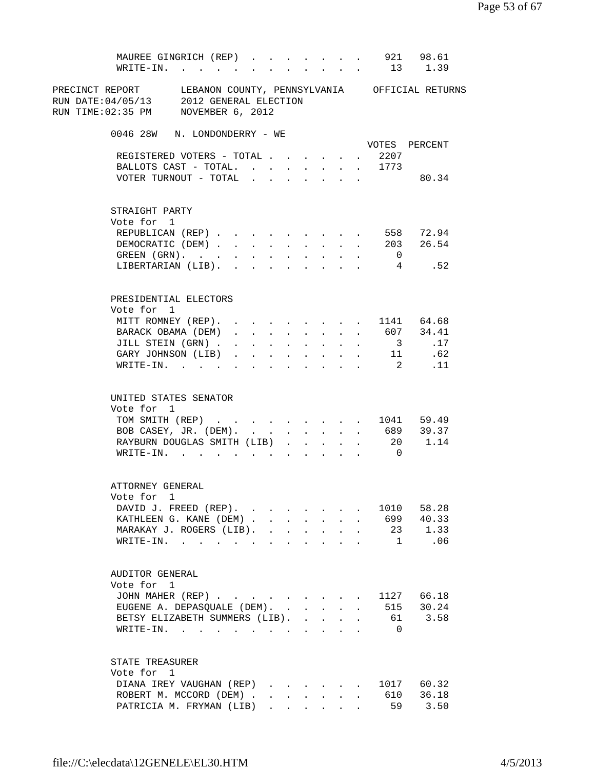| MAUREE GINGRICH (REP) 921 98.61<br>WRITE-IN. 13 1.39                      |  |  |                           |                    |                           |              |                |                                                                                                                       |
|---------------------------------------------------------------------------|--|--|---------------------------|--------------------|---------------------------|--------------|----------------|-----------------------------------------------------------------------------------------------------------------------|
| RUN TIME:02:35 PM NOVEMBER $6, 2012$                                      |  |  |                           |                    |                           |              |                | PRECINCT REPORT      LEBANON COUNTY, PENNSYLVANIA     OFFICIAL RETURNS<br>RUN DATE:04/05/13     2012 GENERAL ELECTION |
|                                                                           |  |  |                           |                    |                           |              |                |                                                                                                                       |
| 0046 28W N. LONDONDERRY - WE                                              |  |  |                           |                    |                           |              |                | VOTES PERCENT                                                                                                         |
| REGISTERED VOTERS - TOTAL 2207<br>BALLOTS CAST - TOTAL. 1773              |  |  |                           |                    |                           |              |                |                                                                                                                       |
| VOTER TURNOUT - TOTAL $\ldots$                                            |  |  |                           |                    |                           |              |                | 80.34                                                                                                                 |
| STRAIGHT PARTY                                                            |  |  |                           |                    |                           |              |                |                                                                                                                       |
| Vote for 1<br>REPUBLICAN (REP) 558 72.94                                  |  |  |                           |                    |                           |              |                |                                                                                                                       |
| DEMOCRATIC (DEM) 203 26.54                                                |  |  |                           |                    |                           |              |                |                                                                                                                       |
| GREEN $(GRN)$ .                                                           |  |  |                           |                    |                           |              | $\overline{0}$ |                                                                                                                       |
| LIBERTARIAN (LIB). 4 .52                                                  |  |  |                           |                    |                           |              |                |                                                                                                                       |
| PRESIDENTIAL ELECTORS                                                     |  |  |                           |                    |                           |              |                |                                                                                                                       |
| Vote for 1<br>MITT ROMNEY (REP). 1141 64.68                               |  |  |                           |                    |                           |              |                |                                                                                                                       |
| BARACK OBAMA (DEM) 607 34.41                                              |  |  |                           |                    |                           |              |                |                                                                                                                       |
| JILL STEIN (GRN)                                                          |  |  |                           |                    |                           |              |                | 3 . 17                                                                                                                |
| GARY JOHNSON (LIB)                                                        |  |  |                           |                    |                           |              |                | $\cdot$ 11 .62                                                                                                        |
| WRITE-IN. 2                                                               |  |  |                           |                    |                           |              |                | .11                                                                                                                   |
| UNITED STATES SENATOR<br>Vote for 1                                       |  |  |                           |                    |                           |              |                |                                                                                                                       |
| TOM SMITH (REP) 1041 59.49                                                |  |  |                           |                    |                           |              |                |                                                                                                                       |
| BOB CASEY, JR. (DEM). 689 39.37                                           |  |  |                           |                    |                           |              |                |                                                                                                                       |
| RAYBURN DOUGLAS SMITH (LIB) 20 1.14                                       |  |  |                           |                    |                           |              |                |                                                                                                                       |
| WRITE-IN.                                                                 |  |  |                           |                    |                           |              | $\overline{0}$ |                                                                                                                       |
| ATTORNEY GENERAL                                                          |  |  |                           |                    |                           |              |                |                                                                                                                       |
| Vote for 1                                                                |  |  |                           |                    |                           |              |                |                                                                                                                       |
| DAVID J. FREED (REP).<br>KATHLEEN G. KANE (DEM) 699 40.33                 |  |  |                           |                    |                           |              | 1010           | 58.28                                                                                                                 |
| MARAKAY J. ROGERS (LIB). 23 1.33                                          |  |  |                           |                    |                           |              |                |                                                                                                                       |
| WRITE-IN.                                                                 |  |  |                           |                    |                           |              |                | 1.06                                                                                                                  |
| AUDITOR GENERAL                                                           |  |  |                           |                    |                           |              |                |                                                                                                                       |
| Vote for 1                                                                |  |  |                           |                    |                           |              |                |                                                                                                                       |
| JOHN MAHER (REP) 1127 66.18                                               |  |  |                           |                    |                           |              |                |                                                                                                                       |
| EUGENE A. DEPASQUALE (DEM). 515<br>BETSY ELIZABETH SUMMERS (LIB). 61 3.58 |  |  |                           |                    |                           |              |                | 30.24                                                                                                                 |
| WRITE-IN.                                                                 |  |  |                           |                    |                           |              | $\overline{0}$ |                                                                                                                       |
| STATE TREASURER                                                           |  |  |                           |                    |                           |              |                |                                                                                                                       |
| Vote for 1                                                                |  |  |                           |                    |                           |              |                |                                                                                                                       |
| DIANA IREY VAUGHAN (REP)                                                  |  |  |                           |                    |                           |              | 1017           | 60.32<br>610 36.18                                                                                                    |
| ROBERT M. MCCORD (DEM)<br>PATRICIA M. FRYMAN (LIB)                        |  |  | $\mathbf{L}^{\text{max}}$ | $\Delta \sim 10^4$ | $\mathbf{L} = \mathbf{L}$ | $\mathbf{r}$ |                | 59 3.50                                                                                                               |
|                                                                           |  |  |                           |                    |                           |              |                |                                                                                                                       |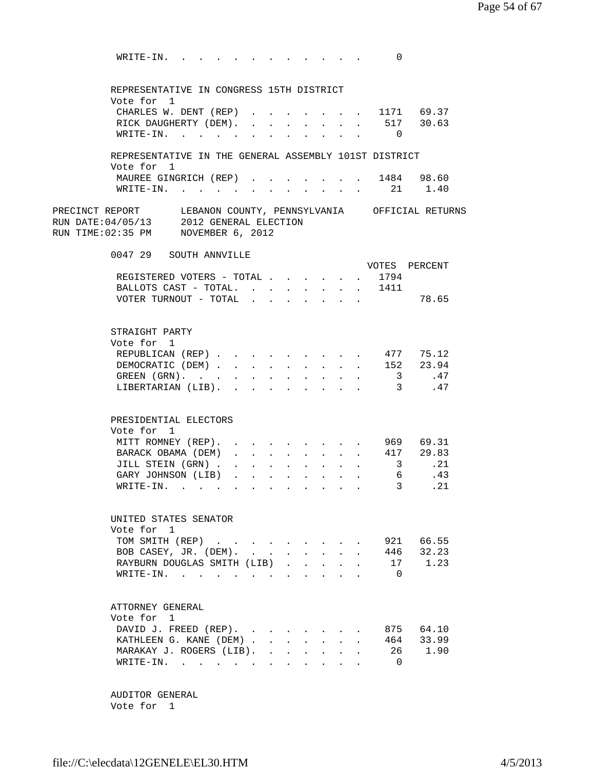| $W\text{RITE}-\text{IN}.$                                                                                                                      |                                                     |                                                                                                                          |                                 |              |                                      |                                                           | - 0                     |                        |  |
|------------------------------------------------------------------------------------------------------------------------------------------------|-----------------------------------------------------|--------------------------------------------------------------------------------------------------------------------------|---------------------------------|--------------|--------------------------------------|-----------------------------------------------------------|-------------------------|------------------------|--|
| REPRESENTATIVE IN CONGRESS 15TH DISTRICT                                                                                                       |                                                     |                                                                                                                          |                                 |              |                                      |                                                           |                         |                        |  |
| Vote for 1                                                                                                                                     |                                                     |                                                                                                                          |                                 |              |                                      |                                                           |                         |                        |  |
| CHARLES W. DENT (REP)                                                                                                                          |                                                     |                                                                                                                          |                                 |              |                                      |                                                           |                         | $\frac{1171}{2}$ 69.37 |  |
| RICK DAUGHERTY (DEM). .                                                                                                                        |                                                     |                                                                                                                          | $\ddot{\phantom{a}}$            |              |                                      |                                                           |                         | 517 30.63              |  |
|                                                                                                                                                | $\texttt{WRITE-IN.}$                                |                                                                                                                          |                                 |              |                                      |                                                           | $\overline{0}$          |                        |  |
| REPRESENTATIVE IN THE GENERAL ASSEMBLY 101ST DISTRICT<br>Vote for 1                                                                            |                                                     |                                                                                                                          |                                 |              |                                      |                                                           |                         |                        |  |
| MAUREE GINGRICH (REP) 1484 98.60                                                                                                               |                                                     |                                                                                                                          |                                 |              |                                      |                                                           |                         |                        |  |
|                                                                                                                                                | WRITE-IN. 21 1.40                                   |                                                                                                                          |                                 |              |                                      |                                                           |                         |                        |  |
|                                                                                                                                                |                                                     |                                                                                                                          |                                 |              |                                      |                                                           |                         |                        |  |
| PRECINCT REPORT LEBANON COUNTY, PENNSYLVANIA OFFICIAL RETURNS<br>RUN DATE:04/05/13 2012 GENERAL ELECTION<br>RUN TIME:02:35 PM NOVEMBER 6, 2012 |                                                     |                                                                                                                          |                                 |              |                                      |                                                           |                         |                        |  |
| 0047 29 SOUTH ANNVILLE                                                                                                                         |                                                     |                                                                                                                          |                                 |              |                                      |                                                           |                         |                        |  |
|                                                                                                                                                |                                                     |                                                                                                                          |                                 |              |                                      |                                                           |                         | VOTES PERCENT          |  |
|                                                                                                                                                | REGISTERED VOTERS - TOTAL 1794                      |                                                                                                                          |                                 |              |                                      |                                                           |                         |                        |  |
|                                                                                                                                                | BALLOTS CAST - TOTAL. 1411<br>VOTER TURNOUT - TOTAL |                                                                                                                          |                                 |              |                                      | $\mathbf{r}$ , $\mathbf{r}$ , $\mathbf{r}$ , $\mathbf{r}$ |                         | 78.65                  |  |
|                                                                                                                                                |                                                     |                                                                                                                          |                                 |              |                                      |                                                           |                         |                        |  |
| STRAIGHT PARTY<br>Vote for 1                                                                                                                   |                                                     |                                                                                                                          |                                 |              |                                      |                                                           |                         |                        |  |
|                                                                                                                                                | REPUBLICAN (REP) 477 75.12                          |                                                                                                                          |                                 |              |                                      |                                                           |                         |                        |  |
|                                                                                                                                                | DEMOCRATIC (DEM) 152 23.94                          |                                                                                                                          |                                 |              |                                      |                                                           |                         |                        |  |
|                                                                                                                                                | $GREFN$ $(GRN)$ .                                   |                                                                                                                          |                                 |              |                                      |                                                           | $\overline{\mathbf{3}}$ | 3 .47                  |  |
|                                                                                                                                                | LIBERTARIAN (LIB).                                  |                                                                                                                          |                                 |              |                                      |                                                           |                         | .47                    |  |
| PRESIDENTIAL ELECTORS<br>Vote for 1                                                                                                            |                                                     |                                                                                                                          |                                 |              |                                      |                                                           |                         |                        |  |
| MITT ROMNEY (REP).                                                                                                                             |                                                     |                                                                                                                          |                                 |              | $\sim 100$                           |                                                           |                         | . 969 69.31            |  |
| BARACK OBAMA (DEM)                                                                                                                             |                                                     |                                                                                                                          | $\Delta \sim 1000$ km s $^{-1}$ | $\mathbf{L}$ | $\mathbf{L} = \mathbf{L} \mathbf{L}$ |                                                           |                         | . 417 29.83            |  |
| JILL STEIN (GRN).                                                                                                                              | GARY JOHNSON (LIB) 6 . 43                           | $\mathbf{r} = \mathbf{r} - \mathbf{r}$ , $\mathbf{r} = \mathbf{r} - \mathbf{r}$ , $\mathbf{r} = \mathbf{r} - \mathbf{r}$ |                                 |              |                                      |                                                           |                         | 3 .21                  |  |
|                                                                                                                                                | WRITE-IN.                                           |                                                                                                                          |                                 |              |                                      |                                                           | $\mathcal{E}$           | .21                    |  |
|                                                                                                                                                |                                                     |                                                                                                                          |                                 |              |                                      |                                                           |                         |                        |  |
| UNITED STATES SENATOR<br>Vote for 1                                                                                                            |                                                     |                                                                                                                          |                                 |              |                                      |                                                           |                         |                        |  |
|                                                                                                                                                | TOM SMITH (REP)                                     |                                                                                                                          |                                 |              |                                      |                                                           |                         | 921 66.55              |  |
|                                                                                                                                                | BOB CASEY, JR. (DEM).                               |                                                                                                                          |                                 |              |                                      |                                                           |                         | 446 32.23              |  |
|                                                                                                                                                | RAYBURN DOUGLAS SMITH (LIB)                         |                                                                                                                          |                                 |              |                                      |                                                           |                         | 17 1.23                |  |
|                                                                                                                                                | WRITE-IN.                                           |                                                                                                                          |                                 |              |                                      |                                                           | $\bigcap$               |                        |  |
| ATTORNEY GENERAL<br>Vote for 1                                                                                                                 |                                                     |                                                                                                                          |                                 |              |                                      |                                                           |                         |                        |  |
|                                                                                                                                                | DAVID J. FREED (REP).                               |                                                                                                                          |                                 |              |                                      |                                                           |                         | 875 64.10              |  |
|                                                                                                                                                | KATHLEEN G. KANE (DEM)                              |                                                                                                                          |                                 |              |                                      |                                                           |                         | 464 33.99              |  |
|                                                                                                                                                | MARAKAY J. ROGERS (LIB).                            |                                                                                                                          |                                 |              |                                      |                                                           |                         | 26 1.90                |  |
|                                                                                                                                                | WRITE-IN.                                           |                                                                                                                          |                                 |              |                                      |                                                           | $\overline{0}$          |                        |  |
|                                                                                                                                                |                                                     |                                                                                                                          |                                 |              |                                      |                                                           |                         |                        |  |

 AUDITOR GENERAL Vote for 1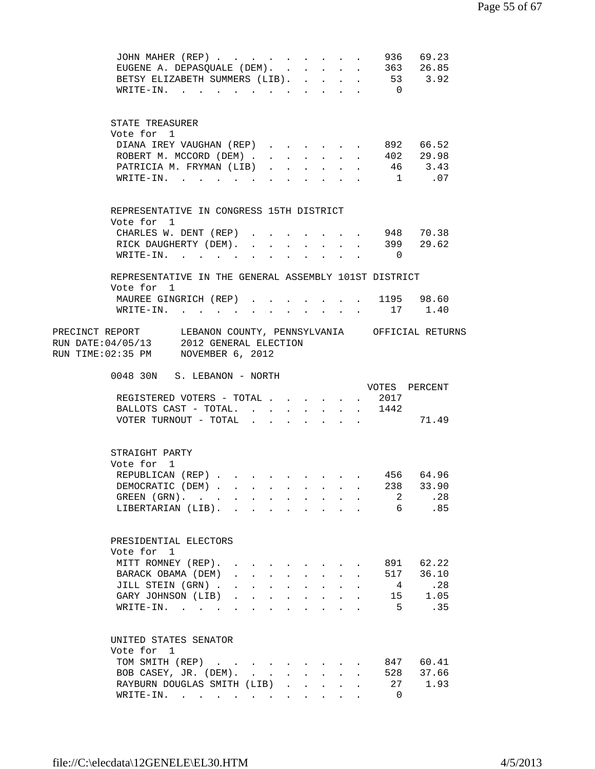| JOHN MAHER (REP)                                                                                                             |                                                                                                                          |                   |                            |                      |                                                                                                                  |               |                                      |                | 936 69.23     |  |
|------------------------------------------------------------------------------------------------------------------------------|--------------------------------------------------------------------------------------------------------------------------|-------------------|----------------------------|----------------------|------------------------------------------------------------------------------------------------------------------|---------------|--------------------------------------|----------------|---------------|--|
| EUGENE A. DEPASQUALE (DEM).                                                                                                  |                                                                                                                          |                   |                            |                      | $\mathbf{r}$ , $\mathbf{r}$ , $\mathbf{r}$ , $\mathbf{r}$                                                        |               |                                      |                | 363 26.85     |  |
| BETSY ELIZABETH SUMMERS (LIB).                                                                                               |                                                                                                                          |                   |                            |                      |                                                                                                                  |               | $\mathbf{A}$                         |                | 53 3.92       |  |
| $W\text{RITE}-\text{IN}.$<br>$\sim$ $\sim$                                                                                   | the contract of the contract of the contract of the contract of the contract of the contract of the contract of          |                   |                            |                      |                                                                                                                  |               |                                      | $\overline{0}$ |               |  |
|                                                                                                                              |                                                                                                                          |                   |                            |                      |                                                                                                                  |               |                                      |                |               |  |
| STATE TREASURER                                                                                                              |                                                                                                                          |                   |                            |                      |                                                                                                                  |               |                                      |                |               |  |
| Vote for 1                                                                                                                   |                                                                                                                          |                   |                            |                      |                                                                                                                  |               |                                      |                |               |  |
| DIANA IREY VAUGHAN (REP)                                                                                                     |                                                                                                                          |                   |                            |                      |                                                                                                                  |               |                                      |                | 892 66.52     |  |
| ROBERT M. MCCORD (DEM).                                                                                                      |                                                                                                                          | $\mathbf{L}$      | $\mathbf{L}^{\text{max}}$  | $\mathbf{L}$         | $\mathbf{L}^{\text{max}}$                                                                                        | $\sim$ $\sim$ | $\mathbf{L}$                         |                | 402 29.98     |  |
| PATRICIA M. FRYMAN (LIB)                                                                                                     |                                                                                                                          | $\mathbf{L}$      | $\mathbf{L}$               |                      |                                                                                                                  |               |                                      |                | 46 3.43       |  |
| $\texttt{WRTTE-IN.}$                                                                                                         |                                                                                                                          | $\sim$ 100 $\sim$ | $\sim$                     | $\ddot{\phantom{a}}$ | $\mathbf{L}$                                                                                                     |               |                                      |                | 1 .07         |  |
|                                                                                                                              |                                                                                                                          |                   |                            |                      |                                                                                                                  |               |                                      |                |               |  |
| REPRESENTATIVE IN CONGRESS 15TH DISTRICT                                                                                     |                                                                                                                          |                   |                            |                      |                                                                                                                  |               |                                      |                |               |  |
| Vote for 1                                                                                                                   |                                                                                                                          |                   |                            |                      |                                                                                                                  |               |                                      |                |               |  |
| CHARLES W. DENT (REP)                                                                                                        |                                                                                                                          |                   |                            |                      |                                                                                                                  |               |                                      |                | 948 70.38     |  |
| RICK DAUGHERTY (DEM).                                                                                                        |                                                                                                                          |                   |                            |                      | $\mathbf{L} = \mathbf{L} \mathbf{L} + \mathbf{L} \mathbf{L}$                                                     |               |                                      | 399            | 29.62         |  |
| WRITE-IN.                                                                                                                    | $\sim 100$                                                                                                               |                   |                            |                      |                                                                                                                  |               |                                      | $\overline{0}$ |               |  |
|                                                                                                                              |                                                                                                                          |                   |                            |                      |                                                                                                                  |               |                                      |                |               |  |
| REPRESENTATIVE IN THE GENERAL ASSEMBLY 101ST DISTRICT<br>Vote for 1                                                          |                                                                                                                          |                   |                            |                      |                                                                                                                  |               |                                      |                |               |  |
| MAUREE GINGRICH (REP) 1195 98.60                                                                                             |                                                                                                                          |                   |                            |                      |                                                                                                                  |               |                                      |                |               |  |
| WRITE-IN.<br>the contract of the contract of the contract of the contract of the contract of the contract of the contract of |                                                                                                                          |                   |                            |                      |                                                                                                                  |               |                                      |                | 17 1.40       |  |
|                                                                                                                              |                                                                                                                          |                   |                            |                      |                                                                                                                  |               |                                      |                |               |  |
| PRECINCT REPORT LEBANON COUNTY, PENNSYLVANIA OFFICIAL RETURNS                                                                |                                                                                                                          |                   |                            |                      |                                                                                                                  |               |                                      |                |               |  |
| RUN DATE: 04/05/13<br>2012 GENERAL ELECTION                                                                                  |                                                                                                                          |                   |                            |                      |                                                                                                                  |               |                                      |                |               |  |
| RUN TIME:02:35 PM<br>NOVEMBER 6, 2012                                                                                        |                                                                                                                          |                   |                            |                      |                                                                                                                  |               |                                      |                |               |  |
|                                                                                                                              |                                                                                                                          |                   |                            |                      |                                                                                                                  |               |                                      |                |               |  |
| 0048 30N S. LEBANON - NORTH                                                                                                  |                                                                                                                          |                   |                            |                      |                                                                                                                  |               |                                      |                |               |  |
|                                                                                                                              |                                                                                                                          |                   |                            |                      |                                                                                                                  |               |                                      |                |               |  |
|                                                                                                                              |                                                                                                                          |                   |                            |                      |                                                                                                                  |               |                                      |                | VOTES PERCENT |  |
| REGISTERED VOTERS - TOTAL                                                                                                    |                                                                                                                          |                   |                            |                      |                                                                                                                  |               |                                      | . 2017         |               |  |
| BALLOTS CAST - TOTAL. 1442                                                                                                   |                                                                                                                          |                   |                            |                      |                                                                                                                  |               |                                      |                |               |  |
| VOTER TURNOUT - TOTAL $\cdot \cdot \cdot \cdot \cdot \cdot$                                                                  |                                                                                                                          |                   |                            |                      |                                                                                                                  |               |                                      |                | 71.49         |  |
|                                                                                                                              |                                                                                                                          |                   |                            |                      |                                                                                                                  |               |                                      |                |               |  |
|                                                                                                                              |                                                                                                                          |                   |                            |                      |                                                                                                                  |               |                                      |                |               |  |
| STRAIGHT PARTY                                                                                                               |                                                                                                                          |                   |                            |                      |                                                                                                                  |               |                                      |                |               |  |
| Vote for 1                                                                                                                   |                                                                                                                          |                   |                            |                      |                                                                                                                  |               |                                      |                |               |  |
| REPUBLICAN (REP) 456 64.96                                                                                                   |                                                                                                                          |                   |                            |                      |                                                                                                                  |               |                                      |                |               |  |
| DEMOCRATIC (DEM)                                                                                                             |                                                                                                                          |                   |                            |                      | and the company of the company of the company of the company of the company of the company of the company of the |               |                                      |                | 238 33.90     |  |
| GREEN $(GRN)$ .                                                                                                              |                                                                                                                          |                   |                            |                      |                                                                                                                  |               |                                      | $\overline{2}$ | .28           |  |
| LIBERTARIAN (LIB).                                                                                                           |                                                                                                                          |                   |                            |                      |                                                                                                                  |               |                                      | 6              | .85           |  |
|                                                                                                                              |                                                                                                                          |                   |                            |                      |                                                                                                                  |               |                                      |                |               |  |
| PRESIDENTIAL ELECTORS                                                                                                        |                                                                                                                          |                   |                            |                      |                                                                                                                  |               |                                      |                |               |  |
| Vote for 1                                                                                                                   |                                                                                                                          |                   |                            |                      |                                                                                                                  |               |                                      |                |               |  |
|                                                                                                                              |                                                                                                                          |                   |                            |                      |                                                                                                                  |               |                                      | 891            | 62.22         |  |
| MITT ROMNEY (REP).                                                                                                           | $\mathbf{r} = \mathbf{r} \cdot \mathbf{r}$                                                                               |                   | $\mathcal{L}^{\text{max}}$ |                      | $\mathbf{r}$ and $\mathbf{r}$                                                                                    |               |                                      | 517            | 36.10         |  |
| BARACK OBAMA (DEM)                                                                                                           |                                                                                                                          |                   |                            |                      |                                                                                                                  |               |                                      | $\overline{4}$ |               |  |
| JILL STEIN (GRN).                                                                                                            | $\mathbf{r} = \mathbf{r} - \mathbf{r}$ , $\mathbf{r} = \mathbf{r} - \mathbf{r}$ , $\mathbf{r} = \mathbf{r} - \mathbf{r}$ |                   |                            |                      |                                                                                                                  |               |                                      |                | .28           |  |
| GARY JOHNSON (LIB)                                                                                                           |                                                                                                                          |                   |                            |                      |                                                                                                                  |               | $\ddot{\phantom{a}}$                 |                | 15 1.05       |  |
| WRITE-IN.                                                                                                                    |                                                                                                                          |                   |                            |                      |                                                                                                                  |               |                                      |                | 5<br>.35      |  |
|                                                                                                                              |                                                                                                                          |                   |                            |                      |                                                                                                                  |               |                                      |                |               |  |
| UNITED STATES SENATOR                                                                                                        |                                                                                                                          |                   |                            |                      |                                                                                                                  |               |                                      |                |               |  |
| Vote for 1                                                                                                                   |                                                                                                                          |                   |                            |                      |                                                                                                                  |               |                                      |                |               |  |
| TOM SMITH (REP)                                                                                                              |                                                                                                                          |                   |                            |                      |                                                                                                                  |               |                                      | 847            | 60.41         |  |
| BOB CASEY, JR. (DEM).                                                                                                        |                                                                                                                          |                   |                            |                      |                                                                                                                  |               |                                      | 528            | 37.66         |  |
| RAYBURN DOUGLAS SMITH (LIB)<br>WRITE-IN.                                                                                     |                                                                                                                          |                   |                            |                      |                                                                                                                  |               | $\mathbf{r}$<br>$\ddot{\phantom{a}}$ | $\Omega$       | 27 1.93       |  |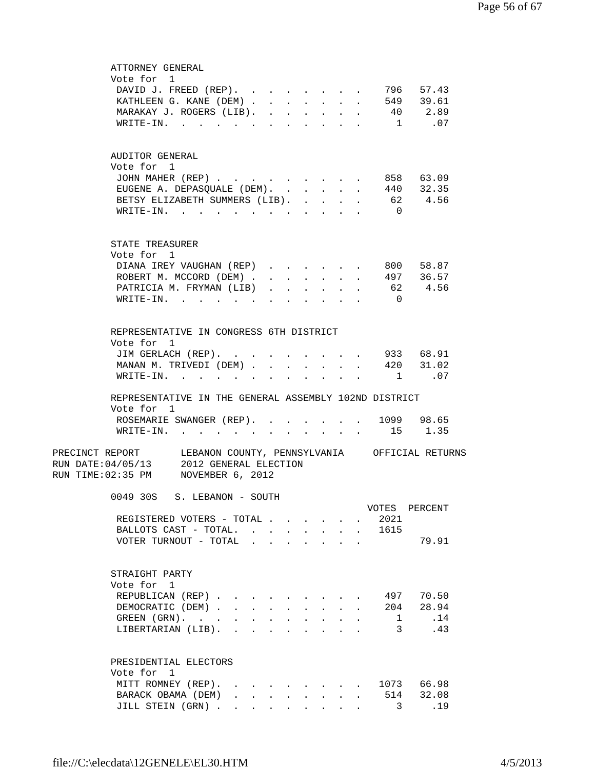| ATTORNEY GENERAL                                                                                                                                |                      |                  |                      |                           |                                                                                               |                  |                |                          |  |
|-------------------------------------------------------------------------------------------------------------------------------------------------|----------------------|------------------|----------------------|---------------------------|-----------------------------------------------------------------------------------------------|------------------|----------------|--------------------------|--|
| Vote for 1                                                                                                                                      |                      |                  |                      |                           |                                                                                               |                  |                |                          |  |
| DAVID J. FREED (REP).                                                                                                                           |                      |                  |                      |                           |                                                                                               |                  |                | 796 57.43                |  |
| KATHLEEN G. KANE (DEM) 549 39.61                                                                                                                |                      |                  |                      |                           |                                                                                               |                  |                |                          |  |
| MARAKAY J. ROGERS (LIB). .                                                                                                                      |                      | $\mathbf{L}$     |                      | $\mathbf{L}$              | $\mathbf{r}$                                                                                  |                  |                | . 40 2.89                |  |
| $\texttt{WRITE-IN.}$                                                                                                                            |                      | $\sim$ 100 $\pm$ | $\ddot{\phantom{a}}$ |                           | $\cdot$ $\cdot$ $\cdot$                                                                       |                  |                | 1 .07                    |  |
|                                                                                                                                                 |                      |                  |                      |                           |                                                                                               |                  |                |                          |  |
| AUDITOR GENERAL                                                                                                                                 |                      |                  |                      |                           |                                                                                               |                  |                |                          |  |
| Vote for 1                                                                                                                                      |                      |                  |                      |                           |                                                                                               |                  |                |                          |  |
| JOHN MAHER (REP)                                                                                                                                |                      |                  |                      |                           |                                                                                               |                  |                | . 858 63.09              |  |
| EUGENE A. DEPASQUALE (DEM).                                                                                                                     |                      |                  |                      |                           | $\mathbf{L} = \mathbf{L} \times \mathbf{L}$                                                   |                  |                | 440 32.35                |  |
| BETSY ELIZABETH SUMMERS (LIB).                                                                                                                  |                      |                  |                      | $\mathbf{L} = \mathbf{L}$ | $\mathbf{L}$                                                                                  | $\mathbf{L}$     |                | 62 4.56                  |  |
| $\texttt{WRTTE-IN.}$                                                                                                                            |                      |                  |                      | $\sim$                    |                                                                                               |                  | $\overline{0}$ |                          |  |
|                                                                                                                                                 |                      |                  |                      |                           |                                                                                               |                  |                |                          |  |
|                                                                                                                                                 |                      |                  |                      |                           |                                                                                               |                  |                |                          |  |
| STATE TREASURER                                                                                                                                 |                      |                  |                      |                           |                                                                                               |                  |                |                          |  |
| Vote for 1                                                                                                                                      |                      |                  |                      |                           |                                                                                               |                  |                |                          |  |
| DIANA IREY VAUGHAN (REP)                                                                                                                        |                      |                  |                      |                           |                                                                                               | $\mathbf{A}$     |                | 800 58.87<br>$497$ 36.57 |  |
| ROBERT M. MCCORD (DEM).                                                                                                                         | $\mathbf{r}$         | $\mathbf{L}$     | $\mathbf{r}$         | $\mathbf{L}$              |                                                                                               | $\mathbf{L}$     |                | 62 4.56                  |  |
| PATRICIA M. FRYMAN (LIB)                                                                                                                        |                      |                  |                      |                           |                                                                                               |                  | $\bigcap$      |                          |  |
| $\texttt{WRTTE-IN.}$                                                                                                                            | $\mathbf{r}$         |                  |                      |                           |                                                                                               |                  |                |                          |  |
|                                                                                                                                                 |                      |                  |                      |                           |                                                                                               |                  |                |                          |  |
| REPRESENTATIVE IN CONGRESS 6TH DISTRICT                                                                                                         |                      |                  |                      |                           |                                                                                               |                  |                |                          |  |
| Vote for 1                                                                                                                                      |                      |                  |                      |                           |                                                                                               |                  |                |                          |  |
| JIM GERLACH (REP).                                                                                                                              |                      |                  |                      |                           |                                                                                               |                  |                |                          |  |
| MANAN M. TRIVEDI (DEM).                                                                                                                         | $\ddot{\phantom{a}}$ |                  |                      |                           |                                                                                               |                  |                | 933 68.91<br>420 31.02   |  |
| WRITE-IN.                                                                                                                                       |                      |                  |                      |                           |                                                                                               |                  | 1              | .07                      |  |
|                                                                                                                                                 |                      |                  |                      |                           |                                                                                               |                  |                |                          |  |
| REPRESENTATIVE IN THE GENERAL ASSEMBLY 102ND DISTRICT<br>Vote for 1                                                                             |                      |                  |                      |                           |                                                                                               |                  |                |                          |  |
| ROSEMARIE SWANGER (REP). 1099 98.65                                                                                                             |                      |                  |                      |                           |                                                                                               |                  |                |                          |  |
| WRITE-IN. 15 1.35                                                                                                                               |                      |                  |                      |                           |                                                                                               |                  |                |                          |  |
| PRECINCT REPORT LEBANON COUNTY, PENNSYLVANIA OFFICIAL RETURNS RUN DATE: $04/05/13$ 2012 GENERAL ELECTION<br>RUN TIME: 02:35 PM NOVEMBER 6, 2012 |                      |                  |                      |                           |                                                                                               |                  |                |                          |  |
| 0049 30S S. LEBANON - SOUTH                                                                                                                     |                      |                  |                      |                           |                                                                                               |                  |                |                          |  |
|                                                                                                                                                 |                      |                  |                      |                           |                                                                                               |                  |                | VOTES PERCENT            |  |
| REGISTERED VOTERS - TOTAL                                                                                                                       |                      |                  |                      |                           |                                                                                               | $\sim$ 100 $\pm$ | 2021           |                          |  |
| BALLOTS CAST - TOTAL 1615                                                                                                                       |                      |                  |                      |                           |                                                                                               |                  |                |                          |  |
| VOTER TURNOUT - TOTAL $\cdot \cdot \cdot \cdot \cdot \cdot$                                                                                     |                      |                  |                      |                           |                                                                                               |                  |                | 79.91                    |  |
| STRAIGHT PARTY<br>Vote for 1                                                                                                                    |                      |                  |                      |                           |                                                                                               |                  |                |                          |  |
| REPUBLICAN (REP)                                                                                                                                |                      |                  |                      |                           |                                                                                               |                  | 497            | 70.50                    |  |
| DEMOCRATIC (DEM) 204                                                                                                                            |                      |                  |                      |                           |                                                                                               |                  |                | 28.94                    |  |
| GREEN (GRN).                                                                                                                                    |                      |                  |                      |                           | $\mathbf{r} = \mathbf{r} \cdot \mathbf{r}$ , where $\mathbf{r} = \mathbf{r} \cdot \mathbf{r}$ |                  |                | 1.14                     |  |
| LIBERTARIAN (LIB).                                                                                                                              |                      |                  |                      |                           |                                                                                               |                  |                | $3 \sim$<br>.43          |  |
| PRESIDENTIAL ELECTORS<br>Vote for 1                                                                                                             |                      |                  |                      |                           |                                                                                               |                  |                |                          |  |
| MITT ROMNEY (REP). 1073 66.98                                                                                                                   |                      |                  |                      |                           |                                                                                               |                  |                |                          |  |
| BARACK OBAMA (DEM) 514 32.08                                                                                                                    |                      |                  |                      |                           |                                                                                               |                  |                |                          |  |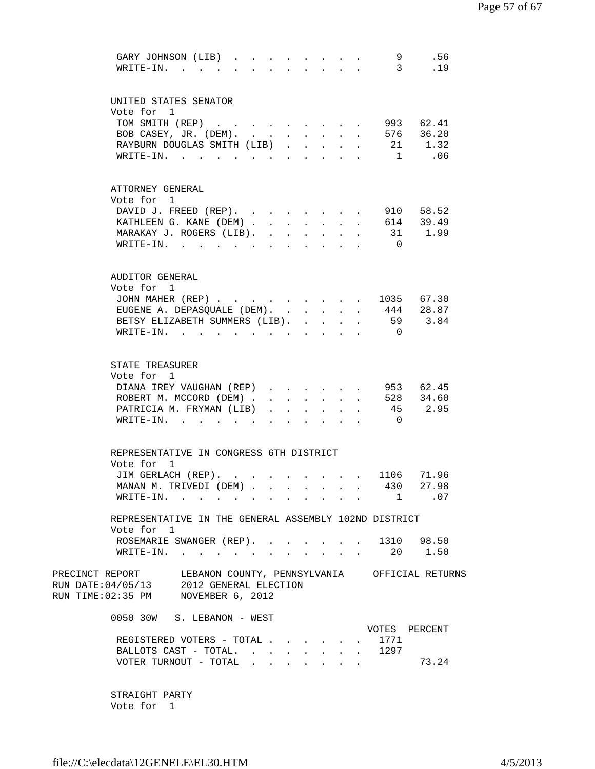| GARY JOHNSON (LIB)<br>9<br>$\mathbf{r} = \mathbf{r} + \mathbf{r} + \mathbf{r} + \mathbf{r} + \mathbf{r}$<br>3 <sup>7</sup><br>WRITE-IN.<br>$\sim$ $\sim$ $\sim$ $\sim$                                                                                                                                                                                                                               | .56<br>.19           |
|------------------------------------------------------------------------------------------------------------------------------------------------------------------------------------------------------------------------------------------------------------------------------------------------------------------------------------------------------------------------------------------------------|----------------------|
| UNITED STATES SENATOR<br>Vote for 1<br>993 62.41<br>TOM SMITH (REP)<br>576 36.20<br>BOB CASEY, JR. (DEM). .<br>$\mathcal{L}^{\text{max}}$<br>$\mathcal{L}^{\text{max}}$<br>$\mathcal{L}^{\text{max}}$<br>$\mathbf{r}$<br>$\mathbf{L}$<br>$\sim$ $-$<br>RAYBURN DOUGLAS SMITH (LIB)<br>$\mathbf{L}$<br>$\sim$<br>$\mathbf{r}$<br>$\texttt{WRTTE-IN.}$<br>$\mathbf{L}$<br>$\mathbf{L}$<br>$\mathbf{r}$ | $21 \t 1.32$<br>1.06 |
| ATTORNEY GENERAL<br>Vote for 1<br>910 58.52<br>DAVID J. FREED (REP).<br>KATHLEEN G. KANE (DEM)<br>614<br>$\mathbf{L}$<br>$\mathbf{L}$<br>$\mathbf{L}$<br>$\mathbf{r}$<br>$\mathbf{A}$<br>31 1.99<br>MARAKAY J. ROGERS (LIB).<br>$\sim$<br>$\sim$<br>$W\text{RITE}-\text{IN}$ .<br>$\overline{0}$<br>$\mathbf{r}$ , $\mathbf{r}$ , $\mathbf{r}$<br>$\sim$<br>$\sim$                                   | 39.49                |
| AUDITOR GENERAL<br>Vote for 1<br>JOHN MAHER (REP) 1035 67.30<br>EUGENE A. DEPASQUALE (DEM). .<br>444 28.87<br>$\mathbf{r}$ , $\mathbf{r}$ , $\mathbf{r}$<br>BETSY ELIZABETH SUMMERS (LIB). .<br>59<br>WRITE-IN. .<br>$\overline{0}$<br>$\mathbf{r} = \mathbf{r}$ , $\mathbf{r} = \mathbf{r}$                                                                                                         | 3.84                 |
| STATE TREASURER<br>Vote for 1<br>953 62.45<br>DIANA IREY VAUGHAN (REP)<br>ROBERT M. MCCORD (DEM).<br>528<br>$\mathbf{r}$ , $\mathbf{r}$ , $\mathbf{r}$<br>$\sim$<br>$\ddot{\phantom{0}}$<br>45 2.95<br>PATRICIA M. FRYMAN (LIB)<br>$WRITE-IN.$<br>$\overline{0}$                                                                                                                                     | 34.60                |
| REPRESENTATIVE IN CONGRESS 6TH DISTRICT<br>Vote for<br>$\mathbf{1}$<br>JIM GERLACH (REP).<br>$\cdot$ $\cdot$ $\cdot$ 1106<br>MANAN M. TRIVEDI (DEM)<br>430<br>WRITE-IN. 1 .07<br>REPRESENTATIVE IN THE GENERAL ASSEMBLY 102ND DISTRICT<br>Vote for 1<br>ROSEMARIE SWANGER (REP). 1310 98.50<br>WRITE-IN. 20 1.50                                                                                     | 71.96<br>27.98       |
| PRECINCT REPORT LEBANON COUNTY, PENNSYLVANIA OFFICIAL RETURNS<br>RUN DATE: 04/05/13 2012 GENERAL ELECTION<br>RUN TIME: 02:35 PM NOVEMBER 6, 2012                                                                                                                                                                                                                                                     |                      |
| 0050 30W S. LEBANON - WEST<br>VOTES PERCENT<br>REGISTERED VOTERS - TOTAL<br>1771<br>BALLOTS CAST - TOTAL. 1297<br>VOTER TURNOUT - TOTAL                                                                                                                                                                                                                                                              | 73.24                |
| STRAIGHT PARTY                                                                                                                                                                                                                                                                                                                                                                                       |                      |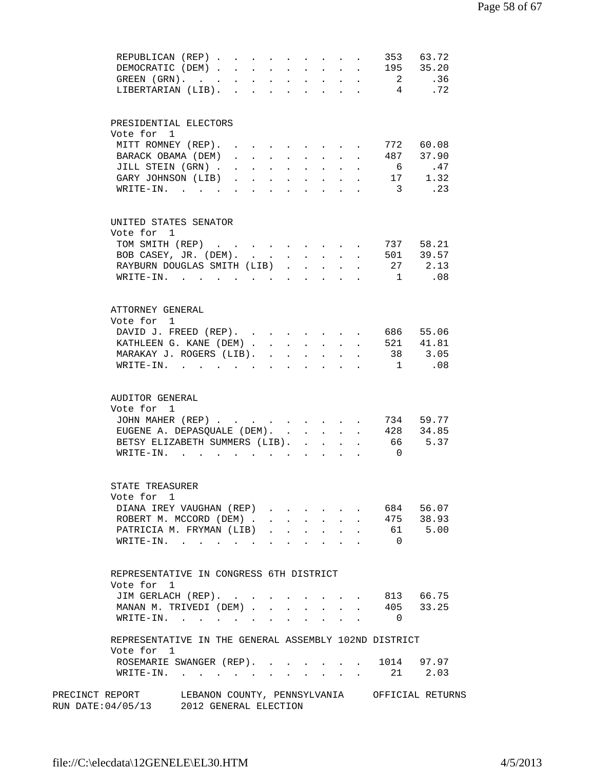| REPUBLICAN (REP)<br>DEMOCRATIC (DEM)<br>GREEN (GRN).                                                      |                           |              | $\sim$                                   | $\sim$<br>$\sim$                                                                                                                                        | $\mathbf{L}^{\text{max}}$ | $\mathbf{r}$ , $\mathbf{r}$ , $\mathbf{r}$ , $\mathbf{r}$ , $\mathbf{r}$<br>$\mathbf{L}^{\text{max}}$ | $\sim$                    | $\mathbf{r}$         |                          | 353 63.72<br>195 35.20<br>2 .36 |  |
|-----------------------------------------------------------------------------------------------------------|---------------------------|--------------|------------------------------------------|---------------------------------------------------------------------------------------------------------------------------------------------------------|---------------------------|-------------------------------------------------------------------------------------------------------|---------------------------|----------------------|--------------------------|---------------------------------|--|
| LIBERTARIAN (LIB).                                                                                        |                           |              | $\mathbf{L}$                             | $\mathbf{r}$ , $\mathbf{r}$ , $\mathbf{r}$                                                                                                              |                           |                                                                                                       |                           |                      | 4                        | .72                             |  |
| PRESIDENTIAL ELECTORS<br>Vote for 1                                                                       |                           |              |                                          |                                                                                                                                                         |                           |                                                                                                       |                           |                      |                          |                                 |  |
| MITT ROMNEY (REP).                                                                                        |                           |              |                                          | $\mathbf{r} = \mathbf{r} + \mathbf{r} + \mathbf{r} + \mathbf{r}$                                                                                        |                           |                                                                                                       |                           |                      |                          | 772 60.08                       |  |
| BARACK OBAMA (DEM)                                                                                        | $1 - 1 - 1 = 1$           |              |                                          | $\sim$                                                                                                                                                  | $\sim$ 100 $\pm$          | $\mathbf{r}$ , $\mathbf{r}$ , $\mathbf{r}$                                                            |                           |                      |                          | 487 37.90                       |  |
| JILL STEIN (GRN).                                                                                         | $\ddot{\phantom{0}}$      | $\mathbf{r}$ | $\mathbf{L}$                             | $\mathbf{L}^{\text{max}}$                                                                                                                               | $\Delta \sim 10^4$        | $\mathcal{L}^{\text{max}}$                                                                            | $\sim$ 100 $\pm$          | $\ddot{\phantom{a}}$ | 6                        | .47                             |  |
| GARY JOHNSON (LIB)                                                                                        | $\mathbf{r} = \mathbf{r}$ |              | $\mathbf{r}$                             | $\mathbf{L}$                                                                                                                                            | $\sim$                    | $\Delta \sim 10^{-11}$                                                                                | $\mathbf{L}$              |                      |                          | 17 1.32                         |  |
| $\texttt{WRTTE-IN.}$                                                                                      |                           | $\sim$       | $\mathbf{L}$                             | $\sim$                                                                                                                                                  | $\sim$                    | $\mathbf{r} = \mathbf{r}$                                                                             |                           |                      | $\overline{\mathbf{3}}$  | $\overline{23}$                 |  |
| UNITED STATES SENATOR                                                                                     |                           |              |                                          |                                                                                                                                                         |                           |                                                                                                       |                           |                      |                          |                                 |  |
| Vote for 1                                                                                                |                           |              |                                          |                                                                                                                                                         |                           |                                                                                                       |                           |                      |                          |                                 |  |
| TOM SMITH (REP)                                                                                           |                           |              |                                          |                                                                                                                                                         |                           |                                                                                                       |                           |                      |                          | 737 58.21                       |  |
| BOB CASEY, JR. (DEM).                                                                                     |                           |              |                                          |                                                                                                                                                         |                           | $\mathbf{r}$ , $\mathbf{r}$                                                                           |                           |                      |                          | 501 39.57                       |  |
| RAYBURN DOUGLAS SMITH (LIB)                                                                               |                           |              |                                          | $\mathbf{L}$                                                                                                                                            | $\mathbf{A}$              | $\mathbf{L}^{\text{max}}$                                                                             | $\mathbf{L}^{\text{max}}$ |                      |                          | 27 2.13                         |  |
| WRITE-IN.                                                                                                 |                           |              |                                          | $\mathbf{r}$ , $\mathbf{r}$ , $\mathbf{r}$ , $\mathbf{r}$                                                                                               |                           |                                                                                                       |                           |                      | $\mathbf 1$              | $\overline{\phantom{0}}$ .08    |  |
| ATTORNEY GENERAL                                                                                          |                           |              |                                          |                                                                                                                                                         |                           |                                                                                                       |                           |                      |                          |                                 |  |
| Vote for 1                                                                                                |                           |              |                                          |                                                                                                                                                         |                           |                                                                                                       |                           |                      |                          |                                 |  |
| DAVID J. FREED (REP).                                                                                     |                           |              |                                          |                                                                                                                                                         |                           |                                                                                                       |                           |                      | 686 55.06                |                                 |  |
| KATHLEEN G. KANE (DEM)                                                                                    |                           |              |                                          | $\mathbf{r} = \mathbf{r} + \mathbf{r} + \mathbf{r} + \mathbf{r} + \mathbf{r}$                                                                           |                           |                                                                                                       |                           |                      |                          | 521 41.81                       |  |
| MARAKAY J. ROGERS (LIB). .                                                                                |                           |              |                                          | $\mathbf{L}^{\text{max}}$                                                                                                                               | $\mathbf{L}$              | $\mathbf{r} = \mathbf{r} + \mathbf{r}$ .                                                              |                           |                      | 38                       | 3.05                            |  |
| $\texttt{WRTTE-IN.}$                                                                                      |                           |              | $\ddot{\phantom{0}}$                     |                                                                                                                                                         |                           |                                                                                                       |                           |                      | $\mathbf{1}$             | .08                             |  |
| AUDITOR GENERAL                                                                                           |                           |              |                                          |                                                                                                                                                         |                           |                                                                                                       |                           |                      |                          |                                 |  |
| Vote for 1                                                                                                |                           |              |                                          |                                                                                                                                                         |                           |                                                                                                       |                           |                      |                          |                                 |  |
| JOHN MAHER (REP)                                                                                          |                           |              |                                          |                                                                                                                                                         |                           |                                                                                                       |                           |                      |                          | 734 59.77                       |  |
| EUGENE A. DEPASQUALE (DEM).                                                                               |                           |              |                                          |                                                                                                                                                         |                           |                                                                                                       |                           |                      |                          | 428 34.85                       |  |
| BETSY ELIZABETH SUMMERS (LIB).                                                                            |                           |              |                                          |                                                                                                                                                         |                           |                                                                                                       |                           |                      | 66                       | 5.37                            |  |
| $\texttt{WRTTE-IN.}$                                                                                      |                           |              | $\mathbf{z} = \mathbf{z} + \mathbf{z}$ . |                                                                                                                                                         |                           | $\sim$                                                                                                |                           |                      | $\overline{0}$           |                                 |  |
| STATE TREASURER                                                                                           |                           |              |                                          |                                                                                                                                                         |                           |                                                                                                       |                           |                      |                          |                                 |  |
| Vote for 1                                                                                                |                           |              |                                          |                                                                                                                                                         |                           |                                                                                                       |                           |                      |                          |                                 |  |
| DIANA IREY VAUGHAN (REP) 684 56.07                                                                        |                           |              |                                          |                                                                                                                                                         |                           |                                                                                                       |                           |                      |                          |                                 |  |
| ROBERT M. MCCORD (DEM)                                                                                    |                           |              |                                          |                                                                                                                                                         |                           |                                                                                                       |                           |                      | 475 38.93                |                                 |  |
| PATRICIA M. FRYMAN (LIB)                                                                                  |                           |              | $\mathbf{L}$                             | $\begin{array}{cccccccccccccc} \bullet & \bullet & \bullet & \bullet & \bullet & \bullet & \bullet & \bullet & \bullet & \bullet & \bullet \end{array}$ |                           |                                                                                                       |                           |                      |                          | 61 5.00                         |  |
| WRITE-IN.                                                                                                 |                           |              |                                          |                                                                                                                                                         |                           |                                                                                                       |                           |                      | $\overline{0}$           |                                 |  |
| REPRESENTATIVE IN CONGRESS 6TH DISTRICT                                                                   |                           |              |                                          |                                                                                                                                                         |                           |                                                                                                       |                           |                      |                          |                                 |  |
| Vote for 1                                                                                                |                           |              |                                          |                                                                                                                                                         |                           |                                                                                                       |                           |                      |                          |                                 |  |
| JIM GERLACH (REP). 813 66.75                                                                              |                           |              |                                          |                                                                                                                                                         |                           |                                                                                                       |                           |                      |                          |                                 |  |
| MANAN M. TRIVEDI (DEM) 405 33.25                                                                          |                           |              |                                          |                                                                                                                                                         |                           |                                                                                                       |                           |                      |                          |                                 |  |
| WRITE-IN.                                                                                                 |                           |              |                                          |                                                                                                                                                         |                           |                                                                                                       |                           |                      | $\overline{\phantom{0}}$ |                                 |  |
| REPRESENTATIVE IN THE GENERAL ASSEMBLY 102ND DISTRICT<br>Vote for 1                                       |                           |              |                                          |                                                                                                                                                         |                           |                                                                                                       |                           |                      |                          |                                 |  |
| ROSEMARIE SWANGER (REP).                                                                                  |                           |              |                                          |                                                                                                                                                         |                           |                                                                                                       |                           |                      |                          | 1014 97.97                      |  |
| WRITE-IN.                                                                                                 |                           |              |                                          |                                                                                                                                                         |                           |                                                                                                       |                           |                      |                          | 21 2.03                         |  |
|                                                                                                           |                           |              |                                          |                                                                                                                                                         |                           |                                                                                                       |                           |                      |                          |                                 |  |
| PRECINCT REPORT LEBANON COUNTY, PENNSYLVANIA OFFICIAL RETURNS<br>RUN DATE: 04/05/13 2012 GENERAL ELECTION |                           |              |                                          |                                                                                                                                                         |                           |                                                                                                       |                           |                      |                          |                                 |  |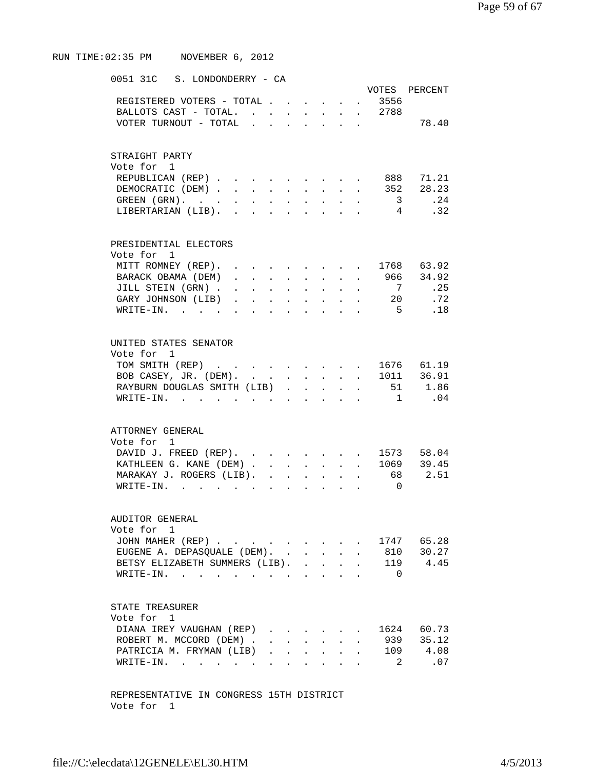## RUN TIME:02:35 PM NOVEMBER 6, 2012

 0051 31C S. LONDONDERRY - CA VOTES PERCENT REGISTERED VOTERS - TOTAL . . . . . . 3556 BALLOTS CAST - TOTAL. . . . . . . . 2788 VOTER TURNOUT - TOTAL . . . . . . . . 78.40 STRAIGHT PARTY Vote for 1 REPUBLICAN (REP) . . . . . . . . . 888 71.21 DEMOCRATIC (DEM) . . . . . . . . . 352 28.23 CREEN (GRN). . . . . . . . . . . . 3 . 24<br>GREEN (GRN). . . . . . . . . . . 3 . 24<br>LIBERTARIAN (LIB). . . . . . . . . 4 .32 LIBERTARIAN (LIB). . . . . . . . . . 4 PRESIDENTIAL ELECTORS Vote for 1 MITT ROMNEY (REP). . . . . . . . . 1768 63.92 BARACK OBAMA (DEM) . . . . . . . . 966 34.92<br>JILL STEIN (GRN) . . . . . . . . . 7 . 25 JILL STEIN (GRN) . . . . . . . . . . 7 . 25 GARY JOHNSON (LIB) . . . . . . . . 20 .72 WRITE-IN. . . . . . . . . . . . 5 .18 UNITED STATES SENATOR Vote for 1 TOM SMITH (REP) . . . . . . . . . 1676 61.19 BOB CASEY, JR. (DEM). . . . . . . . 1011 36.91<br>RAYBURN DOUGLAS SMITH (LIB) . . . . . 51 1.86<br>WRITE-IN. . . . . . . . . . . . 1 .04 RAYBURN DOUGLAS SMITH (LIB) . . . . . WRITE-IN.  $\cdots$  . . . . . ATTORNEY GENERAL Vote for 1 DAVID J. FREED (REP). . . . . . . 1573 58.04 KATHLEEN G. KANE (DEM) . . . . . . 1069 39.45<br>MARAKAY J. ROGERS (LIB). . . . . . . 68 2.51 MARAKAY J. ROGERS (LIB). . . . . . . WRITE-IN. . . . . . . . . . . 0 AUDITOR GENERAL Vote for 1 JOHN MAHER (REP) . . . . . . . . . 1747 65.28<br>EUGENE A. DEPASQUALE (DEM). . . . . . 810 30.27 EUGENE A. DEPASQUALE (DEM). . . . . . 810 30.27<br>BETSY ELIZABETH SUMMERS (LIB). . . . . 119 4.45 BETSY ELIZABETH SUMMERS (LIB). . . . . WRITE-IN. . . . . . . . . . . 0 STATE TREASURER Vote for 1 DIANA IREY VAUGHAN (REP) . . . . . 1624 60.73 ROBERT M. MCCORD (DEM) . . . . . . . 939 35.12 PATRICIA M. FRYMAN (LIB) . . . . . . 109 4.08 WRITE-IN. . . . . . . . . . . . 2 .07

> REPRESENTATIVE IN CONGRESS 15TH DISTRICT Vote for 1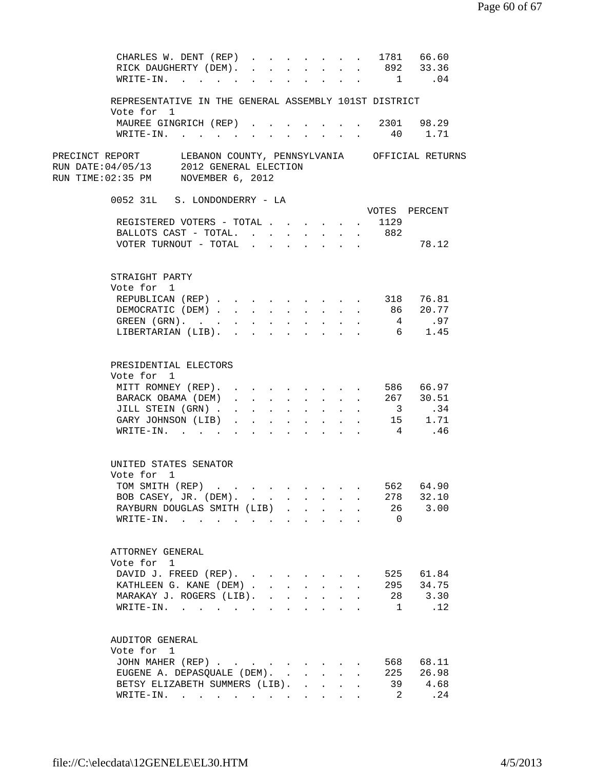| CHARLES W. DENT (REP)                                                                                            |                             |                            |                                                                               |                           |                      |                 | 1781 66.60                                                                |  |
|------------------------------------------------------------------------------------------------------------------|-----------------------------|----------------------------|-------------------------------------------------------------------------------|---------------------------|----------------------|-----------------|---------------------------------------------------------------------------|--|
| RICK DAUGHERTY (DEM). 892 33.36                                                                                  |                             |                            |                                                                               |                           |                      |                 |                                                                           |  |
| WRITE-IN. 1 . 04                                                                                                 |                             |                            |                                                                               |                           |                      |                 |                                                                           |  |
| REPRESENTATIVE IN THE GENERAL ASSEMBLY 101ST DISTRICT                                                            |                             |                            |                                                                               |                           |                      |                 |                                                                           |  |
| Vote for 1                                                                                                       |                             |                            |                                                                               |                           |                      |                 |                                                                           |  |
| MAUREE GINGRICH (REP) 2301 98.29                                                                                 |                             |                            |                                                                               |                           |                      |                 |                                                                           |  |
| $\texttt{WRTTE-IN.}$                                                                                             |                             | $\sim$                     | $\mathbf{L}$                                                                  |                           |                      |                 | 40 1.71                                                                   |  |
| PRECINCT REPORT LEBANON COUNTY, PENNSYLVANIA OFFICIAL RETURNS                                                    |                             |                            |                                                                               |                           |                      |                 |                                                                           |  |
| RUN DATE: 04/05/13 2012 GENERAL ELECTION<br>RUN TIME:02:35 PM NOVEMBER 6, 2012                                   |                             |                            |                                                                               |                           |                      |                 |                                                                           |  |
|                                                                                                                  |                             |                            |                                                                               |                           |                      |                 |                                                                           |  |
| 0052 31L S. LONDONDERRY - LA                                                                                     |                             |                            |                                                                               |                           |                      |                 | VOTES PERCENT                                                             |  |
| REGISTERED VOTERS - TOTAL                                                                                        |                             |                            |                                                                               | $\sim$                    |                      | 1129            |                                                                           |  |
| BALLOTS CAST - TOTAL.                                                                                            |                             | $\sim$ 100 $\pm$           | $\sim$                                                                        |                           |                      | . 882           |                                                                           |  |
| VOTER TURNOUT - TOTAL                                                                                            | $\mathbf{A}$                | $\sim$ $\sim$              |                                                                               | $\mathbf{L} = \mathbf{L}$ | $\ddot{\phantom{0}}$ |                 | 78.12                                                                     |  |
|                                                                                                                  |                             |                            |                                                                               |                           |                      |                 |                                                                           |  |
| STRAIGHT PARTY                                                                                                   |                             |                            |                                                                               |                           |                      |                 |                                                                           |  |
| Vote for 1                                                                                                       |                             |                            |                                                                               |                           |                      |                 |                                                                           |  |
| REPUBLICAN (REP) 318 76.81                                                                                       |                             |                            |                                                                               |                           |                      |                 |                                                                           |  |
| DEMOCRATIC (DEM)                                                                                                 |                             |                            |                                                                               |                           |                      | 86              | 20.77                                                                     |  |
| GREEN (GRN).                                                                                                     |                             |                            |                                                                               |                           |                      | $4\overline{4}$ | .97                                                                       |  |
| LIBERTARIAN (LIB).<br>$\mathbf{r}$ , $\mathbf{r}$ , $\mathbf{r}$                                                 |                             |                            |                                                                               |                           |                      |                 | $6 \qquad 1.45$                                                           |  |
| PRESIDENTIAL ELECTORS                                                                                            |                             |                            |                                                                               |                           |                      |                 |                                                                           |  |
| Vote for 1                                                                                                       |                             |                            |                                                                               |                           |                      |                 |                                                                           |  |
| MITT ROMNEY (REP).                                                                                               |                             |                            |                                                                               |                           |                      |                 | $\cdot$ 586 66.97                                                         |  |
| BARACK OBAMA (DEM)<br>$\mathbf{1}$ $\mathbf{1}$ $\mathbf{1}$ $\mathbf{1}$ $\mathbf{1}$ $\mathbf{1}$ $\mathbf{1}$ | $\mathbf{L}^{\text{max}}$   |                            | $\mathbf{r} = \mathbf{r} + \mathbf{r} + \mathbf{r} + \mathbf{r} + \mathbf{r}$ |                           |                      |                 | 267 30.51                                                                 |  |
| JILL STEIN (GRN).<br>$\mathbf{L} = \mathbf{L} \mathbf{L}$                                                        | $\sim$                      |                            | $\mathbf{r}$ , and $\mathbf{r}$ , and $\mathbf{r}$                            |                           |                      |                 |                                                                           |  |
| GARY JOHNSON (LIB)<br>$\mathbf{r} = \mathbf{r} + \mathbf{r}$ .<br>$\mathbf{L}$                                   | $\mathbf{L}^{\text{max}}$   | $\Delta \sim 10^{-11}$     |                                                                               |                           |                      |                 |                                                                           |  |
| $\texttt{WRITE-IN.}$<br>$\ddot{\phantom{0}}$<br><b>All Cards</b>                                                 | $\mathbf{L}^{\mathrm{max}}$ | $\sim$ 100 $\mu$           | $\sim$                                                                        |                           |                      |                 | $\begin{array}{ccc} 3 & .2 \\ 3 & .2 \\ 15 & 1.71 \\ 4 & .46 \end{array}$ |  |
| UNITED STATES SENATOR                                                                                            |                             |                            |                                                                               |                           |                      |                 |                                                                           |  |
| Vote for 1                                                                                                       |                             |                            |                                                                               |                           |                      |                 |                                                                           |  |
| TOM SMITH (REP)                                                                                                  |                             |                            |                                                                               |                           |                      | 562             | 64.90                                                                     |  |
| BOB CASEY, JR. (DEM).                                                                                            |                             |                            |                                                                               |                           |                      | 278             | 32.10                                                                     |  |
| RAYBURN DOUGLAS SMITH (LIB)                                                                                      |                             |                            |                                                                               |                           |                      | 26              | 3.00                                                                      |  |
| WRITE-IN.<br>$\ddot{\phantom{a}}$                                                                                |                             |                            |                                                                               |                           |                      | $\Omega$        |                                                                           |  |
|                                                                                                                  |                             |                            |                                                                               |                           |                      |                 |                                                                           |  |
| ATTORNEY GENERAL                                                                                                 |                             |                            |                                                                               |                           |                      |                 |                                                                           |  |
| Vote for<br>$\mathbf{1}$                                                                                         |                             |                            |                                                                               |                           |                      |                 |                                                                           |  |
| DAVID J. FREED (REP).                                                                                            |                             | $\mathbf{r}$               |                                                                               |                           |                      | 525             | 61.84                                                                     |  |
| KATHLEEN G. KANE (DEM).                                                                                          | $\mathbf{L}^{\text{max}}$   | $\mathcal{L}^{\text{max}}$ | $\mathcal{L}^{\text{max}}$                                                    | $\sim$                    |                      | 295             | 34.75                                                                     |  |
| MARAKAY J. ROGERS (LIB). .                                                                                       | $\ddot{\phantom{a}}$        | $\ddot{\phantom{a}}$       |                                                                               | $\ddot{\phantom{a}}$      |                      | 28              | 3.30                                                                      |  |
| $\texttt{WRTTE-IN.}$                                                                                             |                             |                            |                                                                               |                           |                      | $\mathbf{1}$    | .12                                                                       |  |
| AUDITOR GENERAL                                                                                                  |                             |                            |                                                                               |                           |                      |                 |                                                                           |  |
| Vote for 1                                                                                                       |                             |                            |                                                                               |                           |                      |                 |                                                                           |  |
| JOHN MAHER (REP)                                                                                                 |                             |                            |                                                                               |                           |                      | 568             | 68.11                                                                     |  |
| EUGENE A. DEPASQUALE (DEM).                                                                                      |                             |                            |                                                                               |                           |                      | 225             | 26.98                                                                     |  |
| BETSY ELIZABETH SUMMERS (LIB).                                                                                   |                             |                            |                                                                               |                           |                      | 39              | 4.68                                                                      |  |
| WRITE-IN.                                                                                                        |                             |                            |                                                                               |                           |                      | 2               | .24                                                                       |  |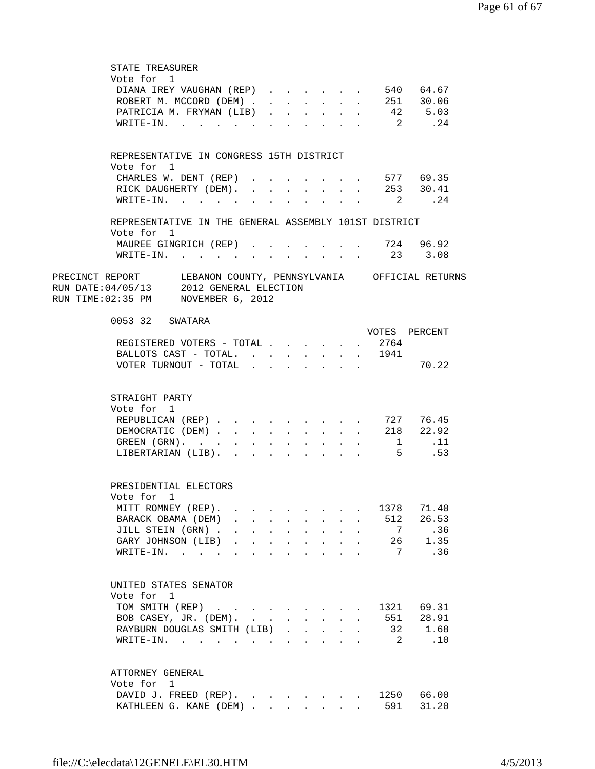| STATE TREASURER                                                                                                                                             |                             |                                                                                                                          |            |                           |              |                                                                                                                                                                                                                                                                                                                                                                                                                                                                           |        |                                            |                 |                        |  |
|-------------------------------------------------------------------------------------------------------------------------------------------------------------|-----------------------------|--------------------------------------------------------------------------------------------------------------------------|------------|---------------------------|--------------|---------------------------------------------------------------------------------------------------------------------------------------------------------------------------------------------------------------------------------------------------------------------------------------------------------------------------------------------------------------------------------------------------------------------------------------------------------------------------|--------|--------------------------------------------|-----------------|------------------------|--|
| Vote for 1                                                                                                                                                  |                             |                                                                                                                          |            |                           |              |                                                                                                                                                                                                                                                                                                                                                                                                                                                                           |        |                                            |                 |                        |  |
| DIANA IREY VAUGHAN (REP)                                                                                                                                    |                             |                                                                                                                          |            |                           |              | $\sim$ $-$                                                                                                                                                                                                                                                                                                                                                                                                                                                                |        | $\mathbf{L} = \mathbf{L}$                  |                 | 540 64.67              |  |
| ROBERT M. MCCORD (DEM)                                                                                                                                      |                             |                                                                                                                          |            |                           |              | $\mathbf{L}$                                                                                                                                                                                                                                                                                                                                                                                                                                                              |        | $\mathbf{L} = \mathbf{L}$                  |                 | 251 30.06              |  |
| PATRICIA M. FRYMAN (LIB).                                                                                                                                   |                             |                                                                                                                          |            | $\mathbf{L}^{\text{max}}$ | $\mathbf{L}$ |                                                                                                                                                                                                                                                                                                                                                                                                                                                                           |        | $\mathbf{r} = \mathbf{r} \cdot \mathbf{r}$ |                 | 42 5.03                |  |
| WRITE-IN.                                                                                                                                                   |                             |                                                                                                                          |            |                           |              |                                                                                                                                                                                                                                                                                                                                                                                                                                                                           |        |                                            |                 | 2 .24                  |  |
|                                                                                                                                                             |                             |                                                                                                                          |            |                           |              |                                                                                                                                                                                                                                                                                                                                                                                                                                                                           |        |                                            |                 |                        |  |
| REPRESENTATIVE IN CONGRESS 15TH DISTRICT<br>Vote for 1                                                                                                      |                             |                                                                                                                          |            |                           |              |                                                                                                                                                                                                                                                                                                                                                                                                                                                                           |        |                                            |                 |                        |  |
| CHARLES W. DENT (REP)                                                                                                                                       |                             |                                                                                                                          |            |                           |              |                                                                                                                                                                                                                                                                                                                                                                                                                                                                           |        |                                            |                 | 577 69.35              |  |
| RICK DAUGHERTY (DEM). .                                                                                                                                     |                             |                                                                                                                          | $\sim$ $-$ | $\sim 10^{-10}$           | $\sim$       | $\sim$                                                                                                                                                                                                                                                                                                                                                                                                                                                                    |        | $\mathbf{L} = \mathbf{L}$                  |                 |                        |  |
| WRITE-IN.                                                                                                                                                   |                             | $\sim$                                                                                                                   | $\sim$     |                           |              | $\mathbf{A}$                                                                                                                                                                                                                                                                                                                                                                                                                                                              | $\sim$ |                                            |                 | $253$ $30.41$<br>2 .24 |  |
| REPRESENTATIVE IN THE GENERAL ASSEMBLY 101ST DISTRICT<br>Vote for 1                                                                                         |                             |                                                                                                                          |            |                           |              |                                                                                                                                                                                                                                                                                                                                                                                                                                                                           |        |                                            |                 |                        |  |
| MAUREE GINGRICH (REP) 724 96.92                                                                                                                             |                             |                                                                                                                          |            |                           |              |                                                                                                                                                                                                                                                                                                                                                                                                                                                                           |        |                                            |                 |                        |  |
| WRITE-IN. 23 3.08                                                                                                                                           |                             |                                                                                                                          |            |                           |              |                                                                                                                                                                                                                                                                                                                                                                                                                                                                           |        |                                            |                 |                        |  |
|                                                                                                                                                             |                             |                                                                                                                          |            |                           |              |                                                                                                                                                                                                                                                                                                                                                                                                                                                                           |        |                                            |                 |                        |  |
| PRECINCT REPORT      LEBANON COUNTY, PENNSYLVANIA     OFFICIAL RETURNS<br>RUN DATE:04/05/13     2012 GENERAL ELECTION<br>RUN TIME:02:35 PM NOVEMBER 6, 2012 |                             |                                                                                                                          |            |                           |              |                                                                                                                                                                                                                                                                                                                                                                                                                                                                           |        |                                            |                 |                        |  |
| 0053 32 SWATARA                                                                                                                                             |                             |                                                                                                                          |            |                           |              |                                                                                                                                                                                                                                                                                                                                                                                                                                                                           |        |                                            |                 |                        |  |
|                                                                                                                                                             |                             |                                                                                                                          |            |                           |              |                                                                                                                                                                                                                                                                                                                                                                                                                                                                           |        |                                            |                 | VOTES PERCENT          |  |
| REGISTERED VOTERS - TOTAL 2764                                                                                                                              |                             |                                                                                                                          |            |                           |              |                                                                                                                                                                                                                                                                                                                                                                                                                                                                           |        |                                            |                 |                        |  |
| BALLOTS CAST - TOTAL. 1941                                                                                                                                  |                             |                                                                                                                          |            |                           |              |                                                                                                                                                                                                                                                                                                                                                                                                                                                                           |        |                                            |                 |                        |  |
| VOTER TURNOUT - TOTAL $\ldots$                                                                                                                              |                             |                                                                                                                          |            |                           |              |                                                                                                                                                                                                                                                                                                                                                                                                                                                                           |        |                                            |                 | 70.22                  |  |
|                                                                                                                                                             |                             |                                                                                                                          |            |                           |              |                                                                                                                                                                                                                                                                                                                                                                                                                                                                           |        |                                            |                 |                        |  |
| STRAIGHT PARTY                                                                                                                                              |                             |                                                                                                                          |            |                           |              |                                                                                                                                                                                                                                                                                                                                                                                                                                                                           |        |                                            |                 |                        |  |
| Vote for 1                                                                                                                                                  |                             |                                                                                                                          |            |                           |              |                                                                                                                                                                                                                                                                                                                                                                                                                                                                           |        |                                            |                 |                        |  |
| REPUBLICAN (REP) 727 76.45                                                                                                                                  |                             |                                                                                                                          |            |                           |              |                                                                                                                                                                                                                                                                                                                                                                                                                                                                           |        |                                            |                 |                        |  |
| DEMOCRATIC (DEM)                                                                                                                                            |                             |                                                                                                                          |            |                           |              |                                                                                                                                                                                                                                                                                                                                                                                                                                                                           |        |                                            |                 | $\cdot$ 218 22.92      |  |
| GREEN (GRN).                                                                                                                                                |                             |                                                                                                                          |            | $\mathbf{A}=\mathbf{0}$ . |              |                                                                                                                                                                                                                                                                                                                                                                                                                                                                           |        |                                            |                 | $\cdots$ 1 . 11        |  |
| LIBERTARIAN (LIB).                                                                                                                                          |                             |                                                                                                                          |            | $\sim$ $\sim$             |              | $\mathbf{r}$ and $\mathbf{r}$                                                                                                                                                                                                                                                                                                                                                                                                                                             |        |                                            |                 | $5 \t .53$             |  |
|                                                                                                                                                             |                             |                                                                                                                          |            |                           |              |                                                                                                                                                                                                                                                                                                                                                                                                                                                                           |        |                                            |                 |                        |  |
| PRESIDENTIAL ELECTORS                                                                                                                                       |                             |                                                                                                                          |            |                           |              |                                                                                                                                                                                                                                                                                                                                                                                                                                                                           |        |                                            |                 |                        |  |
| Vote for 1                                                                                                                                                  |                             |                                                                                                                          |            |                           |              |                                                                                                                                                                                                                                                                                                                                                                                                                                                                           |        |                                            |                 |                        |  |
|                                                                                                                                                             | MITT ROMNEY (REP).          |                                                                                                                          |            |                           |              |                                                                                                                                                                                                                                                                                                                                                                                                                                                                           |        |                                            | 1378            | 71.40                  |  |
| BARACK OBAMA (DEM)                                                                                                                                          |                             | $\mathbf{r} = \mathbf{r} - \mathbf{r}$ , $\mathbf{r} = \mathbf{r} - \mathbf{r}$ , $\mathbf{r} = \mathbf{r} - \mathbf{r}$ |            |                           |              |                                                                                                                                                                                                                                                                                                                                                                                                                                                                           |        | $\mathbf{r}$                               | 512             | 26.53                  |  |
| JILL STEIN (GRN).                                                                                                                                           | $\mathbf{L}$                |                                                                                                                          |            |                           |              | $\mathbf{1} \qquad \qquad \mathbf{1} \qquad \qquad \mathbf{1} \qquad \qquad \mathbf{1} \qquad \qquad \mathbf{1} \qquad \qquad \mathbf{1} \qquad \qquad \mathbf{1} \qquad \qquad \mathbf{1} \qquad \qquad \mathbf{1} \qquad \qquad \mathbf{1} \qquad \qquad \mathbf{1} \qquad \qquad \mathbf{1} \qquad \qquad \mathbf{1} \qquad \qquad \mathbf{1} \qquad \qquad \mathbf{1} \qquad \qquad \mathbf{1} \qquad \qquad \mathbf{1} \qquad \mathbf{1} \qquad \qquad \mathbf{1} \$ |        | $\ddot{\phantom{a}}$                       | 7               | .36                    |  |
| GARY JOHNSON (LIB)                                                                                                                                          | $\mathbf{L}$                | $\mathbf{r} = \mathbf{r} + \mathbf{r}$ .                                                                                 |            |                           |              | $\mathbf{r} = \mathbf{r} + \mathbf{r} + \mathbf{r} + \mathbf{r}$ .                                                                                                                                                                                                                                                                                                                                                                                                        |        |                                            |                 | 26 1.35                |  |
|                                                                                                                                                             | WRITE-IN.                   |                                                                                                                          |            |                           |              |                                                                                                                                                                                                                                                                                                                                                                                                                                                                           |        |                                            | $7\overline{ }$ | .36                    |  |
|                                                                                                                                                             |                             |                                                                                                                          |            |                           |              |                                                                                                                                                                                                                                                                                                                                                                                                                                                                           |        |                                            |                 |                        |  |
| UNITED STATES SENATOR                                                                                                                                       |                             |                                                                                                                          |            |                           |              |                                                                                                                                                                                                                                                                                                                                                                                                                                                                           |        |                                            |                 |                        |  |
| Vote for 1                                                                                                                                                  |                             |                                                                                                                          |            |                           |              |                                                                                                                                                                                                                                                                                                                                                                                                                                                                           |        |                                            |                 |                        |  |
|                                                                                                                                                             | TOM SMITH (REP)             |                                                                                                                          |            |                           |              |                                                                                                                                                                                                                                                                                                                                                                                                                                                                           |        |                                            | 1321            | 69.31                  |  |
|                                                                                                                                                             | BOB CASEY, JR. (DEM).       |                                                                                                                          |            |                           |              |                                                                                                                                                                                                                                                                                                                                                                                                                                                                           |        |                                            | 551             | 28.91                  |  |
|                                                                                                                                                             | RAYBURN DOUGLAS SMITH (LIB) |                                                                                                                          |            |                           |              | $\mathbf{1} \qquad \qquad \mathbf{1} \qquad \qquad \mathbf{1} \qquad \qquad \mathbf{1} \qquad \qquad \mathbf{1} \qquad \qquad \mathbf{1} \qquad \qquad \mathbf{1} \qquad \mathbf{1} \qquad \mathbf{1} \qquad \mathbf{1} \qquad \mathbf{1} \qquad \mathbf{1} \qquad \mathbf{1} \qquad \mathbf{1} \qquad \mathbf{1} \qquad \mathbf{1} \qquad \mathbf{1} \qquad \mathbf{1} \qquad \mathbf{1} \qquad \mathbf{1} \qquad \mathbf{1} \qquad \mathbf{1} \qquad \mathbf{$          |        |                                            |                 | 32 1.68                |  |
|                                                                                                                                                             | WRITE-IN.                   |                                                                                                                          |            |                           |              |                                                                                                                                                                                                                                                                                                                                                                                                                                                                           |        |                                            |                 | 2 .10                  |  |
|                                                                                                                                                             |                             |                                                                                                                          |            |                           |              |                                                                                                                                                                                                                                                                                                                                                                                                                                                                           |        |                                            |                 |                        |  |
| ATTORNEY GENERAL                                                                                                                                            |                             |                                                                                                                          |            |                           |              |                                                                                                                                                                                                                                                                                                                                                                                                                                                                           |        |                                            |                 |                        |  |
| Vote for 1                                                                                                                                                  |                             |                                                                                                                          |            |                           |              |                                                                                                                                                                                                                                                                                                                                                                                                                                                                           |        |                                            |                 |                        |  |
| DAVID J. FREED (REP).                                                                                                                                       |                             |                                                                                                                          |            |                           |              |                                                                                                                                                                                                                                                                                                                                                                                                                                                                           |        |                                            |                 | 1250 66.00             |  |
| KATHLEEN G. KANE (DEM)                                                                                                                                      |                             |                                                                                                                          |            |                           |              |                                                                                                                                                                                                                                                                                                                                                                                                                                                                           |        |                                            | 591             | 31.20                  |  |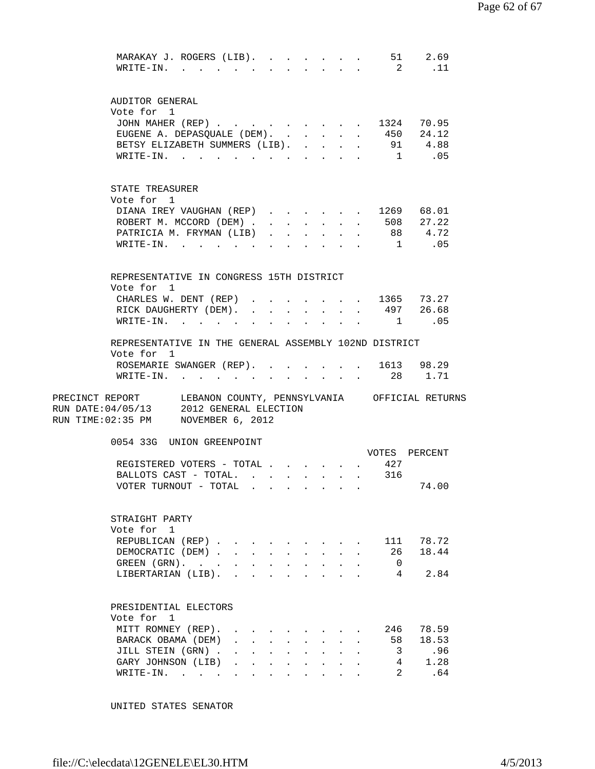| MARAKAY J. ROGERS (LIB).<br>$\texttt{WRTTE-IN.}$                                                                                                   |                                                                       |                                                           | $\sim$ $\sim$ |                                                             | $\mathbf{z} = \mathbf{z} + \mathbf{z}$ . The set of $\mathbf{z}$      |                                           |                           | $\mathbf{r}$ , $\mathbf{r}$ , $\mathbf{r}$ | 51                                                         | 2.69<br>$2 \qquad \qquad .11$ |  |
|----------------------------------------------------------------------------------------------------------------------------------------------------|-----------------------------------------------------------------------|-----------------------------------------------------------|---------------|-------------------------------------------------------------|-----------------------------------------------------------------------|-------------------------------------------|---------------------------|--------------------------------------------|------------------------------------------------------------|-------------------------------|--|
| AUDITOR GENERAL                                                                                                                                    |                                                                       |                                                           |               |                                                             |                                                                       |                                           |                           |                                            |                                                            |                               |  |
| Vote for 1                                                                                                                                         |                                                                       |                                                           |               |                                                             |                                                                       |                                           |                           |                                            |                                                            |                               |  |
| JOHN MAHER (REP)                                                                                                                                   |                                                                       |                                                           |               |                                                             |                                                                       |                                           |                           |                                            |                                                            | . 1324 70.95<br>450 24.12     |  |
| EUGENE A. DEPASQUALE (DEM). .                                                                                                                      |                                                                       |                                                           |               |                                                             | $\mathbf{L}^{\text{max}}$                                             | $\sim$                                    | $\mathbf{L}$              | $\mathbf{r}$                               |                                                            | 91 4.88                       |  |
| BETSY ELIZABETH SUMMERS (LIB).<br>$\texttt{WRTTE-IN.}$                                                                                             |                                                                       |                                                           |               |                                                             | $\mathbf{r}$                                                          | $\mathbf{r} = \mathbf{r}$<br>$\mathbf{L}$ |                           | $\mathbf{r}$                               |                                                            | $1 \qquad .05$                |  |
| STATE TREASURER                                                                                                                                    |                                                                       |                                                           |               |                                                             |                                                                       |                                           |                           |                                            |                                                            |                               |  |
| Vote for 1                                                                                                                                         |                                                                       |                                                           |               |                                                             |                                                                       |                                           |                           |                                            |                                                            |                               |  |
| DIANA IREY VAUGHAN (REP)                                                                                                                           |                                                                       |                                                           |               |                                                             |                                                                       |                                           |                           |                                            |                                                            | $1269$ $68.01$                |  |
| ROBERT M. MCCORD (DEM).                                                                                                                            |                                                                       |                                                           |               | $\mathbf{L}^{\text{max}}$                                   |                                                                       | $\mathbf{L}$                              |                           | $\mathbf{L}$                               |                                                            | 508 27.22<br>88 4.72          |  |
| PATRICIA M. FRYMAN (LIB)                                                                                                                           |                                                                       |                                                           |               |                                                             |                                                                       |                                           |                           |                                            |                                                            |                               |  |
| WRITE-IN.                                                                                                                                          |                                                                       |                                                           |               |                                                             |                                                                       |                                           |                           |                                            |                                                            | $1 \qquad .05$                |  |
| REPRESENTATIVE IN CONGRESS 15TH DISTRICT                                                                                                           |                                                                       |                                                           |               |                                                             |                                                                       |                                           |                           |                                            |                                                            |                               |  |
| Vote for 1                                                                                                                                         |                                                                       |                                                           |               |                                                             |                                                                       |                                           |                           |                                            |                                                            |                               |  |
| CHARLES W. DENT (REP)<br>RICK DAUGHERTY (DEM).                                                                                                     |                                                                       | $\mathbf{L} = \mathbf{L}$                                 |               |                                                             |                                                                       |                                           |                           |                                            |                                                            | $\cdot$ 1365 73.27            |  |
| $W\text{RITE}-\text{IN}.$                                                                                                                          |                                                                       |                                                           |               |                                                             |                                                                       |                                           | $\mathbf{L} = \mathbf{L}$ |                                            |                                                            | 497 26.68<br>1.05             |  |
|                                                                                                                                                    |                                                                       |                                                           |               |                                                             |                                                                       |                                           |                           |                                            |                                                            |                               |  |
| REPRESENTATIVE IN THE GENERAL ASSEMBLY 102ND DISTRICT<br>Vote for 1                                                                                |                                                                       |                                                           |               |                                                             |                                                                       |                                           |                           |                                            |                                                            |                               |  |
| ROSEMARIE SWANGER (REP). 1613 98.29                                                                                                                |                                                                       |                                                           |               |                                                             |                                                                       |                                           |                           |                                            |                                                            |                               |  |
| WRITE-IN. 28 1.71                                                                                                                                  |                                                                       |                                                           |               |                                                             |                                                                       |                                           |                           |                                            |                                                            |                               |  |
| PRECINCT REPORT LEBANON COUNTY, PENNSYLVANIA OFFICIAL RETURNS<br>RUN DATE: $04/05/13$ 2012 GENERAL ELECTION<br>RUN TIME: 02:35 PM NOVEMBER 6, 2012 |                                                                       |                                                           |               |                                                             |                                                                       |                                           |                           |                                            |                                                            |                               |  |
| 0054 33G UNION GREENPOINT                                                                                                                          |                                                                       |                                                           |               |                                                             |                                                                       |                                           |                           |                                            |                                                            |                               |  |
|                                                                                                                                                    |                                                                       |                                                           |               |                                                             |                                                                       |                                           |                           |                                            |                                                            | VOTES PERCENT                 |  |
| REGISTERED VOTERS - TOTAL .<br>BALLOTS CAST - TOTAL.                                                                                               |                                                                       |                                                           |               |                                                             |                                                                       |                                           |                           |                                            | $\cdot$ $\cdot$ $\cdot$ $\cdot$ $\cdot$ $\cdot$ 427<br>316 |                               |  |
| VOTER TURNOUT - TOTAL                                                                                                                              |                                                                       |                                                           |               |                                                             |                                                                       |                                           |                           |                                            |                                                            | 74.00                         |  |
|                                                                                                                                                    |                                                                       |                                                           |               |                                                             |                                                                       |                                           |                           |                                            |                                                            |                               |  |
| STRAIGHT PARTY                                                                                                                                     |                                                                       |                                                           |               |                                                             |                                                                       |                                           |                           |                                            |                                                            |                               |  |
| Vote for 1                                                                                                                                         |                                                                       |                                                           |               |                                                             |                                                                       |                                           |                           |                                            |                                                            |                               |  |
| REPUBLICAN (REP)                                                                                                                                   |                                                                       |                                                           |               |                                                             |                                                                       |                                           |                           |                                            | 111                                                        | 78.72                         |  |
| DEMOCRATIC (DEM)                                                                                                                                   |                                                                       |                                                           |               |                                                             |                                                                       |                                           |                           |                                            | 26                                                         | 18.44                         |  |
| GREEN $(GRN)$ .                                                                                                                                    |                                                                       |                                                           |               |                                                             |                                                                       |                                           |                           |                                            | $\overline{0}$                                             |                               |  |
| LIBERTARIAN (LIB).                                                                                                                                 |                                                                       |                                                           |               |                                                             |                                                                       |                                           |                           |                                            |                                                            | 2.84<br>$4 \quad$             |  |
| PRESIDENTIAL ELECTORS                                                                                                                              |                                                                       |                                                           |               |                                                             |                                                                       |                                           |                           |                                            |                                                            |                               |  |
| Vote for 1                                                                                                                                         |                                                                       |                                                           |               |                                                             |                                                                       |                                           |                           |                                            |                                                            |                               |  |
|                                                                                                                                                    |                                                                       |                                                           |               |                                                             |                                                                       |                                           |                           |                                            |                                                            |                               |  |
| MITT ROMNEY (REP).                                                                                                                                 |                                                                       |                                                           |               |                                                             |                                                                       |                                           |                           |                                            | 246                                                        | 78.59                         |  |
| BARACK OBAMA (DEM)                                                                                                                                 | $\mathbf{L}$                                                          | $\mathbf{L}^{\text{max}}$ , and $\mathbf{L}^{\text{max}}$ |               |                                                             |                                                                       | $\mathbf{r} = \mathbf{r}$                 |                           |                                            | 58                                                         | 18.53                         |  |
| JILL STEIN (GRN).                                                                                                                                  |                                                                       |                                                           |               |                                                             | $\mathbf{r}$ , and $\mathbf{r}$ , and $\mathbf{r}$ , and $\mathbf{r}$ |                                           |                           |                                            | 3                                                          | .96                           |  |
| GARY JOHNSON (LIB)<br>$\texttt{WRITE-IN.}$                                                                                                         | $\mathbf{r}$ , and $\mathbf{r}$ , and $\mathbf{r}$ , and $\mathbf{r}$ |                                                           | $\sim$        | $\bullet$ .<br><br><br><br><br><br><br><br><br><br><br><br> |                                                                       | $\mathbf{L} = \mathbf{L} \mathbf{L}$      | $\sim$                    |                                            | $\mathbf{2}$                                               | 4 1.28<br>.64                 |  |

UNITED STATES SENATOR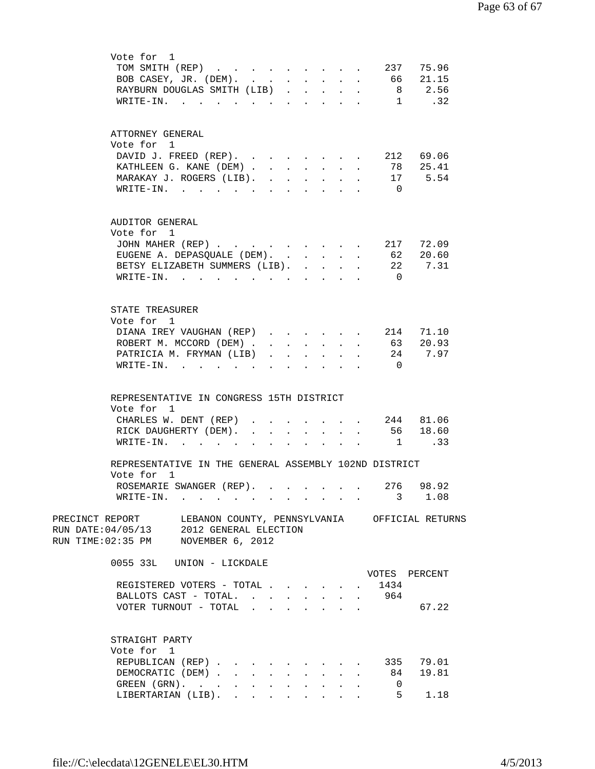| Vote for 1                                                          |              |                      |                                                                               |                             |                                      |               |
|---------------------------------------------------------------------|--------------|----------------------|-------------------------------------------------------------------------------|-----------------------------|--------------------------------------|---------------|
| TOM SMITH (REP)                                                     |              |                      |                                                                               |                             |                                      | 237 75.96     |
| BOB CASEY, JR. (DEM). 66 21.15                                      |              |                      |                                                                               |                             |                                      |               |
| RAYBURN DOUGLAS SMITH (LIB).                                        |              |                      | $\mathbf{r} = \mathbf{r} + \mathbf{r}$                                        |                             | $\ddot{\phantom{0}}$                 | 8 2.56        |
| WRITE-IN.                                                           |              |                      |                                                                               |                             |                                      | 1 .32         |
|                                                                     |              |                      |                                                                               |                             |                                      |               |
|                                                                     |              |                      |                                                                               |                             |                                      |               |
| ATTORNEY GENERAL                                                    |              |                      |                                                                               |                             |                                      |               |
| Vote for 1                                                          |              |                      |                                                                               |                             |                                      |               |
| DAVID J. FREED (REP). 212 69.06                                     |              |                      |                                                                               |                             |                                      |               |
| KATHLEEN G. KANE (DEM)                                              |              |                      |                                                                               |                             |                                      | 78 25.41      |
| MARAKAY J. ROGERS (LIB).                                            |              |                      |                                                                               |                             |                                      | 17 5.54       |
| WRITE-IN.                                                           |              |                      |                                                                               |                             | $\overline{0}$                       |               |
|                                                                     |              |                      |                                                                               |                             |                                      |               |
| AUDITOR GENERAL                                                     |              |                      |                                                                               |                             |                                      |               |
| Vote for 1                                                          |              |                      |                                                                               |                             |                                      |               |
| JOHN MAHER (REP)                                                    |              |                      |                                                                               |                             |                                      | 217 72.09     |
| EUGENE A. DEPASQUALE (DEM).                                         |              |                      |                                                                               |                             | $\mathbf{L}$                         | 62 20.60      |
| BETSY ELIZABETH SUMMERS (LIB).                                      |              |                      |                                                                               |                             |                                      | 22 7.31       |
|                                                                     |              |                      |                                                                               |                             | $\overline{0}$                       |               |
| WRITE-IN.                                                           |              |                      |                                                                               |                             |                                      |               |
|                                                                     |              |                      |                                                                               |                             |                                      |               |
| STATE TREASURER                                                     |              |                      |                                                                               |                             |                                      |               |
| Vote for 1                                                          |              |                      |                                                                               |                             |                                      |               |
| DIANA IREY VAUGHAN (REP)                                            |              |                      |                                                                               |                             | 214<br>$\mathbf{L}$ and $\mathbf{L}$ | 71.10         |
| ROBERT M. MCCORD (DEM).<br>$\mathbf{L}$                             | $\mathbf{A}$ | $\mathbf{L}$         | $\mathbf{r}$                                                                  | $\mathbf{L}$                |                                      | 63 20.93      |
| PATRICIA M. FRYMAN (LIB)<br>$\mathbf{L}$                            | $\mathbf{r}$ | $\ddot{\phantom{a}}$ | $\mathbf{L}$                                                                  | $\mathcal{L}^{\mathcal{A}}$ | - 24                                 | 7.97          |
| $W\text{RITE-IN.}$                                                  |              |                      |                                                                               |                             | $\overline{0}$                       |               |
|                                                                     |              |                      |                                                                               |                             |                                      |               |
| REPRESENTATIVE IN CONGRESS 15TH DISTRICT                            |              |                      |                                                                               |                             |                                      |               |
| Vote for 1                                                          |              |                      |                                                                               |                             |                                      |               |
| CHARLES W. DENT (REP)                                               |              |                      |                                                                               |                             | $\mathbf{L}$                         | 244 81.06     |
| RICK DAUGHERTY (DEM).<br>$\mathbf{L}$<br>$\mathbf{r}$ .             |              |                      |                                                                               |                             |                                      | 56 18.60      |
| $WRITE-IN.$                                                         |              |                      |                                                                               |                             |                                      | 1 .33         |
|                                                                     |              |                      |                                                                               |                             |                                      |               |
| REPRESENTATIVE IN THE GENERAL ASSEMBLY 102ND DISTRICT<br>Vote for 1 |              |                      |                                                                               |                             |                                      |               |
| ROSEMARIE SWANGER (REP).                                            |              |                      |                                                                               |                             | 276                                  | 98.92         |
| WRITE-IN.                                                           |              |                      |                                                                               |                             |                                      | 3 1.08        |
|                                                                     |              |                      |                                                                               |                             |                                      |               |
| PRECINCT REPORT<br>LEBANON COUNTY, PENNSYLVANIA OFFICIAL RETURNS    |              |                      |                                                                               |                             |                                      |               |
| RUN DATE: $04/05/13$ 2012 GENERAL ELECTION                          |              |                      |                                                                               |                             |                                      |               |
| RUN TIME: 02:35 PM NOVEMBER 6, 2012                                 |              |                      |                                                                               |                             |                                      |               |
|                                                                     |              |                      |                                                                               |                             |                                      |               |
| 0055 33L UNION - LICKDALE                                           |              |                      |                                                                               |                             |                                      |               |
|                                                                     |              |                      |                                                                               |                             |                                      | VOTES PERCENT |
| REGISTERED VOTERS - TOTAL                                           |              |                      |                                                                               |                             | 1434                                 |               |
| BALLOTS CAST - TOTAL. 964                                           |              |                      |                                                                               |                             |                                      |               |
| VOTER TURNOUT - TOTAL                                               |              |                      |                                                                               |                             |                                      | 67.22         |
|                                                                     |              |                      |                                                                               |                             |                                      |               |
| STRAIGHT PARTY                                                      |              |                      |                                                                               |                             |                                      |               |
| Vote for 1                                                          |              |                      |                                                                               |                             |                                      |               |
| REPUBLICAN (REP)                                                    |              |                      | $\mathbf{r} = \mathbf{r} + \mathbf{r} + \mathbf{r} + \mathbf{r} + \mathbf{r}$ |                             |                                      | 335 79.01     |
| DEMOCRATIC (DEM)                                                    |              |                      |                                                                               |                             |                                      | 84 19.81      |
| GREEN (GRN).                                                        |              |                      |                                                                               |                             | $\overline{0}$                       |               |
| <b>All Contract Contracts</b><br>LIBERTARIAN (LIB).                 |              |                      | $\bullet$ .<br><br><br><br><br><br><br><br><br><br><br><br><br>               |                             |                                      | $5 \t1.18$    |
|                                                                     |              |                      |                                                                               |                             |                                      |               |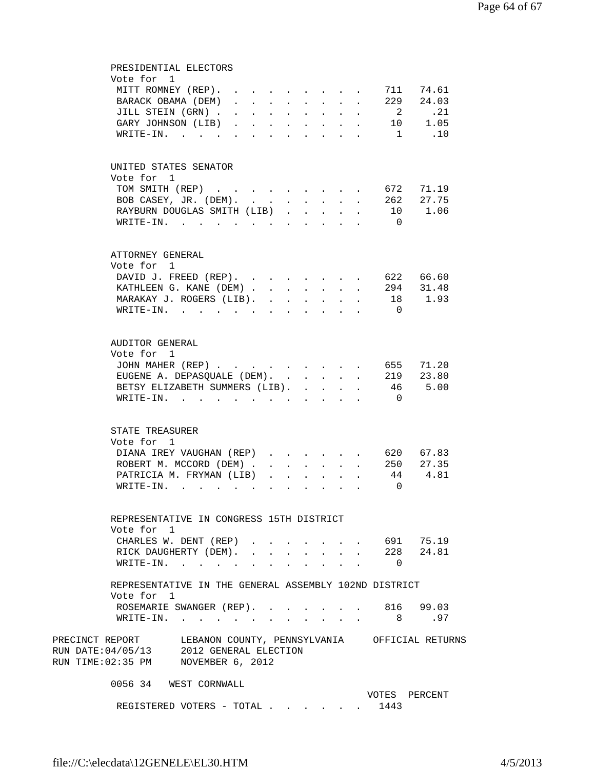| PRESIDENTIAL ELECTORS                                             |                                                                      |        |                                                             |               |                                                                                                                                                                                                                                                                                                                                                                                                                              |                                                                 |                                                |                                                         |                         |               |
|-------------------------------------------------------------------|----------------------------------------------------------------------|--------|-------------------------------------------------------------|---------------|------------------------------------------------------------------------------------------------------------------------------------------------------------------------------------------------------------------------------------------------------------------------------------------------------------------------------------------------------------------------------------------------------------------------------|-----------------------------------------------------------------|------------------------------------------------|---------------------------------------------------------|-------------------------|---------------|
| Vote for 1                                                        |                                                                      |        |                                                             |               |                                                                                                                                                                                                                                                                                                                                                                                                                              |                                                                 |                                                |                                                         |                         |               |
|                                                                   | MITT ROMNEY (REP).                                                   |        |                                                             |               | $\mathbf{r} = \mathbf{r} + \mathbf{r} + \mathbf{r} + \mathbf{r} + \mathbf{r} + \mathbf{r} + \mathbf{r} + \mathbf{r} + \mathbf{r} + \mathbf{r} + \mathbf{r} + \mathbf{r} + \mathbf{r} + \mathbf{r} + \mathbf{r} + \mathbf{r} + \mathbf{r} + \mathbf{r} + \mathbf{r} + \mathbf{r} + \mathbf{r} + \mathbf{r} + \mathbf{r} + \mathbf{r} + \mathbf{r} + \mathbf{r} + \mathbf{r} + \mathbf{r} + \mathbf{r} + \mathbf{r} + \mathbf$ |                                                                 |                                                |                                                         | 711                     | 74.61         |
|                                                                   | BARACK OBAMA (DEM)                                                   |        |                                                             |               | $\mathbf{r}$ , and $\mathbf{r}$ , and $\mathbf{r}$ , and $\mathbf{r}$                                                                                                                                                                                                                                                                                                                                                        |                                                                 | $\sim$ 100 $\pm$                               | $\ddot{\phantom{a}}$                                    | 229                     | 24.03         |
|                                                                   | JILL STEIN (GRN).                                                    | $\sim$ | $\mathbf{z} = \mathbf{z} + \mathbf{z}$                      |               | $\sim$                                                                                                                                                                                                                                                                                                                                                                                                                       | $\mathbb{Z}^{\times}$                                           | $\bullet$                                      |                                                         | $\overline{\mathbf{2}}$ | .21           |
|                                                                   | GARY JOHNSON (LIB)                                                   |        |                                                             |               |                                                                                                                                                                                                                                                                                                                                                                                                                              |                                                                 |                                                |                                                         |                         | 10 1.05       |
|                                                                   | WRITE-IN.                                                            |        |                                                             |               |                                                                                                                                                                                                                                                                                                                                                                                                                              |                                                                 |                                                |                                                         | $\mathbf{1}$            | .10           |
|                                                                   |                                                                      |        |                                                             |               |                                                                                                                                                                                                                                                                                                                                                                                                                              |                                                                 |                                                |                                                         |                         |               |
| UNITED STATES SENATOR                                             |                                                                      |        |                                                             |               |                                                                                                                                                                                                                                                                                                                                                                                                                              |                                                                 |                                                |                                                         |                         |               |
| Vote for 1                                                        |                                                                      |        |                                                             |               |                                                                                                                                                                                                                                                                                                                                                                                                                              |                                                                 |                                                |                                                         |                         |               |
|                                                                   | TOM SMITH (REP)                                                      |        |                                                             |               |                                                                                                                                                                                                                                                                                                                                                                                                                              |                                                                 |                                                |                                                         |                         | 672 71.19     |
|                                                                   | BOB CASEY, JR. (DEM).                                                |        |                                                             |               |                                                                                                                                                                                                                                                                                                                                                                                                                              |                                                                 |                                                |                                                         |                         | 262 27.75     |
|                                                                   | RAYBURN DOUGLAS SMITH (LIB)                                          |        |                                                             | $\sim$ $\sim$ | $\mathbf{A}$                                                                                                                                                                                                                                                                                                                                                                                                                 | $\sim$                                                          | $\sim$                                         |                                                         |                         | 10 1.06       |
|                                                                   | WRITE-IN.                                                            |        |                                                             |               |                                                                                                                                                                                                                                                                                                                                                                                                                              |                                                                 |                                                |                                                         | $\Omega$                |               |
|                                                                   |                                                                      |        |                                                             |               |                                                                                                                                                                                                                                                                                                                                                                                                                              |                                                                 |                                                |                                                         |                         |               |
|                                                                   |                                                                      |        |                                                             |               |                                                                                                                                                                                                                                                                                                                                                                                                                              |                                                                 |                                                |                                                         |                         |               |
| ATTORNEY GENERAL                                                  |                                                                      |        |                                                             |               |                                                                                                                                                                                                                                                                                                                                                                                                                              |                                                                 |                                                |                                                         |                         |               |
| Vote for 1                                                        |                                                                      |        |                                                             |               |                                                                                                                                                                                                                                                                                                                                                                                                                              |                                                                 |                                                |                                                         |                         |               |
|                                                                   | DAVID J. FREED (REP).                                                |        |                                                             |               |                                                                                                                                                                                                                                                                                                                                                                                                                              |                                                                 |                                                |                                                         |                         | 622 66.60     |
|                                                                   | KATHLEEN G. KANE (DEM) 294 31.48                                     |        |                                                             |               |                                                                                                                                                                                                                                                                                                                                                                                                                              |                                                                 |                                                |                                                         |                         |               |
|                                                                   | MARAKAY J. ROGERS (LIB). .                                           |        |                                                             | $\sim$        | $\sim$                                                                                                                                                                                                                                                                                                                                                                                                                       | $\sim$ 100 $\pm$                                                | $\sim 10^{-11}$                                |                                                         |                         | 18 1.93       |
|                                                                   | $\texttt{WRITE-IN.}$                                                 |        |                                                             |               | $\sim$                                                                                                                                                                                                                                                                                                                                                                                                                       |                                                                 | $\mathbf{L}$ and $\mathbf{L}$ and $\mathbf{L}$ |                                                         | $\overline{0}$          |               |
|                                                                   |                                                                      |        |                                                             |               |                                                                                                                                                                                                                                                                                                                                                                                                                              |                                                                 |                                                |                                                         |                         |               |
| AUDITOR GENERAL                                                   |                                                                      |        |                                                             |               |                                                                                                                                                                                                                                                                                                                                                                                                                              |                                                                 |                                                |                                                         |                         |               |
| Vote for 1                                                        |                                                                      |        |                                                             |               |                                                                                                                                                                                                                                                                                                                                                                                                                              |                                                                 |                                                |                                                         |                         |               |
|                                                                   | JOHN MAHER (REP)                                                     |        |                                                             |               |                                                                                                                                                                                                                                                                                                                                                                                                                              |                                                                 |                                                |                                                         | 655                     | 71.20         |
|                                                                   |                                                                      |        |                                                             |               |                                                                                                                                                                                                                                                                                                                                                                                                                              |                                                                 |                                                |                                                         |                         |               |
|                                                                   | EUGENE A. DEPASQUALE (DEM). 219 23.80                                |        |                                                             |               |                                                                                                                                                                                                                                                                                                                                                                                                                              |                                                                 |                                                |                                                         |                         |               |
|                                                                   | BETSY ELIZABETH SUMMERS (LIB).                                       |        |                                                             |               |                                                                                                                                                                                                                                                                                                                                                                                                                              |                                                                 |                                                |                                                         |                         | 46 5.00       |
|                                                                   | $\texttt{WRITE-IN.} \quad . \quad . \quad . \quad . \quad . \quad .$ |        |                                                             |               |                                                                                                                                                                                                                                                                                                                                                                                                                              | $\cdot$ $\cdot$ $\cdot$ $\cdot$                                 |                                                |                                                         | $\overline{0}$          |               |
|                                                                   |                                                                      |        |                                                             |               |                                                                                                                                                                                                                                                                                                                                                                                                                              |                                                                 |                                                |                                                         |                         |               |
| STATE TREASURER<br>Vote for 1                                     |                                                                      |        |                                                             |               |                                                                                                                                                                                                                                                                                                                                                                                                                              |                                                                 |                                                |                                                         |                         |               |
|                                                                   |                                                                      |        |                                                             |               |                                                                                                                                                                                                                                                                                                                                                                                                                              |                                                                 |                                                |                                                         |                         |               |
|                                                                   | DIANA IREY VAUGHAN (REP)                                             |        |                                                             |               | $\mathbf{r} = \mathbf{r} + \mathbf{r} + \mathbf{r}$                                                                                                                                                                                                                                                                                                                                                                          |                                                                 |                                                |                                                         | 620                     | 67.83         |
|                                                                   | ROBERT M. MCCORD (DEM).                                              |        |                                                             |               | $\mathbf{r}$ and $\mathbf{r}$ and $\mathbf{r}$                                                                                                                                                                                                                                                                                                                                                                               |                                                                 |                                                | $\mathbf{L}^{\text{max}}$ and $\mathbf{L}^{\text{max}}$ |                         | 250 27.35     |
|                                                                   | PATRICIA M. FRYMAN (LIB)                                             |        |                                                             |               | <b>Contract Contract</b>                                                                                                                                                                                                                                                                                                                                                                                                     | $\mathbf{L}$                                                    |                                                |                                                         | 44                      | 4.81          |
|                                                                   | $\texttt{WRITE-IN.}$                                                 |        | $\bullet$ .<br><br><br><br><br><br><br><br><br><br><br><br> |               | $\mathbf{L} = \mathbf{L}$                                                                                                                                                                                                                                                                                                                                                                                                    | $\bullet$ .<br><br><br><br><br><br><br><br><br><br><br><br><br> |                                                | $\mathbf{L}^{\text{max}}$ and $\mathbf{L}^{\text{max}}$ | $\Omega$                |               |
|                                                                   |                                                                      |        |                                                             |               |                                                                                                                                                                                                                                                                                                                                                                                                                              |                                                                 |                                                |                                                         |                         |               |
| REPRESENTATIVE IN CONGRESS 15TH DISTRICT                          |                                                                      |        |                                                             |               |                                                                                                                                                                                                                                                                                                                                                                                                                              |                                                                 |                                                |                                                         |                         |               |
| Vote for 1                                                        |                                                                      |        |                                                             |               |                                                                                                                                                                                                                                                                                                                                                                                                                              |                                                                 |                                                |                                                         |                         |               |
|                                                                   | CHARLES W. DENT (REP)                                                |        |                                                             |               |                                                                                                                                                                                                                                                                                                                                                                                                                              |                                                                 |                                                |                                                         |                         | 691 75.19     |
|                                                                   | RICK DAUGHERTY (DEM).                                                |        |                                                             |               |                                                                                                                                                                                                                                                                                                                                                                                                                              |                                                                 |                                                | $\mathbf{L}$ and $\mathbf{L}$                           |                         | 228 24.81     |
|                                                                   | WRITE-IN.                                                            |        |                                                             |               |                                                                                                                                                                                                                                                                                                                                                                                                                              |                                                                 |                                                | $\mathbf{r} = \mathbf{r}$                               | $\overline{0}$          |               |
| REPRESENTATIVE IN THE GENERAL ASSEMBLY 102ND DISTRICT             |                                                                      |        |                                                             |               |                                                                                                                                                                                                                                                                                                                                                                                                                              |                                                                 |                                                |                                                         |                         |               |
| Vote for 1                                                        |                                                                      |        |                                                             |               |                                                                                                                                                                                                                                                                                                                                                                                                                              |                                                                 |                                                |                                                         |                         |               |
| ROSEMARIE SWANGER (REP). 816 99.03                                |                                                                      |        |                                                             |               |                                                                                                                                                                                                                                                                                                                                                                                                                              |                                                                 |                                                |                                                         |                         |               |
|                                                                   | WRITE-IN.                                                            |        |                                                             |               |                                                                                                                                                                                                                                                                                                                                                                                                                              |                                                                 |                                                |                                                         | 8 <sup>8</sup>          | .97           |
| PRECINCT REPORT   LEBANON COUNTY, PENNSYLVANIA   OFFICIAL RETURNS |                                                                      |        |                                                             |               |                                                                                                                                                                                                                                                                                                                                                                                                                              |                                                                 |                                                |                                                         |                         |               |
| RUN DATE: 04/05/13 2012 GENERAL ELECTION                          |                                                                      |        |                                                             |               |                                                                                                                                                                                                                                                                                                                                                                                                                              |                                                                 |                                                |                                                         |                         |               |
| RUN TIME: $02:35$ PM NOVEMBER 6, 2012                             |                                                                      |        |                                                             |               |                                                                                                                                                                                                                                                                                                                                                                                                                              |                                                                 |                                                |                                                         |                         |               |
| 0056 34 WEST CORNWALL                                             |                                                                      |        |                                                             |               |                                                                                                                                                                                                                                                                                                                                                                                                                              |                                                                 |                                                |                                                         |                         |               |
|                                                                   |                                                                      |        |                                                             |               |                                                                                                                                                                                                                                                                                                                                                                                                                              |                                                                 |                                                |                                                         |                         | VOTES PERCENT |
|                                                                   |                                                                      |        |                                                             |               |                                                                                                                                                                                                                                                                                                                                                                                                                              |                                                                 |                                                |                                                         |                         |               |
| REGISTERED VOTERS - TOTAL 1443                                    |                                                                      |        |                                                             |               |                                                                                                                                                                                                                                                                                                                                                                                                                              |                                                                 |                                                |                                                         |                         |               |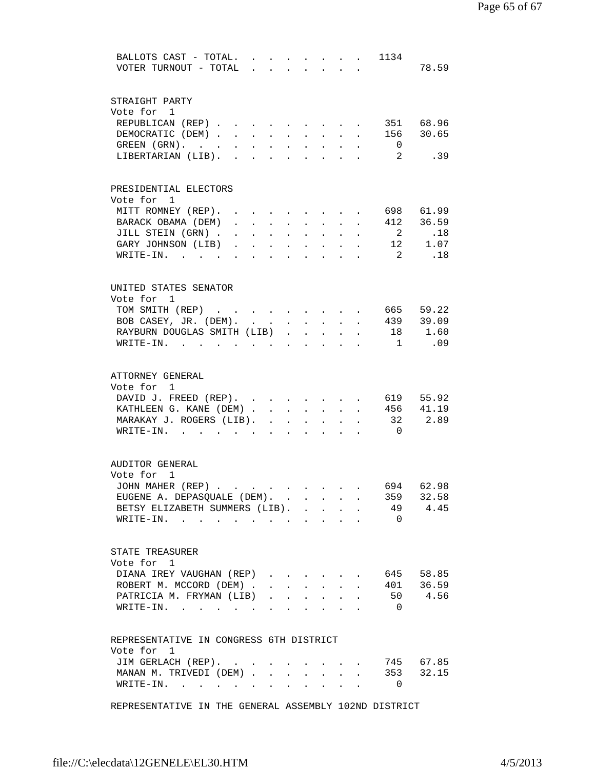| BALLOTS CAST - TOTAL.<br>VOTER TURNOUT - TOTAL         |                      | $\mathbf{r}$                       |                      |                           |                                                                  |            |                      | $\mathbf{r} = \mathbf{r} \times \mathbf{r}$ . The set of the $\mathbf{r}$<br>$\mathbf{z} = \mathbf{z} + \mathbf{z}$ | 1134                           | 78.59                              |
|--------------------------------------------------------|----------------------|------------------------------------|----------------------|---------------------------|------------------------------------------------------------------|------------|----------------------|---------------------------------------------------------------------------------------------------------------------|--------------------------------|------------------------------------|
| STRAIGHT PARTY<br>Vote for 1                           |                      |                                    |                      |                           |                                                                  |            |                      |                                                                                                                     |                                |                                    |
| REPUBLICAN (REP)                                       |                      |                                    |                      |                           | and the contract of the contract of                              |            |                      |                                                                                                                     |                                | 351 68.96                          |
| DEMOCRATIC (DEM)                                       |                      |                                    |                      | $\mathbf{L}^{\text{max}}$ | $\mathbf{L}^{\text{max}}$                                        |            | <b>All Adams</b>     | $\sim$ $-$                                                                                                          | 156 30.65                      |                                    |
| GREEN (GRN).<br>LIBERTARIAN (LIB). .                   |                      | $\sim$ $-$                         | $\ddot{\phantom{a}}$ |                           |                                                                  |            |                      |                                                                                                                     | $\overline{0}$<br>$\mathbf{2}$ | .39                                |
|                                                        |                      |                                    |                      |                           |                                                                  |            |                      |                                                                                                                     |                                |                                    |
| PRESIDENTIAL ELECTORS                                  |                      |                                    |                      |                           |                                                                  |            |                      |                                                                                                                     |                                |                                    |
| Vote for 1<br>MITT ROMNEY (REP).                       |                      |                                    |                      |                           |                                                                  |            |                      |                                                                                                                     |                                | 698 61.99                          |
| BARACK OBAMA (DEM)                                     | $\mathbf{L}$         | $\cdot$ $\cdot$                    |                      |                           | $\ddot{\phantom{a}}$                                             |            |                      |                                                                                                                     |                                | 412 36.59                          |
| JILL STEIN (GRN).                                      |                      | $\ddot{\phantom{a}}$               | $\sim$               |                           |                                                                  |            |                      |                                                                                                                     | $\overline{2}$                 | .18                                |
| GARY JOHNSON (LIB)                                     |                      |                                    | $\ddot{\phantom{a}}$ |                           |                                                                  |            |                      |                                                                                                                     |                                | $\frac{2}{12}$ $\frac{1.18}{1.07}$ |
| $W\text{RITE}-\text{IN}$ .<br><b>Contract Contract</b> | $\ddot{\phantom{a}}$ |                                    |                      |                           |                                                                  |            |                      |                                                                                                                     | $\overline{2}$                 | .18                                |
| UNITED STATES SENATOR                                  |                      |                                    |                      |                           |                                                                  |            |                      |                                                                                                                     |                                |                                    |
| Vote for 1<br>TOM SMITH (REP) 665 59.22                |                      |                                    |                      |                           |                                                                  |            |                      |                                                                                                                     |                                |                                    |
| BOB CASEY, JR. (DEM).                                  |                      |                                    |                      |                           |                                                                  |            |                      |                                                                                                                     | $\cdot$ 439 39.09              |                                    |
| RAYBURN DOUGLAS SMITH (LIB)                            |                      |                                    |                      | $\mathbf{L}$              |                                                                  |            |                      |                                                                                                                     |                                | 18 1.60                            |
| $WRITE-IN.$                                            |                      | $\sim$ $\sim$ $\sim$ $\sim$ $\sim$ |                      |                           |                                                                  |            |                      |                                                                                                                     | $\mathbf{1}$                   | .09                                |
| ATTORNEY GENERAL<br>Vote for 1                         |                      |                                    |                      |                           |                                                                  |            |                      |                                                                                                                     |                                |                                    |
| DAVID J. FREED (REP).                                  |                      |                                    |                      |                           |                                                                  |            |                      |                                                                                                                     | 619 55.92                      |                                    |
| KATHLEEN G. KANE (DEM)                                 |                      |                                    |                      |                           |                                                                  |            |                      | $\ddot{\phantom{a}}$                                                                                                | 456 41.19                      |                                    |
| MARAKAY J. ROGERS (LIB). .<br>WRITE-IN.                |                      | and the state of the state of      |                      | $\ddot{\phantom{a}}$      | $\sim$                                                           | $\sim 100$ | $\ddot{\phantom{a}}$ |                                                                                                                     | $\overline{0}$                 | 32 2.89                            |
|                                                        |                      |                                    |                      |                           |                                                                  |            |                      |                                                                                                                     |                                |                                    |
| AUDITOR GENERAL<br>Vote for 1                          |                      |                                    |                      |                           |                                                                  |            |                      |                                                                                                                     |                                |                                    |
| JOHN MAHER (REP)                                       |                      |                                    |                      |                           |                                                                  |            |                      |                                                                                                                     |                                | 694 62.98                          |
| EUGENE A. DEPASQUALE (DEM).                            |                      |                                    |                      |                           |                                                                  |            |                      |                                                                                                                     |                                | 359 32.58                          |
| BETSY ELIZABETH SUMMERS (LIB).                         |                      |                                    |                      |                           |                                                                  |            |                      |                                                                                                                     |                                | 49 4.45                            |
| WRITE-IN.                                              |                      |                                    |                      |                           |                                                                  |            |                      |                                                                                                                     | $\Omega$                       |                                    |
| STATE TREASURER                                        |                      |                                    |                      |                           |                                                                  |            |                      |                                                                                                                     |                                |                                    |
| Vote for 1                                             |                      |                                    |                      |                           |                                                                  |            |                      |                                                                                                                     |                                |                                    |
| DIANA IREY VAUGHAN (REP)                               |                      |                                    |                      |                           |                                                                  |            |                      |                                                                                                                     |                                | 645 58.85                          |
| ROBERT M. MCCORD (DEM)                                 |                      |                                    |                      |                           |                                                                  |            |                      | $\ddot{\phantom{a}}$                                                                                                |                                | 401 36.59                          |
| PATRICIA M. FRYMAN (LIB)                               |                      |                                    | $\mathbf{L}$         |                           | $\mathbf{r} = \mathbf{r} + \mathbf{r} + \mathbf{r} + \mathbf{r}$ |            |                      | $\ddot{\phantom{a}}$                                                                                                |                                | 50 4.56                            |
| WRITE-IN.                                              |                      |                                    |                      |                           |                                                                  |            |                      |                                                                                                                     | $\overline{0}$                 |                                    |
| REPRESENTATIVE IN CONGRESS 6TH DISTRICT                |                      |                                    |                      |                           |                                                                  |            |                      |                                                                                                                     |                                |                                    |
| Vote for 1                                             |                      |                                    |                      |                           |                                                                  |            |                      |                                                                                                                     |                                |                                    |
| JIM GERLACH (REP).<br>MANAN M. TRIVEDI (DEM)           |                      |                                    |                      |                           |                                                                  |            |                      |                                                                                                                     |                                | 745 67.85<br>353 32.15             |
| WRITE-IN.                                              |                      |                                    |                      |                           |                                                                  |            |                      |                                                                                                                     | $\overline{0}$                 |                                    |
|                                                        |                      |                                    |                      |                           |                                                                  |            |                      |                                                                                                                     |                                |                                    |

REPRESENTATIVE IN THE GENERAL ASSEMBLY 102ND DISTRICT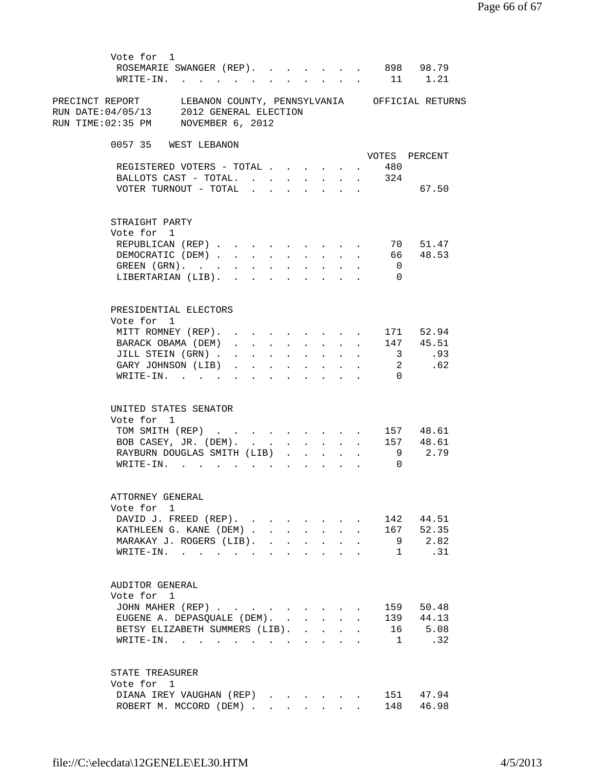| Vote for 1<br>ROSEMARIE SWANGER (REP). 898 98.79<br>WRITE-IN. 11 1.21                                                                          |              |              |                                                     |                           |                           |                              |                        |
|------------------------------------------------------------------------------------------------------------------------------------------------|--------------|--------------|-----------------------------------------------------|---------------------------|---------------------------|------------------------------|------------------------|
| PRECINCT REPORT LEBANON COUNTY, PENNSYLVANIA OFFICIAL RETURNS<br>RUN DATE:04/05/13 2012 GENERAL ELECTION<br>RUN TIME:02:35 PM NOVEMBER 6, 2012 |              |              |                                                     |                           |                           |                              |                        |
| 0057 35 WEST LEBANON                                                                                                                           |              |              |                                                     |                           |                           |                              | VOTES PERCENT          |
| REGISTERED VOTERS - TOTAL 480                                                                                                                  |              |              |                                                     |                           |                           |                              |                        |
| BALLOTS CAST - TOTAL. 324                                                                                                                      |              |              |                                                     |                           |                           |                              |                        |
| VOTER TURNOUT - TOTAL                                                                                                                          |              |              |                                                     |                           |                           |                              | 67.50                  |
| STRAIGHT PARTY                                                                                                                                 |              |              |                                                     |                           |                           |                              |                        |
| Vote for 1                                                                                                                                     |              |              |                                                     |                           |                           |                              |                        |
| REPUBLICAN (REP)                                                                                                                               |              |              |                                                     |                           |                           |                              | 70 51.47               |
| DEMOCRATIC (DEM)                                                                                                                               |              |              |                                                     |                           |                           |                              | 66 48.53               |
| $GREFN$ $(GRN)$ .<br>LIBERTARIAN (LIB).                                                                                                        |              |              |                                                     |                           |                           | $\overline{0}$<br>$\bigcirc$ |                        |
|                                                                                                                                                |              |              |                                                     |                           |                           |                              |                        |
| PRESIDENTIAL ELECTORS                                                                                                                          |              |              |                                                     |                           |                           |                              |                        |
| Vote for 1                                                                                                                                     |              |              |                                                     |                           |                           |                              |                        |
| MITT ROMNEY (REP). 171 52.94<br>$\cdot$ 147 45.51<br>BARACK OBAMA (DEM)                                                                        |              |              |                                                     |                           |                           |                              |                        |
| JILL STEIN (GRN).<br>$\mathbf{r} = \mathbf{r} - \mathbf{r}$ , $\mathbf{r} = \mathbf{r} - \mathbf{r}$ , $\mathbf{r} = \mathbf{r} - \mathbf{r}$  |              |              |                                                     |                           |                           |                              | 3 .93                  |
| GARY JOHNSON (LIB)                                                                                                                             |              |              |                                                     |                           |                           |                              | 2 .62                  |
| WRITE-IN.                                                                                                                                      |              |              |                                                     |                           |                           | $\overline{0}$               |                        |
| UNITED STATES SENATOR<br>Vote for 1                                                                                                            |              |              |                                                     |                           |                           |                              |                        |
| TOM SMITH (REP)                                                                                                                                |              |              |                                                     |                           |                           |                              | 157 48.61              |
| BOB CASEY, JR. (DEM). 157 48.61                                                                                                                |              |              |                                                     |                           |                           |                              | 9 2.79                 |
| RAYBURN DOUGLAS SMITH (LIB)<br>$\texttt{WRTTE-IN.}$                                                                                            | $\sim$       |              | $\mathbf{r} = \mathbf{r} + \mathbf{r} + \mathbf{r}$ |                           |                           | $\Omega$                     |                        |
| ATTORNEY GENERAL                                                                                                                               |              |              |                                                     |                           |                           |                              |                        |
| Vote for 1                                                                                                                                     |              |              |                                                     |                           |                           |                              |                        |
| DAVID J. FREED (REP).                                                                                                                          |              |              |                                                     |                           |                           |                              | 142 44.51              |
| KATHLEEN G. KANE (DEM)                                                                                                                         |              |              |                                                     |                           | $\mathbf{L}^{\text{max}}$ |                              | 167 52.35              |
| MARAKAY J. ROGERS (LIB).                                                                                                                       |              |              |                                                     |                           |                           |                              | 9 2.82                 |
| WRITE-IN.                                                                                                                                      |              |              |                                                     | $\mathbf{r} = \mathbf{r}$ |                           |                              | 1.31                   |
| AUDITOR GENERAL<br>Vote for 1                                                                                                                  |              |              |                                                     |                           |                           |                              |                        |
| JOHN MAHER (REP)                                                                                                                               |              |              |                                                     |                           |                           | 159                          | 50.48                  |
| EUGENE A. DEPASQUALE (DEM).                                                                                                                    | $\mathbf{L}$ | $\mathbf{L}$ | $\mathbf{r}$                                        | $\sim$                    | $\mathbf{r}$              |                              | 139 44.13              |
| BETSY ELIZABETH SUMMERS (LIB).                                                                                                                 |              |              | $\mathbf{L} = \mathbf{L}$                           | $\mathbf{L}$              |                           |                              | 16 5.08                |
| WRITE-IN.                                                                                                                                      |              |              |                                                     |                           |                           | $\mathbf{1}$                 | $\cdot$ 32             |
| STATE TREASURER                                                                                                                                |              |              |                                                     |                           |                           |                              |                        |
| Vote for 1                                                                                                                                     |              |              |                                                     |                           |                           |                              |                        |
| DIANA IREY VAUGHAN (REP)<br>ROBERT M. MCCORD (DEM)                                                                                             |              |              |                                                     |                           |                           |                              | 151 47.94<br>148 46.98 |
|                                                                                                                                                |              |              |                                                     |                           |                           |                              |                        |